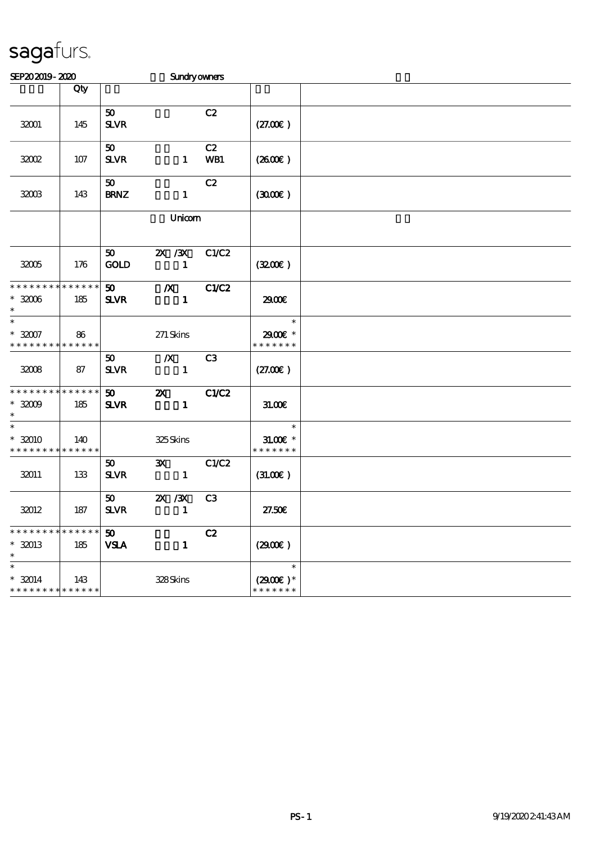| SEP202019-2020                                                    |     |                                | <b>Sundryowners</b>                       |                |                                       |  |
|-------------------------------------------------------------------|-----|--------------------------------|-------------------------------------------|----------------|---------------------------------------|--|
|                                                                   | Qty |                                |                                           |                |                                       |  |
| 32001                                                             | 145 | 50<br><b>SLVR</b>              |                                           | C2             | (27.00)                               |  |
| 32002                                                             | 107 | 50<br><b>SLVR</b>              | $\mathbf{1}$                              | C2<br>WB1      | $(2600\varepsilon)$                   |  |
| 32003                                                             | 143 | 50 <sub>o</sub><br><b>BRNZ</b> | $\mathbf{1}$                              | C2             | (300)                                 |  |
|                                                                   |     | Unicom                         |                                           |                |                                       |  |
| 32005                                                             | 176 | 50<br><b>GOLD</b>              | $X \, X$<br>$\mathbf{1}$                  | C1/C2          | (320)                                 |  |
| * * * * * * * * * * * * * *<br>$*32006$<br>$\ast$                 | 185 | 50 <sub>o</sub><br><b>SLVR</b> | $\boldsymbol{X}$<br>$\mathbf{1}$          | C1/C2          | 2900€                                 |  |
| $\overline{\ast}$<br>$^\ast$ 32007<br>* * * * * * * * * * * * * * | 86  |                                | $271$ Skins                               |                | $\ast$<br>2900€ *<br>* * * * * * *    |  |
| 32008                                                             | 87  | 50<br>$S\!L\!V\!R$             | $\boldsymbol{X}$<br>$\mathbf{1}$          | C <sub>3</sub> | (27.00)                               |  |
| * * * * * * * * * * * * * *<br>$^\ast$ 32009<br>$\ast$            | 185 | 50<br><b>SLVR</b>              | $\boldsymbol{\mathsf{X}}$<br>$\mathbf{1}$ | C1/C2          | 31.00E                                |  |
| $\ast$<br>$*32010$<br>* * * * * * * * <mark>* * * * * * *</mark>  | 140 |                                | 325Skins                                  |                | $\ast$<br>$31.00E$ *<br>* * * * * * * |  |
| 32011                                                             | 133 | 50<br><b>SLVR</b>              | $\mathbf{x}$<br>$\sim$ 1                  | C1/C2          | (31.00)                               |  |
| 32012                                                             | 187 | 50<br><b>SLVR</b>              | $X \, X$<br>$\mathbf{1}$                  | C <sub>3</sub> | 27.50E                                |  |
| * * * * * * * * * * * * * *<br>$*32013$<br>$\ast$                 | 185 | 50<br><b>VSLA</b>              | $\mathbf{1}$                              | C2             | (2900)                                |  |
| $\ast$<br>$* 32014$<br>* * * * * * * * * * * * * *                | 143 |                                | 328Skins                                  |                | $\ast$<br>$(2900)$ *<br>* * * * * * * |  |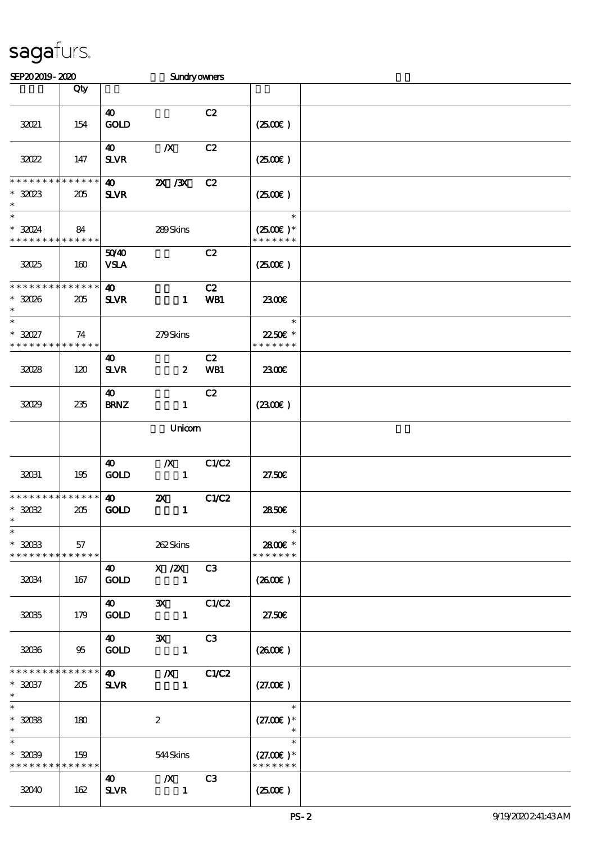| SEP202019-2020                                     |     |                                      | <b>Sundryowners</b>                                              |                  |                                        |  |
|----------------------------------------------------|-----|--------------------------------------|------------------------------------------------------------------|------------------|----------------------------------------|--|
|                                                    | Qty |                                      |                                                                  |                  |                                        |  |
| 32021                                              | 154 | $\boldsymbol{\omega}$<br><b>GOLD</b> |                                                                  | C2               | (250E)                                 |  |
| 32022                                              | 147 | 40<br><b>SLVR</b>                    | $\boldsymbol{X}$                                                 | C2               | (250)                                  |  |
| * * * * * * * * * * * * * *<br>$*3023$<br>$\ast$   | 205 | $\boldsymbol{\omega}$<br><b>SLVR</b> | $X \, X$                                                         | C2               | (250E)                                 |  |
| $\ast$<br>$*32024$<br>* * * * * * * * * * * * * *  | 84  |                                      | 289Skins                                                         |                  | $\ast$<br>$(2500)$ *<br>* * * * * * *  |  |
| 32025                                              | 160 | 5040<br><b>VSLA</b>                  |                                                                  | C2               | (250)                                  |  |
| * * * * * * * * * * * * * *<br>$*3006$<br>$\ast$   | 205 | $\boldsymbol{\omega}$<br><b>SLVR</b> | $\mathbf{1}$                                                     | C2<br>WB1        | 2300E                                  |  |
| $\ast$<br>$*3027$<br>* * * * * * * * * * * * * *   | 74  |                                      | 279Skins                                                         |                  | $\ast$<br>22.50€ *<br>* * * * * * *    |  |
| 32028                                              | 120 | 40<br>$S\!L\!V\!R$                   | $\boldsymbol{z}$                                                 | C2<br><b>WB1</b> | 2300E                                  |  |
| 32029                                              | 235 | 40<br><b>BRNZ</b>                    | $\mathbf{1}$                                                     | C2               | $(2300\varepsilon)$                    |  |
|                                                    |     | Unicom                               |                                                                  |                  |                                        |  |
| 32031                                              | 195 | $\boldsymbol{\omega}$<br><b>GOLD</b> | $\boldsymbol{X}$<br>$\mathbf{1}$                                 | C1/C2            | 27.50E                                 |  |
| * * * * * * * * * * * * * *<br>$*3002$<br>$*$      | 205 | $\boldsymbol{\omega}$<br><b>GOLD</b> | $\boldsymbol{\mathsf{z}}$<br>$\mathbf{1}$                        | <b>C1/C2</b>     | 2850E                                  |  |
| $\ast$<br>$*3003$<br>* * * * * * * * * * * * * * * | 57  |                                      | 262Skins                                                         |                  | $\ast$<br>2800€ *<br>* * * * * * *     |  |
| 32034                                              | 167 | <b>GOLD</b>                          | 40 X /2X C3<br>$\blacksquare$                                    |                  | (260E)                                 |  |
| 32035                                              | 179 | $\boldsymbol{40}$<br><b>GOLD</b>     | 3X C1/C2<br>$\mathbf{1}$                                         |                  | 27.50E                                 |  |
| 32036                                              | 95  | 40<br><b>GOLD</b>                    | $\mathbf{X}$<br>$\sim$ $\sim$ $\sim$ $\sim$ $\sim$ $\sim$ $\sim$ | C3               | $(2600\varepsilon)$                    |  |
| * * * * * * * * * * * * * *<br>$*30037$<br>$\ast$  | 205 | $\boldsymbol{\omega}$<br><b>SLVR</b> | $\chi$ C1/C2<br>$\blacksquare$                                   |                  | (27.00)                                |  |
| $\ast$<br>$*3008$<br>$\ast$                        | 180 |                                      | $\boldsymbol{2}$                                                 |                  | $\ast$<br>$(27.00)$ *<br>$\ast$        |  |
| $\ast$<br>$*3009$<br>* * * * * * * * * * * * * *   | 159 |                                      | 544Skins                                                         |                  | $\ast$<br>$(27.00)$ *<br>* * * * * * * |  |
| 32040                                              | 162 | <b>40</b><br><b>SLVR</b>             | $\boldsymbol{X}$<br>$\blacksquare$                               | C <sub>3</sub>   | $(2500\varepsilon)$                    |  |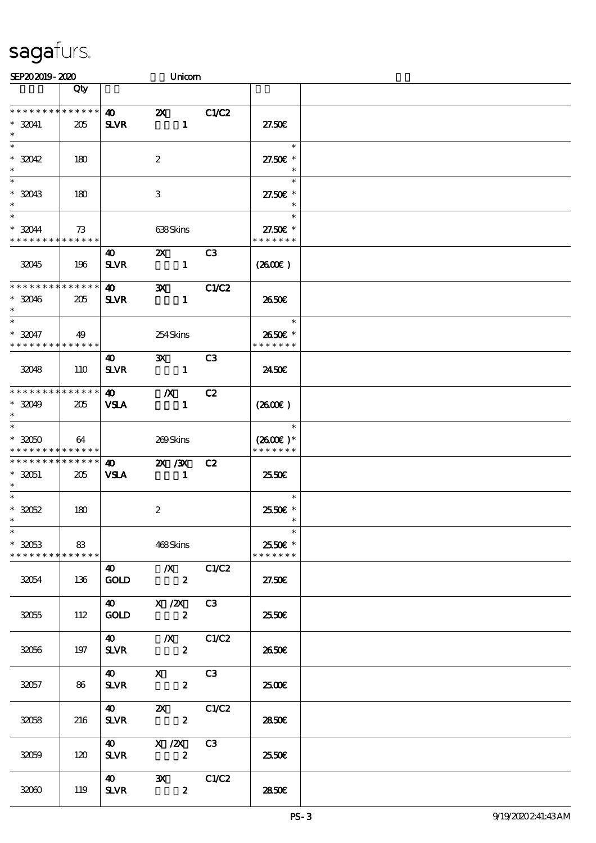| SEP202019-2020                                                |                 |                                      | Unicom                                                                                                                                                                                                                                                                                                                                              |       |                                       |  |
|---------------------------------------------------------------|-----------------|--------------------------------------|-----------------------------------------------------------------------------------------------------------------------------------------------------------------------------------------------------------------------------------------------------------------------------------------------------------------------------------------------------|-------|---------------------------------------|--|
|                                                               | Qty             |                                      |                                                                                                                                                                                                                                                                                                                                                     |       |                                       |  |
| * * * * * * * * * * * * * *<br>$* 32041$<br>$\ast$            | 205             | $\boldsymbol{\omega}$<br><b>SLVR</b> | $\boldsymbol{\mathsf{Z}}$<br>$\mathbf{1}$                                                                                                                                                                                                                                                                                                           | C1/C2 | 27.50E                                |  |
| $\ast$<br>$*32042$<br>$\ast$                                  | 180             |                                      | $\boldsymbol{2}$                                                                                                                                                                                                                                                                                                                                    |       | $\ast$<br>27.50€ *<br>$\ast$          |  |
| $*32043$<br>$\ast$                                            | 180             |                                      | 3                                                                                                                                                                                                                                                                                                                                                   |       | $\ast$<br>27.50€ *<br>$\ast$          |  |
| $\ast$<br>$*32044$<br>* * * * * * * * * * * * * *             | 73              |                                      | 638Skins                                                                                                                                                                                                                                                                                                                                            |       | $\ast$<br>27.50€ *<br>* * * * * * *   |  |
| 32045                                                         | 196             | 40<br><b>SLVR</b>                    | $\mathbf{x}$<br>$\mathbf{1}$                                                                                                                                                                                                                                                                                                                        | C3    | (260E)                                |  |
| * * * * * * * * * * * * * *<br>$*32046$<br>$\ast$             | 205             | $\boldsymbol{\omega}$<br><b>SLVR</b> | $\mathbf{x}$<br>$\mathbf{1}$                                                                                                                                                                                                                                                                                                                        | C1/C2 | 2650E                                 |  |
| $\ast$<br>$* 32047$<br>* * * * * * * * * * * * * *            | 49              |                                      | 254Skins                                                                                                                                                                                                                                                                                                                                            |       | $\ast$<br>2650€ *<br>* * * * * * *    |  |
| 32048                                                         | 110             | 40<br><b>SLVR</b>                    | $\mathbf{X}$<br>$\sim$ 1                                                                                                                                                                                                                                                                                                                            | C3    | 2450E                                 |  |
| * * * * * * * * * * * * * *<br>$*32049$<br>$\ast$             | 205             | <b>40</b><br><b>VSLA</b>             | $\mathbf{X}$<br>$\blacksquare$                                                                                                                                                                                                                                                                                                                      | C2    | $(2600\varepsilon)$                   |  |
| $\ast$<br>$*3050$<br>* * * * * * * * * * * * * *              | 64              |                                      | 269Skins                                                                                                                                                                                                                                                                                                                                            |       | $\ast$<br>$(2600)$ *<br>* * * * * * * |  |
| * * * * * * * *<br>$* 32051$<br>$*$                           | $******$<br>205 | 40<br><b>VSLA</b>                    | 2X / 3X<br>$\blacksquare$                                                                                                                                                                                                                                                                                                                           | C2    | 25.50E                                |  |
| $\ast$<br>$* 3052$<br>$*$                                     | 180             |                                      | $\boldsymbol{2}$                                                                                                                                                                                                                                                                                                                                    |       | $\ast$<br>2550 £*<br>$\ast$           |  |
| $\ast$<br>$*3053$<br>* * * * * * * * <mark>* * * * * *</mark> | 83              |                                      | 468Skins                                                                                                                                                                                                                                                                                                                                            |       | $\ast$<br>2550€ *<br>* * * * * * *    |  |
| 32054                                                         | 136             |                                      | 40 		 X 		 C1/C2<br>GOLD 2                                                                                                                                                                                                                                                                                                                          |       | 27.50E                                |  |
| 32055                                                         | 112             |                                      | 40 X /2X C3<br>GOLD 2                                                                                                                                                                                                                                                                                                                               |       | 2550E                                 |  |
| 32056                                                         | 197             | <b>SLVR</b>                          | 40 		 X 		 C1/C2<br>$\mathbf{2}$                                                                                                                                                                                                                                                                                                                    |       | 2650E                                 |  |
| 32057                                                         | 86              | <b>SLVR</b>                          | 40 X C3<br>$\mathbf{2}$                                                                                                                                                                                                                                                                                                                             |       | 2500                                  |  |
| 32058                                                         | 216             | <b>SLVR</b>                          | $\overline{40}$ $\overline{21}$ $\overline{21}$ $\overline{21}$ $\overline{21}$ $\overline{21}$ $\overline{21}$ $\overline{21}$ $\overline{21}$ $\overline{21}$ $\overline{21}$ $\overline{21}$ $\overline{21}$ $\overline{21}$ $\overline{21}$ $\overline{21}$ $\overline{21}$ $\overline{21}$ $\overline{21}$ $\overline{21}$<br>$\boldsymbol{z}$ |       | 2850E                                 |  |
| 32059                                                         | 120             | $\boldsymbol{40}$<br><b>SLVR</b>     | X / ZX<br>$\overline{\mathbf{2}}$                                                                                                                                                                                                                                                                                                                   | C3    | 25.50€                                |  |
| 32060                                                         | 119             | <b>SLVR</b>                          | $\overline{40}$ 3X $C1/C2$<br>$\boldsymbol{z}$                                                                                                                                                                                                                                                                                                      |       | 2850E                                 |  |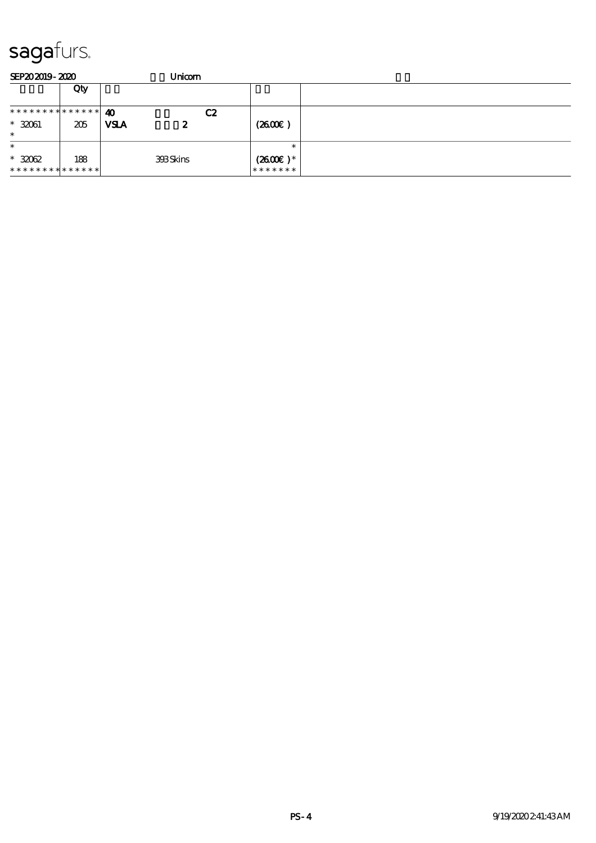| SEP202019-2020               |     | Unicom                 |                       |        |
|------------------------------|-----|------------------------|-----------------------|--------|
|                              | Qty |                        |                       |        |
| ******** <mark>******</mark> |     | $\boldsymbol{\Lambda}$ | C2                    |        |
| $* 32061$                    | 205 | <b>VSLA</b><br>2       | $(2600\varepsilon)$   |        |
| $\ast$                       |     |                        |                       |        |
| $\ast$                       |     |                        |                       | $\ast$ |
| $*3062$                      | 188 | <b>398Skins</b>        | $(2600\varepsilon)^*$ |        |
| **************               |     |                        | *******               |        |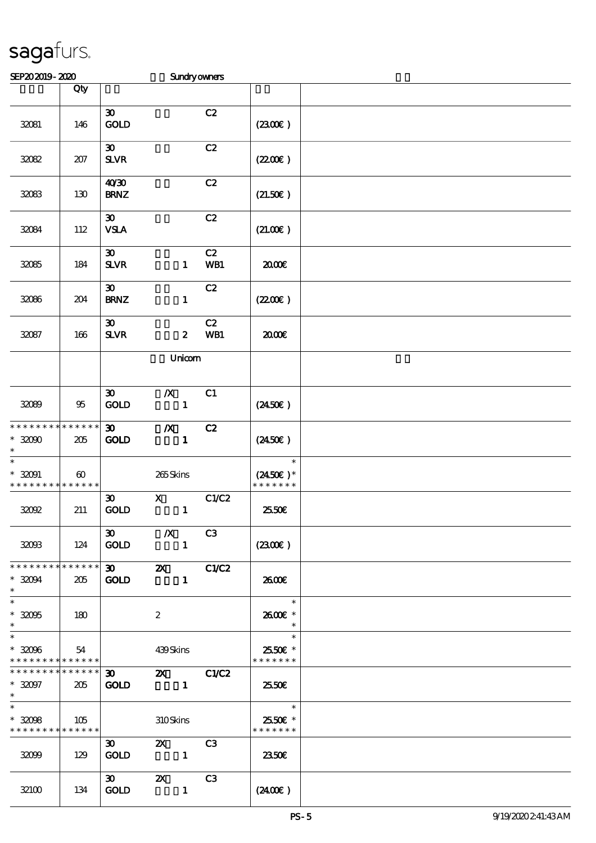| SEP202019-2020                                                   |                       |                                            |                                                                                                                                                                                                                                                                                                                                                                                                                                                                                                 | <b>Sundryowners</b> |                                                                 |  |
|------------------------------------------------------------------|-----------------------|--------------------------------------------|-------------------------------------------------------------------------------------------------------------------------------------------------------------------------------------------------------------------------------------------------------------------------------------------------------------------------------------------------------------------------------------------------------------------------------------------------------------------------------------------------|---------------------|-----------------------------------------------------------------|--|
|                                                                  | Qty                   |                                            |                                                                                                                                                                                                                                                                                                                                                                                                                                                                                                 |                     |                                                                 |  |
| 32081                                                            | 146                   | $\boldsymbol{\mathfrak{D}}$<br><b>GOLD</b> |                                                                                                                                                                                                                                                                                                                                                                                                                                                                                                 | C2                  | (230E)                                                          |  |
| 32082                                                            | 207                   | $\boldsymbol{\mathfrak{D}}$<br><b>SLVR</b> |                                                                                                                                                                                                                                                                                                                                                                                                                                                                                                 | C2                  | (220E)                                                          |  |
| 32083                                                            | 130                   | 40'30<br><b>BRNZ</b>                       |                                                                                                                                                                                                                                                                                                                                                                                                                                                                                                 | C2                  | (21.50)                                                         |  |
| 32084                                                            | 112                   | $\boldsymbol{\mathfrak{D}}$<br><b>VSLA</b> |                                                                                                                                                                                                                                                                                                                                                                                                                                                                                                 | C2                  | (21.00)                                                         |  |
| 32085                                                            | 184                   | $\boldsymbol{\mathfrak{D}}$<br><b>SLVR</b> | $\mathbf{1}$                                                                                                                                                                                                                                                                                                                                                                                                                                                                                    | C2<br>WB1           | 2000E                                                           |  |
| 32086                                                            | 204                   | $\boldsymbol{\mathfrak{D}}$<br><b>BRNZ</b> | $\mathbf{1}$                                                                                                                                                                                                                                                                                                                                                                                                                                                                                    | C2                  | (220E)                                                          |  |
| 32087                                                            | 166                   | $\boldsymbol{\mathfrak{D}}$<br><b>SLVR</b> | $\boldsymbol{z}$                                                                                                                                                                                                                                                                                                                                                                                                                                                                                | C2<br>WB1           | æœ                                                              |  |
|                                                                  |                       |                                            | Unicom                                                                                                                                                                                                                                                                                                                                                                                                                                                                                          |                     |                                                                 |  |
| 32089                                                            | 95                    | $\boldsymbol{\mathfrak{D}}$<br><b>GOLD</b> | $\boldsymbol{X}$<br>$\mathbf{1}$                                                                                                                                                                                                                                                                                                                                                                                                                                                                | C1                  | $(2450\epsilon)$                                                |  |
| * * * * * * * * * * * * * *<br>$*32000$<br>$\ast$                | 205                   | $\boldsymbol{\mathfrak{D}}$<br><b>GOLD</b> | $\boldsymbol{X}$<br>$\mathbf{1}$                                                                                                                                                                                                                                                                                                                                                                                                                                                                | C2                  | $(2450\epsilon)$                                                |  |
| $\ast$<br>$*32091$<br>* * * * * * * * * * * * * *                | $\boldsymbol{\omega}$ |                                            | 265Skins                                                                                                                                                                                                                                                                                                                                                                                                                                                                                        |                     | $\ast$<br>$(2450\epsilon)^*$<br>* * * * * * *                   |  |
| 32092                                                            | 211                   | $\boldsymbol{\mathfrak{D}}$<br><b>GOLD</b> | $\mathbf X$<br>$\mathbf{1}$                                                                                                                                                                                                                                                                                                                                                                                                                                                                     | C1/C2               | 2550E                                                           |  |
| 32003                                                            | 124                   | $\boldsymbol{\mathfrak{D}}$<br><b>GOLD</b> | $\mathbf{X}$<br>$\blacksquare$                                                                                                                                                                                                                                                                                                                                                                                                                                                                  | C3                  | (2300)                                                          |  |
| * * * * * * * * * * * * * * *<br>$*32094$<br>$\ast$              | 205                   | <b>GOLD</b>                                | $\overline{30}$ $\overline{2}$ $\overline{2}$ $\overline{2}$ $\overline{2}$ $\overline{2}$ $\overline{2}$ $\overline{2}$ $\overline{2}$ $\overline{2}$ $\overline{2}$ $\overline{2}$ $\overline{2}$ $\overline{2}$ $\overline{2}$ $\overline{2}$ $\overline{2}$ $\overline{2}$ $\overline{2}$ $\overline{2}$ $\overline{2}$ $\overline{2}$ $\overline{2}$ $\overline{2}$ $\overline$<br>$\blacksquare$                                                                                          |                     | 2600€                                                           |  |
| $\ast$<br>$*32005$<br>$\ast$                                     | 180                   |                                            | $\boldsymbol{2}$                                                                                                                                                                                                                                                                                                                                                                                                                                                                                |                     | $\ast$<br>2600€ *<br>$\ast$                                     |  |
| $\ast$<br>$*32096$<br>* * * * * * * * <mark>* * * * * * *</mark> | 54                    |                                            | 439Skins                                                                                                                                                                                                                                                                                                                                                                                                                                                                                        |                     | $\ast$<br>2550€ *<br>* * * * * * *                              |  |
| * * * * * * * * * * * * * * *<br>$*32097$<br>$*$                 | 205                   | $30 - 1$<br><b>GOLD</b>                    | <b>2X</b> C1/C2                                                                                                                                                                                                                                                                                                                                                                                                                                                                                 |                     | 25.50E                                                          |  |
| $\ast$<br>$*3008$<br>* * * * * * * * * * * * * *                 | 105                   |                                            | 310Skins                                                                                                                                                                                                                                                                                                                                                                                                                                                                                        |                     | $\overline{\phantom{a}}$<br>$\ast$<br>25.50€ *<br>* * * * * * * |  |
| 32099                                                            | 129                   | $\boldsymbol{\mathfrak{D}}$<br><b>GOLD</b> | $\mathbf{X}$<br>$\overline{\phantom{a}}$ $\overline{\phantom{a}}$                                                                                                                                                                                                                                                                                                                                                                                                                               | C3                  | 2350E                                                           |  |
| 32100                                                            | 134                   | $\infty$<br><b>GOLD</b>                    | $\mathbf{X}$<br>$\overline{\phantom{a}}$ $\overline{\phantom{a}}$ $\overline{\phantom{a}}$ $\overline{\phantom{a}}$ $\overline{\phantom{a}}$ $\overline{\phantom{a}}$ $\overline{\phantom{a}}$ $\overline{\phantom{a}}$ $\overline{\phantom{a}}$ $\overline{\phantom{a}}$ $\overline{\phantom{a}}$ $\overline{\phantom{a}}$ $\overline{\phantom{a}}$ $\overline{\phantom{a}}$ $\overline{\phantom{a}}$ $\overline{\phantom{a}}$ $\overline{\phantom{a}}$ $\overline{\phantom{a}}$ $\overline{\$ | C3                  | (2400)                                                          |  |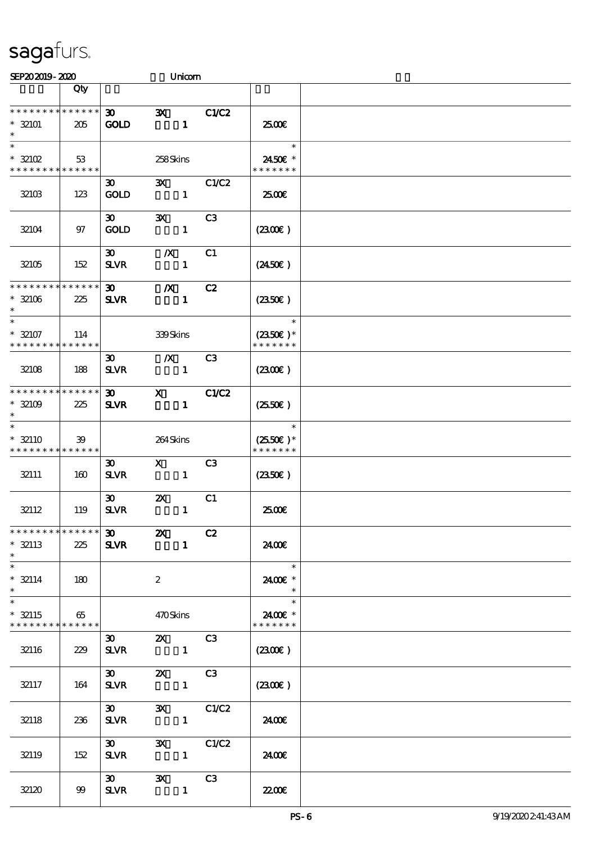| SEP202019-2020                                                   |                    |                                            |                                           | Unicom                                 |                                                  |  |
|------------------------------------------------------------------|--------------------|--------------------------------------------|-------------------------------------------|----------------------------------------|--------------------------------------------------|--|
|                                                                  | Qty                |                                            |                                           |                                        |                                                  |  |
| * * * * * * * * * * * * * *<br>$* 32101$<br>$\ast$               | 205                | $\boldsymbol{\mathfrak{D}}$<br><b>GOLD</b> | $\mathbf{x}$                              | <b>C1/C2</b><br>$\mathbf{1}$           | 2500€                                            |  |
| $\ast$<br>$*32102$<br>* * * * * * * * <mark>* * * * * * *</mark> | 53                 |                                            | 258Skins                                  |                                        | $\ast$<br>2450€ *<br>* * * * * * *               |  |
| 32103                                                            | 123                | $\boldsymbol{\mathfrak{D}}$<br><b>GOLD</b> | $\mathbf{x}$                              | C1/C2<br>$\mathbf{1}$                  | 2500€                                            |  |
| 32104                                                            | 97                 | $\boldsymbol{\mathfrak{D}}$<br><b>GOLD</b> | $\mathbf{x}$                              | C3<br>$\mathbf{1}$                     | (2300)                                           |  |
| 32105                                                            | 152                | $\boldsymbol{\mathfrak{D}}$<br><b>SLVR</b> | $\boldsymbol{X}$                          | C1<br>$\mathbf{1}$                     | $(2450\epsilon)$                                 |  |
| * * * * * * * * * * * * * *<br>$* 32106$<br>$\ast$               | 225                | $\boldsymbol{\mathfrak{D}}$<br><b>SLVR</b> | $\boldsymbol{X}$<br>$\sim$ 1              | C2                                     | $(2350\epsilon)$                                 |  |
| $\ast$<br>$* 32107$<br>* * * * * * * * * * * * * *               | 114                |                                            | 339Skins                                  |                                        | $\ast$<br>$(2350)$ *<br>* * * * * * *            |  |
| 32108                                                            | 188                | 30 <sup>2</sup><br><b>SLVR</b>             | $\mathbf{X}$                              | C <sub>3</sub><br>$\mathbf{1}$         | $(2300\varepsilon)$                              |  |
| * * * * * * * *<br>$* 32109$<br>$\ast$                           | * * * * * *<br>225 | $\boldsymbol{\mathfrak{D}}$<br><b>SLVR</b> | $\mathbf{x}$                              | C1/C2<br>$\mathbf{1}$                  | $(2550\varepsilon)$                              |  |
| $\ast$<br>$* 32110$<br>* * * * * * * *                           | 39<br>* * * * * *  |                                            | 264Skins                                  |                                        | $\ast$<br>$(2550\varepsilon)^*$<br>* * * * * * * |  |
| 32111                                                            | 160                | $\boldsymbol{\mathfrak{D}}$<br><b>SLVR</b> | $\mathbf{X}$                              | C3<br>$\mathbf{1}$                     | $(2350\epsilon)$                                 |  |
| 32112                                                            | 119                | $\boldsymbol{\mathfrak{D}}$<br><b>SLVR</b> | $\boldsymbol{\mathsf{Z}}$                 | C1<br>$\mathbf{1}$                     | 2500E                                            |  |
| * * * * * * * * * * * * * * *<br>$* 32113$<br>$\ast$             | 225                | <b>SLVR</b>                                | $\overline{30}$ $\overline{20}$           | $\overline{\text{C2}}$<br>$\mathbf{1}$ | 2400€                                            |  |
| $\overline{\phantom{0}}$<br>$* 32114$<br>$\ast$                  | 180                |                                            | $\boldsymbol{2}$                          |                                        | $\overline{\phantom{a}}$<br>2400€ *<br>$\ast$    |  |
| $\overline{\ast}$<br>$*$ 32115<br>* * * * * * * * * * * * * * *  | 65                 |                                            | 470Skins                                  |                                        | $\ast$<br>2400€ *<br>* * * * * * *               |  |
| 32116                                                            | 229                | $\boldsymbol{\mathfrak{D}}$<br>SLVR 1      |                                           | <b>2X</b> C3                           | $(2300\varepsilon)$                              |  |
| 32117                                                            | 164                | $SLVR$ 1                                   |                                           |                                        | (230)                                            |  |
| 32118                                                            | 236                | $\infty$                                   | $SLVR$ 1                                  | 3X C1/C2                               | 2400€                                            |  |
| 32119                                                            | 152                | $\boldsymbol{\mathfrak{D}}$<br><b>SLVR</b> | $\sim$ $\sim$ $\sim$ $\sim$ $\sim$ $\sim$ | 3X C1/C2                               | 24.00E                                           |  |
| 32120                                                            | 99                 | <b>SLVR</b>                                | $30 \quad 3X$                             | C3                                     | 2200                                             |  |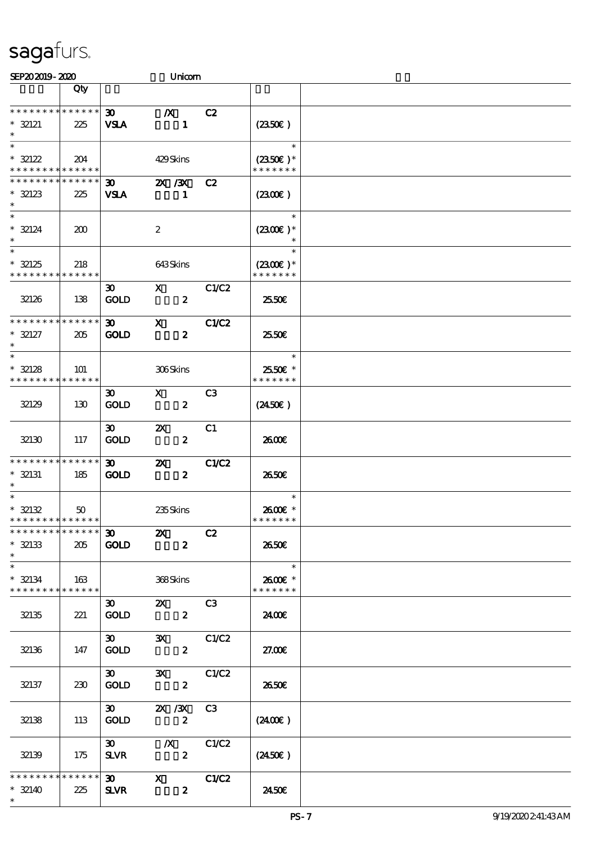| SEP202019-2020                                                |     |                                                                            | Unicom                                         |                |                                                      |  |
|---------------------------------------------------------------|-----|----------------------------------------------------------------------------|------------------------------------------------|----------------|------------------------------------------------------|--|
|                                                               | Qty |                                                                            |                                                |                |                                                      |  |
| * * * * * * * * * * * * * *<br>$* 32121$<br>$\ast$            | 225 | $\boldsymbol{\mathfrak{D}}$<br><b>VSLA</b>                                 | $\boldsymbol{X}$<br>$\mathbf{1}$               | C2             | $(2350\varepsilon)$                                  |  |
| $\ast$<br>$* 32122$<br>* * * * * * * * * * * * * *            | 204 |                                                                            | 429Skins                                       |                | $\ast$<br>$(2350\text{E})*$<br>* * * * * * *         |  |
| * * * * * * * * * * * * * *<br>$* 32123$<br>$\ast$            | 225 | $\infty$<br><b>VSLA</b>                                                    | 2X / 3X<br>1                                   | C2             | (230)                                                |  |
| $\ast$<br>$* 32124$<br>$\ast$                                 | 200 |                                                                            | $\boldsymbol{z}$                               |                | $\ast$<br>$(2300)$ *                                 |  |
| $\overline{\ast}$<br>$* 32125$<br>* * * * * * * * * * * * * * | 218 |                                                                            | 643Skins                                       |                | $\ast$<br>$(2300)$ *<br>* * * * * * *                |  |
| 32126                                                         | 138 | 30 <sup>2</sup><br><b>GOLD</b>                                             | $\mathbf{X}$<br>$\boldsymbol{z}$               | C1/C2          | 2550E                                                |  |
| * * * * * * * * * * * * * *<br>$* 32127$<br>$\ast$            | 205 | $\infty$<br><b>GOLD</b>                                                    | $\mathbf{x}$<br>$\boldsymbol{z}$               | C1/C2          | 25.50E                                               |  |
| $\ast$<br>$* 32128$<br>* * * * * * * * * * * * * *            | 101 |                                                                            | 306Skins                                       |                | $\ast$<br>2550€ *<br>* * * * * * *                   |  |
| 32129                                                         | 130 | $\boldsymbol{\mathfrak{D}}$<br><b>GOLD</b>                                 | $\mathbf x$<br>$\boldsymbol{z}$                | C <sub>3</sub> | $(2450\epsilon)$                                     |  |
| 32130                                                         | 117 | $\boldsymbol{\mathfrak{D}}$<br><b>GOLD</b>                                 | $\boldsymbol{\mathsf{z}}$<br>$\boldsymbol{z}$  | C1             | 2600E                                                |  |
| * * * * * * * * * * * * * *<br>$*$ 32131                      | 185 | $\boldsymbol{\mathfrak{D}}$<br><b>GOLD</b>                                 | $\mathbf{X}$<br>$\boldsymbol{z}$               | C1/C2          | 2650E                                                |  |
| $\ast$<br>$* 32132$<br>* * * * * * * * * * * * * *            | 50  |                                                                            | 235Skins                                       |                | $\ast$<br>2600E *<br>* * * * * * *                   |  |
| * * * * * * * * * * * * * * *<br>$* 32133$<br>$\ast$          | 205 | $\overline{\textbf{30}}$ $\overline{\textbf{2} \textbf{X}}$<br><b>GOLD</b> | $\mathbf{z}$                                   | C2             | 2650€                                                |  |
| $\ast$<br>$*$ 32134<br>* * * * * * * * * * * * * * *          | 163 |                                                                            | 368Skins                                       |                | $\overline{\phantom{a}}$<br>2600€ *<br>* * * * * * * |  |
| 32135                                                         | 221 | 30<br><b>GOLD</b>                                                          | <b>2X</b> C3<br>$\mathbf{2}$                   |                | 2400E                                                |  |
| 32136                                                         | 147 | 30<br><b>GOLD</b>                                                          | 3X C1/C2<br>$\mathbf{2}$                       |                | 27.00€                                               |  |
| 32137                                                         | 230 | <b>GOLD</b>                                                                | 30 3X C1/C2<br>$\mathbf{2}$                    |                | 2650E                                                |  |
| 32138                                                         | 113 | <b>GOLD</b>                                                                | 30 <b>2X /3X C3</b><br>$\overline{\mathbf{2}}$ |                | $(2400\varepsilon)$                                  |  |
| 32139                                                         | 175 | $\boldsymbol{\mathfrak{D}}$<br><b>SLVR</b>                                 | $\chi$ C1/C2<br>$\overline{\mathbf{2}}$        |                | $(2450\epsilon)$                                     |  |
| * * * * * * * * * * * * * * *<br>$* 32140$<br>$\ast$          | 225 | <b>SLVR</b>                                                                | 30 X C1/C2<br>$\boldsymbol{z}$                 |                | 2450E                                                |  |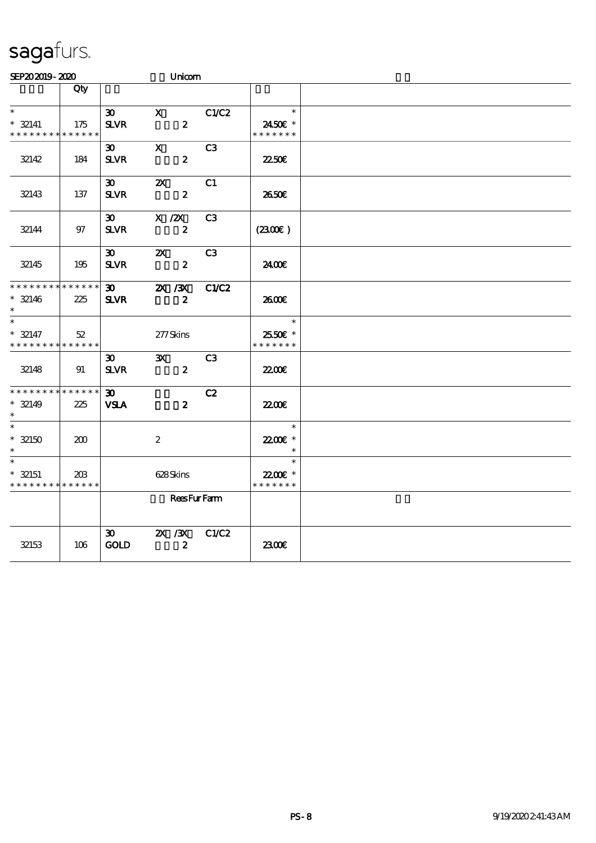| SEP202019-2020                                                     |                    |                                             | Unicom                                        |                |                                     |  |
|--------------------------------------------------------------------|--------------------|---------------------------------------------|-----------------------------------------------|----------------|-------------------------------------|--|
|                                                                    | Qty                |                                             |                                               |                |                                     |  |
| $\ast$<br>$* 32141$<br>* * * * * * * *                             | 175<br>* * * * * * | $\boldsymbol{\mathfrak{D}}$<br>$S\!L\!V\!R$ | $\mathbf x$<br>$\boldsymbol{z}$               | C1/C2          | $\ast$<br>2450€ *<br>* * * * * * *  |  |
| 32142                                                              | 184                | $30-1$<br><b>SLVR</b>                       | $\mathbf{x}$<br>$\boldsymbol{z}$              | C3             | 2250E                               |  |
| 32143                                                              | 137                | $\boldsymbol{\mathfrak{D}}$<br><b>SLVR</b>  | $\boldsymbol{\mathsf{X}}$<br>$\boldsymbol{z}$ | C1             | 2650E                               |  |
| 32144                                                              | $97\,$             | $\boldsymbol{\mathfrak{D}}$<br><b>SLVR</b>  | $X$ / $ZX$<br>$\boldsymbol{z}$                | C <sub>3</sub> | (230E)                              |  |
| 32145                                                              | 195                | 30 <sup>2</sup><br>$S\!L\!VR$               | $\boldsymbol{\mathsf{Z}}$<br>$\pmb{2}$        | C3             | 2400E                               |  |
| * * * * * * * * <mark>* * * * * *</mark><br>$* 32146$<br>$^{\ast}$ | 225                | $\boldsymbol{\mathfrak{D}}$<br><b>SLVR</b>  | $X \, X$<br>$\boldsymbol{z}$                  | C1/C2          | 2600€                               |  |
| $\ast$<br>$* 32147$<br>* * * * * * * *                             | 52<br>******       |                                             | 277Skins                                      |                | $\ast$<br>2550 £*<br>* * * * * * *  |  |
| 32148                                                              | 91                 | $\boldsymbol{\mathfrak{D}}$<br><b>SLVR</b>  | $\mathbf{x}$<br>$\boldsymbol{z}$              | C <sub>3</sub> | 2200                                |  |
| * * * * * * * *<br>$* 32149$<br>$\ast$                             | * * * * * *<br>225 | 30 <sub>o</sub><br><b>VSLA</b>              | $\boldsymbol{z}$                              | C2             | <b>22006</b>                        |  |
| $\ast$<br>$* 32150$                                                | 200                |                                             | $\boldsymbol{2}$                              |                | $\ast$<br>22.00€ *<br>$\ast$        |  |
| $* 32151$<br>* * * * * * * *                                       | 203<br>* * * * * * |                                             | 628Skins                                      |                | $\ast$<br>22.00E *<br>* * * * * * * |  |
|                                                                    |                    |                                             | <b>ReesFurFarm</b>                            |                |                                     |  |
| 32153                                                              | 106                | $\boldsymbol{\mathfrak{D}}$<br>GOLD         | $X$ / $X$<br>$\boldsymbol{z}$                 | C1/C2          | 2300E                               |  |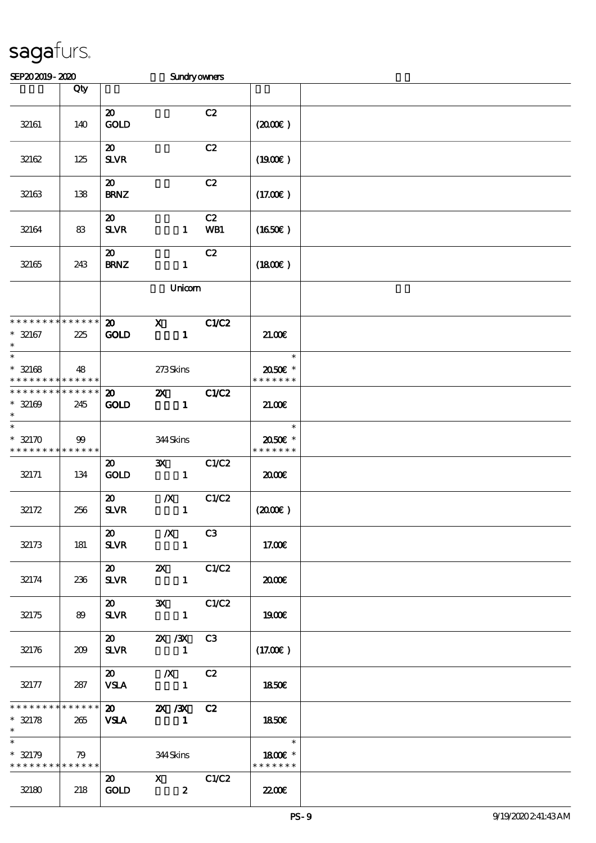| SEP202019-2020                                       |                                               |                                            | <b>Sundryowners</b>                       |           |                                    |  |
|------------------------------------------------------|-----------------------------------------------|--------------------------------------------|-------------------------------------------|-----------|------------------------------------|--|
|                                                      | Qty                                           |                                            |                                           |           |                                    |  |
| 32161                                                | 140                                           | $\boldsymbol{\mathfrak{D}}$<br><b>GOLD</b> |                                           | C2        | $(2000\varepsilon)$                |  |
| 32162                                                | 125                                           | $\boldsymbol{\mathfrak{D}}$<br><b>SLVR</b> |                                           | C2        | (1900E)                            |  |
| 32163                                                | 138                                           | $\boldsymbol{\mathfrak{D}}$<br><b>BRNZ</b> |                                           | C2        | (17.00)                            |  |
| 32164                                                | 83                                            | $\boldsymbol{\mathfrak{D}}$<br><b>SLVR</b> | $\mathbf{1}$                              | C2<br>WB1 | $(1650\epsilon)$                   |  |
| 32165                                                | 243                                           | $\boldsymbol{\mathfrak{D}}$<br><b>BRNZ</b> | $\mathbf{1}$                              | C2        | (1800)                             |  |
|                                                      |                                               |                                            | Unicom                                    |           |                                    |  |
| * * * * * * * * * * * * * *<br>$* 32167$<br>$\ast$   | 225                                           | $\boldsymbol{\mathfrak{D}}$<br><b>GOLD</b> | $\mathbf{x}$<br>$\mathbf{1}$              | C1/C2     | 21.00                              |  |
| $\ast$<br>$* 32168$<br>* * * * * * * * * * * * * *   | 48                                            |                                            | 273Skins                                  |           | $\ast$<br>2050E *<br>* * * * * * * |  |
| * * * * * * * * * * * * * *<br>$* 32169$<br>$\ast$   | 245                                           | $\boldsymbol{\mathfrak{D}}$<br><b>GOLD</b> | $\mathbf{x}$<br>$\mathbf{1}$              | C1/C2     | 21.00                              |  |
| $\ast$<br>$* 32170$<br>* * * * * * * * * * * * * *   | 99                                            |                                            | 344Skins                                  |           | $\ast$<br>2050E *<br>* * * * * * * |  |
| 32171                                                | 134                                           | $\boldsymbol{\mathfrak{D}}$<br><b>GOLD</b> | $\mathbf{x}$<br>$\mathbf{1}$              | C1/C2     | 2000E                              |  |
| 32172                                                | 256                                           | $\boldsymbol{\mathsf{20}}$<br><b>SLVR</b>  | $\boldsymbol{X}$<br>$\mathbf{1}$          | C1/C2     | (200E)                             |  |
| 32173                                                | 181                                           | $\boldsymbol{\mathfrak{D}}$<br><b>SLVR</b> | $\chi$ C3<br>$\sim$ 1                     |           | 17.00E                             |  |
| 32174                                                | 236                                           | $\boldsymbol{\mathsf{20}}$<br><b>SLVR</b>  | <b>2X</b> C1/C2<br>$\mathbf{1}$           |           | 2000                               |  |
| 32175                                                | 89                                            | $\boldsymbol{\mathsf{20}}$<br><b>SLVR</b>  | 3X C1/C2<br>$\blacksquare$                |           | 1900E                              |  |
| 32176                                                | 209                                           |                                            | 20 2X /3X C3<br>SLVR 1                    |           | (17.00)                            |  |
| 32177                                                | $\begin{array}{ c c } \hline \end{array}$ 287 |                                            | $VSA$ 1                                   |           | <b>1850€</b>                       |  |
| $* 32178$                                            | 265                                           | <b>VSLA</b>                                | $x************** 20$ 2X 3X C2<br>$\sim$ 1 |           | 1850€                              |  |
| $\ast$<br>$* 32179$<br>* * * * * * * * * * * * * * * | 79                                            |                                            | 344 Skins                                 |           | 1800E *<br>* * * * * * *           |  |
| 32180                                                | 218                                           | $\boldsymbol{\mathsf{20}}$<br><b>GOLD</b>  | $X$ $C1/C2$<br>$\boldsymbol{z}$           |           | 2200                               |  |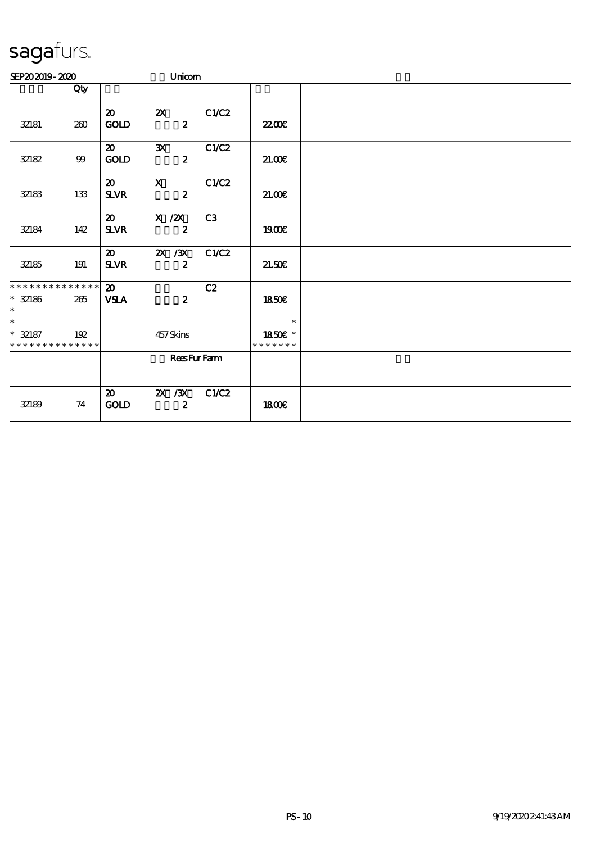| SEP202019-2020                                     |                           |                                            | Unicom                           |       |                                    |  |
|----------------------------------------------------|---------------------------|--------------------------------------------|----------------------------------|-------|------------------------------------|--|
|                                                    | Qty                       |                                            |                                  |       |                                    |  |
| 32181                                              | 260                       | $\boldsymbol{\mathfrak{D}}$<br>GOLD        | $\mathbf{X}$<br>$\boldsymbol{z}$ | C1/C2 | 2200                               |  |
| 32182                                              | $9\hskip-2pt 9\hskip-2pt$ | $\boldsymbol{\mathfrak{D}}$<br><b>GOLD</b> | $\mathbf{x}$<br>$\boldsymbol{z}$ | C1/C2 | 21.00E                             |  |
| 32183                                              | 133                       | $\boldsymbol{\mathfrak{D}}$<br><b>SLVR</b> | $\mathbf{x}$<br>$\boldsymbol{2}$ | C1/C2 | 21.00E                             |  |
| 32184                                              | 142                       | $\boldsymbol{\mathfrak{D}}$<br><b>SLVR</b> | $X$ / $ZX$<br>$\boldsymbol{z}$   | C3    | 1900€                              |  |
| 32185                                              | 191                       | $\boldsymbol{\mathfrak{D}}$<br><b>SLVR</b> | 2X / 3X<br>$\boldsymbol{z}$      | C1/C2 | 21.50E                             |  |
| * * * * * * * * * * * * * *<br>$* 32186$<br>$\ast$ | 265                       | $\boldsymbol{\mathfrak{D}}$<br><b>VSLA</b> | $\boldsymbol{z}$                 | C2    | <b>1850€</b>                       |  |
| $\ast$<br>$* 32187$<br>* * * * * * * * * * * * * * | 192                       |                                            | 457Skins                         |       | $\ast$<br>1850€ *<br>* * * * * * * |  |
|                                                    |                           |                                            | <b>ReesFurFarm</b>               |       |                                    |  |
| 32189                                              | 74                        | $\boldsymbol{\mathfrak{D}}$<br>GOLD        | 2X / 3X<br>$\boldsymbol{z}$      | C1/C2 | <b>1800€</b>                       |  |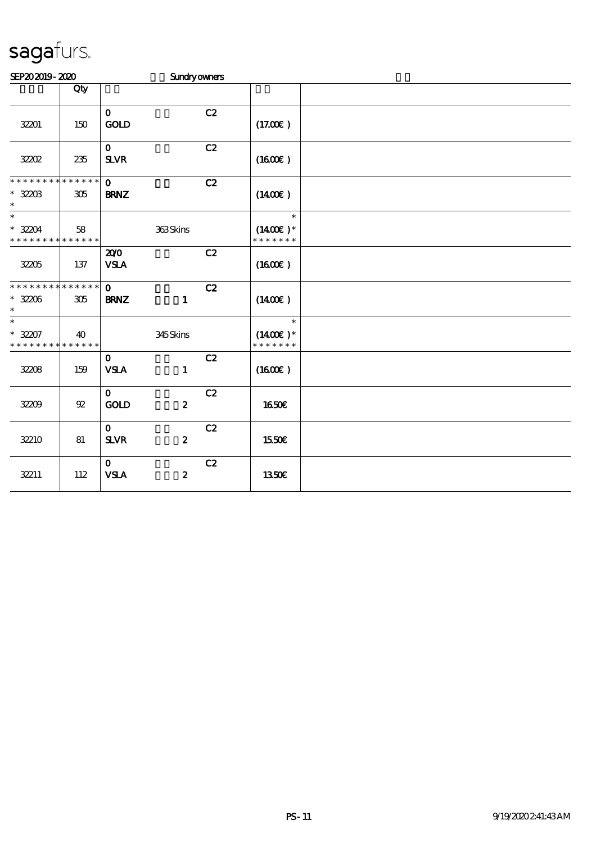| SEP202019-2020                                                |                    |                              | <b>Sundryowners</b> |    |                                        |  |
|---------------------------------------------------------------|--------------------|------------------------------|---------------------|----|----------------------------------------|--|
|                                                               | Qty                |                              |                     |    |                                        |  |
| 32201                                                         | 150                | $\mathbf{O}$<br>GOLD         |                     | C2 | (17.00)                                |  |
| 32202                                                         | 235                | $\mathbf 0$<br><b>SLVR</b>   |                     | C2 | (1600)                                 |  |
| * * * * * * * *<br>$* 3203$<br>$\ast$                         | * * * * * *<br>305 | $\mathbf 0$<br><b>BRNZ</b>   |                     | C2 | $(1400\varepsilon)$                    |  |
| $\overline{\ast}$<br>$* 32204$<br>* * * * * * * * * * * * * * | 58                 |                              | 363Skins            |    | $\ast$<br>$(1400E)^*$<br>* * * * * * * |  |
| 32205                                                         | 137                | 200<br><b>VSLA</b>           |                     | C2 | (1600E)                                |  |
| * * * * * * * * * * * * * *<br>$* 32206$<br>$\ast$            | 305                | $\mathbf{o}$<br><b>BRNZ</b>  | $\mathbf{1}$        | C2 | $(1400\varepsilon)$                    |  |
| $\ast$<br>$* 32207$<br>* * * * * * * *                        | 40<br>* * * * * *  |                              | 345Skins            |    | $\ast$<br>$(1400E)*$<br>* * * * * * *  |  |
| 32208                                                         | 159                | $\mathbf{O}$<br><b>VSLA</b>  | $\mathbf{1}$        | C2 | (1600)                                 |  |
| 3209                                                          | 92                 | $\mathbf{O}$<br><b>GOLD</b>  | $\boldsymbol{z}$    | C2 | 1650€                                  |  |
| 32210                                                         | 81                 | $\mathbf{0}$<br>$S\!L\!V\!R$ | $\boldsymbol{z}$    | C2 | 1550€                                  |  |
| 32211                                                         | 112                | $\mathbf{o}$<br><b>VSLA</b>  | $\boldsymbol{z}$    | C2 | 1350E                                  |  |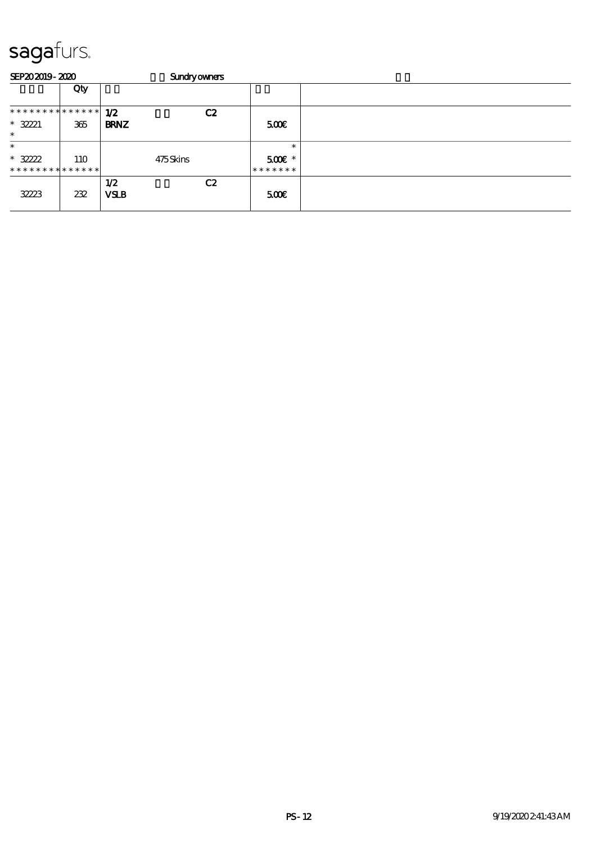| SEP202019-2020                          |            |                    | <b>Sundryowners</b> |    |                           |  |
|-----------------------------------------|------------|--------------------|---------------------|----|---------------------------|--|
|                                         | Qty        |                    |                     |    |                           |  |
| **************                          |            | 1/2                |                     | C2 |                           |  |
| $* 32221$<br>$\ast$                     | 365        | <b>BRNZ</b>        |                     |    | 500                       |  |
| $\ast$                                  |            |                    |                     |    | $\ast$                    |  |
| $* 3222$<br>* * * * * * * * * * * * * * | <b>110</b> |                    | 475Skins            |    | $500E$ *<br>* * * * * * * |  |
| 32223                                   | 232        | 1/2<br><b>VSLB</b> |                     | C2 | 500                       |  |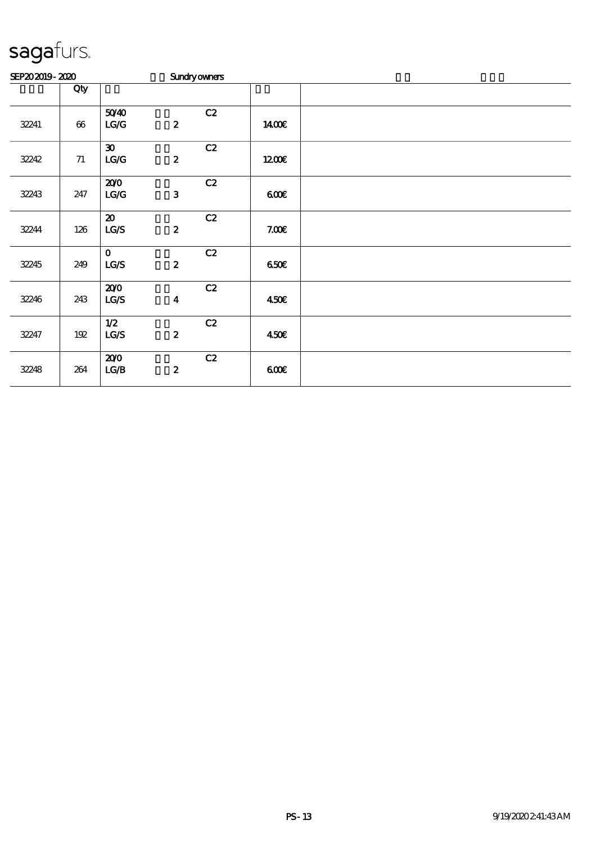| SEP202019-2020 |        |                                     | <b>Sundryowners</b> |    |             |  |  |  |  |  |
|----------------|--------|-------------------------------------|---------------------|----|-------------|--|--|--|--|--|
|                | Qty    |                                     |                     |    |             |  |  |  |  |  |
| 32241          | $66\,$ | 5040<br>LG/G                        | $\pmb{2}$           | C2 | <b>140€</b> |  |  |  |  |  |
| 32242          | $71\,$ | $\boldsymbol{\mathfrak{D}}$<br>LG/G | $\boldsymbol{2}$    | C2 | 1200        |  |  |  |  |  |
| 32243          | 247    | 200<br>$\mathbf{LG} \mathbf{G}$     | $\mathbf{3}$        | C2 | 600         |  |  |  |  |  |
| 32244          | 126    | $\boldsymbol{\mathfrak{D}}$<br>LG/S | $\pmb{2}$           | C2 | 7.00E       |  |  |  |  |  |
| 32245          | 249    | $\mathbf 0$<br>LG/S                 | $\boldsymbol{2}$    | C2 | 650E        |  |  |  |  |  |
| 32246          | 243    | 200<br>LG/S                         | $\boldsymbol{4}$    | C2 | 450€        |  |  |  |  |  |
| 32247          | $192$  | 1/2<br>LCS                          | $\boldsymbol{2}$    | C2 | 450€        |  |  |  |  |  |
| 32248          | 264    | 200<br>LG/B                         | $\boldsymbol{2}$    | C2 | 600         |  |  |  |  |  |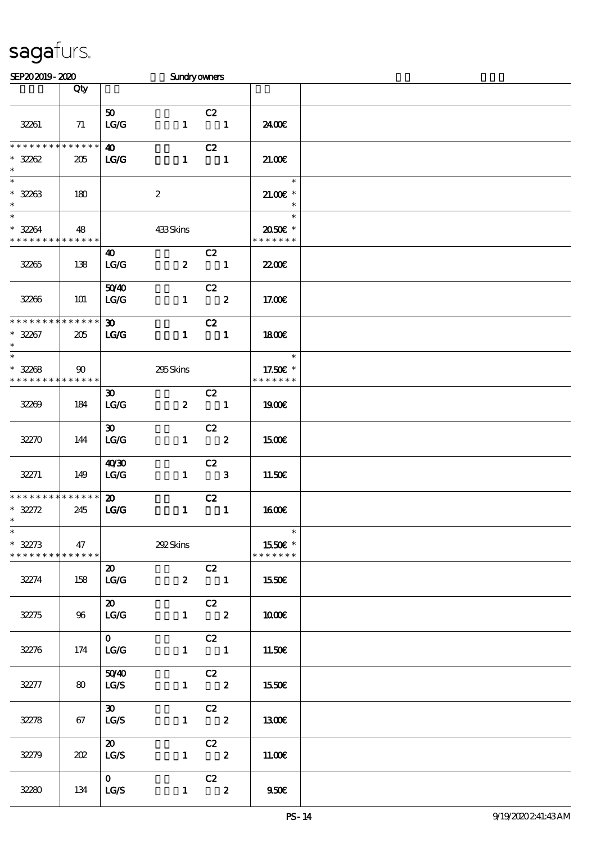| SEP202019-2020                                            |                         |                                      | <b>Sundryowners</b> |                                               |                                     |  |
|-----------------------------------------------------------|-------------------------|--------------------------------------|---------------------|-----------------------------------------------|-------------------------------------|--|
|                                                           | Qty                     |                                      |                     |                                               |                                     |  |
| 32261                                                     | 71                      | 50 <sub>o</sub><br>LG/G              | $\mathbf{1}$        | C2<br>$\overline{\mathbf{1}}$                 | 2400€                               |  |
| **************<br>$* 3282$<br>$\ast$                      | 205                     | 40<br>LG                             | $\mathbf{1}$        | C2<br>$\overline{\phantom{a}}$ 1              | 21.00E                              |  |
| $\overline{\ast}$<br>$* 32263$<br>$\ast$                  | 180                     |                                      | $\boldsymbol{z}$    |                                               | $\ast$<br>$21.005*$<br>$\ast$       |  |
| $\overline{\phantom{a}^*}$<br>$* 3284$<br>* * * * * * * * | 48<br>* * * * * *       |                                      | 433Skins            |                                               | $\ast$<br>2050E *<br>* * * * * * *  |  |
| 32265                                                     | 138                     | 40<br>$\mathbf{LG}\mathbf{G}$        | $\boldsymbol{2}$    | C2<br>$\overline{\phantom{a}}$                | <b>2200E</b>                        |  |
| 32266                                                     | 101                     | 5040<br>LG/G                         | $\mathbf{1}$        | C2<br>$\overline{\mathbf{z}}$                 | 17.00E                              |  |
| * * * * * * * *<br>$* 32267$<br>$\ast$                    | * * * * * *<br>205      | $\infty$<br>$\mathbf{TC} \mathbf{C}$ | $\mathbf{1}$        | C2<br>$\blacksquare$                          | <b>1800€</b>                        |  |
| $\overline{\phantom{1}}$<br>$* 32268$<br>* * * * * * * *  | $\infty$<br>* * * * * * |                                      | 295Skins            |                                               | $\ast$<br>17.50€ *<br>* * * * * * * |  |
| 32269                                                     | 184                     | $\boldsymbol{\mathfrak{D}}$<br>LG/G  | $\mathbf{2}$        | C2<br>$\overline{\phantom{a}}$ 1              | 1900E                               |  |
| 32Z70                                                     | 144                     | $\boldsymbol{\mathfrak{D}}$<br>LG/G  |                     | C2<br>$1 \t2$                                 | 1500E                               |  |
| 32271                                                     | 149                     | 40'30<br>LG/G                        |                     | C2<br>$1 \qquad 3$                            | 11.50€                              |  |
| * * * * * * * * * * * * * *<br>$* 32272$<br>$*$           | 245                     | $\boldsymbol{\mathfrak{D}}$<br>LG    | $\mathbf{1}$        | C2<br>$\blacksquare$                          | <b>1600€</b>                        |  |
| $\ast$<br>$* 32273$<br>* * * * * * * *                    | 47<br>$* * * * * * *$   |                                      | 292 Skins           |                                               | $\ast$<br>1550€ *<br>* * * * * * *  |  |
| 32274                                                     | 158                     | $\boldsymbol{\mathsf{20}}$<br>LG/G   |                     | C2<br>$2 \t 1$                                | 1550€                               |  |
| 32275                                                     | 96                      | $\boldsymbol{\mathfrak{D}}$<br>LG/G  |                     | $-cz$<br>$1 \t 2$                             | 1000E                               |  |
| 32276                                                     | 174                     | $\mathbf{O}$<br>LG/G                 |                     | $-cz$<br>$1 \quad 1$                          | 11.50E                              |  |
| 32277                                                     | 80                      | 5040<br>LG/S                         |                     | $\begin{array}{cc} & c2 \\ 1 & 2 \end{array}$ | 1550€                               |  |
| 32278                                                     | 67                      | $\infty$<br>LG/S                     |                     | $\begin{array}{cc} & c2 \\ 1 & 2 \end{array}$ | 1300                                |  |
| 32279                                                     | 202                     | $\boldsymbol{\mathsf{20}}$<br>LG/S   |                     | C2<br>$1 \t 2$                                | 11.00E                              |  |
| 32280                                                     | 134                     | $\mathbf{O}$<br>LG/S                 | $\mathbf{1}$        | C2<br>$\overline{\mathbf{2}}$                 | 950E                                |  |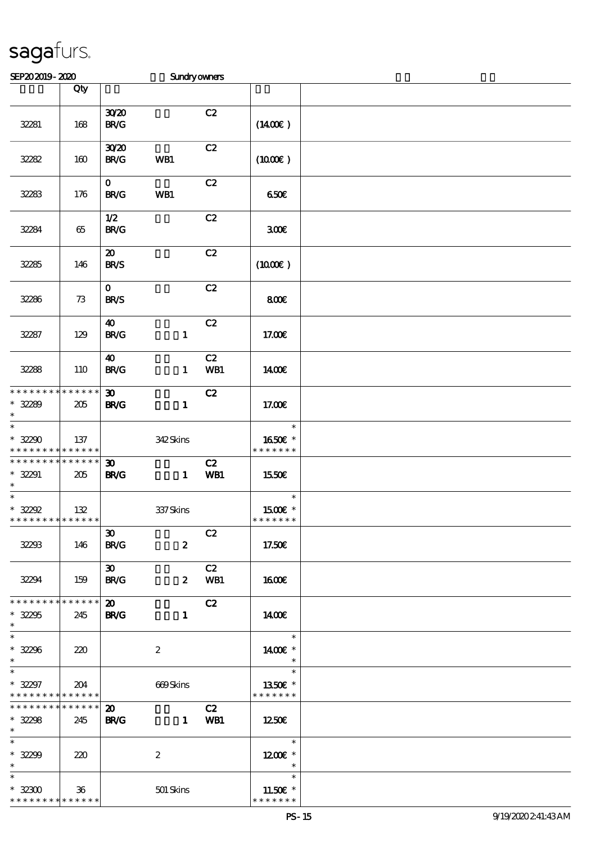| SEP202019-2020                                                |                 |                                            | <b>Sundryowners</b> |             |                                                                   |  |
|---------------------------------------------------------------|-----------------|--------------------------------------------|---------------------|-------------|-------------------------------------------------------------------|--|
|                                                               | Qty             |                                            |                     |             |                                                                   |  |
| 32281                                                         | 168             | 3020<br>BRC                                |                     | C2          | $(1400\varepsilon)$                                               |  |
| 32282                                                         | 160             | 3020<br><b>BR/G</b>                        | WB1                 | C2          | (1000E)                                                           |  |
| 32283                                                         | 176             | $\mathbf{O}$<br><b>BR/G</b>                | WB1                 | C2          | 650E                                                              |  |
| 32284                                                         | 65              | 1/2<br>BRC                                 |                     | C2          | 300E                                                              |  |
| 32285                                                         | 146             | $\boldsymbol{\mathsf{20}}$<br><b>BR/S</b>  |                     | C2          | (1000E)                                                           |  |
| 32286                                                         | 73              | $\mathbf{o}$<br><b>BR/S</b>                |                     | C2          | 800E                                                              |  |
| 32287                                                         | 129             | $\boldsymbol{\omega}$<br>BRC               | $\mathbf{1}$        | C2          | 17.00E                                                            |  |
| 32288                                                         | 110             | $\boldsymbol{\omega}$<br><b>BR/G</b>       | $\mathbf{1}$        | C2<br>WB1   | 1400E                                                             |  |
| * * * * * * * * * * * * * *<br>$* 32289$<br>$\ast$            | 205             | 30 <sub>o</sub><br><b>BR/G</b>             | $\mathbf{1}$        | C2          | 17.00E                                                            |  |
| $\overline{\ast}$<br>$* 32200$<br>* * * * * * * * * * * * * * | 137             |                                            | 342Skins            |             | $\ast$<br>1650E *<br>* * * * * * *                                |  |
| * * * * * * * * * * * * * *<br>$* 32291$<br>$\ast$            | 205             | 30<br><b>BR/G</b>                          | $\mathbf{1}$        | C2<br>WB1   | <b>1550€</b>                                                      |  |
| $\overline{\ast}$<br>$* 32292$<br>**************              | 132             |                                            | 337Skins            |             | $\ast$<br>1500E *<br>* * * * * * *                                |  |
| 32293                                                         | 146             | 30 <sub>o</sub><br><b>BR/G</b>             | $\mathbf{z}$        | C2          | 17.50€                                                            |  |
| 32294                                                         | 159             | $\boldsymbol{\mathfrak{D}}$<br><b>BR/G</b> |                     | C2<br>2 WB1 | 1600E                                                             |  |
| * * * * * * * * * * * * * * *<br>$* 32295$<br>$\ast$          | 245             | $\boldsymbol{\mathfrak{D}}$<br><b>BR/G</b> | $\mathbf{1}$        | C2          | 1400                                                              |  |
| $* 32296$<br>$\ast$                                           | 220             |                                            | $\boldsymbol{2}$    |             | $\overline{\phantom{a}}$<br>1400€ *<br>$\rightarrow$              |  |
| $\ast$<br>$* 32297$<br>* * * * * * * * * * * * * *            | 204             |                                            | 669Skins            |             | $\overline{\phantom{a}}$<br>1350E *<br>* * * * * * *              |  |
| * * * * * * * * * * * * * * *<br>$* 32298$<br>$*$ and $*$     | 245             | $\boldsymbol{\mathfrak{D}}$<br><b>BR/G</b> |                     | C2<br>1 WB1 | 1250E                                                             |  |
| $\ast$<br>$* 32299$<br>$\ast$                                 | 220             |                                            | $\boldsymbol{2}$    |             | $\overline{\phantom{a}}$<br>$1200E$ *<br>$\overline{\phantom{a}}$ |  |
| $\ast$<br>$^*$ 32300 $\,$<br>* * * * * * * * * * * * * *      | 36 <sup>°</sup> |                                            | 501 Skins           |             | $\ast$<br>11.50 $\varepsilon$ *<br>* * * * * * *                  |  |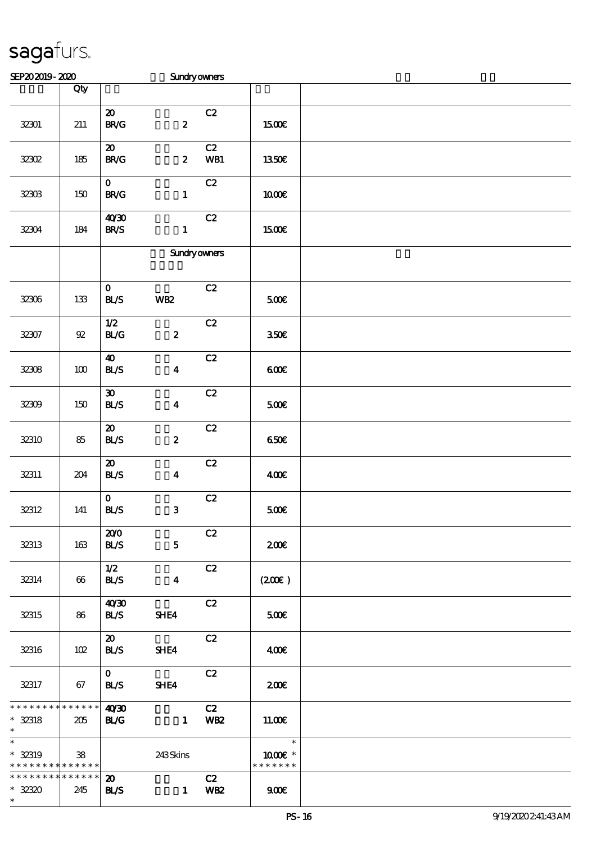| SEP202019-2020                                                |         |                                                   | Sundryowners        |                       |                          |  |
|---------------------------------------------------------------|---------|---------------------------------------------------|---------------------|-----------------------|--------------------------|--|
|                                                               | Qty     |                                                   |                     |                       |                          |  |
| $32301\,$                                                     | 211     | $\boldsymbol{\mathfrak{D}}$<br>BRC                | $\boldsymbol{z}$    | C2                    | 1500€                    |  |
| 32302                                                         | $185\,$ | $\boldsymbol{\mathfrak{D}}$<br>B R/G              | $\boldsymbol{z}$    | C2<br>WB1             | <b>1350€</b>             |  |
| 32303                                                         | $150\,$ | $\mathbf{o}$<br>$\mathbf{B}\mathbf{R}/\mathbf{G}$ | $\mathbf{1}$        | C2                    | 1000E                    |  |
| 32304                                                         | 184     | 40'30<br><b>BR/S</b>                              | $\mathbf{1}$        | C2                    | 1500€                    |  |
|                                                               |         |                                                   | <b>Sundryowners</b> |                       |                          |  |
| 32306                                                         | 133     | $\mathbf{o}$<br>BLS                               | <b>WB2</b>          | C2                    | 500E                     |  |
| 32307                                                         | $9\!2$  | 1/2<br>$\mathbf{B}\mathcal{L}\mathbf{G}$          | $\boldsymbol{z}$    | C2                    | 350E                     |  |
| 32308                                                         | $100$   | $\boldsymbol{\omega}$<br>BLS                      | $\boldsymbol{4}$    | C2                    | 600                      |  |
| 32309                                                         | $150\,$ | $\boldsymbol{\mathfrak{D}}$<br>BLS                | $\boldsymbol{4}$    | C2                    | 500€                     |  |
| 32310                                                         | 85      | $\boldsymbol{\mathfrak{D}}$<br>BLS                | $\boldsymbol{z}$    | $\mathbf{C2}$         | 650E                     |  |
| 32311                                                         | 204     | $\boldsymbol{\mathfrak{D}}$<br>BLS                | $\boldsymbol{4}$    | C2                    | 400E                     |  |
| 32312                                                         | 141     | $\mathbf{o}$<br>BLS                               | $\mathbf{3}$        | $\mathbf{C2}$         | 500E                     |  |
| 32313                                                         | 163     | 200<br><b>BL/S</b>                                | $5\phantom{.}$      | C2                    | 200                      |  |
| 32314                                                         | 66      | 1/2<br><b>BLS</b>                                 | $\boldsymbol{4}$    | C2                    | (200)                    |  |
| 32315                                                         | 86      | 40'30<br><b>BLS</b>                               | SHE4                | C2                    | 500                      |  |
| 32316                                                         | 102     | $\boldsymbol{\mathfrak{D}}$<br><b>BL/S</b>        | SHE4                | C2                    | 400€                     |  |
| 32317                                                         | 67      | $\mathbf{O}$<br><b>BLS</b>                        | SHE4                | C2                    | 200                      |  |
| **************<br>$* 32318$<br>$\ast$                         | 205     | 40'30<br><b>BL/G</b>                              |                     | C2<br>1 WB2           | 11.00E                   |  |
| $\overline{\ast}$<br>$* 32319$<br>* * * * * * * * * * * * * * | 38      |                                                   | 243Skins            |                       | 1000€ *<br>* * * * * * * |  |
| * * * * * * * * * * * * * * *<br>$* 3230$<br>$\ast$           | 245     | $\boldsymbol{\mathfrak{D}}$<br><b>BLS</b>         | $\mathbf{1}$        | C2<br>WB <sub>2</sub> | 900                      |  |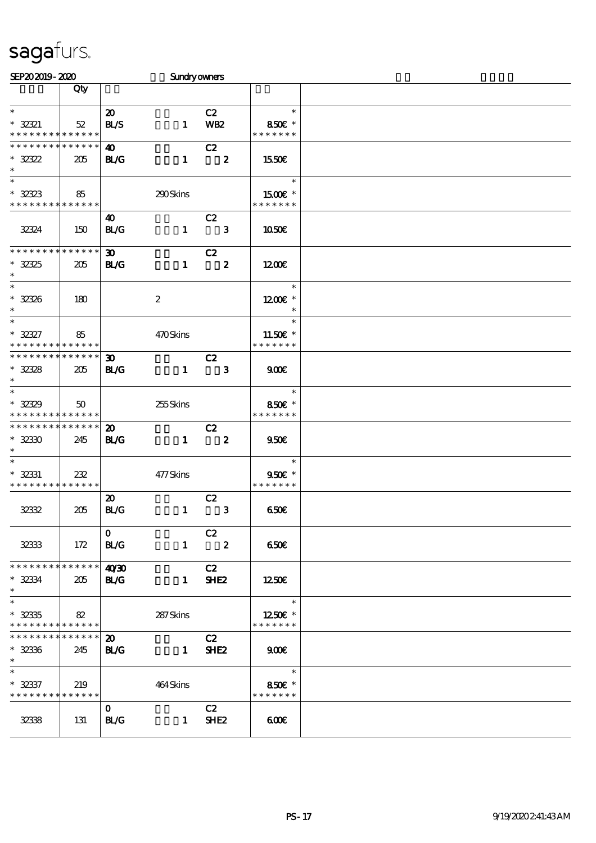| SEP202019-2020                                 |              |                             | Sundryowners     |                            |                          |  |
|------------------------------------------------|--------------|-----------------------------|------------------|----------------------------|--------------------------|--|
|                                                | Qty          |                             |                  |                            |                          |  |
| $\ast$                                         |              |                             |                  |                            | $\ast$                   |  |
|                                                |              | $\boldsymbol{\mathfrak{D}}$ |                  | C2                         |                          |  |
| $* 32321$                                      | 52           | <b>BL/S</b>                 | $\mathbf{1}$     | <b>WB2</b>                 | 850€ *<br>* * * * * * *  |  |
| * * * * * * * * * * * * * *<br>* * * * * * * * | * * * * * *  |                             |                  |                            |                          |  |
|                                                |              | 40                          |                  | C2                         |                          |  |
| $* 32322$<br>$\ast$                            | 205          | <b>BL/G</b>                 | $\mathbf{1}$     | $\overline{\mathbf{2}}$    | 1550€                    |  |
| $\overline{\phantom{0}}$                       |              |                             |                  |                            | $\ast$                   |  |
|                                                |              |                             |                  |                            |                          |  |
| $* 32323$<br>* * * * * * * * * * * * * *       | 85           |                             | 290Skins         |                            | 1500 £*<br>* * * * * * * |  |
|                                                |              | 40                          |                  | C2                         |                          |  |
| 32324                                          | 150          | <b>BL/G</b>                 | $\mathbf{1}$     | $\overline{\phantom{a}}$ 3 | 1050E                    |  |
|                                                |              |                             |                  |                            |                          |  |
| * * * * * * * *                                | * * * * * *  | $\boldsymbol{\mathfrak{D}}$ |                  | C2                         |                          |  |
| $* 3235$                                       | 205          | <b>BL/G</b>                 | $\mathbf{1}$     | $\overline{\mathbf{2}}$    | 1200E                    |  |
| $\ast$                                         |              |                             |                  |                            |                          |  |
| $\overline{\phantom{0}}$                       |              |                             |                  |                            | $\ast$                   |  |
| $* 3236$                                       | 180          |                             | $\boldsymbol{2}$ |                            | 1200E *                  |  |
| $\ast$                                         |              |                             |                  |                            | $\ast$                   |  |
| $\ast$                                         |              |                             |                  |                            | $\ast$                   |  |
| $* 32327$                                      | 85           |                             | 470Skins         |                            | 11.50€ *                 |  |
| * * * * * * * * <mark>* * * * * * *</mark>     |              |                             |                  |                            | * * * * * * *            |  |
| * * * * * * * *                                | * * * * * *  | 30 <sub>o</sub>             |                  | C2                         |                          |  |
| $* 3238$                                       | 205          | <b>BL/G</b>                 | $\mathbf{1}$     | $\overline{\phantom{a}}$ 3 | 900                      |  |
| $\ast$                                         |              |                             |                  |                            |                          |  |
| $\overline{\ast}$                              |              |                             |                  |                            | $\ast$                   |  |
| $* 3239$                                       | $50^{\circ}$ |                             | 255Skins         |                            | 850€ *                   |  |
| * * * * * * * *                                | * * * * * *  |                             |                  |                            | * * * * * * *            |  |
| * * * * * * * *                                | * * * * * *  | $\boldsymbol{\mathfrak{D}}$ |                  | C2                         |                          |  |
| $* 3230$                                       | 245          | <b>BL/G</b>                 | $\mathbf{1}$     | $\overline{\mathbf{2}}$    | 950E                     |  |
| $\ast$<br>$\ast$                               |              |                             |                  |                            |                          |  |
|                                                |              |                             |                  |                            | $\ast$                   |  |
| $* 32331$<br>* * * * * * * * * * * * * *       | 232          |                             | 477Skins         |                            | 950€ *<br>* * * * * * *  |  |
|                                                |              | $\boldsymbol{\mathfrak{D}}$ |                  | C2                         |                          |  |
| 32332                                          | 205          | BLG                         | $\mathbf{1}$     | $\mathbf{3}$               | 650E                     |  |
|                                                |              |                             |                  |                            |                          |  |
|                                                |              | $\mathbf{O}$                |                  | C2                         |                          |  |
| 32333                                          | 172          | <b>BL/G</b>                 |                  | $1 \t2$                    | 650E                     |  |
|                                                |              |                             |                  |                            |                          |  |
| **************                                 |              | 40'30                       |                  | C2                         |                          |  |
| $* 32334$                                      | 205          | <b>BL/G</b>                 | $\mathbf{1}$     | SHE <sub>2</sub>           | 1250E                    |  |
| $\ast$                                         |              |                             |                  |                            |                          |  |
| $\ast$                                         |              |                             |                  |                            | $\ast$                   |  |
| $* 32335$                                      | 82           |                             | 287 Skins        |                            | 1250E *                  |  |
| * * * * * * * * * * * * * * *                  |              |                             |                  |                            | * * * * * * *            |  |
| * * * * * * *                                  | * * * * * *  | $\boldsymbol{\mathfrak{D}}$ |                  | C2                         |                          |  |
| $* 32336$                                      | 245          | <b>BL/G</b>                 |                  | $1$ SHE2                   | 900                      |  |
| $\ast$                                         |              |                             |                  |                            |                          |  |
| $\ast$                                         |              |                             |                  |                            | $\overline{\phantom{a}}$ |  |
| $* 32337$                                      | 219          |                             | 464Skins         |                            | 850€ *                   |  |
| * * * * * * * * * * * * * *                    |              |                             |                  |                            | * * * * * * *            |  |
|                                                |              | $\mathbf{O}$                |                  | C2                         |                          |  |
| 3238                                           | 131          | <b>BL/G</b>                 |                  | $1$ SHE2                   | 600                      |  |
|                                                |              |                             |                  |                            |                          |  |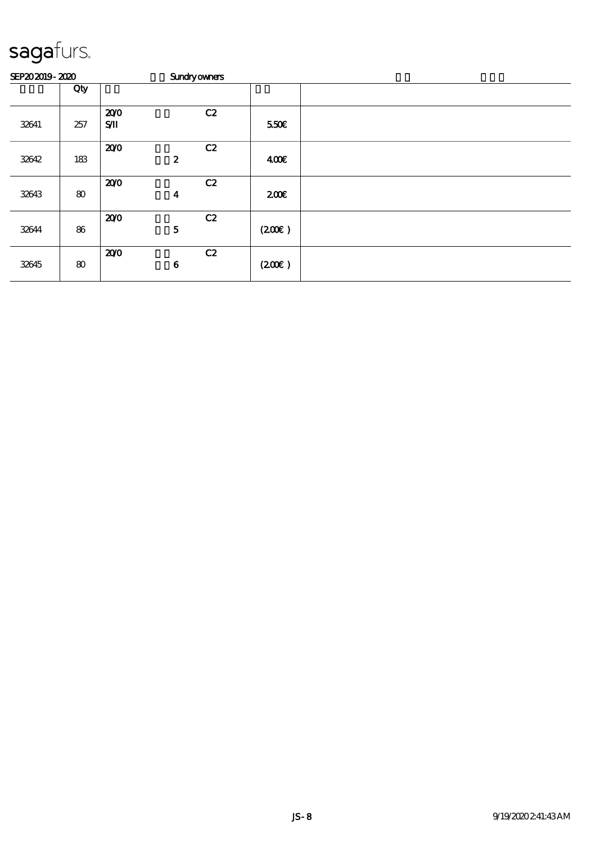| SEP202019-2020 |     |                    | <b>Sundryowners</b>    |       |  |  |  |  |  |  |
|----------------|-----|--------------------|------------------------|-------|--|--|--|--|--|--|
|                | Qty |                    |                        |       |  |  |  |  |  |  |
| 32641          | 257 | 200<br>$S/\!\!\!M$ | C2                     | 550E  |  |  |  |  |  |  |
| 32642          | 183 | 200                | C2<br>$\boldsymbol{2}$ | 400   |  |  |  |  |  |  |
| 32643          | 80  | 200                | C2<br>$\boldsymbol{4}$ | 200   |  |  |  |  |  |  |
| 32644          | 86  | 200                | C2<br>${\bf 5}$        | (200) |  |  |  |  |  |  |
| 32645          | 80  | 200                | C2<br>$\bf{6}$         | (200) |  |  |  |  |  |  |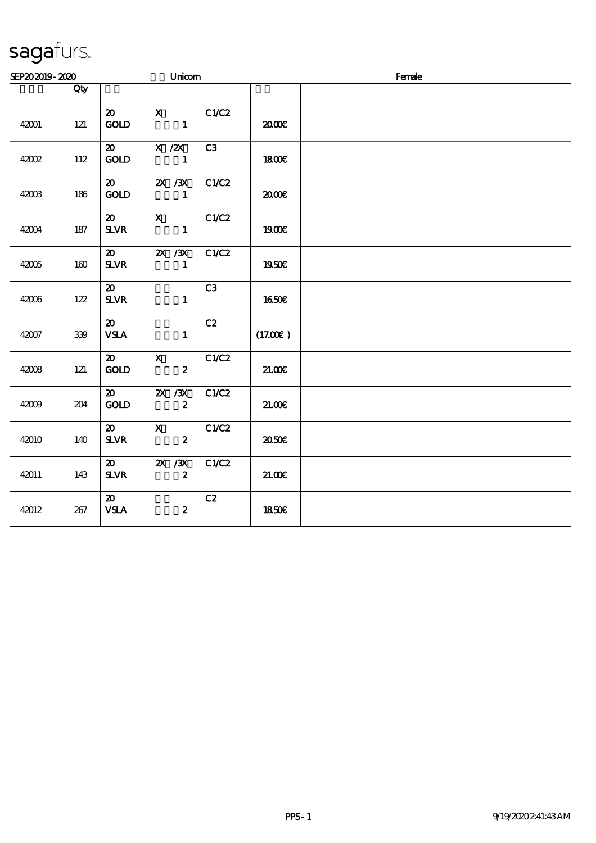| SEP202019-2020 |     |                                             | Unicom                              |       |         | Female |  |  |  |
|----------------|-----|---------------------------------------------|-------------------------------------|-------|---------|--------|--|--|--|
|                | Qty |                                             |                                     |       |         |        |  |  |  |
| 42001          | 121 | $\boldsymbol{\mathfrak{D}}$<br><b>GOLD</b>  | $X$ $C1/C2$<br>$\blacksquare$       |       | æœ      |        |  |  |  |
| 42002          | 112 | $\boldsymbol{\mathsf{20}}$<br><b>GOLD</b>   | $X$ / $ZX$<br>$\blacksquare$        | C3    | 1800E   |        |  |  |  |
| 42003          | 186 | $\boldsymbol{\mathfrak{D}}$<br>$\rm GOID$   | $X \, X$<br>$\overline{\mathbf{1}}$ | C1/C2 | 2000E   |        |  |  |  |
| 42004          | 187 | $\boldsymbol{\mathsf{20}}$<br>$S\!L\!V\!R$  | $\mathbf{X}$<br>$\mathbf{1}$        | C1/C2 | 1900E   |        |  |  |  |
| 42005          | 160 | $\boldsymbol{\mathfrak{D}}$<br><b>SLVR</b>  | 2X / 3X<br>$\mathbf{1}$             | C1/C2 | 1950€   |        |  |  |  |
| 42006          | 122 | $\boldsymbol{\mathfrak{D}}$<br><b>SLVR</b>  | $\mathbf{1}$                        | C3    | 1650€   |        |  |  |  |
| 42007          | 339 | $\boldsymbol{\mathfrak{D}}$<br><b>VSLA</b>  | $\mathbf{1}$                        | C2    | (17.00) |        |  |  |  |
| 42008          | 121 | 20 X<br><b>GOLD</b>                         | $\boldsymbol{2}$                    | C1/C2 | 21.00E  |        |  |  |  |
| 42009          | 204 | $\boldsymbol{\omega}$<br><b>GOLD</b>        | 2X / 3X<br>$\boldsymbol{2}$         | C1/C2 | 21.00E  |        |  |  |  |
| 42010          | 140 | $\boldsymbol{\mathfrak{D}}$<br>$S\!L\!V\!R$ | $\mathbf X$<br>$\boldsymbol{z}$     | C1/C2 | ææ      |        |  |  |  |
| 42011          | 143 | $\boldsymbol{\mathfrak{D}}$<br><b>SLVR</b>  | 2X / 3X<br>$\boldsymbol{2}$         | C1/C2 | 21.00E  |        |  |  |  |
| 42012          | 267 | $\boldsymbol{\mathfrak{D}}$<br><b>VSLA</b>  | $\boldsymbol{z}$                    | C2    | 1850E   |        |  |  |  |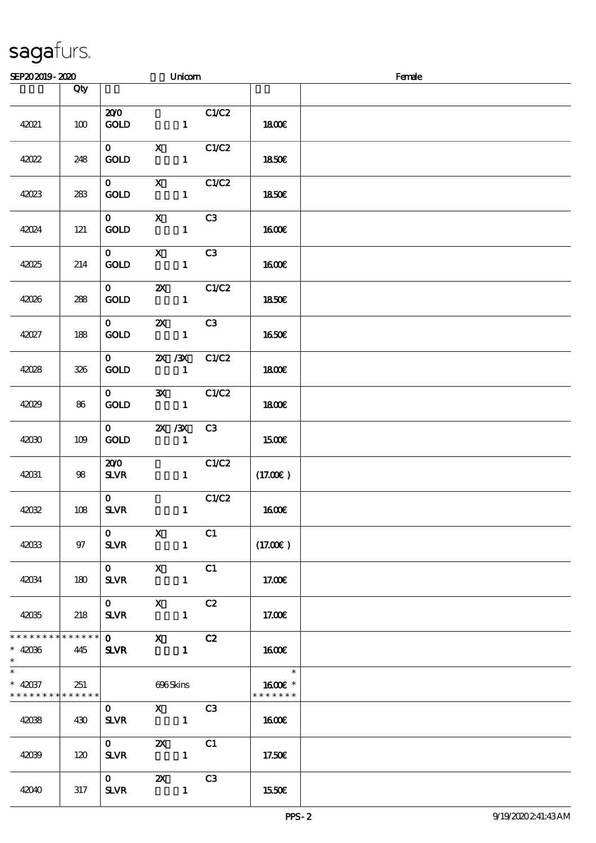| SEP202019-2020                                       |      |                                        |                                                   | Unicom                                                                                                                                                                                                                                                                                                                          |       |                          | Female |
|------------------------------------------------------|------|----------------------------------------|---------------------------------------------------|---------------------------------------------------------------------------------------------------------------------------------------------------------------------------------------------------------------------------------------------------------------------------------------------------------------------------------|-------|--------------------------|--------|
|                                                      | Qty  |                                        |                                                   |                                                                                                                                                                                                                                                                                                                                 |       |                          |        |
| 42021                                                | 100  | 200<br><b>GOLD</b>                     |                                                   | $\mathbf{1}$                                                                                                                                                                                                                                                                                                                    | C1/C2 | 1800E                    |        |
| 42022                                                | 248  | $\mathbf{O}$<br><b>GOLD</b>            | $\mathbf{X}$                                      | $\mathbf{1}$                                                                                                                                                                                                                                                                                                                    | C1/C2 | 1850E                    |        |
| 42023                                                | 283  | $\mathbf{O}$<br>GOLD                   | $\mathbf{x}$                                      | $\mathbf{1}$                                                                                                                                                                                                                                                                                                                    | C1/C2 | 1850E                    |        |
| 42024                                                | 121  | $\mathbf{O}$<br><b>GOLD</b>            | $\mathbf X$                                       | $\mathbf{1}$                                                                                                                                                                                                                                                                                                                    | C3    | <b>1600€</b>             |        |
| 42025                                                | 214  | $\mathbf{O}$<br><b>GOLD</b>            | $\mathbf{x}$                                      | $\mathbf{1}$                                                                                                                                                                                                                                                                                                                    | C3    | 1600                     |        |
| 42026                                                | 288  | $\mathbf{O}$<br><b>GOLD</b>            | $\boldsymbol{\mathsf{Z}}$                         | $\mathbf{1}$                                                                                                                                                                                                                                                                                                                    | C1/C2 | <b>1850€</b>             |        |
| 42027                                                | 188  | $\mathbf{O}$<br>GOLD                   | $\boldsymbol{\mathsf{Z}}$                         | $\mathbf{1}$                                                                                                                                                                                                                                                                                                                    | C3    | <b>1650€</b>             |        |
| 42028                                                | 326  | $\mathbf{O}$<br><b>GOLD</b>            |                                                   | 2X / 3X<br>$\mathbf{1}$                                                                                                                                                                                                                                                                                                         | C1/C2 | 1800E                    |        |
| 42029                                                | 86   | $\mathbf{O}$<br>GOLD                   | $\mathbf{x}$                                      | $\mathbf{1}$                                                                                                                                                                                                                                                                                                                    | C1/C2 | 1800E                    |        |
| 42030                                                | 109  | $\mathbf{O}$<br>GOLD                   |                                                   | $X \, X$<br>$\blacksquare$                                                                                                                                                                                                                                                                                                      | C3    | 1500€                    |        |
| 42031                                                | $98$ | 200<br><b>SLVR</b>                     |                                                   | $\mathbf{1}$                                                                                                                                                                                                                                                                                                                    | C1/C2 | (17.00)                  |        |
| 42032                                                | 108  | $\mathbf{O}$<br><b>SLVR</b>            |                                                   | $\mathbf{1}$                                                                                                                                                                                                                                                                                                                    | C1/C2 | <b>1600€</b>             |        |
| 42033                                                | 97   | $\mathbf{O}$<br><b>SLVR</b>            | $\mathbf{X}$                                      | $\blacksquare$                                                                                                                                                                                                                                                                                                                  | C1    | (17.00)                  |        |
| 42034                                                | 180  | $\mathbf{O}$<br><b>SLVR</b>            | $\mathbf{X}$                                      |                                                                                                                                                                                                                                                                                                                                 | C1    | 17.00E                   |        |
| 42035                                                | 218  | $\mathbf{0}$<br><b>SLVR</b>            | $\mathbf X$<br>$\sim$ $\sim$ $\sim$ $\sim$ $\sim$ |                                                                                                                                                                                                                                                                                                                                 | C2    | 17.00E                   |        |
| * * * * * * * * * * * * * * *<br>$* 42036$<br>$*$    | 445  | $\overline{\mathbf{0}}$<br><b>SLVR</b> |                                                   | $\mathbf x$ and $\mathbf x$ and $\mathbf x$ and $\mathbf x$ and $\mathbf x$ and $\mathbf x$ and $\mathbf x$ and $\mathbf x$ and $\mathbf x$ and $\mathbf x$ and $\mathbf x$ and $\mathbf x$ and $\mathbf x$ and $\mathbf x$ and $\mathbf x$ and $\mathbf x$ and $\mathbf x$ and $\mathbf x$ and $\mathbf x$ and $\mathbf x$ and | C2    | 1600                     |        |
| $\ast$<br>$* 42037$<br>* * * * * * * * * * * * * * * | 251  |                                        |                                                   | 696Skins                                                                                                                                                                                                                                                                                                                        |       | 1600E *<br>* * * * * * * |        |
| 42038                                                | 430  | $0 \quad X \quad C3$<br><b>SLVR</b>    | $\mathbf{1}$                                      |                                                                                                                                                                                                                                                                                                                                 |       | 1600                     |        |
| 42039                                                | 120  | $\mathbf 0$<br>SLVR 1                  |                                                   | $\mathbf{z}$                                                                                                                                                                                                                                                                                                                    | C1    | 17.50€                   |        |
| 42040                                                | 317  | $0 \t 2X$<br>SLVR 1                    |                                                   |                                                                                                                                                                                                                                                                                                                                 | C3    | 1550€                    |        |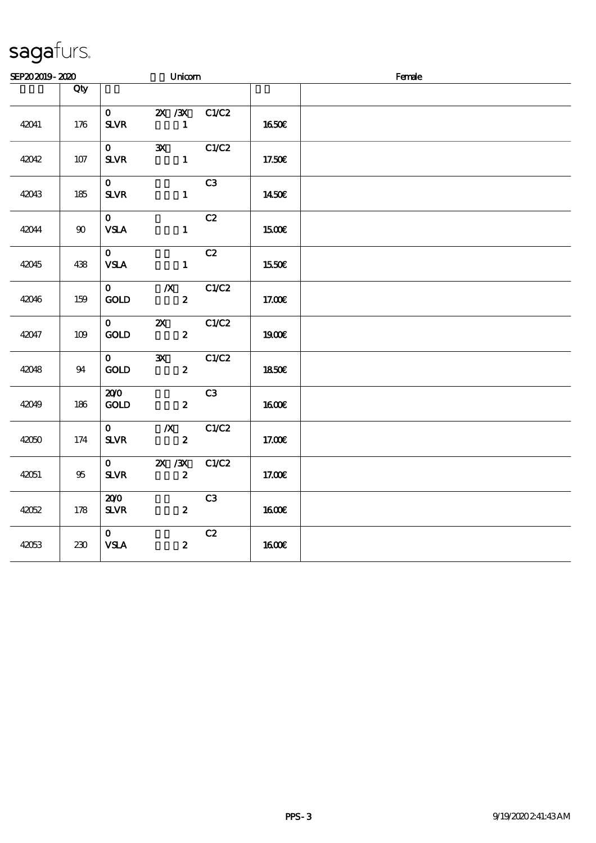| SEP202019-2020 |         |                                    | Unicom                                        |       |              | Female |  |  |  |
|----------------|---------|------------------------------------|-----------------------------------------------|-------|--------------|--------|--|--|--|
|                | Qty     |                                    |                                               |       |              |        |  |  |  |
| 42041          | 176     | $\mathbf{O}$<br>$S\!L\!V\!R$       | $2X \, /3X$<br>$\mathbf{1}$                   | C1/C2 | 1650€        |        |  |  |  |
| 42042          | $107$   | $\mathbf{O}$<br>$S\!L\!V\!R$       | $\mathbf{x}$<br>$\mathbf{1}$                  | C1/C2 | 17.50€       |        |  |  |  |
| 42043          | $185\,$ | $\mathbf{0}$<br><b>SLVR</b>        | $\mathbf{1}$                                  | C3    | 1450€        |        |  |  |  |
| 42044          | $90\,$  | $\mathbf{0}$<br><b>VSLA</b>        | $\mathbf{1}$                                  | C2    | 1500€        |        |  |  |  |
| 42045          | 438     | $\mathbf{O}$<br><b>VSLA</b>        | $\mathbf{1}$                                  | C2    | 1550€        |        |  |  |  |
| 42046          | 159     | $\mathbf{O}$<br>$\mathop{\rm GOD}$ | $\boldsymbol{X}$<br>$\boldsymbol{z}$          | C1/C2 | 17.00€       |        |  |  |  |
| 42047          | 109     | $\mathbf{O}$<br>$\mathbf{GOLD}$    | $\boldsymbol{\mathsf{Z}}$<br>$\boldsymbol{z}$ | C1/C2 | 1900E        |        |  |  |  |
| 42048          | 94      | $\mathbf{O}$<br>GOLD               | $\mathbf{x}$<br>$\boldsymbol{z}$              | C1/C2 | <b>1850€</b> |        |  |  |  |
| 42049          | 186     | 200<br><b>GOLD</b>                 | $\boldsymbol{z}$                              | C3    | $1600E$      |        |  |  |  |
| 42050          | 174     | $\mathbf{0}$<br>$S\!L\!V\!R$       | $\boldsymbol{X}$<br>$\boldsymbol{z}$          | C1/C2 | 17.00€       |        |  |  |  |
| 42051          | 95      | $\mathbf{O}$<br>$S\!L\!V\!R$       | $X \, X$<br>$\boldsymbol{z}$                  | C1/C2 | 17.00E       |        |  |  |  |
| 42052          | 178     | 200<br>${\bf S\!L}\!{\bf V\!R}$    | $\boldsymbol{z}$                              | C3    | <b>1600€</b> |        |  |  |  |
| 42053          | 230     | $\mathbf{O}$<br><b>VSLA</b>        | $\boldsymbol{z}$                              | C2    | 1600E        |        |  |  |  |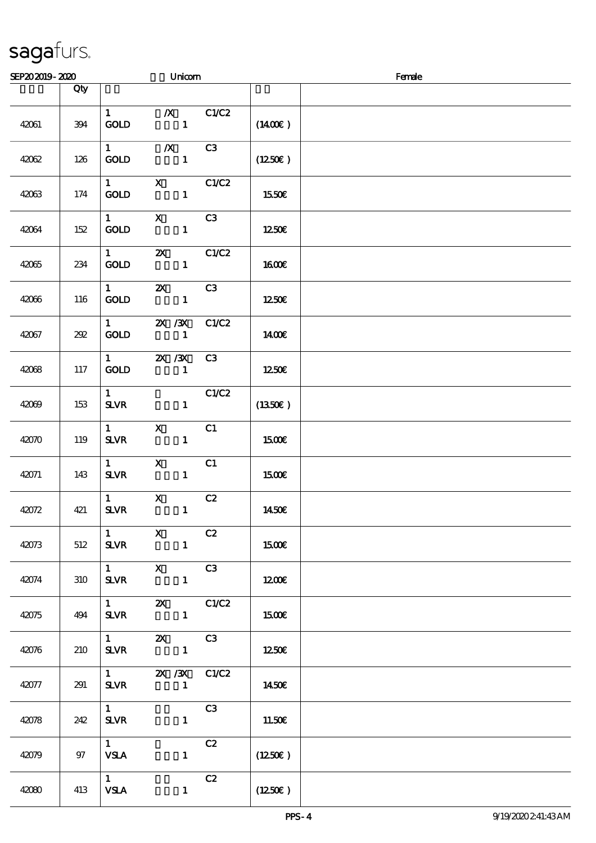| SEP202019-2020 |     |                                       | Unicom                                                                                                                                                                                                                                                                                                                                                                                                                                                                                                     |                | Female              |  |  |  |
|----------------|-----|---------------------------------------|------------------------------------------------------------------------------------------------------------------------------------------------------------------------------------------------------------------------------------------------------------------------------------------------------------------------------------------------------------------------------------------------------------------------------------------------------------------------------------------------------------|----------------|---------------------|--|--|--|
|                | Qty |                                       |                                                                                                                                                                                                                                                                                                                                                                                                                                                                                                            |                |                     |  |  |  |
| 42061          | 394 | $\mathbf{1}$<br><b>GOLD</b>           | $\boldsymbol{X}$<br>$\mathbf{1}$                                                                                                                                                                                                                                                                                                                                                                                                                                                                           | C1/C2          | $(1400\varepsilon)$ |  |  |  |
| 42062          | 126 | $1 \quad \blacksquare$<br><b>GOLD</b> | $\boldsymbol{X}$<br>$\mathbf{1}$                                                                                                                                                                                                                                                                                                                                                                                                                                                                           | C3             | (1250E)             |  |  |  |
| 42063          | 174 | $1 \qquad \qquad$<br>GOLD             | $\mathbf{X}$<br>$\mathbf{1}$                                                                                                                                                                                                                                                                                                                                                                                                                                                                               | C1/C2          | 1550€               |  |  |  |
| 42064          | 152 | $\mathbf{1}$<br>GOLD                  | $\mathbf{x}$<br>$\mathbf{1}$                                                                                                                                                                                                                                                                                                                                                                                                                                                                               | C3             | 1250€               |  |  |  |
| 42065          | 234 | $1 -$<br><b>GOLD</b>                  | $\boldsymbol{\mathsf{Z}}$<br>$\mathbf{1}$                                                                                                                                                                                                                                                                                                                                                                                                                                                                  | C1/C2          | 1600E               |  |  |  |
| 42066          | 116 | $\mathbf{1}$<br><b>GOLD</b>           | $\boldsymbol{\alpha}$<br>$\mathbf{1}$                                                                                                                                                                                                                                                                                                                                                                                                                                                                      | C3             | 1250                |  |  |  |
| 42067          | 292 | $\mathbf{1}$<br><b>GOLD</b>           | 2X / 3X<br>$\mathbf{1}$                                                                                                                                                                                                                                                                                                                                                                                                                                                                                    | C1/C2          | 1400E               |  |  |  |
| 42068          | 117 | $1 \quad \blacksquare$<br><b>GOLD</b> | 2X / 3X<br>$\mathbf{1}$                                                                                                                                                                                                                                                                                                                                                                                                                                                                                    | C3             | 1250E               |  |  |  |
| 42069          | 153 | $\mathbf{1}$<br><b>SLVR</b>           | $\mathbf{1}$                                                                                                                                                                                                                                                                                                                                                                                                                                                                                               | C1/C2          | (1350E)             |  |  |  |
| 42070          | 119 | $\mathbf{1}$<br>$S\!L\!V\!R$          | $\mathbf{x}$<br>$\mathbf{1}$                                                                                                                                                                                                                                                                                                                                                                                                                                                                               | C1             | 1500E               |  |  |  |
| 42071          | 143 | $\mathbf{1}$<br>$S\!L\!V\!R$          | $\mathbf{x}$<br>$\mathbf{1}$                                                                                                                                                                                                                                                                                                                                                                                                                                                                               | C1             | 1500€               |  |  |  |
| 42072          | 421 | $\mathbf{1}$<br>$S\!L\!V\!R$          | $\mathbf{x}$<br>$\mathbf{1}$                                                                                                                                                                                                                                                                                                                                                                                                                                                                               | C2             | 1450€               |  |  |  |
| 42073          | 512 | $\mathbf{1}$<br><b>SLVR</b>           | $\mathbf{X}$<br>$\blacksquare$                                                                                                                                                                                                                                                                                                                                                                                                                                                                             | C2             | 1500                |  |  |  |
| 42074          | 310 | $1 \quad \blacksquare$<br><b>SLVR</b> | $\mathbf{X}$<br>C3<br>$\mathbf{1}$                                                                                                                                                                                                                                                                                                                                                                                                                                                                         |                | 1200                |  |  |  |
| 42075          | 494 | $1 \quad \blacksquare$<br><b>SLVR</b> | $\mathbf{X}$                                                                                                                                                                                                                                                                                                                                                                                                                                                                                               | C1/C2          | 1500                |  |  |  |
| 42076          | 210 | $1 -$<br><b>SLVR</b>                  | $\mathbf{X}$<br>$\overline{\phantom{a}}$ $\overline{\phantom{a}}$ $\overline{\phantom{a}}$ $\overline{\phantom{a}}$ $\overline{\phantom{a}}$ $\overline{\phantom{a}}$ $\overline{\phantom{a}}$ $\overline{\phantom{a}}$ $\overline{\phantom{a}}$ $\overline{\phantom{a}}$ $\overline{\phantom{a}}$ $\overline{\phantom{a}}$ $\overline{\phantom{a}}$ $\overline{\phantom{a}}$ $\overline{\phantom{a}}$ $\overline{\phantom{a}}$ $\overline{\phantom{a}}$ $\overline{\phantom{a}}$ $\overline{\$            | C3             | 1250                |  |  |  |
| 42077          | 291 | <b>SLVR</b>                           | 1 $\frac{2X}{3X}$ C1/C2<br>$\overline{\phantom{a}}$ $\overline{\phantom{a}}$ $\overline{\phantom{a}}$ $\overline{\phantom{a}}$ $\overline{\phantom{a}}$ $\overline{\phantom{a}}$ $\overline{\phantom{a}}$ $\overline{\phantom{a}}$ $\overline{\phantom{a}}$ $\overline{\phantom{a}}$ $\overline{\phantom{a}}$ $\overline{\phantom{a}}$ $\overline{\phantom{a}}$ $\overline{\phantom{a}}$ $\overline{\phantom{a}}$ $\overline{\phantom{a}}$ $\overline{\phantom{a}}$ $\overline{\phantom{a}}$ $\overline{\$ |                | 1450€               |  |  |  |
| 42078          | 242 | $1 \quad$<br><b>SLVR</b>              | $\mathbf{1}$                                                                                                                                                                                                                                                                                                                                                                                                                                                                                               | C <sub>3</sub> | 11.50E              |  |  |  |
| 42079          | 97  | $1 -$<br><b>VSLA</b>                  | $\mathbf{1}$                                                                                                                                                                                                                                                                                                                                                                                                                                                                                               | C2             | (1250E)             |  |  |  |
| 42080          | 413 | 1<br><b>VSLA</b>                      | $\mathbf{1}$                                                                                                                                                                                                                                                                                                                                                                                                                                                                                               | C2             | $(1250\varepsilon)$ |  |  |  |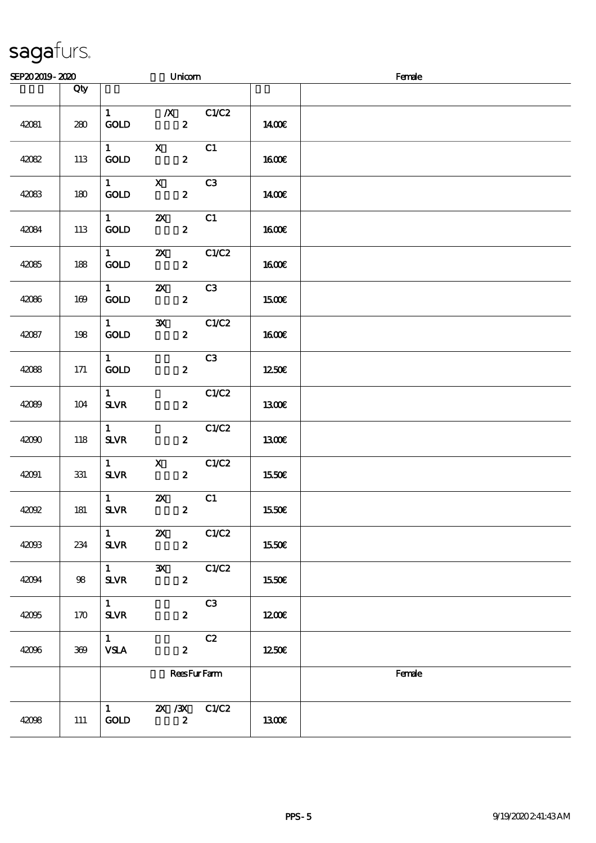| SEP202019-2020 |       |                                          |                           | Unicom           |                    |              | Female |
|----------------|-------|------------------------------------------|---------------------------|------------------|--------------------|--------------|--------|
|                | Qty   |                                          |                           |                  |                    |              |        |
| 42081          | 280   | 1<br>GOLD                                |                           | $\boldsymbol{2}$ | $\chi$ C1/C2       | 1400E        |        |
| 42082          | 113   | $1 \quad \blacksquare$<br><b>GOLD</b>    | $\boldsymbol{\mathrm{X}}$ | $\boldsymbol{z}$ | C1                 | <b>1600€</b> |        |
| 42083          | 180   | $1 \quad \blacksquare$<br>GOLD           | $\mathbf{X}$              | $\boldsymbol{z}$ | C3                 | 1400€        |        |
| 42084          | 113   | $1 -$<br>GOLD                            | $\boldsymbol{\mathsf{z}}$ | $\boldsymbol{z}$ | C1                 | <b>1600€</b> |        |
| 42085          | 188   | $1 -$<br>GOLD                            | $\boldsymbol{\mathsf{z}}$ | $\boldsymbol{z}$ | C1/C2              | 1600€        |        |
| 42086          | 169   | $\mathbf{1}$<br><b>GOLD</b>              | $\boldsymbol{\mathsf{X}}$ | $\boldsymbol{z}$ | C3                 | 1500E        |        |
| 42087          | 198   | $\mathbf{1}$<br>GOLD                     | $\mathbf{x}$              | $\boldsymbol{z}$ | C1/C2              | <b>1600€</b> |        |
| 42088          | $171$ | $\mathbf{1}$<br>$\rm GOID$               |                           | $\boldsymbol{z}$ | C3                 | 1250€        |        |
| 42089          | 104   | $\mathbf{1}$<br>$S\!L\!V\!R$             |                           | $\boldsymbol{z}$ | C1/C2              | <b>1300€</b> |        |
| 42090          | 118   | $\mathbf{1}$<br><b>SLVR</b>              |                           | $\boldsymbol{z}$ | C1/C2              | <b>1300€</b> |        |
| 42091          | 331   | $1 -$<br>SLVR                            | $\boldsymbol{\mathsf{X}}$ | $\boldsymbol{z}$ | C1/C2              | 1550€        |        |
| 42092          | 181   | $\mathbf{1}$<br>${\bf S\!L}\!{\bf V\!R}$ | $\boldsymbol{\mathsf{z}}$ | $\pmb{2}$        | C1                 | 1550E        |        |
| 42003          | 234   | $\mathbf{1}$<br><b>SLVR</b>              | $\boldsymbol{\mathsf{Z}}$ | $\boldsymbol{z}$ | C1/C2              | 1550€        |        |
| 42094          | $98$  | $\mathbf{1}$<br>$S\!L\!V\!R$             | $\mathbf{x}$              | $\boldsymbol{z}$ | C1/C2              | 1550€        |        |
| 42095          | 170   | $\mathbf{1}$<br>$S\!L\!V\!R$             |                           | $\boldsymbol{z}$ | C3                 | 1200         |        |
| 42096          | 369   | $\mathbf{1}$<br><b>VSLA</b>              |                           | $\boldsymbol{z}$ | C2                 | 1250E        |        |
|                |       |                                          |                           |                  | <b>ReesFurFarm</b> |              | Female |
| 42098          | 111   | $\mathbf{1}$<br>GOLD                     | $X \, X$                  | $\boldsymbol{z}$ | C1/C2              | 1300E        |        |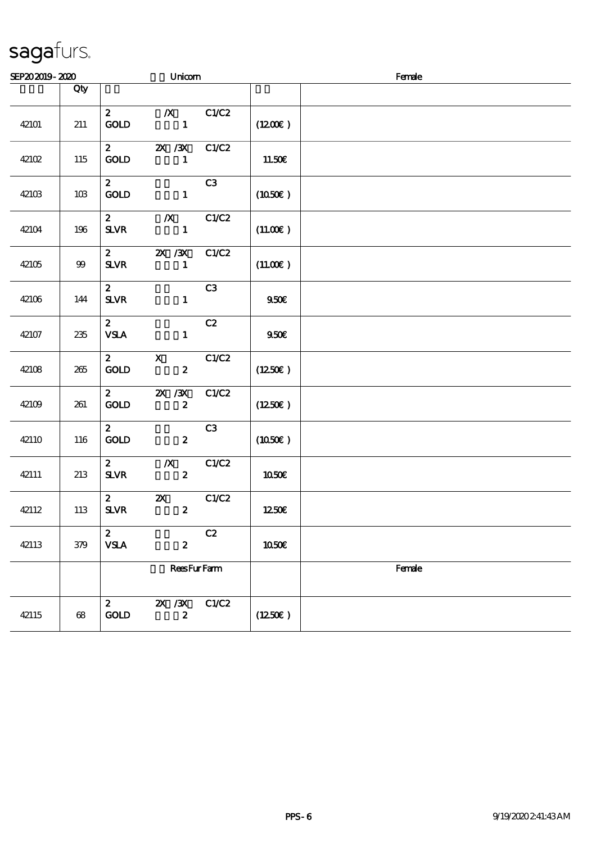| SEP202019-2020 |       |                                         | Unicom                                        |       |                     | Female |  |  |  |  |
|----------------|-------|-----------------------------------------|-----------------------------------------------|-------|---------------------|--------|--|--|--|--|
|                | Qty   |                                         |                                               |       |                     |        |  |  |  |  |
| 42101          | 211   | $\mathbf{z}$<br><b>GOLD</b>             | $\boldsymbol{X}$<br>$\mathbf{1}$              | C1/C2 | $(1200\varepsilon)$ |        |  |  |  |  |
| 42102          | 115   | $\mathbf{2}$<br><b>GOLD</b>             | <b>2X / 3X</b><br>$\mathbf{1}$                | C1/C2 | 11.50€              |        |  |  |  |  |
| 42103          | $10B$ | $\mathbf{2}$<br><b>GOLD</b>             | $\mathbf{1}$                                  | C3    | (1050)              |        |  |  |  |  |
| 42104          | 196   | $\mathbf{2}$<br><b>SLVR</b>             | $\boldsymbol{X}$<br>$\mathbf{1}$              | C1/C2 | (11.00)             |        |  |  |  |  |
| 42105          | 99    | $\mathbf{z}$<br><b>SLVR</b>             | <b>2X / 3X</b><br>$\mathbf{1}$                | C1/C2 | (11.00)             |        |  |  |  |  |
| 42106          | 144   | $2^{\circ}$<br>$S\!L\!V\!R$             | $\mathbf{1}$                                  | C3    | 950E                |        |  |  |  |  |
| 42107          | 235   | $\mathbf{z}$<br><b>VSLA</b>             | $\mathbf{1}$                                  | C2    | 950E                |        |  |  |  |  |
| 42108          | 265   | $\mathbf{z}$<br><b>GOLD</b>             | $\mathbf{X}$<br>$\boldsymbol{z}$              | C1/C2 | (1250E)             |        |  |  |  |  |
| 42109          | 261   | $\mathbf{2}$<br>GOLD                    | $2X$ $/3X$<br>$\boldsymbol{z}$                | C1/C2 | (1250E)             |        |  |  |  |  |
| 42110          | 116   | $\mathbf{z}$<br>$\mathop{\rm GOD}$      | $\boldsymbol{z}$                              | C3    | (1050)              |        |  |  |  |  |
| 42111          | 213   | 2 <sup>7</sup><br>$S\!L\!V\!R$          | $\boldsymbol{X}$<br>$\boldsymbol{2}$          | C1/C2 | 1050€               |        |  |  |  |  |
| 42112          | 113   | $2^{\circ}$<br>${\bf S\!L}\!{\bf V\!R}$ | $\boldsymbol{\mathsf{z}}$<br>$\boldsymbol{z}$ | C1/C2 | 1250E               |        |  |  |  |  |
| 42113          | 379   | $\boldsymbol{z}$<br><b>VSLA</b>         | $\boldsymbol{2}$                              | C2    | <b>1050€</b>        |        |  |  |  |  |
|                |       |                                         | <b>ReesFurFarm</b>                            |       |                     | Female |  |  |  |  |
| 42115          | $68$  | $\boldsymbol{z}$<br>GOD                 | $X \, X$<br>$\boldsymbol{z}$                  | C1/C2 | (1250E)             |        |  |  |  |  |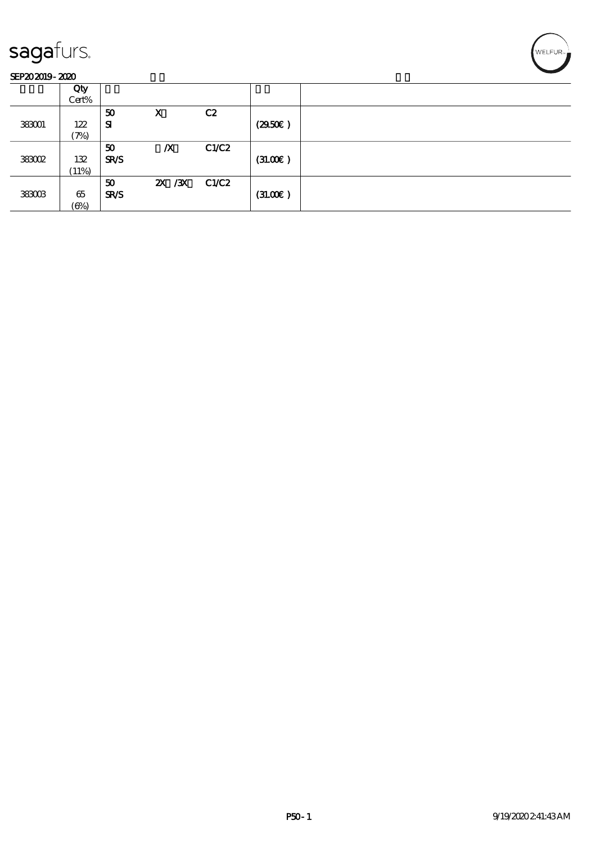#### SEP202019-2020

|        | Qty               |             |                  |       |         |  |
|--------|-------------------|-------------|------------------|-------|---------|--|
|        | Cert%             |             |                  |       |         |  |
|        |                   | 50          | X                | C2    |         |  |
| 383001 | 122               | ${\bf s}$   |                  |       | (2950)  |  |
|        | $\mathcal{P}_{0}$ |             |                  |       |         |  |
|        |                   | 50          | $\boldsymbol{X}$ | C1/C2 |         |  |
| 383002 | 132               | <b>SR/S</b> |                  |       | (31.00) |  |
|        | (11%)             |             |                  |       |         |  |
|        |                   | 50          | 2X / 3X C1/C2    |       |         |  |
| 383003 | 65                | <b>SR/S</b> |                  |       | (31.00) |  |
|        | $(\Theta)$        |             |                  |       |         |  |

WELFUR-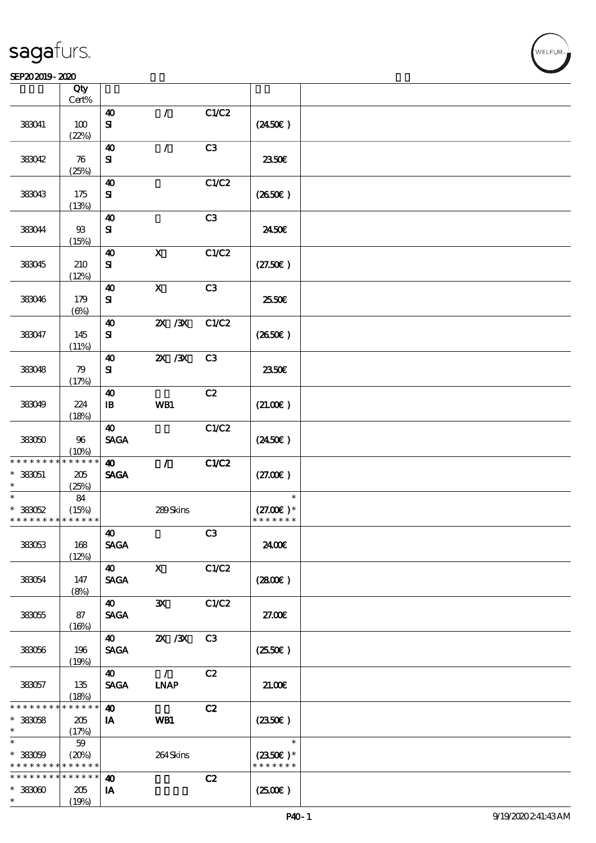#### SEP202019-2020

|                                            | Qty<br>Cert%         |                                     |                              |                |                                    |  |
|--------------------------------------------|----------------------|-------------------------------------|------------------------------|----------------|------------------------------------|--|
|                                            |                      |                                     |                              |                |                                    |  |
| 383041                                     | 100<br>(22%)         | 40<br>${\bf s}$                     | $\prime$                     | C1/C2          | $(2450\epsilon)$                   |  |
|                                            |                      |                                     |                              |                |                                    |  |
| 383042                                     | 76                   | 40<br>${\bf S}$                     | $\mathcal{L}$                | C3             | 2350E                              |  |
|                                            | (25%)                |                                     |                              |                |                                    |  |
| 383043                                     | 175                  | $\boldsymbol{\Lambda}$<br>${\bf s}$ |                              | C1/C2          | $(2650\epsilon)$                   |  |
|                                            | (13%)                |                                     |                              |                |                                    |  |
| 383044                                     | $93\,$<br>(15%)      | 40<br>${\bf s}$                     |                              | C3             | 2450E                              |  |
|                                            |                      |                                     |                              |                |                                    |  |
| 383045                                     | 210<br>(12%)         | 40<br>${\bf s}$                     | $\boldsymbol{\mathsf{X}}$    | C1/C2          | (27.50)                            |  |
|                                            |                      | $\boldsymbol{\Lambda}$              | $\boldsymbol{\mathrm{X}}$    | C3             |                                    |  |
| 383046                                     | 179<br>$(\Theta)$    | ${\bf s}$                           |                              |                | 25.50€                             |  |
|                                            |                      | 40                                  | $ZX$ $ZX$                    | C1/C2          |                                    |  |
| 383047                                     | 145<br>(11%)         | ${\bf s}$                           |                              |                | (2650)                             |  |
|                                            |                      |                                     |                              |                |                                    |  |
| 383048                                     | 79<br>(17%)          | 40<br>${\bf s}$                     | $X$ / $X$                    | C <sub>3</sub> | 2350E                              |  |
|                                            |                      | $\boldsymbol{\Lambda}$              |                              | C2             |                                    |  |
| 383049                                     | 224<br>(18%)         | $\mathbf{B}$                        | WB1                          |                | (21.00)                            |  |
|                                            |                      | $\boldsymbol{\omega}$               |                              | C1/C2          |                                    |  |
| 383050                                     | 96<br>(10%)          | <b>SAGA</b>                         |                              |                | $(2450\epsilon)$                   |  |
| * * * * * * * * <mark>* * * * * * *</mark> |                      | $\boldsymbol{\omega}$               | $\mathcal{L}$                | C1/C2          |                                    |  |
| $*333051$                                  | 205                  | <b>SAGA</b>                         |                              |                | (27.00)                            |  |
| $\ast$                                     | (25%)                |                                     |                              |                |                                    |  |
| $\ast$                                     | 84                   |                                     |                              |                | $\ast$                             |  |
| $*33052$                                   | (15%)                |                                     | 289Skins                     |                | $(27.00)$ *                        |  |
| * * * * * * * * <mark>* * * * * *</mark>   |                      |                                     |                              |                | * * * * * * *                      |  |
|                                            |                      |                                     |                              | C3             |                                    |  |
| 383053                                     | 168                  | 40<br><b>SAGA</b>                   |                              |                | 2400€                              |  |
|                                            | (12%)                |                                     |                              |                |                                    |  |
|                                            |                      | 40                                  | $\boldsymbol{\mathsf{X}}$    | C1/C2          |                                    |  |
| 383054                                     | 147                  | <b>SAGA</b>                         |                              |                | (2800)                             |  |
|                                            | (8%)                 |                                     |                              |                |                                    |  |
|                                            |                      | $\boldsymbol{\omega}$               | $\mathbf{x}$                 | C1/C2          |                                    |  |
| 383055                                     | 87                   | <b>SAGA</b>                         |                              |                | 27.00E                             |  |
|                                            | (16%)                |                                     |                              |                |                                    |  |
|                                            |                      | 40                                  | $X \, X$                     | C <sub>3</sub> |                                    |  |
|                                            |                      | <b>SAGA</b>                         |                              |                |                                    |  |
| 383056                                     | 196<br>(19%)         |                                     |                              |                | $(2550\varepsilon)$                |  |
|                                            |                      |                                     |                              | C2             |                                    |  |
| 383057                                     | 135                  | 40<br><b>SAGA</b>                   | $\mathcal{L}$<br><b>INAP</b> |                | 21.00E                             |  |
|                                            |                      |                                     |                              |                |                                    |  |
| * * * * * * *                              | (18%)<br>* * * * * * | $\boldsymbol{\omega}$               |                              | C2             |                                    |  |
|                                            |                      |                                     |                              |                |                                    |  |
| $* 33058$<br>$\ast$                        | 205                  | IA                                  | WB1                          |                | (2350)                             |  |
| $\ast$                                     | (17%)                |                                     |                              |                | $\ast$                             |  |
|                                            | 59                   |                                     |                              |                |                                    |  |
| $* 33000$<br>* * * * * * * *               | (20%)<br>* * * * * * |                                     | 264Skins                     |                | $(2350\epsilon)*$<br>* * * * * * * |  |
|                                            |                      |                                     |                              |                |                                    |  |
| * * * * * * * *                            | $* * * * * * *$      | $\boldsymbol{\omega}$               |                              | C2             |                                    |  |
| $*33000$                                   | 205                  | IA                                  |                              |                | (250)                              |  |
| $\ast$                                     | (19%)                |                                     |                              |                |                                    |  |

**NELFUR**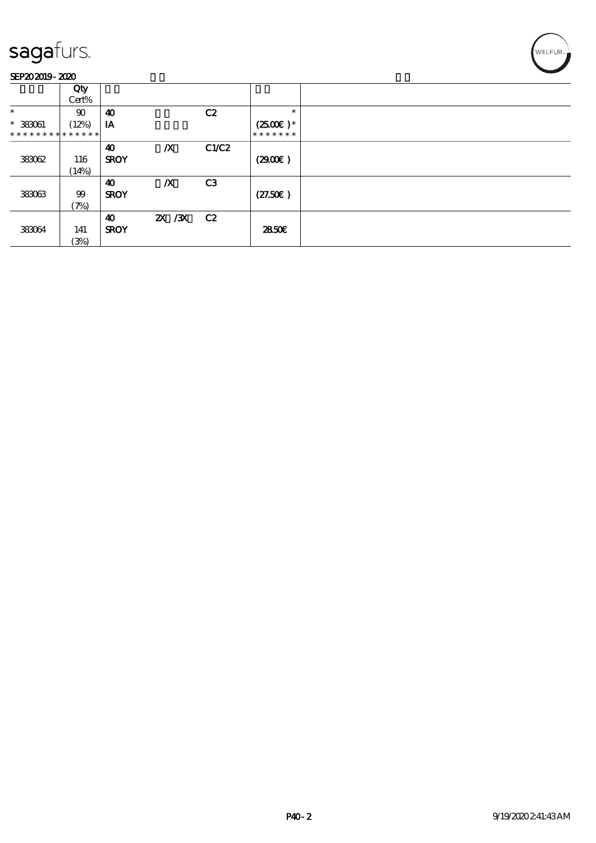

|                               | Qty      |                       |                  |                |                       |  |
|-------------------------------|----------|-----------------------|------------------|----------------|-----------------------|--|
|                               | Cert%    |                       |                  |                |                       |  |
| $\ast$                        | $\infty$ | 40                    |                  | C2             | $\ast$                |  |
| $*$ 383061                    | (12%)    | IA                    |                  |                | $(2500\varepsilon)^*$ |  |
| * * * * * * * * * * * * * * * |          |                       |                  |                | * * * * * * *         |  |
|                               |          | $\boldsymbol{\omega}$ | $\boldsymbol{X}$ | C1/C2          |                       |  |
| 383062                        | 116      | <b>SROY</b>           |                  |                | (2900)                |  |
|                               | (14%)    |                       |                  |                |                       |  |
|                               |          | 40                    | $\boldsymbol{X}$ | C <sub>3</sub> |                       |  |
| 383063                        | 99       | <b>SROY</b>           |                  |                | (27.50)               |  |
|                               | (7%)     |                       |                  |                |                       |  |
|                               |          | 40                    | 2X / 3X C 2      |                |                       |  |
| 383064                        | 141      | <b>SROY</b>           |                  |                | 2850E                 |  |
|                               | (3%)     |                       |                  |                |                       |  |

WELFUR<sub><sup>N</sup></sub>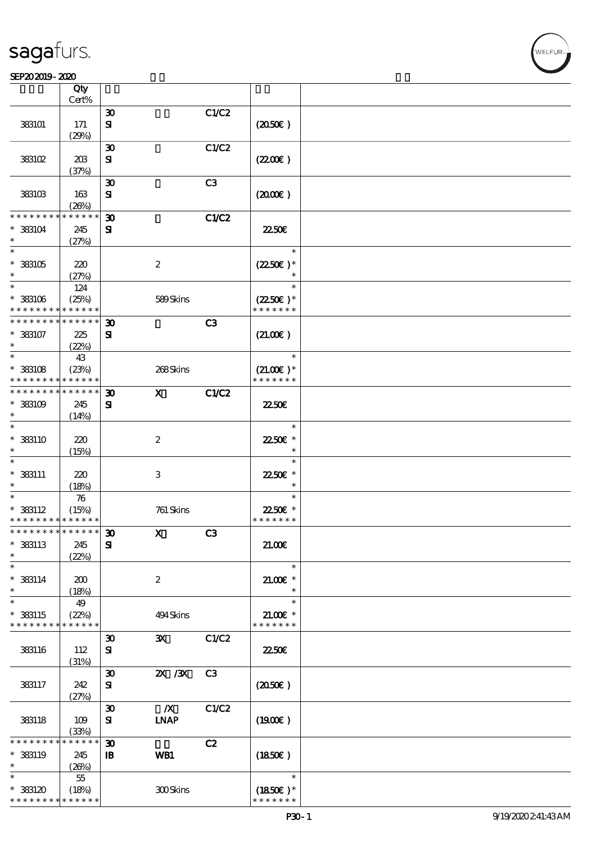#### $SEP202019 - 2020$

| SEP202019-2020                            |             |                             |                  |                |                           |  |
|-------------------------------------------|-------------|-----------------------------|------------------|----------------|---------------------------|--|
|                                           | Qty         |                             |                  |                |                           |  |
|                                           | Cert%       |                             |                  |                |                           |  |
|                                           |             | $\boldsymbol{\mathfrak{D}}$ |                  | C1/C2          |                           |  |
| 383101                                    | 171         | ${\bf s}$                   |                  |                | (2050)                    |  |
|                                           | (29%)       |                             |                  |                |                           |  |
|                                           |             | $\boldsymbol{\mathfrak{D}}$ |                  | C1/C2          |                           |  |
|                                           |             |                             |                  |                |                           |  |
| 383102                                    | 20B         | ${\bf s}$                   |                  |                | (220E)                    |  |
|                                           | (37%)       |                             |                  |                |                           |  |
|                                           |             | $\boldsymbol{\mathfrak{D}}$ |                  | C3             |                           |  |
| 383103                                    | 163         | ${\bf s}$                   |                  |                | $(2000\varepsilon)$       |  |
|                                           | (20%)       |                             |                  |                |                           |  |
| * * * * * * *                             | * * * * *   | $\boldsymbol{\mathfrak{D}}$ |                  | C1/C2          |                           |  |
| $*$ 383104                                | 245         | ${\bf s}$                   |                  |                | <b>2250€</b>              |  |
| $\ast$                                    | (27%)       |                             |                  |                |                           |  |
| $\ast$                                    |             |                             |                  |                | $\ast$                    |  |
| $^*$ 383105 $\,$                          |             |                             | $\boldsymbol{2}$ |                | $(2250\epsilon)*$         |  |
| $\ast$                                    | 220         |                             |                  |                |                           |  |
| $\ast$                                    | (27%)       |                             |                  |                | $\ast$                    |  |
|                                           | 124         |                             |                  |                |                           |  |
| $*$ 383106                                | (25%)       |                             | 589Skins         |                | $(2250\varepsilon)^*$     |  |
| * * * * * * * *                           | * * * * * * |                             |                  |                | * * * * * * *             |  |
| * * * * * * * *                           | * * * * * * | $\boldsymbol{\mathfrak{D}}$ |                  | C3             |                           |  |
| $*$ 383107                                | 225         | ${\bf s}$                   |                  |                | (21.00)                   |  |
| $\ast$                                    | (22%)       |                             |                  |                |                           |  |
| $\ast$                                    | 43          |                             |                  |                | $\ast$                    |  |
| $*$ 383108                                | (23%)       |                             | 268Skins         |                | $(21.00)$ *               |  |
| * * * * * * * *                           | * * * * * * |                             |                  |                | * * * * * * *             |  |
| * * * * * * * *                           | * * * * * * | $\boldsymbol{\mathfrak{D}}$ | $\mathbf{x}$     | C1/C2          |                           |  |
|                                           |             |                             |                  |                |                           |  |
| $*$ 383109                                | 245         | ${\bf s}$                   |                  |                | 2250E                     |  |
| $\ast$                                    | (14%)       |                             |                  |                |                           |  |
| $\ast$                                    |             |                             |                  |                | $\ast$                    |  |
| $*$ 383110                                | 220         |                             | $\boldsymbol{2}$ |                | 22.50€ *                  |  |
| $\ast$                                    | (15%)       |                             |                  |                | $\ast$                    |  |
| $\ast$                                    |             |                             |                  |                | $\ast$                    |  |
| $*$ 383111                                | 220         |                             | $\,3$            |                | 2250E *                   |  |
| $\ast$                                    | (18%)       |                             |                  |                | $\ast$                    |  |
| $\ast$                                    | 76          |                             |                  |                | $\ast$                    |  |
|                                           |             |                             | 761 Skins        |                |                           |  |
| $*$ 383112<br>* * * * * * * * * * * * * * | (15%)       |                             |                  |                | 22.50€ *<br>* * * * * * * |  |
|                                           |             |                             |                  |                |                           |  |
| * * * * * * * *                           | * * * * * * | $\boldsymbol{\mathfrak{D}}$ | $\mathbf X$      | C3             |                           |  |
| * 383113                                  | 245         | ${\bf s}$                   |                  |                | 21.00E                    |  |
| $\ast$                                    | (22%)       |                             |                  |                |                           |  |
| $\ast$                                    |             |                             |                  |                | $\ast$                    |  |
| $*$ 383114                                | 200         |                             | $\boldsymbol{2}$ |                | $21.005*$                 |  |
| $\ast$                                    | (18%)       |                             |                  |                | $\ast$                    |  |
| $\ast$                                    | 49          |                             |                  |                | $\ast$                    |  |
| * 383115                                  | (22%)       |                             | 494 Skins        |                | $21.00$ $*$               |  |
| * * * * * * * *                           | * * * * * * |                             |                  |                | * * * * * * *             |  |
|                                           |             | $\boldsymbol{\mathfrak{D}}$ | $\mathbf{x}$     | C1/C2          |                           |  |
| 383116                                    | 112         | ${\bf s}$                   |                  |                | 2250E                     |  |
|                                           |             |                             |                  |                |                           |  |
|                                           | (31%)       |                             |                  |                |                           |  |
|                                           |             | $\boldsymbol{\mathfrak{D}}$ | $X \, X$         | C <sub>3</sub> |                           |  |
| 383117                                    | 242         | ${\bf s}$                   |                  |                | $(2050\epsilon)$          |  |
|                                           | (27%)       |                             |                  |                |                           |  |
|                                           |             | $\boldsymbol{\mathfrak{D}}$ | $\boldsymbol{X}$ | C1/C2          |                           |  |
| 383118                                    | 109         | ${\bf s}$                   | <b>LNAP</b>      |                | $(1900\epsilon)$          |  |
|                                           | (33%)       |                             |                  |                |                           |  |
| * * * * * * *                             | * * * * * * | $\boldsymbol{\mathfrak{D}}$ |                  | C2             |                           |  |
| * 383119                                  | 245         | $\mathbf{B}$                | WB1              |                | (1850)                    |  |
| $\ast$                                    | (20%)       |                             |                  |                |                           |  |
| $\ast$                                    | 55          |                             |                  |                | $\ast$                    |  |
| $*$ 383120                                | (18%)       |                             | 300Skins         |                | $(1850)$ *                |  |
| * * * * * * * *                           | * * * * * * |                             |                  |                | * * * * * * *             |  |
|                                           |             |                             |                  |                |                           |  |

WELFUR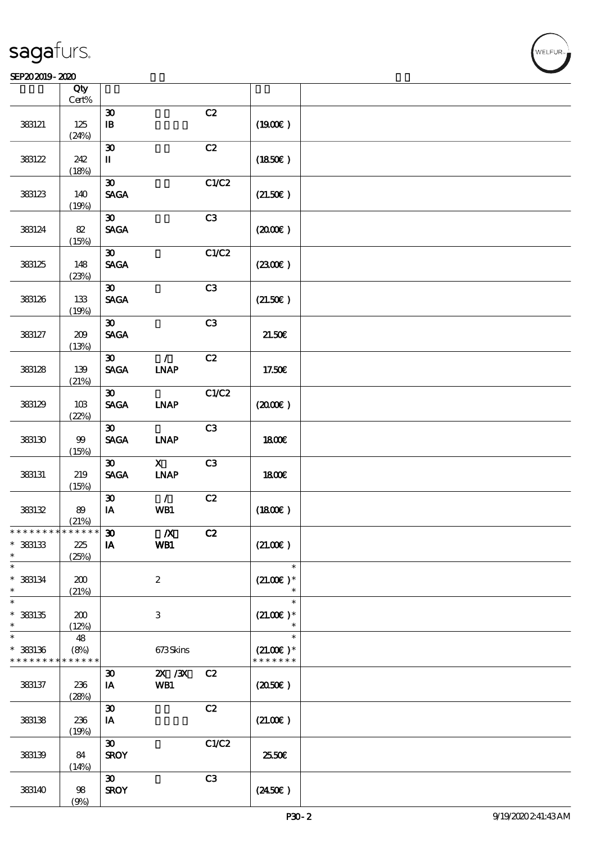#### SEP202019-2020

|                                            | Qty<br>$\mbox{Cert}\%$ |                                |                              |       |                     |  |
|--------------------------------------------|------------------------|--------------------------------|------------------------------|-------|---------------------|--|
|                                            |                        | $\boldsymbol{\mathfrak{D}}$    |                              | C2    |                     |  |
| 383121                                     | 125<br>(24%)           | ${\bf I\!B}$                   |                              |       | (1900)              |  |
|                                            |                        | $\pmb{\mathfrak{D}}$           |                              | C2    |                     |  |
| 383122                                     | 242                    | $\mathbf I$                    |                              |       | (1850)              |  |
|                                            | (18%)                  |                                |                              |       |                     |  |
|                                            |                        | $\boldsymbol{\mathfrak{D}}$    |                              | C1/C2 |                     |  |
| 383123                                     | 140                    | $\operatorname{\mathsf{SAGA}}$ |                              |       | (21.50)             |  |
|                                            | (19%)                  |                                |                              |       |                     |  |
|                                            |                        | $\boldsymbol{\mathfrak{D}}$    |                              | C3    |                     |  |
| 383124                                     | 82<br>(15%)            | <b>SAGA</b>                    |                              |       | $(2000\varepsilon)$ |  |
|                                            |                        | $\boldsymbol{\mathfrak{D}}$    |                              | C1/C2 |                     |  |
| 383125                                     | 148                    | <b>SAGA</b>                    |                              |       | (2300)              |  |
|                                            | (23%)                  |                                |                              |       |                     |  |
|                                            |                        | $\boldsymbol{\mathfrak{D}}$    |                              | C3    |                     |  |
| 383126                                     | 133                    | $\operatorname{\mathsf{SAGA}}$ |                              |       | (21.50)             |  |
|                                            | (19%)                  |                                |                              |       |                     |  |
|                                            |                        | $\boldsymbol{\mathfrak{D}}$    |                              | C3    |                     |  |
| 383127                                     | 209                    | <b>SAGA</b>                    |                              |       | 21.50E              |  |
|                                            | (13%)                  | $\boldsymbol{\mathfrak{D}}$    | $\mathcal{L}$                | C2    |                     |  |
| 383128                                     | 139                    | $\operatorname{\mathsf{SAGA}}$ | <b>LNAP</b>                  |       | 17.50€              |  |
|                                            | (21%)                  |                                |                              |       |                     |  |
|                                            |                        | $\boldsymbol{\mathfrak{D}}$    |                              | C1/C2 |                     |  |
| 383129                                     | 10B                    | $\operatorname{\mathsf{SAGA}}$ | <b>INAP</b>                  |       | $(2000\varepsilon)$ |  |
|                                            | (22%)                  |                                |                              |       |                     |  |
|                                            |                        | $\boldsymbol{\mathfrak{D}}$    |                              | C3    |                     |  |
| 383130                                     | 99                     | <b>SAGA</b>                    | <b>INAP</b>                  |       | <b>1800€</b>        |  |
|                                            | (15%)                  |                                |                              |       |                     |  |
|                                            |                        | $\boldsymbol{\mathfrak{D}}$    | $\mathbf{x}$                 | C3    |                     |  |
| 383131                                     | 219                    | <b>SAGA</b>                    | $\ensuremath{\mathbf{INAP}}$ |       | 1800E               |  |
|                                            | (15%)                  | $\boldsymbol{\mathfrak{D}}$    | $\mathcal{L}$                | C2    |                     |  |
| 383132                                     | 89                     | $I$ A                          | WB1                          |       | (1800)              |  |
|                                            | (21%)                  |                                |                              |       |                     |  |
| * * * * * * * * <mark>* * * * * * *</mark> |                        | $\boldsymbol{\mathfrak{D}}$    | $\boldsymbol{X}$             | C2    |                     |  |
| $*$ 383133                                 | 225                    | IA                             | WB1                          |       | (21.00)             |  |
| $\ast$                                     | (25%)                  |                                |                              |       |                     |  |
| $\ast$                                     |                        |                                |                              |       | $\ast$              |  |
| $*$ 383134<br>$\ast$                       | 200<br>(21%)           |                                | $\boldsymbol{2}$             |       | $(21.00)$ *         |  |
| $\ast$                                     |                        |                                |                              |       | $\ast$              |  |
| $*$ 383135                                 | 200                    |                                | $\ensuremath{\mathbf{3}}$    |       | $(21.00)$ *         |  |
| $\ast$                                     | (12%)                  |                                |                              |       | $\ast$              |  |
| $\ast$                                     | 48                     |                                |                              |       | $\ast$              |  |
| $*$ 383136                                 | (8%)                   |                                | 673Skins                     |       | $(21.00)$ *         |  |
| * * * * * * * *                            | * * * * *              |                                |                              |       | * * * * * * *       |  |
|                                            |                        | $\boldsymbol{\mathfrak{D}}$    | $X$ / $X$                    | C2    |                     |  |
| 383137                                     | 236                    | IA                             | WB1                          |       | (2050)              |  |
|                                            | (28%)                  | $\boldsymbol{\mathfrak{D}}$    |                              | C2    |                     |  |
| 383138                                     | 236                    | IA                             |                              |       | (21.00)             |  |
|                                            | (19%)                  |                                |                              |       |                     |  |
|                                            |                        | $\boldsymbol{\mathfrak{D}}$    |                              | C1/C2 |                     |  |
| 383139                                     | 84                     | <b>SROY</b>                    |                              |       | 25.50E              |  |
|                                            | (14%)                  |                                |                              |       |                     |  |
|                                            |                        | $\boldsymbol{\mathfrak{D}}$    |                              | C3    |                     |  |
| 383140                                     | $98$                   | <b>SROY</b>                    |                              |       | $(2450\epsilon)$    |  |
|                                            | (9%)                   |                                |                              |       |                     |  |

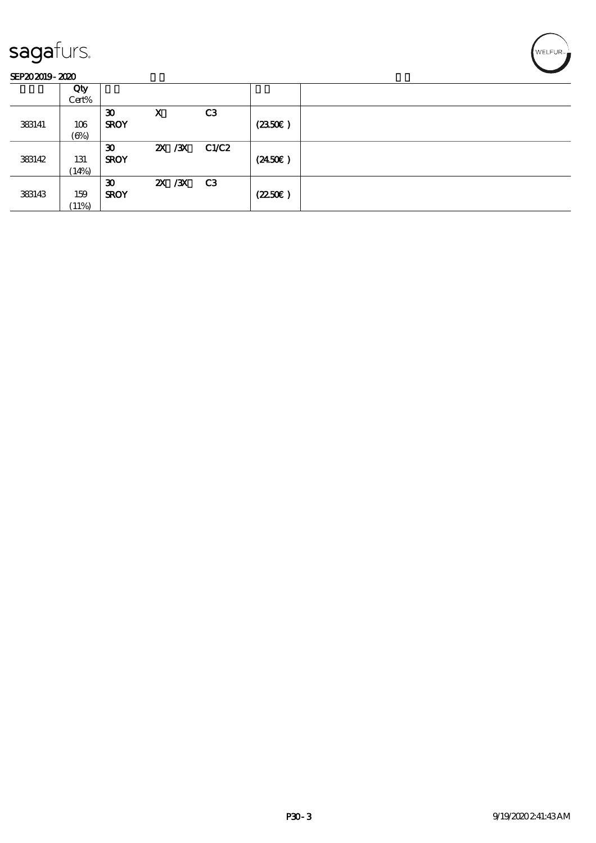#### SEP202019-2020

|        | Qty        |                             |         |                |        |  |
|--------|------------|-----------------------------|---------|----------------|--------|--|
|        | Cert%      |                             |         |                |        |  |
|        |            | $\boldsymbol{\mathfrak{D}}$ | X       | C <sub>3</sub> |        |  |
| 383141 | 106        | <b>SROY</b>                 |         |                | (2350) |  |
|        | $(\Theta)$ |                             |         |                |        |  |
|        |            | $\boldsymbol{\mathfrak{D}}$ | 2X / 3X | C1/C2          |        |  |
| 383142 | 131        | <b>SROY</b>                 |         |                | (2450) |  |
|        | (14%)      |                             |         |                |        |  |
|        |            | $\boldsymbol{\mathfrak{D}}$ | 2X / 3X | C3             |        |  |
| 383143 | 159        | <b>SROY</b>                 |         |                | (2250) |  |
|        | (11%)      |                             |         |                |        |  |

WELFUR<sub>T</sub>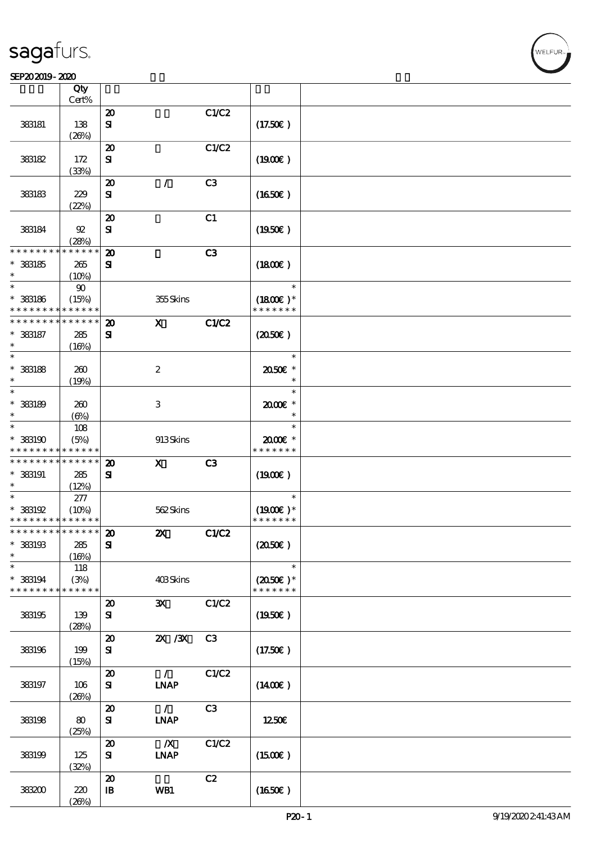#### SEP202019-2020

|                                            | Qty<br>Cert% |                                        |                           |                |                     |  |
|--------------------------------------------|--------------|----------------------------------------|---------------------------|----------------|---------------------|--|
|                                            |              |                                        |                           |                |                     |  |
| 383181                                     | 138          | $\boldsymbol{\mathbf{z}}$<br>${\bf s}$ |                           | C1/C2          | (17.50)             |  |
|                                            | (20%)        |                                        |                           |                |                     |  |
|                                            |              | $\boldsymbol{\mathfrak{D}}$            |                           | C1/C2          |                     |  |
| 383182                                     | 172          | ${\bf s}$                              |                           |                | (1900E)             |  |
|                                            | (33%)        |                                        |                           |                |                     |  |
|                                            |              | $\boldsymbol{\mathbf{z}}$              | $\mathcal{L}$             | C3             |                     |  |
| 383183                                     | 229          | ${\bf s}$                              |                           |                | (1650)              |  |
|                                            | (22%)        |                                        |                           |                |                     |  |
|                                            |              | $\boldsymbol{\mathsf{20}}$             |                           | C1             |                     |  |
| 383184                                     | $92\,$       | ${\bf s}$                              |                           |                | (1950)              |  |
|                                            | (28%)        |                                        |                           |                |                     |  |
| * * * * * * * *                            | * * * * * *  | $\boldsymbol{\mathbf{z}}$              |                           | C3             |                     |  |
| * 383185                                   | 265          | ${\bf s}$                              |                           |                | (1800)              |  |
| $\ast$                                     | (10%)        |                                        |                           |                |                     |  |
| $\ast$                                     | 90           |                                        |                           |                | $\ast$              |  |
| $*$ 383186                                 | (15%)        |                                        | 355Skins                  |                | $(1800E)*$          |  |
| * * * * * * * *                            | * * * * * *  |                                        |                           |                | * * * * * * *       |  |
| * * * * * * * *                            | * * * * * *  | $\boldsymbol{\mathfrak{D}}$            | $\mathbf X$               | C1/C2          |                     |  |
| $*$ 383187                                 | 285          | ${\bf s}$                              |                           |                | (2050)              |  |
| $\ast$                                     | (16%)        |                                        |                           |                |                     |  |
| $\ast$                                     |              |                                        |                           |                | $\ast$              |  |
| $*$ 383188                                 | 260          |                                        | $\boldsymbol{2}$          |                | 2050E *             |  |
| *                                          | (19%)        |                                        |                           |                | $\ast$              |  |
| $\ast$                                     |              |                                        |                           |                | $\ast$              |  |
| $*$ 383189                                 | 260          |                                        | $\ensuremath{\mathsf{3}}$ |                | 2000E*              |  |
| $\ast$                                     | $(\Theta)$   |                                        |                           |                | $\ast$              |  |
| $\ast$                                     | 108          |                                        |                           |                | $\ast$              |  |
| $*$ 383190                                 | (5%)         |                                        | 913Skins                  |                | $2000$ $\epsilon$ * |  |
| * * * * * * * *                            | * * * * * *  |                                        |                           |                | * * * * * * *       |  |
| * * * * * * * * <mark>* * * * * *</mark>   |              | $\boldsymbol{\mathbf{z}}$              | $\mathbf{X}$              | C <sub>3</sub> |                     |  |
| $*$ 383191                                 | 285          | ${\bf s}$                              |                           |                | (1900E)             |  |
| *                                          | (12%)        |                                        |                           |                |                     |  |
| $\ast$                                     | 277          |                                        |                           |                | $\ast$              |  |
| * 383192                                   | (10%)        |                                        | 562Skins                  |                | $(1900E)*$          |  |
| * * * * * * * * <mark>* * * * * * *</mark> |              |                                        |                           |                | * * * * * * *       |  |
| * * * * * * * * <mark>* * * * * *</mark>   |              | ZO.                                    | $\boldsymbol{\mathsf{Z}}$ | C1/C2          |                     |  |
| $*$ 383193                                 | 285          | ${\bf s}$                              |                           |                | (2050)              |  |
| $\ast$                                     | (16%)        |                                        |                           |                |                     |  |
| $\ast$                                     | 118          |                                        |                           |                | $\ast$              |  |
| $*$ 383194                                 | (3%)         |                                        | 403Skins                  |                | $(2050\epsilon)*$   |  |
| * * * * * * * *                            | * * * * * *  |                                        |                           |                | * * * * * * *       |  |
|                                            |              | $\boldsymbol{\mathbf{z}}$              | $\mathbf{x}$              | C1/C2          |                     |  |
| 383195                                     | 139          | ${\bf s}$                              |                           |                | (1950)              |  |
|                                            | (28%)        |                                        |                           |                |                     |  |
|                                            |              | $\boldsymbol{\mathfrak{D}}$            | $X \, X$                  | C <sub>3</sub> |                     |  |
| 383196                                     | 199          | ${\bf s}$                              |                           |                | (17.50E)            |  |
|                                            | (15%)        |                                        |                           |                |                     |  |
|                                            |              | $\boldsymbol{\mathbf{z}}$              | $\mathcal{L}$             | C1/C2          |                     |  |
| 383197                                     | 106          | ${\bf s}$                              | <b>INAP</b>               |                | $(1400\varepsilon)$ |  |
|                                            | (20%)        |                                        |                           |                |                     |  |
|                                            |              | $\boldsymbol{\mathsf{20}}$             | $\mathcal{L}$             | C3             |                     |  |
| 383198                                     | 80           | ${\bf s}$                              | <b>INAP</b>               |                | 1250                |  |
|                                            | (25%)        |                                        |                           |                |                     |  |
|                                            |              | $\boldsymbol{\mathfrak{D}}$            | $\boldsymbol{X}$          | C1/C2          |                     |  |
| 383199                                     | 125          | ${\bf s}$                              | <b>INAP</b>               |                | (1500E)             |  |
|                                            | (32%)        |                                        |                           |                |                     |  |
|                                            |              | $\boldsymbol{\mathbf{z}}$              |                           | C2             |                     |  |
| 38300                                      | 220          | $\mathbf{B}$                           | WB1                       |                | (1650)              |  |
|                                            | (20%)        |                                        |                           |                |                     |  |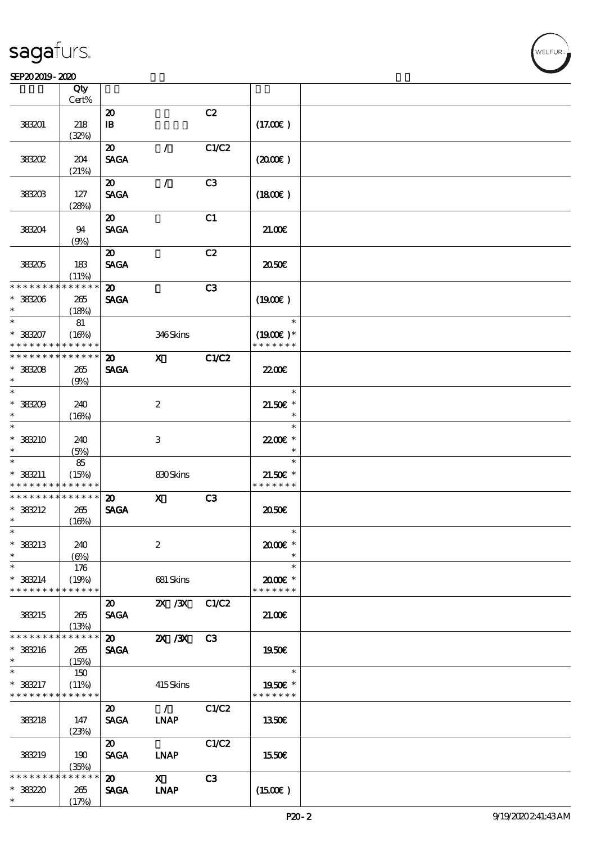|                   | Qty<br>Cert%         |                             |                           |                |                             |  |
|-------------------|----------------------|-----------------------------|---------------------------|----------------|-----------------------------|--|
|                   |                      |                             |                           |                |                             |  |
|                   |                      | $\boldsymbol{\mathsf{20}}$  |                           | C2             |                             |  |
| 38301             | 218                  | $\mathbf{B}$                |                           |                | (17.00)                     |  |
|                   | (32%)                |                             |                           |                |                             |  |
|                   |                      | $\boldsymbol{\mathfrak{D}}$ | $\sqrt{2}$                | C1/C2          |                             |  |
| 38302             | 204                  | <b>SAGA</b>                 |                           |                | $(2000\varepsilon)$         |  |
|                   | (21%)                |                             |                           |                |                             |  |
|                   |                      | $\boldsymbol{\mathfrak{D}}$ | $\mathcal{L}$             | C <sub>3</sub> |                             |  |
| 38303             | 127                  | <b>SAGA</b>                 |                           |                | (1800)                      |  |
|                   |                      |                             |                           |                |                             |  |
|                   | (28%)                |                             |                           |                |                             |  |
|                   |                      | $\boldsymbol{\mathfrak{D}}$ |                           | C1             |                             |  |
| 38304             | 94                   | <b>SAGA</b>                 |                           |                | 21.00E                      |  |
|                   | (9%)                 |                             |                           |                |                             |  |
|                   |                      | $\boldsymbol{\mathfrak{D}}$ |                           | C2             |                             |  |
| 38305             | 183                  | <b>SAGA</b>                 |                           |                | 2050                        |  |
|                   | (11%)                |                             |                           |                |                             |  |
| * * * * * * * *   | * * * * * *          | $\boldsymbol{\mathsf{20}}$  |                           | C3             |                             |  |
| * 383206          | 265                  | <b>SAGA</b>                 |                           |                | (1900E)                     |  |
| $\ast$            | (18%)                |                             |                           |                |                             |  |
| $\overline{\ast}$ | 81                   |                             |                           |                | $\ast$                      |  |
| $*38307$          |                      |                             | 346Skins                  |                |                             |  |
|                   | (16%)                |                             |                           |                | $(1900E)*$<br>* * * * * * * |  |
| * * * * * * * *   | * * * * * *          |                             |                           |                |                             |  |
| * * * * * * * *   | * * * * * *          | $\boldsymbol{\mathsf{20}}$  | $\boldsymbol{\mathrm{X}}$ | C1/C2          |                             |  |
| $* 38208$         | 265                  | <b>SAGA</b>                 |                           |                | 22.00 <del>€</del>          |  |
| $\ast$            | (9%)                 |                             |                           |                |                             |  |
| $\ast$            |                      |                             |                           |                | $\ast$                      |  |
| $*38209$          | 240                  |                             | $\boldsymbol{2}$          |                | $21.50E$ *                  |  |
| *                 | (16%)                |                             |                           |                | $\ast$                      |  |
| $\ast$            |                      |                             |                           |                | $\ast$                      |  |
| * 38210           | 240                  |                             | $\ensuremath{\mathbf{3}}$ |                | 22.00€ *                    |  |
| *                 |                      |                             |                           |                | $\ast$                      |  |
| $\ast$            | (5%)                 |                             |                           |                | $\ast$                      |  |
|                   | 85                   |                             |                           |                |                             |  |
| $*$ 383211        | (15%)                |                             | 830Skins                  |                | $21.50E$ *                  |  |
| * * * * * * * *   | * * * * * *          |                             |                           |                | * * * * * * *               |  |
| * * * * * * * *   | * * * * * *          | $\boldsymbol{\mathfrak{D}}$ | $\mathbf x$               | C3             |                             |  |
| $*$ 383212        | 265                  | <b>SAGA</b>                 |                           |                | 2050€                       |  |
| $\ast$            | (16%)                |                             |                           |                |                             |  |
| $\ast$            |                      |                             |                           |                |                             |  |
| * 383213          | 240                  |                             | $\boldsymbol{2}$          |                | 2000E*                      |  |
| $\ast$            | $(\Theta)$           |                             |                           |                | $\ast$                      |  |
| $\ast$            | 176                  |                             |                           |                | $\ast$                      |  |
| $*$ 383214        | (19%)                |                             | 681 Skins                 |                | 2000E*                      |  |
| * * * * * * * *   | * * * * * *          |                             |                           |                | * * * * * * *               |  |
|                   |                      | $\boldsymbol{\mathfrak{D}}$ | $\chi$ / $\chi$           | C1/C2          |                             |  |
|                   |                      | <b>SAGA</b>                 |                           |                |                             |  |
| 383215            | 265                  |                             |                           |                | 21.00E                      |  |
| * * * * * * * *   | (13%)<br>* * * * * * |                             |                           |                |                             |  |
|                   |                      | $\boldsymbol{\mathfrak{D}}$ | $X \, X$                  | C3             |                             |  |
| * 383216          | 265                  | <b>SAGA</b>                 |                           |                | 1950E                       |  |
| $\ast$            | (15%)                |                             |                           |                |                             |  |
| $\ast$            | 150                  |                             |                           |                | $\ast$                      |  |
| * 383217          | (11%)                |                             | 415Skins                  |                | 1950E *                     |  |
| * * * * * * * *   | * * * * * *          |                             |                           |                | * * * * * * *               |  |
|                   |                      | $\boldsymbol{\mathfrak{D}}$ | $\mathcal{L}$             | C1/C2          |                             |  |
| 383218            | 147                  | <b>SAGA</b>                 | <b>INAP</b>               |                | 1350€                       |  |
|                   | (23%)                |                             |                           |                |                             |  |
|                   |                      | $\boldsymbol{\mathfrak{D}}$ |                           | C1/C2          |                             |  |
|                   |                      |                             |                           |                |                             |  |
| 383219            | 190                  | <b>SAGA</b>                 | <b>INAP</b>               |                | 1550€                       |  |
|                   | (35%)                |                             |                           |                |                             |  |
| * * * * * * *     | * * * * * *          | $\boldsymbol{\mathfrak{D}}$ | $\mathbf{x}$              | C3             |                             |  |
| $*38220$          | 265                  | <b>SAGA</b>                 | <b>INAP</b>               |                | $(1500\varepsilon)$         |  |
| $\ast$            | (17%)                |                             |                           |                |                             |  |

**NELFUR**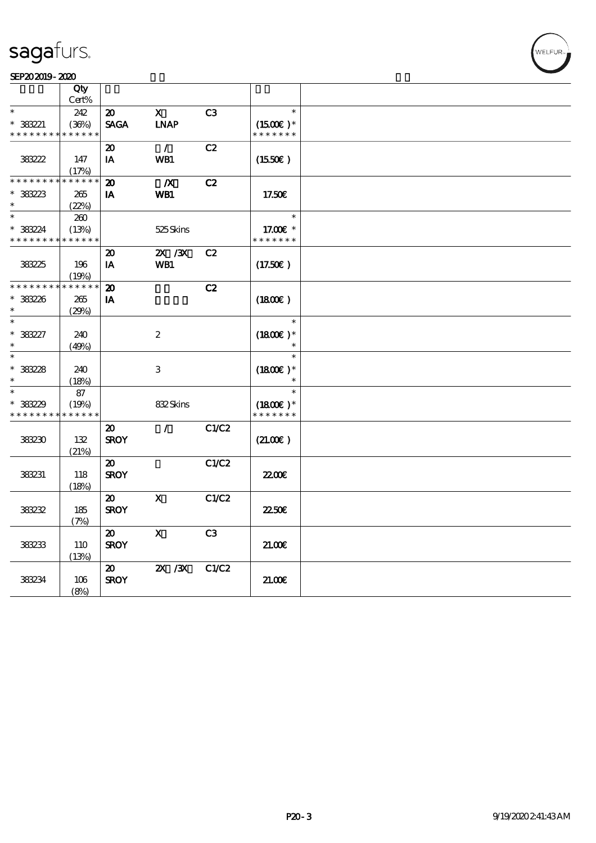#### SEP202019-2020

|                               | Qty<br>Cert% |                                            |                           |                |                             |  |
|-------------------------------|--------------|--------------------------------------------|---------------------------|----------------|-----------------------------|--|
| $\ast$                        | 242          | $\boldsymbol{\mathsf{20}}$                 | $\mathbf x$               | C <sub>3</sub> |                             |  |
|                               |              |                                            |                           |                |                             |  |
| $* 383221$<br>* * * * * * * * | (36%)        | <b>SAGA</b>                                | <b>INAP</b>               |                | $(1500E)*$<br>* * * * * * * |  |
|                               | * * * * * *  |                                            |                           |                |                             |  |
|                               |              | 20                                         | $\mathcal{L}$             | C2             |                             |  |
| 38322                         | 147          | IA                                         | WB1                       |                | (1550E)                     |  |
|                               | (17%)        |                                            |                           |                |                             |  |
| * * * * * * * * * * * * * *   |              | $\boldsymbol{\mathbf{z}}$                  | $\boldsymbol{X}$          | C2             |                             |  |
| $*38223$                      | 265          | IA                                         | WB1                       |                | 17.50E                      |  |
| $\ast$                        | (22%)        |                                            |                           |                |                             |  |
| $\ast$                        | 200          |                                            |                           |                | $\ast$                      |  |
| $* 38224$                     | (13%)        |                                            | 525Skins                  |                | 17.00 $\varepsilon$ *       |  |
| * * * * * * * * * * * * * *   |              |                                            |                           |                | * * * * * * *               |  |
|                               |              | 20                                         | ZX / XX                   | C2             |                             |  |
| 38325                         | 196          | IA                                         | WB1                       |                | (17.50)                     |  |
|                               | (19%)        |                                            |                           |                |                             |  |
| * * * * * * * *               | * * * * * *  | $\boldsymbol{\mathbf{z}}$                  |                           | C2             |                             |  |
| * 383226                      | 265          | IA                                         |                           |                | $(1800\varepsilon)$         |  |
| $\ast$                        | (29%)        |                                            |                           |                |                             |  |
| $\ast$                        |              |                                            |                           |                | $\ast$                      |  |
| $* 383227$                    | 240          |                                            | $\boldsymbol{2}$          |                | $(1800)$ *                  |  |
| $\ast$                        | (49%)        |                                            |                           |                |                             |  |
| $\ast$                        |              |                                            |                           |                | $\ast$                      |  |
| $* 38228$                     | 240          |                                            | $\ensuremath{\mathbf{3}}$ |                | $(1800E)*$                  |  |
| $\ast$                        | (18%)        |                                            |                           |                |                             |  |
| $\ast$                        | 87           |                                            |                           |                | $\ast$                      |  |
| $* 38229$                     | (19%)        |                                            | 832Skins                  |                | $(1800)$ *                  |  |
| * * * * * * * *               | * * * * * *  |                                            |                           |                | * * * * * * *               |  |
|                               |              | $\boldsymbol{\mathfrak{D}}$                | $\mathcal{L}$             | C1/C2          |                             |  |
|                               |              | <b>SROY</b>                                |                           |                |                             |  |
| 38230                         | 132          |                                            |                           |                | (21.00)                     |  |
|                               | (21%)        |                                            |                           |                |                             |  |
| 383231                        |              | $\boldsymbol{\mathfrak{D}}$<br><b>SROY</b> |                           | C1/C2          | 2200                        |  |
|                               | 118          |                                            |                           |                |                             |  |
|                               | (18%)        |                                            |                           |                |                             |  |
|                               |              | $\boldsymbol{\mathfrak{D}}$                | $\mathbf x$               | C1/C2          |                             |  |
| 383232                        | 185          | <b>SROY</b>                                |                           |                | <b>2250€</b>                |  |
|                               | (7%)         |                                            |                           |                |                             |  |
|                               |              | 20                                         | $\mathbf{x}$              | C <sub>3</sub> |                             |  |
| 38233                         | <b>110</b>   | <b>SROY</b>                                |                           |                | 2100                        |  |
|                               | (13%)        |                                            |                           |                |                             |  |
|                               |              | $\boldsymbol{\mathfrak{D}}$                | $X \, X$                  | C1/C2          |                             |  |
| 383234                        | 106          | <b>SROY</b>                                |                           |                | 21.00E                      |  |
|                               | (8%)         |                                            |                           |                |                             |  |

WELFUR-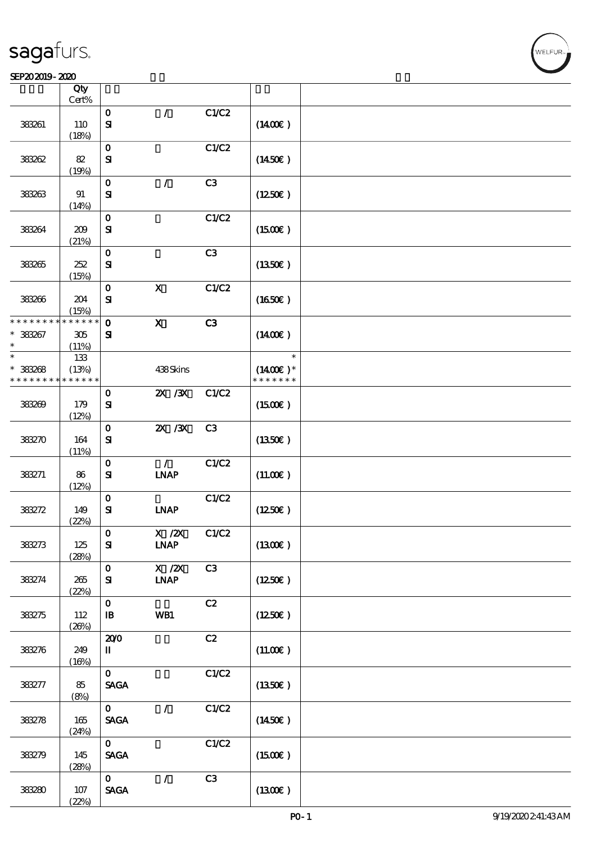#### SEP202019-2020

|                 | Qty<br>Cert% |                                                |                              |       |                     |  |
|-----------------|--------------|------------------------------------------------|------------------------------|-------|---------------------|--|
|                 |              | $\mathbf O$                                    | $\prime$                     | C1/C2 |                     |  |
| 38381           | 110<br>(18%) | $\mathbf{S}$                                   |                              |       | $(1400\varepsilon)$ |  |
|                 |              | $\mathbf 0$                                    |                              | C1/C2 |                     |  |
| 38382           | 82           | ${\bf S}$                                      |                              |       | $(1450\varepsilon)$ |  |
|                 | (19%)        |                                                |                              |       |                     |  |
|                 |              | $\mathbf O$                                    | $\mathcal{L}$                | C3    |                     |  |
| 383263          | 91<br>(14%)  | ${\bf S\!I}$                                   |                              |       | $(1250\varepsilon)$ |  |
|                 |              | $\mathbf O$                                    |                              | C1/C2 |                     |  |
| 38364           | 209<br>(21%) | $\mathbf{S}$                                   |                              |       | (1500E)             |  |
|                 |              | $\mathbf 0$                                    |                              | C3    |                     |  |
| 383265          | 252          | ${\bf S}$                                      |                              |       | (1350)              |  |
|                 | (15%)        |                                                |                              |       |                     |  |
| 383266          | 204          | $\mathbf 0$<br>${\bf s}$                       | $\boldsymbol{\mathrm{X}}$    | C1/C2 | (1650)              |  |
|                 | (15%)        |                                                |                              |       |                     |  |
| * * * * * * * * | * * * * * *  | $\mathbf{o}$                                   | $\mathbf x$                  | C3    |                     |  |
| * 383267        | 305          | ${\bf s}$                                      |                              |       | (1400E)             |  |
| $\ast$          | (11%)        |                                                |                              |       |                     |  |
| $\ast$          | 133          |                                                |                              |       | $\ast$              |  |
| $* 38208$       | (13%)        |                                                | 438Skins                     |       | $(1400E)*$          |  |
| * * * * * * * * | * * * * * *  |                                                |                              |       | * * * * * * *       |  |
|                 |              | $\mathbf{o}$                                   | $X \, X$                     | C1/C2 |                     |  |
| 383269          | 179          | $\mathbf{S}$                                   |                              |       | (1500E)             |  |
|                 | (12%)        |                                                |                              |       |                     |  |
|                 |              | $\mathbf 0$                                    | $ZX$ $ZX$                    | C3    |                     |  |
| 383270          | 164          | $\mathbf{S}$                                   |                              |       | (1350)              |  |
|                 | (11%)        |                                                |                              |       |                     |  |
|                 |              | $\mathbf O$                                    | $\mathcal{L}$                | C1/C2 |                     |  |
| 383271          | 86<br>(12%)  | ${\bf s}$                                      | <b>INAP</b>                  |       | (11.00)             |  |
|                 |              | $\mathbf O$                                    |                              | C1/C2 |                     |  |
| 383272          | 149          | ${\bf s}$                                      | <b>INAP</b>                  |       | (1250E)             |  |
|                 | (22%)        |                                                |                              |       |                     |  |
|                 |              | $\mathbf 0$                                    | $X$ / $ZX$                   | C1/C2 |                     |  |
| 383273          | 125          | ${\bf s}$                                      | <b>LNAP</b>                  |       | (1300)              |  |
|                 | (28%)        |                                                |                              |       |                     |  |
|                 |              | $\mathbf{O}$                                   | $X$ / $ZX$                   | C3    |                     |  |
| 383274          | 265          | ${\bf s}$                                      | $\ensuremath{\mathbf{INAP}}$ |       | $(1250\epsilon)$    |  |
|                 | (22%)        |                                                |                              |       |                     |  |
|                 |              | $\mathbf{o}$                                   |                              | C2    |                     |  |
| 383275          | 112<br>(20%) | $\, {\bf I} \! {\bf B} \,$                     | WB1                          |       | (1250E)             |  |
|                 |              | 200                                            |                              | C2    |                     |  |
| 383276          | 249          | $\rm I\hspace{-.1em}I\hspace{-.1em}I$          |                              |       | (11.00)             |  |
|                 | (16%)        |                                                |                              |       |                     |  |
|                 |              | $\mathbf{O}$                                   |                              | C1/C2 |                     |  |
| 383277          | 85           | $\operatorname{\mathsf{SAGA}}$                 |                              |       | (1350)              |  |
|                 | (8%)         |                                                |                              |       |                     |  |
|                 |              | $\mathbf{O}$                                   | $\mathcal{L}$                | C1/C2 |                     |  |
| 38278           | 165          | <b>SAGA</b>                                    |                              |       | (1450E)             |  |
|                 | (24%)        |                                                |                              |       |                     |  |
|                 |              | $\mathbf{O}$                                   |                              | C1/C2 |                     |  |
| 383279          | 145          | $\mathbf{S}\!\mathbf{A}\!\mathbf{G}\mathbf{A}$ |                              |       | (1500E)             |  |
|                 | (28%)        |                                                |                              |       |                     |  |
|                 |              | $\mathbf{O}$                                   | $\mathcal{L}$                | C3    |                     |  |
| 38280           | $107$        | $\operatorname{\mathsf{SAGA}}$                 |                              |       | (1300)              |  |
|                 | (22%)        |                                                |                              |       |                     |  |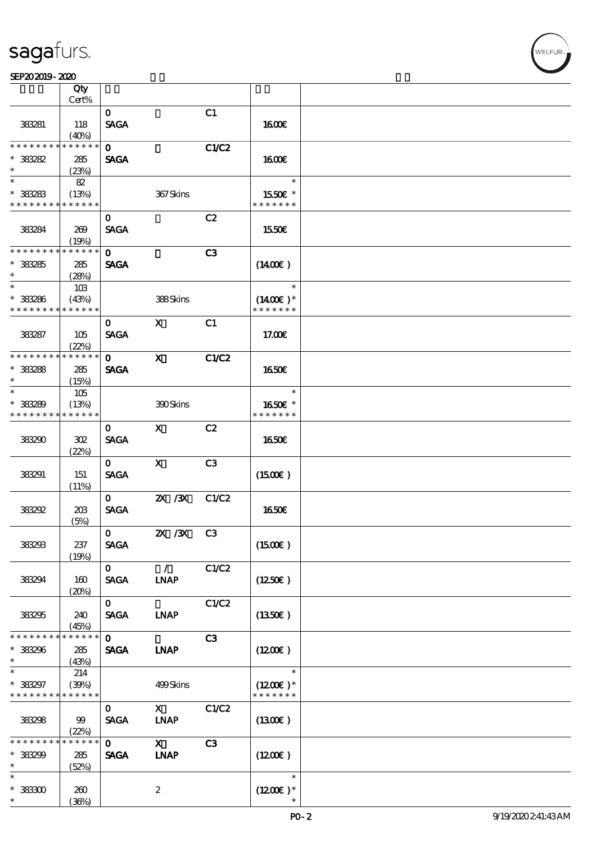$\top$ 

#### $SEP202019 - 2020$

|                                          | Qty<br>Cert%         |                             |                              |                |                                       |  |
|------------------------------------------|----------------------|-----------------------------|------------------------------|----------------|---------------------------------------|--|
|                                          |                      |                             |                              |                |                                       |  |
| 383281                                   | 118                  | $\mathbf{O}$<br><b>SAGA</b> |                              | C1             | 1600E                                 |  |
|                                          | (40%)                |                             |                              |                |                                       |  |
| * * * * * * * *                          | * * * * * *          | $\mathbf{O}$                |                              | C1/C2          |                                       |  |
| $*38282$<br>$\ast$                       | 285<br>(23%)         | <b>SAGA</b>                 |                              |                | 1600                                  |  |
| $\overline{\ast}$                        | 82                   |                             |                              |                | $\ast$                                |  |
| $* 38283$<br>* * * * * * * * * * * * * * | (13%)                |                             | 367Skins                     |                | 1550E *<br>* * * * * * *              |  |
|                                          |                      | $\mathbf{o}$                |                              | C2             |                                       |  |
| 383284                                   | 269<br>(19%)         | <b>SAGA</b>                 |                              |                | 1550€                                 |  |
| * * * * * * * *                          | * * * * * *          | $\mathbf{O}$                |                              | C <sub>3</sub> |                                       |  |
| $* 38285$<br>$\ast$                      | 285                  | <b>SAGA</b>                 |                              |                | $(1400\varepsilon)$                   |  |
| $\ast$                                   | (28%)                |                             |                              |                | $\ast$                                |  |
|                                          | 10B                  |                             |                              |                |                                       |  |
| $* 38286$<br>* * * * * * * *             | (43%)<br>* * * * * * |                             | 388Skins                     |                | $(1400\varepsilon)*$<br>* * * * * * * |  |
|                                          |                      | $\mathbf{o}$                | $\mathbf{X}$                 | C1             |                                       |  |
| 383287                                   | 105<br>(22%)         | <b>SACA</b>                 |                              |                | 17.00E                                |  |
| * * * * * * * *                          | * * * * * *          | $\Omega$                    | $\mathbf{X}$                 | C1/C2          |                                       |  |
| $* 33288$                                | 285                  | <b>SAGA</b>                 |                              |                | 1650€                                 |  |
| $\ast$                                   | (15%)                |                             |                              |                |                                       |  |
| $\ast$                                   | 105                  |                             |                              |                | $\ast$                                |  |
| $* 38289$                                | (13%)                |                             | 300Skins                     |                | 1650E *                               |  |
| * * * * * * * *                          | * * * * * *          |                             |                              |                | * * * * * * *                         |  |
|                                          |                      | 0                           | $\mathbf{X}$                 | C2             |                                       |  |
| 383290                                   | 302                  | <b>SAGA</b>                 |                              |                | <b>1650€</b>                          |  |
|                                          | (22%)                |                             |                              |                |                                       |  |
|                                          |                      | $\mathbf{0}$                | $\mathbf{X}$                 | C3             |                                       |  |
| 383291                                   | 151                  | <b>SAGA</b>                 |                              |                | $(1500\varepsilon)$                   |  |
|                                          | (11%)                | $\mathbf{O}$                | 2X / 3X                      | C1/C2          |                                       |  |
| 383292                                   | 20B                  | <b>SAGA</b>                 |                              |                | 1650€                                 |  |
|                                          | (5%)                 |                             |                              |                |                                       |  |
|                                          |                      | $\mathbf{O}$                | <b>2X /3X C3</b>             |                |                                       |  |
| 38293                                    | 237                  | <b>SAGA</b>                 |                              |                | (1500E)                               |  |
|                                          | (19%)                |                             |                              |                |                                       |  |
|                                          |                      | $\mathbf{O}$                | $\mathcal{L}$                | C1/C2          |                                       |  |
| 383294                                   | 160                  | <b>SAGA</b>                 | <b>INAP</b>                  |                | $(1250\epsilon)$                      |  |
|                                          | (20%)                |                             |                              |                |                                       |  |
|                                          |                      | $\mathbf{O}$                |                              | C1/C2          |                                       |  |
| 383295                                   | 240                  | <b>SAGA</b>                 | <b>LNAP</b>                  |                | (1350E)                               |  |
| * * * * * * * *                          | (45%)<br>* * * * * * | $\mathbf{O}$                |                              | C3             |                                       |  |
| * 38296                                  | 285                  | <b>SAGA</b>                 | <b>INAP</b>                  |                | $(1200\varepsilon)$                   |  |
| $\ast$                                   | (43%)                |                             |                              |                |                                       |  |
| $\ast$                                   | 214                  |                             |                              |                | $\ast$                                |  |
| * 383297                                 | (39%)                |                             | 499Skins                     |                | $(1200E)*$                            |  |
| * * * * * * * * * * * * * *              |                      |                             |                              |                | * * * * * * *                         |  |
|                                          |                      | $\mathbf{O}$                | $\mathbf X$                  | C1/C2          |                                       |  |
| 38298                                    | 99                   | <b>SACA</b>                 | $\ensuremath{\mathbf{INAP}}$ |                | $(1300\epsilon)$                      |  |
|                                          | (22%)                |                             |                              |                |                                       |  |
| * * * * * * * *                          | * * * * * *          | $\mathbf{O}$                | $\mathbf{X}$                 | C3             |                                       |  |
| $* 38299$                                | 285                  | <b>SAGA</b>                 | <b>INAP</b>                  |                | (1200E)                               |  |
| $\ast$                                   | (52%)                |                             |                              |                |                                       |  |
| $\ast$                                   |                      |                             |                              |                | $\ast$                                |  |
| $* 38300$<br>$\ast$                      | 260<br>(36%)         |                             | $\boldsymbol{2}$             |                | $(1200E)*$                            |  |
|                                          |                      |                             |                              |                |                                       |  |

 $\overline{\mathbf{r}}$ 

WELFUR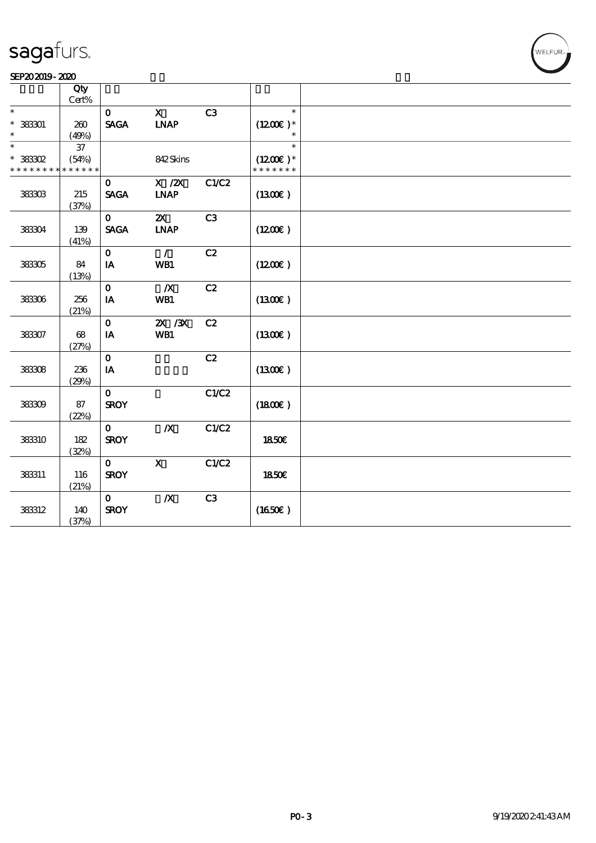|                 | Qty         |              |                                                                              |                |                              |  |
|-----------------|-------------|--------------|------------------------------------------------------------------------------|----------------|------------------------------|--|
|                 | $Cert\%$    |              |                                                                              |                |                              |  |
| $\ast$          |             | $\mathbf{o}$ | $\mathbf{x}$                                                                 | C <sub>3</sub> | $\ast$                       |  |
| $* 38301$       | 260         | <b>SAGA</b>  | INAP                                                                         |                | $(1200E)*$                   |  |
| $\ast$          | (49%)       |              |                                                                              |                | $\ast$                       |  |
| $\ast$          | $37\,$      |              |                                                                              |                | $\ast$                       |  |
|                 |             |              |                                                                              |                |                              |  |
| $*$ 383302      | (54%)       |              | 842Skins                                                                     |                | $(1200E)^*$<br>* * * * * * * |  |
| * * * * * * * * | * * * * * * |              |                                                                              |                |                              |  |
|                 |             | $\mathbf{O}$ | $\boldsymbol{\mathrm{X}}$ / $\boldsymbol{\mathrm{Z}}\boldsymbol{\mathrm{X}}$ | C1/C2          |                              |  |
| 38303           | 215         | <b>SAGA</b>  | <b>INAP</b>                                                                  |                | (1300)                       |  |
|                 | (37%)       |              |                                                                              |                |                              |  |
|                 |             | $\mathbf 0$  | $\boldsymbol{\mathsf{Z}}$                                                    | C3             |                              |  |
| 38304           | 139         | <b>SAGA</b>  | <b>INAP</b>                                                                  |                | (1200E)                      |  |
|                 | (41%)       |              |                                                                              |                |                              |  |
|                 |             | $\mathbf 0$  | $\mathcal{L}$                                                                | C2             |                              |  |
| 38305           | 84          | IA           | WB1                                                                          |                | (1200E)                      |  |
|                 | (13%)       |              |                                                                              |                |                              |  |
|                 |             | $\mathbf{o}$ | $\boldsymbol{X}$                                                             | C2             |                              |  |
| 38306           | 256         | IA           | WB1                                                                          |                | (1300)                       |  |
|                 |             |              |                                                                              |                |                              |  |
|                 | (21%)       |              |                                                                              |                |                              |  |
|                 |             | $\mathbf{o}$ | 2X / 3X                                                                      | C2             |                              |  |
| 38307           | 68          | IA           | WB1                                                                          |                | (1300)                       |  |
|                 | (27%)       |              |                                                                              |                |                              |  |
|                 |             | $\mathbf 0$  |                                                                              | C2             |                              |  |
| 38308           | 236         | IA           |                                                                              |                | (1300)                       |  |
|                 | (29%)       |              |                                                                              |                |                              |  |
|                 |             | $\mathbf{o}$ |                                                                              | C1/C2          |                              |  |
| 38309           | 87          | <b>SROY</b>  |                                                                              |                | (1800)                       |  |
|                 | (22%)       |              |                                                                              |                |                              |  |
|                 |             | $\mathbf{O}$ | $\boldsymbol{X}$                                                             | C1/C2          |                              |  |
| 383310          | 182         | <b>SROY</b>  |                                                                              |                | <b>1850€</b>                 |  |
|                 | (32%)       |              |                                                                              |                |                              |  |
|                 |             | $\mathbf{O}$ | $\mathbf{x}$                                                                 | C1/C2          |                              |  |
| 383311          | 116         | <b>SROY</b>  |                                                                              |                | 1850E                        |  |
|                 |             |              |                                                                              |                |                              |  |
|                 | (21%)       |              |                                                                              |                |                              |  |
|                 |             | $\mathbf{O}$ | $\boldsymbol{X}$                                                             | C3             |                              |  |
| 383312          | 140         | <b>SROY</b>  |                                                                              |                | (1650)                       |  |
|                 | (37%)       |              |                                                                              |                |                              |  |

WELFUR<sub>T</sub>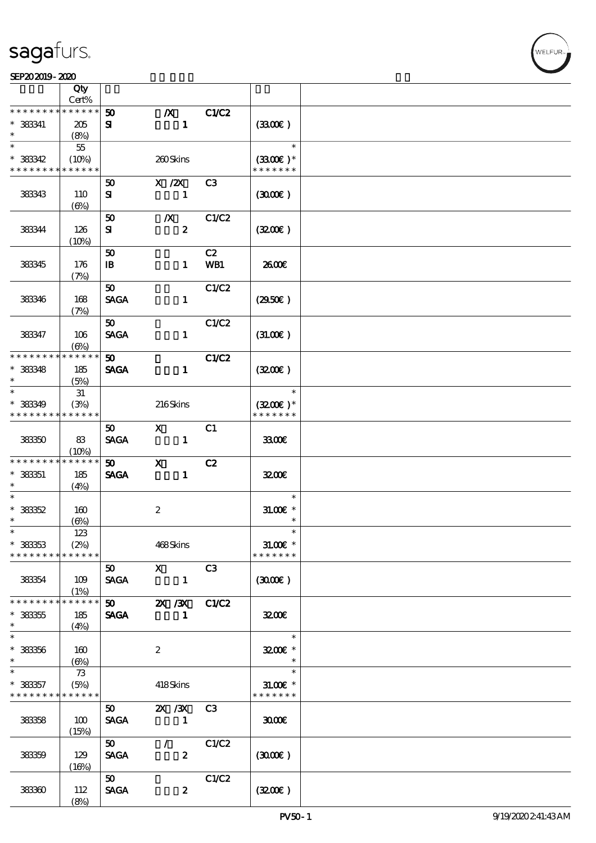|                               | Qty                       |                   |                  |                                                                                                                                                                                                                                                                                                                                                                                                                                                               |              |                            |  |
|-------------------------------|---------------------------|-------------------|------------------|---------------------------------------------------------------------------------------------------------------------------------------------------------------------------------------------------------------------------------------------------------------------------------------------------------------------------------------------------------------------------------------------------------------------------------------------------------------|--------------|----------------------------|--|
| * * * * * * *                 | Cert%<br>* * * * * *      |                   |                  |                                                                                                                                                                                                                                                                                                                                                                                                                                                               |              |                            |  |
| $*$ 383341                    |                           | 50                | $\boldsymbol{X}$ | $\mathbf{1}$                                                                                                                                                                                                                                                                                                                                                                                                                                                  | C1/C2        |                            |  |
| $\ast$                        | 205<br>(8%)               | ${\bf s}$         |                  |                                                                                                                                                                                                                                                                                                                                                                                                                                                               |              | (330)                      |  |
| $\ast$                        | $5\!5$                    |                   |                  |                                                                                                                                                                                                                                                                                                                                                                                                                                                               |              | $\ast$                     |  |
| $*$ 383342                    | (10%)                     |                   | 260Skins         |                                                                                                                                                                                                                                                                                                                                                                                                                                                               |              | $(3300)$ *                 |  |
| * * * * * * * *               | * * * * * *               |                   |                  |                                                                                                                                                                                                                                                                                                                                                                                                                                                               |              | * * * * * * *              |  |
|                               |                           | 50                | X / ZX           |                                                                                                                                                                                                                                                                                                                                                                                                                                                               | C3           |                            |  |
| 383343                        | 110                       | ${\bf s}$         |                  | $\mathbf{1}$                                                                                                                                                                                                                                                                                                                                                                                                                                                  |              | (300)                      |  |
|                               | $(\Theta)$                |                   |                  |                                                                                                                                                                                                                                                                                                                                                                                                                                                               |              |                            |  |
|                               |                           | 50                | $\boldsymbol{X}$ |                                                                                                                                                                                                                                                                                                                                                                                                                                                               | C1/C2        |                            |  |
| 383344                        | 126                       | ${\bf s}$         |                  | $\pmb{2}$                                                                                                                                                                                                                                                                                                                                                                                                                                                     |              | (320)                      |  |
|                               | (10%)                     | 50                |                  |                                                                                                                                                                                                                                                                                                                                                                                                                                                               | C2           |                            |  |
| 383345                        | 176                       | $\mathbf{B}$      |                  | $\mathbf{1}$                                                                                                                                                                                                                                                                                                                                                                                                                                                  | WB1          | 2600E                      |  |
|                               | (7%)                      |                   |                  |                                                                                                                                                                                                                                                                                                                                                                                                                                                               |              |                            |  |
|                               |                           | 50                |                  |                                                                                                                                                                                                                                                                                                                                                                                                                                                               | C1/C2        |                            |  |
| 383346                        | 168                       | <b>SAGA</b>       |                  | $\mathbf{1}$                                                                                                                                                                                                                                                                                                                                                                                                                                                  |              | (2950)                     |  |
|                               | (7%)                      |                   |                  |                                                                                                                                                                                                                                                                                                                                                                                                                                                               |              |                            |  |
|                               |                           | 50 <sub>o</sub>   |                  |                                                                                                                                                                                                                                                                                                                                                                                                                                                               | C1/C2        |                            |  |
| 383347                        | 106                       | <b>SAGA</b>       |                  | $\mathbf{1}$                                                                                                                                                                                                                                                                                                                                                                                                                                                  |              | (31.00)                    |  |
| * * * * * * * *               | $(\Theta)$<br>* * * * * * | 50 <sub>o</sub>   |                  |                                                                                                                                                                                                                                                                                                                                                                                                                                                               |              |                            |  |
| $* 38348$                     | 185                       | <b>SAGA</b>       |                  | $\mathbf{1}$                                                                                                                                                                                                                                                                                                                                                                                                                                                  | C1/C2        | (320)                      |  |
| $\ast$                        | (5%)                      |                   |                  |                                                                                                                                                                                                                                                                                                                                                                                                                                                               |              |                            |  |
| $\ast$                        | 31                        |                   |                  |                                                                                                                                                                                                                                                                                                                                                                                                                                                               |              | $\ast$                     |  |
| * 383349                      | (3%)                      |                   | 216Skins         |                                                                                                                                                                                                                                                                                                                                                                                                                                                               |              | $(3200)$ *                 |  |
| * * * * * * * *               | * * * * * *               |                   |                  |                                                                                                                                                                                                                                                                                                                                                                                                                                                               |              | * * * * * * *              |  |
|                               |                           | 50                | $\mathbf{x}$     |                                                                                                                                                                                                                                                                                                                                                                                                                                                               | C1           |                            |  |
| 383350                        | 83                        | <b>SAGA</b>       |                  | $\mathbf{1}$                                                                                                                                                                                                                                                                                                                                                                                                                                                  |              | 3300                       |  |
| * * * * * * * *               | (10%)                     |                   |                  |                                                                                                                                                                                                                                                                                                                                                                                                                                                               |              |                            |  |
|                               | * * * * * *               | 50 <sub>1</sub>   | $\mathbf{x}$     | $\mathbf{1}$                                                                                                                                                                                                                                                                                                                                                                                                                                                  | C2           |                            |  |
| $* 38351$<br>$\ast$           | 185<br>(4%)               | <b>SAGA</b>       |                  |                                                                                                                                                                                                                                                                                                                                                                                                                                                               |              | 3200                       |  |
| $\ast$                        |                           |                   |                  |                                                                                                                                                                                                                                                                                                                                                                                                                                                               |              | $\ast$                     |  |
| $* 38352$                     | 160                       |                   | $\boldsymbol{z}$ |                                                                                                                                                                                                                                                                                                                                                                                                                                                               |              | $31.005$ *                 |  |
| $\ast$                        | $(\Theta)$                |                   |                  |                                                                                                                                                                                                                                                                                                                                                                                                                                                               |              | $\ast$                     |  |
| $\ast$                        | 123                       |                   |                  |                                                                                                                                                                                                                                                                                                                                                                                                                                                               |              |                            |  |
| $*38353$                      | (2%)                      |                   | 468Skins         |                                                                                                                                                                                                                                                                                                                                                                                                                                                               |              | $31.00E$ *                 |  |
| * * * * * * * *               | * * * * * *               |                   |                  |                                                                                                                                                                                                                                                                                                                                                                                                                                                               |              | * * * * * * *              |  |
| 38354                         |                           | 50<br><b>SAGA</b> |                  | $\boldsymbol{\mathrm{X}}$ and $\boldsymbol{\mathrm{X}}$ and $\boldsymbol{\mathrm{X}}$ and $\boldsymbol{\mathrm{X}}$ and $\boldsymbol{\mathrm{X}}$ and $\boldsymbol{\mathrm{X}}$ and $\boldsymbol{\mathrm{X}}$ and $\boldsymbol{\mathrm{X}}$ and $\boldsymbol{\mathrm{X}}$ and $\boldsymbol{\mathrm{X}}$ and $\boldsymbol{\mathrm{X}}$ and $\boldsymbol{\mathrm{X}}$ and $\boldsymbol{\mathrm{X}}$ and $\boldsymbol{\mathrm{X}}$ and $\boldsymbol{\mathrm{X}}$ | C3           | (300)                      |  |
|                               | 109<br>(1%)               |                   |                  | $\blacksquare$                                                                                                                                                                                                                                                                                                                                                                                                                                                |              |                            |  |
| * * * * * * * *               | * * * * * *               | 50                |                  | 2X / 3X                                                                                                                                                                                                                                                                                                                                                                                                                                                       | <b>C1/C2</b> |                            |  |
| $* 33355$                     | 185                       | <b>SAGA</b>       |                  | $\mathbf{1}$                                                                                                                                                                                                                                                                                                                                                                                                                                                  |              | 3200                       |  |
| $\ast$                        | (4%)                      |                   |                  |                                                                                                                                                                                                                                                                                                                                                                                                                                                               |              |                            |  |
| $\ast$                        |                           |                   |                  |                                                                                                                                                                                                                                                                                                                                                                                                                                                               |              | $\ast$                     |  |
| $* 38356$                     | 160                       |                   | $\boldsymbol{2}$ |                                                                                                                                                                                                                                                                                                                                                                                                                                                               |              | $3200$ $*$                 |  |
| $\ast$                        | (6%)                      |                   |                  |                                                                                                                                                                                                                                                                                                                                                                                                                                                               |              | $\ast$                     |  |
| $\ast$                        | 73                        |                   |                  |                                                                                                                                                                                                                                                                                                                                                                                                                                                               |              | $\ast$                     |  |
| $* 383357$<br>* * * * * * * * | (5%)<br>* * * * * *       |                   | 418Skins         |                                                                                                                                                                                                                                                                                                                                                                                                                                                               |              | $31.005*$<br>* * * * * * * |  |
|                               |                           | 50                |                  | <b>2X / 3X</b>                                                                                                                                                                                                                                                                                                                                                                                                                                                | C3           |                            |  |
| 38358                         | 100                       | <b>SAGA</b>       |                  | $\mathbf{1}$                                                                                                                                                                                                                                                                                                                                                                                                                                                  |              | 3000                       |  |
|                               | (15%)                     |                   |                  |                                                                                                                                                                                                                                                                                                                                                                                                                                                               |              |                            |  |
|                               |                           | 50                | $\mathcal{F}$    |                                                                                                                                                                                                                                                                                                                                                                                                                                                               | C1/C2        |                            |  |
| 38359                         | 129                       | <b>SAGA</b>       |                  | $\boldsymbol{z}$                                                                                                                                                                                                                                                                                                                                                                                                                                              |              | (300)                      |  |
|                               | (16%)                     |                   |                  |                                                                                                                                                                                                                                                                                                                                                                                                                                                               |              |                            |  |
|                               |                           | 50                |                  |                                                                                                                                                                                                                                                                                                                                                                                                                                                               | C1/C2        |                            |  |
| 383300                        | 112                       | <b>SAGA</b>       |                  | $\boldsymbol{z}$                                                                                                                                                                                                                                                                                                                                                                                                                                              |              | (320)                      |  |
|                               | (8%)                      |                   |                  |                                                                                                                                                                                                                                                                                                                                                                                                                                                               |              |                            |  |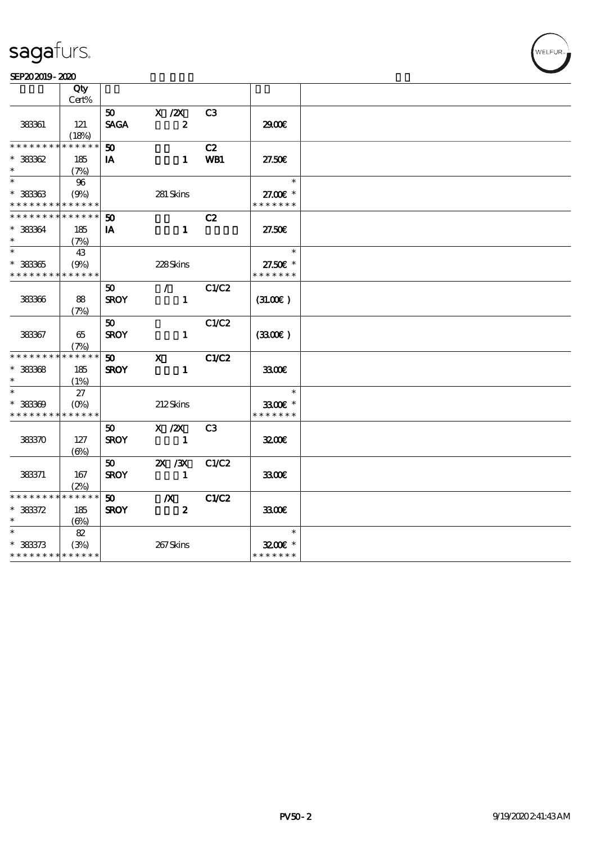### SEP202019-2020

|                                            | Qty        |                 |                      |              |                          |  |
|--------------------------------------------|------------|-----------------|----------------------|--------------|--------------------------|--|
|                                            | Cert%      |                 |                      |              |                          |  |
|                                            |            |                 | $50$ X $\cancel{2}X$ | C3           |                          |  |
| 38361                                      | 121        | <b>SAGA</b>     | $\boldsymbol{z}$     |              | 2900                     |  |
|                                            | (18%)      |                 |                      |              |                          |  |
| * * * * * * * * <mark>* * * * * *</mark>   |            | 50              |                      | C2           |                          |  |
| $*38362$                                   | 185        | IA              | $\mathbf 1$          | WB1          | 27.50E                   |  |
| $\ast$                                     | (7%)       |                 |                      |              |                          |  |
| $\ast$                                     | 96         |                 |                      |              | $\overline{\phantom{a}}$ |  |
| $*$ 38363                                  | (9%)       |                 | 281 Skins            |              | 27.00€ *                 |  |
| * * * * * * * * * * * * * *                |            |                 |                      |              | * * * * * * *            |  |
| * * * * * * * * <mark>* * * * * * *</mark> |            | 50              |                      | C2           |                          |  |
| $*$ 383364                                 | 185        | IA              | $\mathbf{1}$         |              | 27.50E                   |  |
| $\ast$                                     | (7%)       |                 |                      |              |                          |  |
| $\overline{\ast}$                          | 43         |                 |                      |              | $\overline{\phantom{a}}$ |  |
| $* 333365$                                 | (9%)       |                 | 228Skins             |              | 27.50€ *                 |  |
| * * * * * * * * * * * * * *                |            |                 |                      |              | * * * * * * *            |  |
|                                            |            | 50              | $\mathcal{L}$        | C1/C2        |                          |  |
| 383366                                     | 88         | <b>SROY</b>     | $\mathbf{1}$         |              | (31.00)                  |  |
|                                            | (7%)       |                 |                      |              |                          |  |
|                                            |            | 50              |                      | C1/C2        |                          |  |
| 383367                                     | 65         | <b>SROY</b>     | $\mathbf{1}$         |              | (3300)                   |  |
|                                            | (7%)       |                 |                      |              |                          |  |
| * * * * * * * * <mark>* * * * * *</mark>   |            | 50              | $\mathbf{x}$         | <b>C1/C2</b> |                          |  |
| $*$ 383368                                 | 185        | <b>SROY</b>     | $\mathbf{1}$         |              | 3300                     |  |
| $\ast$                                     | (1%)       |                 |                      |              |                          |  |
| $\ast$                                     | 27         |                 |                      |              | $\ast$                   |  |
| $* 38369$                                  | $(O\%)$    |                 | 212Skins             |              | 3300€ *                  |  |
| * * * * * * * * * * * * * *                |            |                 |                      |              | * * * * * * *            |  |
|                                            |            | 50 <sub>1</sub> | $X \, /ZX$           | C3           |                          |  |
| 38370                                      | 127        | <b>SROY</b>     | $\sim$ 1             |              | 3200E                    |  |
|                                            | (6%)       |                 |                      |              |                          |  |
|                                            |            | 50              | $\chi$ / $\chi$      | C1/C2        |                          |  |
| 383371                                     | 167        | <b>SROY</b>     | $\blacksquare$       |              | 3300                     |  |
|                                            | (2%)       |                 |                      |              |                          |  |
| * * * * * * * * * * * * * *                |            | 50              | $\mathbb{X}$         | C1/C2        |                          |  |
| $* 38372$                                  | 185        | <b>SROY</b>     | $\boldsymbol{z}$     |              | 3300                     |  |
| $\ast$                                     | $(\Theta)$ |                 |                      |              |                          |  |
| $\ast$                                     | 82         |                 |                      |              | $\ast$                   |  |
| $* 383373$                                 | (3%)       |                 | 267Skins             |              | 3200E *                  |  |
| * * * * * * * * * * * * * *                |            |                 |                      |              | * * * * * * *            |  |
|                                            |            |                 |                      |              |                          |  |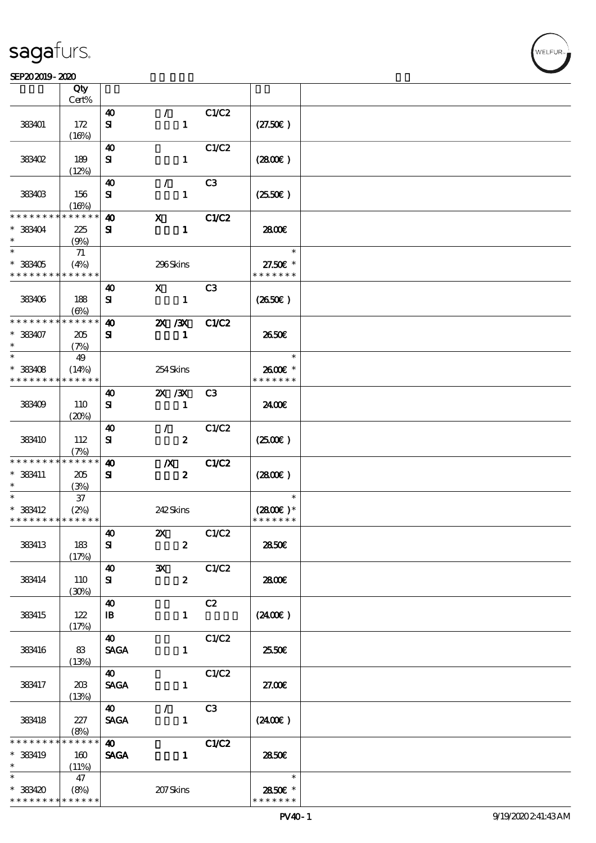### $S$ EP202019-2020  $\sim$  2020

|                             | Qty                 |                       |                  |                  |                |                        |  |
|-----------------------------|---------------------|-----------------------|------------------|------------------|----------------|------------------------|--|
|                             | Cert%               |                       |                  |                  |                |                        |  |
|                             |                     | $\boldsymbol{\omega}$ | $\mathcal{L}$    |                  | C1/C2          |                        |  |
| 383401                      | 172<br>(16%)        | ${\bf s}$             |                  | $\mathbf{1}$     |                | (27.50)                |  |
|                             |                     | 40                    |                  |                  | C1/C2          |                        |  |
| <b>383402</b>               | 189                 | ${\bf s}$             |                  | $\mathbf{1}$     |                | (2800)                 |  |
|                             | (12%)               |                       |                  |                  |                |                        |  |
|                             |                     | $\boldsymbol{\omega}$ | $\mathcal{L}$    |                  | C3             |                        |  |
| 383403                      | 156                 | ${\bf s}$             |                  | $\mathbf{1}$     |                | $(2550\varepsilon)$    |  |
|                             | (16%)               |                       |                  |                  |                |                        |  |
| * * * * * * * *             | * * * * * *         | $\boldsymbol{\omega}$ | $\mathbf{x}$     |                  | C1/C2          |                        |  |
| $*$ 383404                  | 225                 | ${\bf s}$             |                  | $\mathbf{1}$     |                | 2800E                  |  |
| $\ast$                      | (9%)                |                       |                  |                  |                |                        |  |
| $\overline{\ast}$           | 71                  |                       |                  |                  |                | $\ast$                 |  |
| $*$ 383405                  | (4%)                |                       | 296Skins         |                  |                | 27.50€ *               |  |
| * * * * * * * * * * * * * * |                     |                       |                  |                  |                | * * * * * * *          |  |
|                             |                     | $\boldsymbol{\omega}$ | $\mathbf{X}$     |                  | C <sub>3</sub> |                        |  |
| 383406                      | 188                 | ${\bf s}$             |                  | $\mathbf{1}$     |                | $(2650\epsilon)$       |  |
|                             | (6%)                |                       |                  |                  |                |                        |  |
| * * * * * * * *             | * * * * * *         | $\boldsymbol{\omega}$ | 2X / 3X          |                  | C1/C2          |                        |  |
| $* 383407$                  | 205                 | ${\bf s}$             |                  | $\mathbf{1}$     |                | 2650E                  |  |
| $\ast$                      | (7%)                |                       |                  |                  |                |                        |  |
| $\ast$                      | 49                  |                       |                  |                  |                | $\ast$                 |  |
| $*$ 383408                  | (14%)               |                       | 254Skins         |                  |                | $2600$ $\varepsilon$ * |  |
| * * * * * * * *             | * * * * * *         |                       |                  |                  |                | * * * * * * *          |  |
|                             |                     | 40                    | $\chi$ / $\chi$  |                  | C3             |                        |  |
| 383409                      | 110                 | ${\bf s}$             |                  | $\mathbf{1}$     |                | 2400€                  |  |
|                             | (20%)               |                       |                  |                  |                |                        |  |
|                             |                     | 40                    | $\mathcal{F}$    |                  | C1/C2          |                        |  |
| 383410                      | 112                 | ${\bf s}$             |                  | $\boldsymbol{z}$ |                | (2500)                 |  |
|                             | (7%)                |                       |                  |                  |                |                        |  |
| * * * * * * * *             | * * * * * *         | $\boldsymbol{\omega}$ | $\boldsymbol{X}$ |                  | C1/C2          |                        |  |
| $*$ 383411                  | 205                 | ${\bf s}$             |                  | $\boldsymbol{z}$ |                | (2800)                 |  |
| $\ast$                      | (3%)                |                       |                  |                  |                |                        |  |
| $\ast$                      | $37\,$              |                       |                  |                  |                | $\ast$                 |  |
| $*$ 383412                  | (2%)                |                       | 242Skins         |                  |                | $(2800)$ *             |  |
| * * * * * * * * * * * * * * |                     |                       |                  |                  |                | * * * * * * *          |  |
|                             |                     | $\boldsymbol{40}$     |                  | $\mathbf{X}$     | C1/C2          |                        |  |
| 383413                      | 183                 | ${\bf s}$             |                  | $\boldsymbol{z}$ |                | 2850€                  |  |
|                             | (17%)               |                       |                  |                  |                |                        |  |
|                             |                     | $\boldsymbol{\omega}$ | $\mathbf{x}$     |                  | C1/C2          |                        |  |
| 383414                      | 110                 | ${\bf s}$             |                  | $\boldsymbol{z}$ |                | 2800E                  |  |
|                             | (30%)               |                       |                  |                  |                |                        |  |
|                             |                     | $\boldsymbol{\omega}$ |                  |                  | C2             |                        |  |
| 383415                      | 122                 | $\mathbf{B}$          |                  | $\mathbf{1}$     |                | (2400)                 |  |
|                             | (17%)               |                       |                  |                  |                |                        |  |
|                             |                     | $\boldsymbol{\omega}$ |                  |                  | C1/C2          |                        |  |
| 383416                      | 83                  | <b>SAGA</b>           |                  | $\mathbf{1}$     |                | 25.50€                 |  |
|                             | (13%)               |                       |                  |                  |                |                        |  |
|                             |                     | <b>40</b>             |                  |                  | C1/C2          |                        |  |
| 383417                      | 203                 | <b>SAGA</b>           |                  | $\mathbf{1}$     |                | 27.00E                 |  |
|                             | (13%)               |                       |                  |                  |                |                        |  |
|                             |                     | $\boldsymbol{\omega}$ | $\mathcal{L}$    |                  | C3             |                        |  |
| 383418                      | 227                 | <b>SACA</b>           |                  | $\mathbf{1}$     |                | (2400)                 |  |
| * * * * * * * *             | (8%)<br>* * * * * * |                       |                  |                  |                |                        |  |
|                             |                     | $\boldsymbol{\omega}$ |                  |                  | C1/C2          |                        |  |
| * 383419<br>$\ast$          | 160                 | <b>SAGA</b>           |                  | $\mathbf{1}$     |                | 2850E                  |  |
| $\ast$                      | (11%)<br>47         |                       |                  |                  |                | $\ast$                 |  |
| $* 383420$                  |                     |                       |                  |                  |                | 2850€ *                |  |
| * * * * * * * *             | (8%)<br>* * * * * * |                       | 207Skins         |                  |                | * * * * * * *          |  |
|                             |                     |                       |                  |                  |                |                        |  |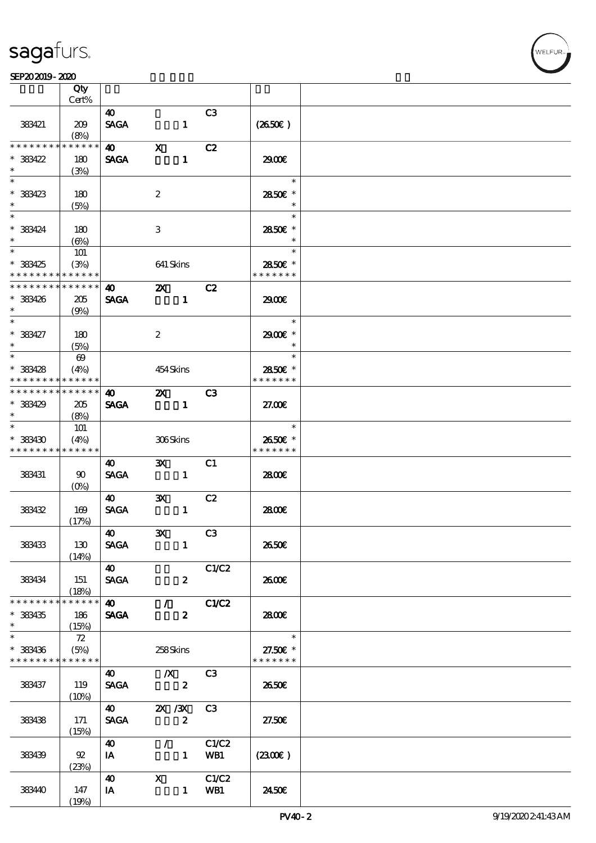### SEP202019-2020

|                 | Qty<br>Cert%          |                       |                         |                |               |  |
|-----------------|-----------------------|-----------------------|-------------------------|----------------|---------------|--|
|                 |                       |                       |                         |                |               |  |
| 383421          | 209<br>(8%)           | 40<br><b>SAGA</b>     | $\mathbf{1}$            | C3             | (2650E)       |  |
| * * * * * * *   | $* * * * * *$         | $\boldsymbol{40}$     | $\mathbf{X}$            | C2             |               |  |
|                 |                       |                       |                         |                |               |  |
| $* 383422$      | 180                   | <b>SAGA</b>           | $\mathbf{1}$            |                | 2900€         |  |
| $\ast$          | (3%)                  |                       |                         |                |               |  |
| $\ast$          |                       |                       |                         |                | $\ast$        |  |
|                 |                       |                       |                         |                |               |  |
| * 383423        | 180                   |                       | $\boldsymbol{2}$        |                | 2850€ *       |  |
|                 | (5%)                  |                       |                         |                | $\ast$        |  |
| $\ddot{x}$      |                       |                       |                         |                | $\ast$        |  |
| $*$ 383424      | 180                   |                       | 3                       |                | 2850€ *       |  |
| $\ast$          |                       |                       |                         |                | $\ast$        |  |
|                 | $(\Theta)$            |                       |                         |                |               |  |
|                 | 101                   |                       |                         |                | $\ast$        |  |
| * 383425        | (3%)                  |                       | 641 Skins               |                | 2850€ *       |  |
| * * * * * * * * | * * * * * *           |                       |                         |                | * * * * * * * |  |
| * * * * * * * * | * * * * * *           | 40                    | $\mathbf{z}$            | C2             |               |  |
|                 |                       |                       |                         |                |               |  |
| * 383426        | 205                   | <b>SAGA</b>           | $\blacksquare$          |                | 2900€         |  |
| $\ast$          | (9%)                  |                       |                         |                |               |  |
| $*$             |                       |                       |                         |                | $\ast$        |  |
| $* 383427$      | 180                   |                       | $\boldsymbol{2}$        |                | 2900€ *       |  |
| $\ast$          | (5%)                  |                       |                         |                | $\ast$        |  |
|                 |                       |                       |                         |                | $\ast$        |  |
|                 | $\boldsymbol{\omega}$ |                       |                         |                |               |  |
| $*$ 383428      | (4%)                  |                       | 454Skins                |                | 2850E *       |  |
| * * * * * * * * | $* * * * * * *$       |                       |                         |                | * * * * * * * |  |
| * * * * * * * * | $* * * * * * *$       | $\boldsymbol{\omega}$ | $\mathbf{X}$            | C3             |               |  |
| * 383429        | 205                   | <b>SAGA</b>           | $\sim$ 1                |                | 27.00E        |  |
|                 |                       |                       |                         |                |               |  |
| $\ast$          | (8%)                  |                       |                         |                |               |  |
| $\ast$          | 101                   |                       |                         |                | $\ast$        |  |
| $*$ 383430      | (4%)                  |                       | $306\mathrm{S}$ kins    |                | 2650€ *       |  |
| * * * * * * * * | * * * * * *           |                       |                         |                | * * * * * * * |  |
|                 |                       | 40                    | $\mathbf{x}$            | C1             |               |  |
| 383431          | $90^{\circ}$          | <b>SAGA</b>           | $\mathbf{1}$            |                | 2800€         |  |
|                 |                       |                       |                         |                |               |  |
|                 | $(O\% )$              |                       |                         |                |               |  |
|                 |                       | <b>40</b>             | $\mathbf{x}$            | C2             |               |  |
| 383432          | 169                   | <b>SAGA</b>           | $\mathbf{1}$            |                | 2800E         |  |
|                 | (17%)                 |                       |                         |                |               |  |
|                 |                       | $\boldsymbol{40}$     | $\overline{\mathbf{X}}$ | C3             |               |  |
| 383433          | 130                   | <b>SAGA</b>           | $\mathbf{1}$            |                | 2650E         |  |
|                 |                       |                       |                         |                |               |  |
|                 | (14%)                 |                       |                         |                |               |  |
|                 |                       | 40                    |                         | C1/C2          |               |  |
| 383434          | 151                   | <b>SAGA</b>           | $\boldsymbol{z}$        |                | 2600E         |  |
|                 | (18%)                 |                       |                         |                |               |  |
| * * * * * * * * | * * * * * *           | $\boldsymbol{40}$     | $\mathcal{T}$           | C1/C2          |               |  |
|                 |                       |                       |                         |                |               |  |
| $*$ 383435      | 186                   | <b>SAGA</b>           | $\boldsymbol{z}$        |                | 2800E         |  |
| $\ast$          | (15%)                 |                       |                         |                |               |  |
| $\ast$          | 72                    |                       |                         |                | $\ast$        |  |
| * 383436        | (5%)                  |                       | 258Skins                |                | 27.50€ *      |  |
| * * * * * * * * | * * * * * *           |                       |                         |                | * * * * * * * |  |
|                 |                       | 40                    | $\mathbb{X}$            | C <sub>3</sub> |               |  |
| 383437          | 119                   | <b>SAGA</b>           | $\boldsymbol{z}$        |                | 2650€         |  |
|                 |                       |                       |                         |                |               |  |
|                 | $(10\%)$              |                       |                         |                |               |  |
|                 |                       | $\boldsymbol{40}$     | 2X / 3X                 | C3             |               |  |
| 383438          | 171                   | <b>SAGA</b>           | $\boldsymbol{z}$        |                | 27.50E        |  |
|                 | (15%)                 |                       |                         |                |               |  |
|                 |                       | 40                    | $\mathcal{L}$           | C1/C2          |               |  |
| 383439          | 92                    | IA                    | $\mathbf{1}$            | WB1            | (2300)        |  |
|                 | (23%)                 |                       |                         |                |               |  |
|                 |                       |                       |                         |                |               |  |
|                 |                       | $\boldsymbol{\omega}$ | $\mathbf{x}$            | C1/C2          |               |  |
| 38340           | 147                   | IA                    |                         | 1 WB1          | 2450E         |  |
|                 | (19%)                 |                       |                         |                |               |  |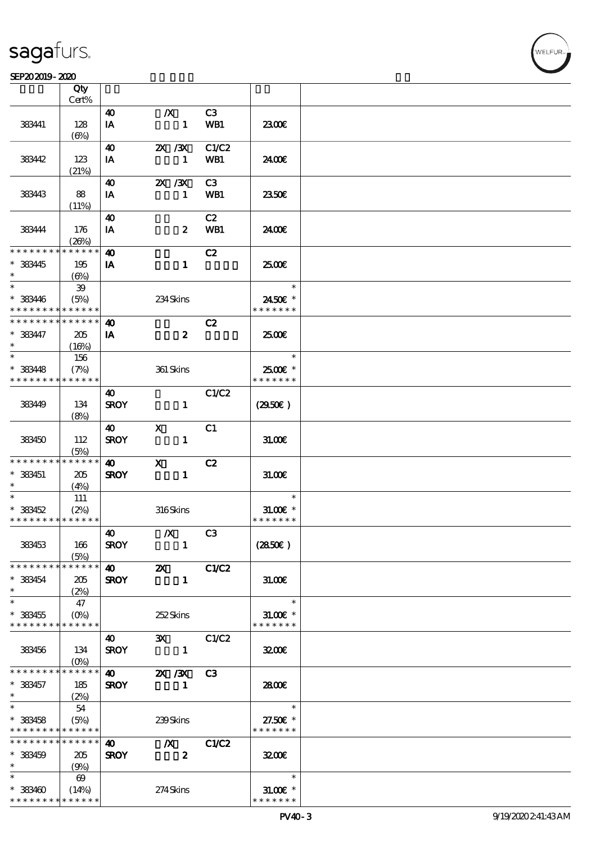### $S$ EP202019-2020  $\sim$  2020

|                                          | Qty                   |                       |                  |       |                            |  |
|------------------------------------------|-----------------------|-----------------------|------------------|-------|----------------------------|--|
|                                          | Cert%                 |                       |                  |       |                            |  |
|                                          |                       | 40                    | $\boldsymbol{X}$ | C3    |                            |  |
| 383441                                   | 128                   | IA                    | $\mathbf{1}$     | WB1   | 2300E                      |  |
|                                          | $(\Theta)$            |                       |                  |       |                            |  |
|                                          |                       | 40                    | 2X / 3X          | C1/C2 |                            |  |
| 38342                                    | 123                   | IA                    | $\mathbf{1}$     | WB1   | 24.00€                     |  |
|                                          | (21%)                 |                       |                  |       |                            |  |
|                                          |                       | 40                    | 2X / 3X          | C3    |                            |  |
| 383443                                   | 88                    | IA                    | $\mathbf{1}$     | WB1   | 2350E                      |  |
|                                          | (11%)                 |                       |                  |       |                            |  |
|                                          |                       | $\boldsymbol{\omega}$ |                  | C2    |                            |  |
| 383444                                   | 176                   | IA                    | $\boldsymbol{z}$ | WB1   | 2400€                      |  |
|                                          | (20%)                 |                       |                  |       |                            |  |
| * * * * * * * *                          | * * * * * *           | $\boldsymbol{\omega}$ |                  | C2    |                            |  |
| * 383445                                 |                       |                       | $\mathbf{1}$     |       | 2500E                      |  |
| $\ast$                                   | 195                   | IA                    |                  |       |                            |  |
| $\ast$                                   | (6%)                  |                       |                  |       | $\ast$                     |  |
|                                          | 39                    |                       |                  |       |                            |  |
| * 383446                                 | (5%)                  |                       | 234Skins         |       | 2450E *                    |  |
| * * * * * * * *                          | * * * * * *           |                       |                  |       | * * * * * * *              |  |
| * * * * * * * *                          | * * * * * *           | $\boldsymbol{\omega}$ |                  | C2    |                            |  |
| $* 383477$                               | 205                   | IA                    | $\boldsymbol{z}$ |       | 2500€                      |  |
| $\ast$                                   | (16%)                 |                       |                  |       |                            |  |
| $\ast$                                   | 156                   |                       |                  |       | $\ast$                     |  |
| $*$ 383448                               | (7%)                  |                       | 361 Skins        |       | 2500€ *                    |  |
| * * * * * * * *                          | ******                |                       |                  |       | * * * * * * *              |  |
|                                          |                       | 40                    |                  | C1/C2 |                            |  |
| 38349                                    | 134                   | <b>SROY</b>           | $\mathbf{1}$     |       | (2950)                     |  |
|                                          | (8%)                  |                       |                  |       |                            |  |
|                                          |                       | <b>40</b>             | $\mathbf{x}$     | C1    |                            |  |
| 383450                                   | 112                   | <b>SROY</b>           | $\mathbf{1}$     |       | 31.00E                     |  |
|                                          | (5%)                  |                       |                  |       |                            |  |
| * * * * * * * *                          | $***$ * * * * *       | $\boldsymbol{\omega}$ | $\mathbf{x}$     | C2    |                            |  |
| $*$ 383451                               |                       |                       |                  |       |                            |  |
| $\ast$                                   | 205                   | <b>SROY</b>           | $\mathbf{1}$     |       | 31.00                      |  |
| $\ast$                                   | (4%)                  |                       |                  |       | $\ast$                     |  |
|                                          | 111                   |                       |                  |       |                            |  |
| $* 383452$                               | (2%)                  |                       | 316Skins         |       | $31.005*$<br>* * * * * * * |  |
| * * * * * * * * * * * * * *              |                       |                       |                  |       |                            |  |
|                                          |                       | 40                    | $\boldsymbol{X}$ | C3    |                            |  |
| 383453                                   | 166                   | <b>SROY</b>           | $\blacksquare$   |       | (2850)                     |  |
|                                          | (5%)                  |                       |                  |       |                            |  |
| * * * * * * * *                          | * * * * * *           |                       |                  | C1/C2 |                            |  |
| $* 383454$                               | 205                   | <b>SROY</b>           | $\mathbf{1}$     |       | 31.00                      |  |
| $\ast$                                   | (2%)                  |                       |                  |       |                            |  |
| $\ast$                                   | 47                    |                       |                  |       | $\ast$                     |  |
| $*$ 383455                               | $(O\%)$               |                       | 252Skins         |       | $31.00E$ *                 |  |
| * * * * * * * * * * * * * *              |                       |                       |                  |       | * * * * * * *              |  |
|                                          |                       | <b>40</b>             | 3X C1/C2         |       |                            |  |
| 383456                                   | 134                   | <b>SROY</b>           |                  |       | 3200                       |  |
|                                          | $(O\!/\!\!\delta)$    |                       |                  |       |                            |  |
| * * * * * * * *                          | $***$ * * * * *       | <b>40</b>             | 2X / 3X          | C3    |                            |  |
| * 383457                                 | 185                   | <b>SROY</b>           | $\blacksquare$   |       | 2800E                      |  |
| $\ast$                                   | (2%)                  |                       |                  |       |                            |  |
| $\ast$                                   | 54                    |                       |                  |       | $\ast$                     |  |
| $*$ 383458                               | (5%)                  |                       | 239Skins         |       | 27.50€ *                   |  |
| * * * * * * * * <mark>* * * * * *</mark> |                       |                       |                  |       | * * * * * * *              |  |
| * * * * * * * *                          | $* * * * * * *$       | <b>40</b>             |                  |       |                            |  |
|                                          |                       |                       | $\mathbb{X}$     | C1/C2 |                            |  |
| $*$ 383459                               | 205                   | <b>SROY</b>           | $\boldsymbol{z}$ |       | 3200                       |  |
| $\ast$                                   | (9%)                  |                       |                  |       |                            |  |
| $*$ and $*$                              | $\boldsymbol{\omega}$ |                       |                  |       | $\ast$                     |  |
| $* 383400$                               | (14%)                 |                       | $274$ Skins      |       | $31.00$ $\varepsilon$ *    |  |
| * * * * * * * *                          | * * * * * *           |                       |                  |       | * * * * * * *              |  |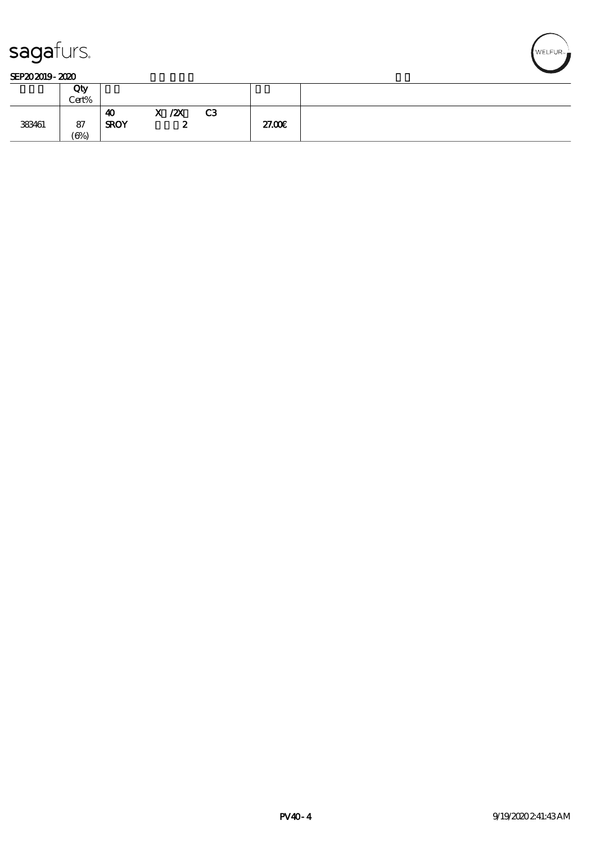

### SEP202019-2020

|        | Qty<br>Cert%       |                                               |                         |                |        |  |
|--------|--------------------|-----------------------------------------------|-------------------------|----------------|--------|--|
| 383461 | 87<br>$(\Theta_0)$ | $\overline{\phantom{a}}$<br>4U<br><b>SROY</b> | ZX<br>$\mathbf{x}$<br>~ | C <sub>3</sub> | 27.00E |  |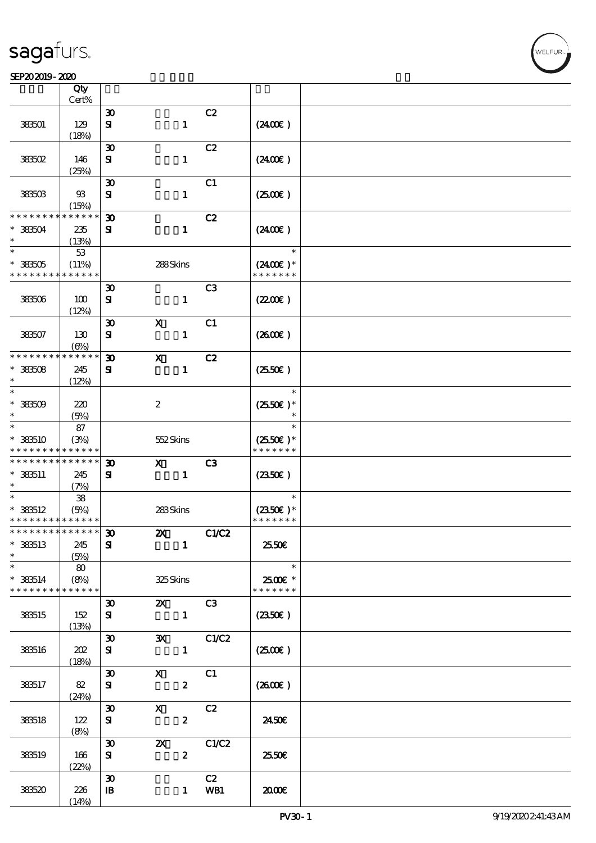### SEP202019-2020

|                                                          | Qty           |                                          |                              |                |                       |  |
|----------------------------------------------------------|---------------|------------------------------------------|------------------------------|----------------|-----------------------|--|
|                                                          | Cert%         |                                          |                              | C2             |                       |  |
| 383501                                                   | 129           | $\boldsymbol{\mathfrak{D}}$<br>${\bf s}$ | $\mathbf{1}$                 |                | (2400)                |  |
|                                                          | (18%)         |                                          |                              |                |                       |  |
|                                                          |               | $\boldsymbol{\mathfrak{D}}$              |                              | C2             |                       |  |
| 383502                                                   | 146           | ${\bf s}$                                | $\mathbf{1}$                 |                | (2400)                |  |
|                                                          | (25%)         |                                          |                              |                |                       |  |
|                                                          |               | $\boldsymbol{\mathfrak{D}}$              |                              | C1             |                       |  |
| 383503                                                   | $93$<br>(15%) | ${\bf s}$                                | $\mathbf{1}$                 |                | (250E)                |  |
| * * * * * * * *                                          | $***$ * * *   | $\boldsymbol{\mathfrak{D}}$              |                              | C2             |                       |  |
| $*383504$                                                | 235           | ${\bf s}$                                | $\mathbf{1}$                 |                | $(2400\varepsilon)$   |  |
| $\ast$                                                   | (13%)         |                                          |                              |                |                       |  |
| $\ast$                                                   | 53            |                                          |                              |                | $\ast$                |  |
| $* 383505$                                               | (11%)         |                                          | 288Skins                     |                | $(2400)$ *            |  |
| * * * * * * * *                                          | * * * * * *   |                                          |                              |                | * * * * * * *         |  |
| 383506                                                   | 100           | $\boldsymbol{\mathfrak{D}}$<br>${\bf s}$ | $\mathbf{1}$                 | C <sub>3</sub> | (220E)                |  |
|                                                          | (12%)         |                                          |                              |                |                       |  |
|                                                          |               | $\boldsymbol{\mathfrak{D}}$              | $\mathbf X$                  | C1             |                       |  |
| 383507                                                   | 130           | ${\bf s}$                                | $\mathbf{1}$                 |                | (2600)                |  |
|                                                          | $(\Theta)$    |                                          |                              |                |                       |  |
| * * * * * * * *                                          | * * * * * *   | $\boldsymbol{\mathfrak{D}}$              | $\boldsymbol{\mathrm{X}}$    | C2             |                       |  |
| $*38508$<br>$\ast$                                       | 245           | ${\bf s}$                                | $\mathbf{1}$                 |                | (2550)                |  |
| $\ast$                                                   | (12%)         |                                          |                              |                | $\ast$                |  |
| $* 33509$                                                | 220           |                                          | $\boldsymbol{z}$             |                | $(2550E)*$            |  |
| $\ast$                                                   | (5%)          |                                          |                              |                | $\ast$                |  |
| $\ast$                                                   | 87            |                                          |                              |                | $\ast$                |  |
| $*$ 383510                                               | (3%)          |                                          | 552Skins                     |                | $(2550\varepsilon)^*$ |  |
| * * * * * * * *                                          | * * * * * *   |                                          |                              |                | * * * * * * *         |  |
| * * * * * * * * <mark>* * * * * * *</mark><br>$* 333511$ |               | $\boldsymbol{\mathfrak{D}}$              | $\mathbf{x}$<br>$\mathbf{1}$ | C <sub>3</sub> |                       |  |
| $\ast$                                                   | 245<br>(7%)   | ${\bf s}$                                |                              |                | $(2350\epsilon)$      |  |
| $\ast$                                                   | ${\bf 38}$    |                                          |                              |                | $\ast$                |  |
| $*$ 383512                                               | (5%)          |                                          | 283Skins                     |                | $(2350\epsilon)*$     |  |
| * * * * * * * * <mark>* * * * * * *</mark>               |               |                                          |                              |                | * * * * * * *         |  |
| * * * * * * * * <mark>* * * * * *</mark> *               |               | E.                                       | $\boldsymbol{\mathsf{Z}}$    | C1/C2          |                       |  |
| $*$ 383513                                               | 245           | ${\bf s}$                                | $\mathbf{1}$                 |                | 2550€                 |  |
| $\ast$                                                   | (5%)<br>80    |                                          |                              |                | $\ast$                |  |
| $* 333514$                                               | (8%)          |                                          | 325Skins                     |                | 2500€ *               |  |
| * * * * * * * *                                          | * * * * * *   |                                          |                              |                | * * * * * * *         |  |
|                                                          |               | $\boldsymbol{\mathfrak{D}}$              | $\mathbf{x}$                 | C3             |                       |  |
| 383515                                                   | 152           | ${\bf s}$                                | $\mathbf{1}$                 |                | (2350)                |  |
|                                                          | (13%)         |                                          |                              |                |                       |  |
|                                                          |               | $\boldsymbol{\mathfrak{D}}$              | $\mathbf{x}$                 | C1/C2          |                       |  |
| 383516                                                   | 202<br>(18%)  | ${\bf s}$                                | $\mathbf{1}$                 |                | $(2500\varepsilon)$   |  |
|                                                          |               | $\boldsymbol{\mathfrak{D}}$              | $\mathbf{X}$                 | C1             |                       |  |
| 383517                                                   | 82            | ${\bf s}$                                | $\boldsymbol{z}$             |                | $(2600\varepsilon)$   |  |
|                                                          | (24%)         |                                          |                              |                |                       |  |
|                                                          |               | $\boldsymbol{\mathfrak{D}}$              | $\mathbf{x}$                 | C2             |                       |  |
| 383518                                                   | 122           | ${\bf s}$                                | $\boldsymbol{z}$             |                | 2450E                 |  |
|                                                          | (8%)          | $\boldsymbol{\mathfrak{D}}$              | $\boldsymbol{\mathsf{X}}$    | C1/C2          |                       |  |
| 383519                                                   | 166           | ${\bf s}$                                | $\boldsymbol{z}$             |                | 25.50€                |  |
|                                                          | (22%)         |                                          |                              |                |                       |  |
|                                                          |               | $\boldsymbol{\mathfrak{D}}$              |                              | C2             |                       |  |
| 383520                                                   | 226           | $\mathbf{B}$                             |                              | 1 WB1          | 2000                  |  |
|                                                          | (14%)         |                                          |                              |                |                       |  |

.<br>FLEUR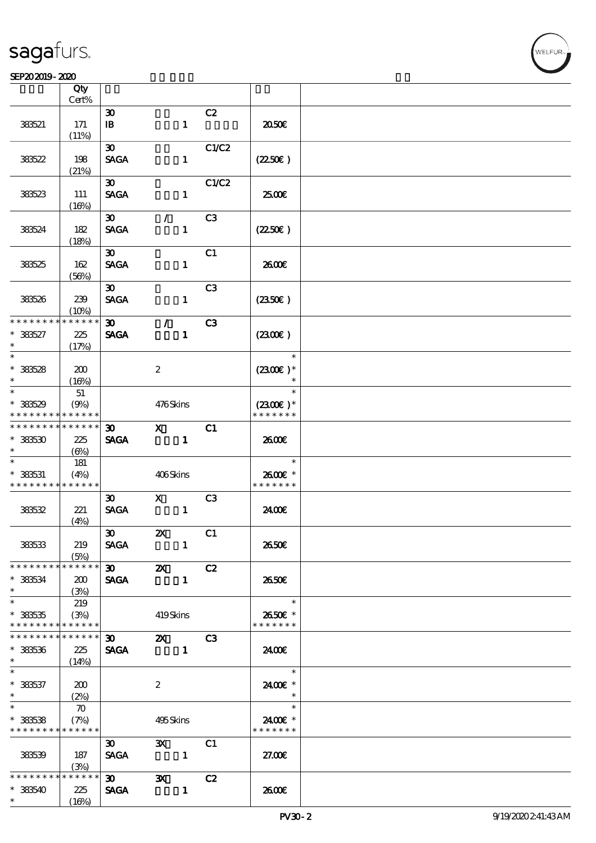### $S$ EP202019-2020  $\sim$  2020

| SCFAJAJIY-AKU      |                    |                                                             |                           |                |                      |  |
|--------------------|--------------------|-------------------------------------------------------------|---------------------------|----------------|----------------------|--|
|                    | Qty                |                                                             |                           |                |                      |  |
|                    | Cert%              |                                                             |                           |                |                      |  |
|                    |                    | $\boldsymbol{\mathfrak{D}}$                                 |                           | C2             |                      |  |
| 383521             | 171                | $\mathbf{B}$                                                |                           | $\mathbf{1}$   | 2050                 |  |
|                    | (11%)              |                                                             |                           |                |                      |  |
|                    |                    | 30 <sub>o</sub>                                             |                           | C1/C2          |                      |  |
| 38522              | 198                | <b>SAGA</b>                                                 |                           | $\mathbf{1}$   | (2250)               |  |
|                    | (21%)              |                                                             |                           |                |                      |  |
|                    |                    | $\boldsymbol{\mathfrak{D}}$                                 |                           | C1/C2          |                      |  |
| 383523             | 111                | <b>SAGA</b>                                                 |                           | $\mathbf{1}$   | 2500€                |  |
|                    | (16%)              |                                                             |                           |                |                      |  |
|                    |                    | $\infty$                                                    | $\mathcal{L}$             | C <sub>3</sub> |                      |  |
| 383524             | 182                | <b>SAGA</b>                                                 |                           | $\mathbf{1}$   | (2250)               |  |
|                    | (18%)              |                                                             |                           |                |                      |  |
|                    |                    | $\boldsymbol{\mathfrak{D}}$                                 |                           | C1             |                      |  |
| 383525             | 162                | <b>SAGA</b>                                                 |                           | $\mathbf{1}$   | 2600E                |  |
|                    | (56%)              |                                                             |                           |                |                      |  |
|                    |                    | $\boldsymbol{\mathfrak{D}}$                                 |                           | C <sub>3</sub> |                      |  |
| 383526             | 239                | <b>SAGA</b>                                                 |                           | $\mathbf{1}$   | $(2350\epsilon)$     |  |
|                    | (10%)              |                                                             |                           |                |                      |  |
| * * * * * * * *    | * * * * * *        | $\boldsymbol{\mathfrak{D}}$                                 | $\mathcal{L}$             | C3             |                      |  |
| $* 38527$          | 225                | <b>SAGA</b>                                                 |                           | $\mathbf{1}$   | $(2300\varepsilon)$  |  |
| $\ast$             | (17%)              |                                                             |                           |                |                      |  |
| $\ast$             |                    |                                                             |                           |                | $\ast$               |  |
|                    |                    |                                                             |                           |                |                      |  |
| $*38528$<br>$\ast$ | 200                |                                                             | $\boldsymbol{2}$          |                | $(2300E)*$<br>$\ast$ |  |
| $\ast$             | (16%)              |                                                             |                           |                | $\ast$               |  |
|                    | 51                 |                                                             |                           |                |                      |  |
| $* 38529$          | (9%)               |                                                             | 476Skins                  |                | $(2300)$ *           |  |
| * * * * * * * *    | * * * * * *        |                                                             |                           |                | * * * * * * *        |  |
| * * * * * * * *    | * * * * * *        | 30 <sub>o</sub>                                             | $\mathbf{x}$              | C1             |                      |  |
| $*383530$          | 225                | <b>SAGA</b>                                                 |                           | $\mathbf{1}$   | 2600€                |  |
| $\ast$             | (6%)               |                                                             |                           |                |                      |  |
|                    | 181                |                                                             |                           |                | $\ast$               |  |
| $* 383531$         | (4%)               |                                                             | 406Skins                  |                | 2600€ *              |  |
| * * * * * * * *    | * * * * * *        |                                                             |                           |                | * * * * * * *        |  |
|                    |                    | $\boldsymbol{\mathfrak{D}}$                                 | $\mathbf{X}$              | C3             |                      |  |
| 38532              | 221                | <b>SAGA</b>                                                 |                           | $\mathbf{1}$   | 24.00E               |  |
|                    | (4%)               |                                                             |                           |                |                      |  |
|                    |                    | $\boldsymbol{\mathfrak{D}}$                                 | $\boldsymbol{\mathsf{z}}$ | C1             |                      |  |
| 383533             | 219                | <b>SAGA</b>                                                 |                           | $\mathbf{1}$   | 2650E                |  |
|                    | (5%)               |                                                             |                           |                |                      |  |
| * * * * * * * *    | $******$           | $\infty$                                                    | $\boldsymbol{\mathsf{Z}}$ | C2             |                      |  |
| $*$ 383534         | 200                | <b>SAGA</b>                                                 |                           | $\mathbf{1}$   | 2650E                |  |
| $\ast$             | (3%)               |                                                             |                           |                |                      |  |
| $\ast$             | 219                |                                                             |                           |                | $\ast$               |  |
| $* 383535$         | (3%)               |                                                             | 419Skins                  |                | 2650€ *              |  |
| * * * * * * * *    | * * * * * *        |                                                             |                           |                | * * * * * * *        |  |
| * * * * * * * *    | * * * * * *        | $\boldsymbol{\mathfrak{D}}$ and $\boldsymbol{\mathfrak{D}}$ | $\mathbf{z}$              | C3             |                      |  |
| $* 383536$         | 225                |                                                             | SAGA 1                    |                | 2400E                |  |
| $*$                | (14%)              |                                                             |                           |                |                      |  |
|                    |                    |                                                             |                           |                | $\ast$               |  |
| $* 383537$         | 200                |                                                             | $\boldsymbol{2}$          |                | 2400€ *              |  |
| $\ast$             | (2%)               |                                                             |                           |                | $\ast$               |  |
| $*$                | $\boldsymbol{\pi}$ |                                                             |                           |                | $\ast$               |  |
| $* 33538$          | (7%)               |                                                             | 495Skins                  |                | 2400 £*              |  |
| * * * * * * * *    | * * * * * *        |                                                             |                           |                | * * * * * * *        |  |
|                    |                    | $\boldsymbol{\mathfrak{D}}$                                 | $\mathbf{x}$              | C1             |                      |  |
| 383539             | 187                | <b>SAGA</b>                                                 | $\sim$ $\sim$ 1           |                | 27.00E               |  |
|                    | (3%)               |                                                             |                           |                |                      |  |
| * * * * * * * *    | * * * * * *        | $\infty$                                                    | $\mathbf{x}$              | C2             |                      |  |
| $* 383540$         | 225                | <b>SAGA</b>                                                 |                           | $\mathbf{1}$   | 2600E                |  |
|                    |                    |                                                             |                           |                |                      |  |
| $\ast$             | (16%)              |                                                             |                           |                |                      |  |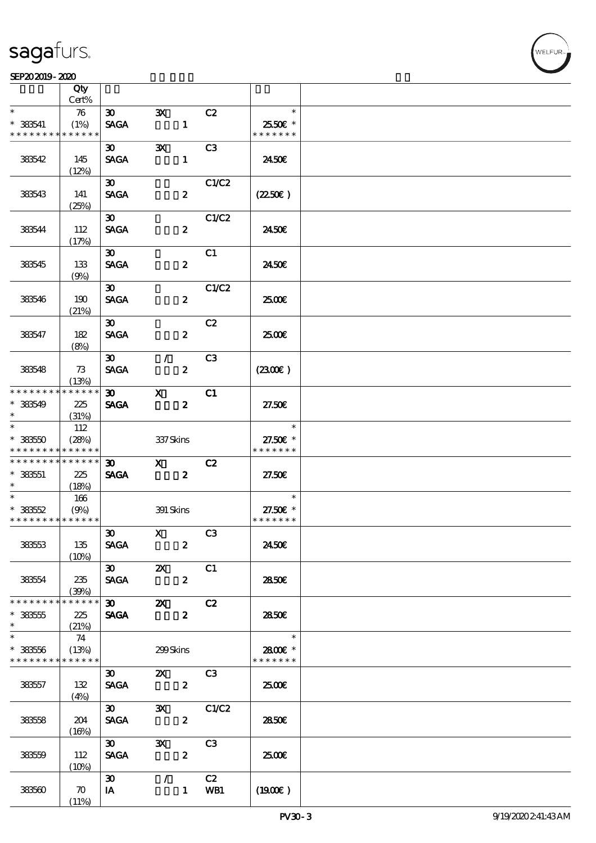### SEP202019-2020  $\overline{R}$

|                                            | Qty<br>Cert%             |                                                                  |                                    |                  |                |                           |  |
|--------------------------------------------|--------------------------|------------------------------------------------------------------|------------------------------------|------------------|----------------|---------------------------|--|
| $\ast$                                     | 76                       | $\infty$                                                         | $\mathbf{x}$                       |                  | C2             | $\ast$                    |  |
| $* 383541$<br>* * * * * * * *              | (1%)<br>* * * * * *      | <b>SAGA</b>                                                      |                                    | $\mathbf{1}$     |                | 25.50€ *<br>* * * * * * * |  |
|                                            |                          | $\boldsymbol{\mathfrak{D}}$                                      | $\mathbf{x}$                       |                  | C <sub>3</sub> |                           |  |
| 383542                                     | 145<br>(12%)             | <b>SAGA</b>                                                      |                                    | $\mathbf{1}$     |                | 24.50E                    |  |
|                                            |                          | $\boldsymbol{\mathfrak{D}}$                                      |                                    |                  | C1/C2          |                           |  |
| 383543                                     | 141<br>(25%)             | <b>SAGA</b>                                                      |                                    | $\boldsymbol{z}$ |                | (2250)                    |  |
|                                            |                          | $\boldsymbol{\mathfrak{D}}$                                      |                                    |                  | C1/C2          |                           |  |
| 383544                                     | 112<br>(17%)             | <b>SAGA</b>                                                      |                                    | $\boldsymbol{z}$ |                | 2450E                     |  |
|                                            |                          | $\boldsymbol{\mathfrak{D}}$                                      |                                    |                  | C1             |                           |  |
| 383545                                     | 133<br>(9%)              | <b>SAGA</b>                                                      |                                    | $\boldsymbol{z}$ |                | 2450E                     |  |
|                                            |                          | $\boldsymbol{\mathfrak{D}}$                                      |                                    |                  | C1/C2          |                           |  |
| 383546                                     | 190<br>(21%)             | <b>SAGA</b>                                                      |                                    | $\boldsymbol{z}$ |                | 2500€                     |  |
|                                            |                          | $\boldsymbol{\mathfrak{D}}$                                      |                                    |                  | C2             |                           |  |
| 383547                                     | 182<br>(8%)              | <b>SACA</b>                                                      |                                    | $\boldsymbol{z}$ |                | 2500E                     |  |
|                                            |                          | $\boldsymbol{\mathfrak{D}}$                                      | $\mathcal{L}$                      |                  | C3             |                           |  |
| 383548                                     | 73<br>(13%)              | <b>SAGA</b>                                                      |                                    | $\boldsymbol{z}$ |                | (2300)                    |  |
| * * * * * * * *                            | * * * * * *              | $\infty$                                                         | $\mathbf{X}$                       |                  | C1             |                           |  |
| $*$ 38549<br>$\ast$                        | 225<br>(31%)             | <b>SAGA</b>                                                      |                                    | $\boldsymbol{z}$ |                | 27.50E                    |  |
| $\ast$                                     | 112                      |                                                                  |                                    |                  |                | $\ast$                    |  |
| $* 383550$<br>* * * * * * * *              | (28%)<br>* * * * * *     |                                                                  | 337Skins                           |                  |                | 27.50€ *<br>* * * * * * * |  |
| * * * * * * * * <mark>* * * * * * *</mark> |                          | $\boldsymbol{\mathfrak{D}}$                                      | $\boldsymbol{\mathrm{X}}$          |                  | C2             |                           |  |
| $*$ 383551<br>$\ast$                       | 225<br>(18%)             | <b>SAGA</b>                                                      | $\overline{\phantom{a}}$ 2         |                  |                | 27.50E                    |  |
|                                            | 166                      |                                                                  |                                    |                  |                | $\ast$                    |  |
| $* 38552$                                  | (9%)                     |                                                                  | 391 Skins                          |                  |                | 27.50€ *                  |  |
| * * * * * * * * <mark>* * * * * *</mark>   |                          |                                                                  |                                    |                  |                | * * * * * * *             |  |
| 38353                                      | 135                      | <b>SAGA</b>                                                      | 30 X C3                            | $\boldsymbol{z}$ |                | 2450E                     |  |
|                                            | (10%)                    |                                                                  |                                    |                  |                |                           |  |
| 383554                                     | 235                      | $\overline{\textbf{30}}$ $\overline{\textbf{2X}}$<br><b>SAGA</b> |                                    | $\boldsymbol{z}$ | C1             | 2850E                     |  |
| * * * * * * * *                            | (30%)<br>$* * * * * * *$ |                                                                  |                                    |                  |                |                           |  |
| $* 333555$<br>$\ast$                       | 225                      | <b>SAGA</b>                                                      | $\overline{\textbf{30}}$ <b>2X</b> | $\boldsymbol{z}$ | C2             | 2850E                     |  |
| $\overline{\ast}$                          | (21%)<br>74              |                                                                  |                                    |                  |                | $\ast$                    |  |
| $* 33356$<br>* * * * * * * *               | (13%)<br>* * * * * *     |                                                                  | $299$ Skins                        |                  |                | 2800E *<br>* * * * * * *  |  |
|                                            |                          | $\boldsymbol{\mathfrak{D}}$                                      | $\mathbf{x}$                       |                  | C3             |                           |  |
| 38357                                      | 132<br>(4%)              | <b>SAGA</b>                                                      | $\overline{\mathbf{z}}$            |                  |                | 2500                      |  |
|                                            |                          | $\infty$                                                         |                                    |                  | 3X C1/C2       |                           |  |
| 38358                                      | 204<br>(16%)             | <b>SAGA</b>                                                      |                                    | $\boldsymbol{z}$ |                | 2850E                     |  |
|                                            |                          | $\boldsymbol{\mathfrak{D}}$                                      | $\mathbf{x}$                       |                  | C3             |                           |  |
| 38359                                      | 112<br>(10%)             | <b>SAGA</b>                                                      |                                    | $\boldsymbol{z}$ |                | 2500€                     |  |
|                                            |                          | $\boldsymbol{\mathfrak{D}}$                                      | $\mathcal{L}$                      |                  | C2             |                           |  |
| 383560                                     | $\boldsymbol{\pi}$       | IA                                                               |                                    | $\mathbf{1}$     | WB1            | $(1900\epsilon)$          |  |
|                                            | (11%)                    |                                                                  |                                    |                  |                |                           |  |

VELFUR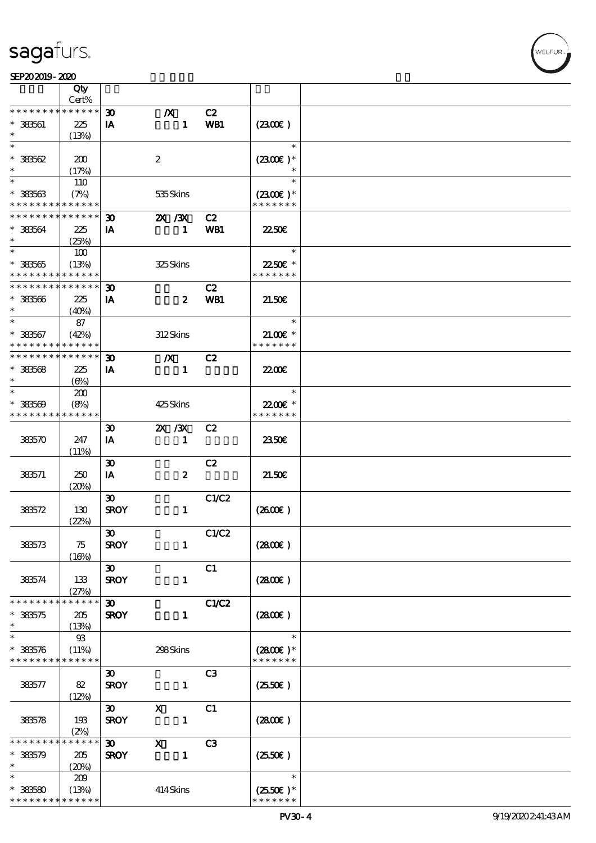⊤

|                                            | Qty<br>Cert% |                             |                  |                |                      |  |
|--------------------------------------------|--------------|-----------------------------|------------------|----------------|----------------------|--|
| * * * * * * * *                            | * * * * * *  | $\boldsymbol{\mathfrak{D}}$ | $\boldsymbol{X}$ | C2             |                      |  |
|                                            |              |                             |                  |                |                      |  |
| $* 333561$                                 | 225          | IA                          | $\mathbf{1}$     | WB1            | (230E)               |  |
|                                            | (13%)        |                             |                  |                |                      |  |
| $\ast$                                     |              |                             |                  |                | $\ast$               |  |
| $*38562$                                   | 200          |                             | $\boldsymbol{2}$ |                | $(2300)$ *           |  |
| $\ast$                                     | (17%)        |                             |                  |                |                      |  |
| $\overline{\ast}$                          | 110          |                             |                  |                | $\ast$               |  |
|                                            |              |                             |                  |                |                      |  |
| $* 33563$                                  | (7%)         |                             | 535Skins         |                | $(2300)$ *           |  |
| * * * * * * * *                            | * * * * * *  |                             |                  |                | * * * * * * *        |  |
| * * * * * * * *                            | * * * * * *  | $\boldsymbol{\mathfrak{D}}$ | 2X / 3X          | C2             |                      |  |
| * 383564                                   | 225          | IA                          | $\mathbf{1}$     | WB1            | 2250E                |  |
| $\ast$                                     | (25%)        |                             |                  |                |                      |  |
|                                            | 100          |                             |                  |                | $\ast$               |  |
| $* 33565$                                  | (13%)        |                             | 325Skins         |                | 2250E *              |  |
| * * * * * * * *                            | $******$     |                             |                  |                | * * * * * * *        |  |
| ********                                   | * * * * * *  |                             |                  |                |                      |  |
|                                            |              | $\boldsymbol{\mathfrak{D}}$ |                  | C2             |                      |  |
| $* 33566$                                  | 225          | IA                          | $\boldsymbol{z}$ | WB1            | 21.50E               |  |
| $\ast$                                     | (40%)        |                             |                  |                |                      |  |
| $\ast$                                     | 87           |                             |                  |                | $\ast$               |  |
| $* 38567$                                  | (42%)        |                             | 312Skins         |                | $21.00$ $*$          |  |
| * * * * * * * *                            | * * * * * *  |                             |                  |                | * * * * * * *        |  |
| * * * * * * * * <mark>* * * * * * *</mark> |              | $\boldsymbol{\mathfrak{D}}$ | $\boldsymbol{X}$ | C2             |                      |  |
| $* 383568$                                 |              | IA                          | $\mathbf{1}$     |                | 2200                 |  |
|                                            | 225          |                             |                  |                |                      |  |
| $\ast$                                     | $(\Theta)$   |                             |                  |                |                      |  |
| $\ast$                                     | 200          |                             |                  |                | $\ast$               |  |
| $* 33509$                                  | (8%)         |                             | 425Skins         |                | 22.00€ *             |  |
| * * * * * * * *                            | * * * * * *  |                             |                  |                | * * * * * * *        |  |
|                                            |              | $\boldsymbol{\mathfrak{D}}$ | $X \, X$         | C2             |                      |  |
| 383570                                     | 247          | IA                          | $\mathbf{1}$     |                | 2350E                |  |
|                                            | (11%)        |                             |                  |                |                      |  |
|                                            |              |                             |                  |                |                      |  |
|                                            |              | $\boldsymbol{\mathfrak{D}}$ |                  | C2             |                      |  |
| 383571                                     | 250          | IA                          | $\pmb{2}$        |                | 21.50E               |  |
|                                            | (20%)        |                             |                  |                |                      |  |
|                                            |              | $\boldsymbol{\mathfrak{D}}$ |                  | C1/C2          |                      |  |
| 383572                                     | 130          | <b>SROY</b>                 | $\mathbf{1}$     |                | $(2600\varepsilon)$  |  |
|                                            | (22%)        |                             |                  |                |                      |  |
|                                            |              | $\boldsymbol{\mathfrak{D}}$ |                  | C1/C2          |                      |  |
| 383573                                     | 75           | <b>SROY</b>                 | $\mathbf{1}$     |                | (2800)               |  |
|                                            | (16%)        |                             |                  |                |                      |  |
|                                            |              | $\boldsymbol{\mathfrak{D}}$ |                  | C1             |                      |  |
|                                            |              |                             |                  |                |                      |  |
| 383574                                     | 133          | <b>SROY</b>                 | $\mathbf{1}$     |                | (2800)               |  |
|                                            | (27%)        |                             |                  |                |                      |  |
| * * * * * * * *                            | * * * * * *  | $\boldsymbol{\mathfrak{D}}$ |                  | C1/C2          |                      |  |
| $* 383575$                                 | 205          | <b>SROY</b>                 | $\mathbf{1}$     |                | $(2800\varepsilon)$  |  |
| $\ast$                                     | (13%)        |                             |                  |                |                      |  |
| $\ast$                                     | $93$         |                             |                  |                | $\ast$               |  |
| $* 383576$                                 | (11%)        |                             | 298Skins         |                | $(2800)$ *           |  |
| * * * * * * * *                            | * * * * * *  |                             |                  |                | * * * * * * *        |  |
|                                            |              |                             |                  |                |                      |  |
|                                            |              | $\boldsymbol{\mathfrak{D}}$ |                  | C3             |                      |  |
| 383577                                     | 82           | <b>SROY</b>                 | $\mathbf{1}$     |                | $(2550\varepsilon)$  |  |
|                                            | (12%)        |                             |                  |                |                      |  |
|                                            |              | $\boldsymbol{\mathfrak{D}}$ | $\mathbf x$      | C1             |                      |  |
| 383578                                     | 193          | <b>SROY</b>                 | $\mathbf{1}$     |                | (2800)               |  |
|                                            | (2%)         |                             |                  |                |                      |  |
| * * * * * *                                | * * * * * *  | $\boldsymbol{\mathfrak{D}}$ | $\mathbf{x}$     | C <sub>3</sub> |                      |  |
| $* 383579$                                 | 205          | <b>SROY</b>                 | $\mathbf{1}$     |                | $(2550\varepsilon)$  |  |
| $\ast$                                     | (20%)        |                             |                  |                |                      |  |
| $\ast$                                     |              |                             |                  |                | $\ast$               |  |
|                                            | 209          |                             |                  |                |                      |  |
| $* 33580$                                  | (13%)        |                             | 414 Skins        |                | $(2550\varepsilon)*$ |  |
| * * * * * * * * <mark>* * * * * *</mark>   |              |                             |                  |                | * * * * * * *        |  |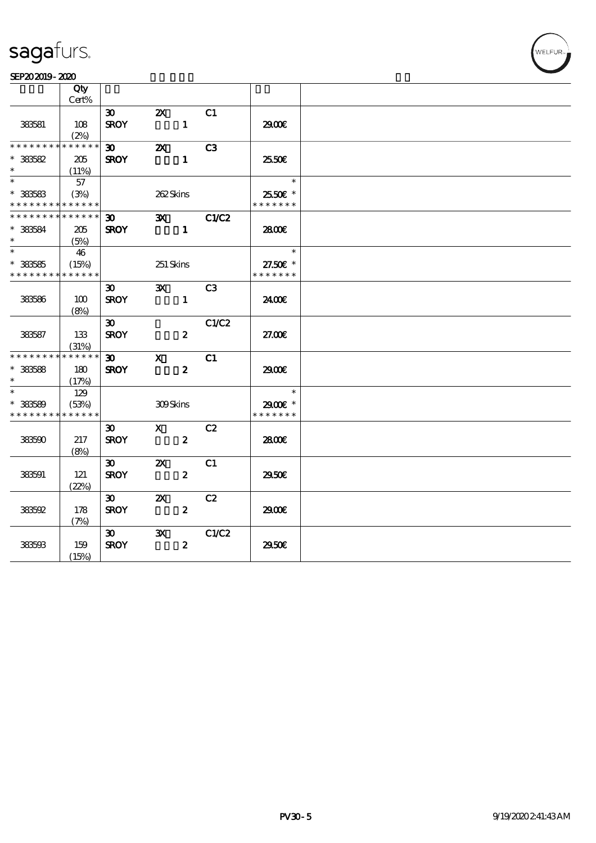### SEP202019-2020

|                                          | Qty         |                             |                             |                  |              |                          |  |
|------------------------------------------|-------------|-----------------------------|-----------------------------|------------------|--------------|--------------------------|--|
|                                          | Cert%       |                             |                             |                  |              |                          |  |
|                                          |             | 30 <sup>2</sup>             | $\boldsymbol{\mathsf{Z}}$   |                  | C1           |                          |  |
| 383581                                   | 108         | <b>SROY</b>                 |                             | $\mathbf{1}$     |              | 2900                     |  |
|                                          | (2%)        |                             |                             |                  |              |                          |  |
| * * * * * * * * * * * * * *              |             | $\boldsymbol{\mathfrak{D}}$ | $\boldsymbol{\alpha}$       |                  | C3           |                          |  |
| $* 33582$                                | 205         | <b>SROY</b>                 |                             | $\mathbf{1}$     |              | 25.50E                   |  |
| $\ast$                                   | (11%)       |                             |                             |                  |              |                          |  |
| $\ast$                                   | 57          |                             |                             |                  |              | $\overline{\phantom{a}}$ |  |
| $*$ 383583                               | (3%)        |                             | 262Skins                    |                  |              | 2550€ *                  |  |
| * * * * * * * * <mark>* * * * * *</mark> |             |                             |                             |                  |              | * * * * * * *            |  |
| * * * * * * * * * * * * * *              |             | $\boldsymbol{\mathfrak{D}}$ | $\mathbf{X}$                |                  | <b>C1/C2</b> |                          |  |
| $*$ 383584                               | 205         | <b>SROY</b>                 |                             | $\blacksquare$   |              | 2800€                    |  |
| $\ast$                                   | (5%)        |                             |                             |                  |              |                          |  |
| $\ast$                                   | 46          |                             |                             |                  |              | $\overline{\phantom{a}}$ |  |
| $* 333585$                               | (15%)       |                             | 251 Skins                   |                  |              | 27.50€ *                 |  |
| * * * * * * * *                          | * * * * * * |                             |                             |                  |              | * * * * * * *            |  |
|                                          |             | 30 <sup>1</sup>             | $\mathbf{x}$                |                  | C3           |                          |  |
| 383586                                   | 100         | <b>SROY</b>                 |                             | $\mathbf{1}$     |              | 24.00E                   |  |
|                                          | (8%)        |                             |                             |                  |              |                          |  |
|                                          |             | $\boldsymbol{\mathfrak{D}}$ |                             |                  | C1/C2        |                          |  |
| 383587                                   | 133         | <b>SROY</b>                 |                             | $\boldsymbol{z}$ |              | 27.00E                   |  |
|                                          | (31%)       |                             |                             |                  |              |                          |  |
| * * * * * * * *                          | * * * * * * | $\infty$                    | $\mathbf{X}$                |                  | C1           |                          |  |
| $*$ 383588                               | 180         | <b>SROY</b>                 |                             | $\boldsymbol{z}$ |              | 2900                     |  |
| $\ast$                                   | (17%)       |                             |                             |                  |              |                          |  |
| $\ast$                                   | 129         |                             |                             |                  |              | $\ast$                   |  |
| $* 33589$                                | (53%)       |                             | 309Skins                    |                  |              | 2900€ *                  |  |
| * * * * * * * *                          | * * * * * * |                             |                             |                  |              | * * * * * * *            |  |
|                                          |             | 30 <sup>2</sup>             | $\mathbf x$ and $\mathbf x$ |                  | C2           |                          |  |
| 383590                                   | 217         | <b>SROY</b>                 |                             | $\boldsymbol{z}$ |              | 2800€                    |  |
|                                          | (8%)        |                             |                             |                  |              |                          |  |
|                                          |             | $\boldsymbol{\mathfrak{D}}$ | $\mathbf{X}$                |                  | C1           |                          |  |
| 383591                                   | 121         | <b>SROY</b>                 |                             | $\boldsymbol{z}$ |              | 2950E                    |  |
|                                          | (22%)       |                             |                             |                  |              |                          |  |
|                                          |             | 30 <sub>o</sub>             | $\boldsymbol{\mathsf{Z}}$   |                  | C2           |                          |  |
| 383592                                   | 178         | <b>SROY</b>                 |                             | $\boldsymbol{z}$ |              | 2900                     |  |
|                                          | (7%)        |                             |                             |                  |              |                          |  |
|                                          |             | 30                          | $\mathbf{x}$                |                  | C1/C2        |                          |  |
| 383593                                   | 159         | <b>SROY</b>                 |                             | $\boldsymbol{z}$ |              | 2950€                    |  |
|                                          | (15%)       |                             |                             |                  |              |                          |  |
|                                          |             |                             |                             |                  |              |                          |  |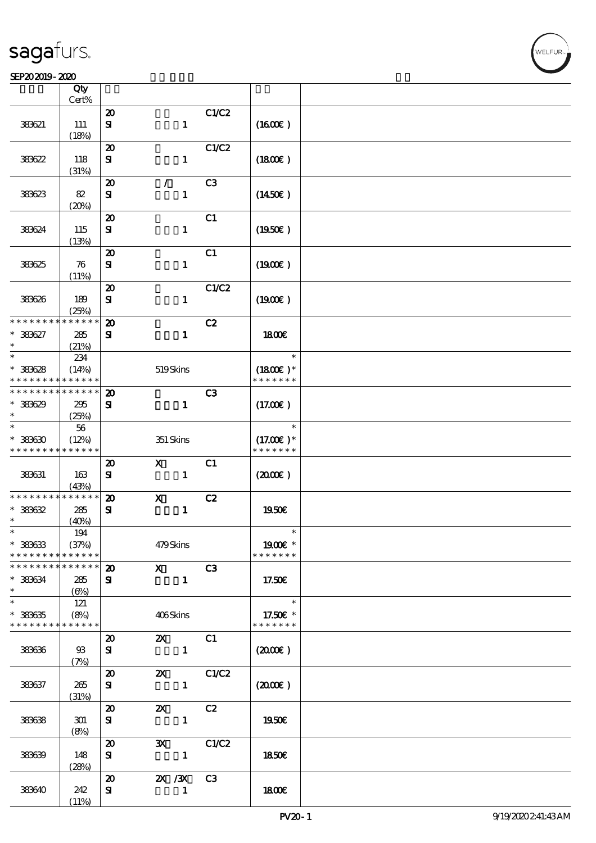### $S$ EP202019-2020  $\sim$  2020

| SEPAJAJIY-ALAU                           |                      |                             |                           |                |                     |  |
|------------------------------------------|----------------------|-----------------------------|---------------------------|----------------|---------------------|--|
|                                          | Qty<br>Cert%         |                             |                           |                |                     |  |
|                                          |                      |                             |                           |                |                     |  |
|                                          |                      | $\boldsymbol{\mathbf{z}}$   |                           | C1/C2          |                     |  |
| 383621                                   | 111                  | ${\bf s}$                   | $\mathbf{1}$              |                | $(1600\varepsilon)$ |  |
|                                          | (18%)                |                             |                           |                |                     |  |
|                                          |                      | $\boldsymbol{\mathfrak{D}}$ |                           | C1/C2          |                     |  |
| 38622                                    | 118                  | ${\bf s}$                   | $\mathbf{1}$              |                | (1800)              |  |
|                                          | (31%)                |                             |                           |                |                     |  |
|                                          |                      | $\boldsymbol{\mathbf{z}}$   | $\mathcal{L}$             | C <sub>3</sub> |                     |  |
| 383623                                   | 82                   | ${\bf s}$                   | $\mathbf{1}$              |                | $(1450\epsilon)$    |  |
|                                          | (20%)                |                             |                           |                |                     |  |
|                                          |                      | $\boldsymbol{\mathbf{z}}$   |                           | C1             |                     |  |
| 383624                                   | 115                  | ${\bf s}$                   | $\mathbf{1}$              |                | (1950)              |  |
|                                          |                      |                             |                           |                |                     |  |
|                                          | (13%)                |                             |                           |                |                     |  |
|                                          |                      | $\boldsymbol{\mathfrak{D}}$ |                           | C1             |                     |  |
| 383625                                   | 76                   | ${\bf s}$                   | $\mathbf{1}$              |                | (1900E)             |  |
|                                          | (11%)                |                             |                           |                |                     |  |
|                                          |                      | $\boldsymbol{\mathbf{z}}$   |                           | C1/C2          |                     |  |
| 383626                                   | 189                  | ${\bf s}$                   | $\mathbf{1}$              |                | $(1900\epsilon)$    |  |
|                                          | (25%)                |                             |                           |                |                     |  |
| * * * * * * * *                          | -<br>* * * * * *     | $\boldsymbol{\mathfrak{D}}$ |                           | C2             |                     |  |
| * 383627                                 | 285                  | ${\bf z}$                   | $\mathbf{1}$              |                | <b>1800€</b>        |  |
| $\ast$                                   | (21%)                |                             |                           |                |                     |  |
| $\ast$                                   | 234                  |                             |                           |                | $\ast$              |  |
| $* 33628$                                | (14%)                |                             | 519Skins                  |                | $(1800E)*$          |  |
| * * * * * * * *                          | * * * * * *          |                             |                           |                | * * * * * * *       |  |
| * * * * * * * *                          | $* * * * * * *$      | $\boldsymbol{\mathfrak{D}}$ |                           | C3             |                     |  |
| $*38629$                                 | 295                  | ${\bf s}$                   | $\mathbf{1}$              |                | (17.00)             |  |
| $\ast$                                   | (25%)                |                             |                           |                |                     |  |
| $\ast$                                   | 56                   |                             |                           |                | $\ast$              |  |
| $* 38630$                                | (12%)                |                             | 351 Skins                 |                | $(17.00)$ *         |  |
| * * * * * * * * * * * * * *              |                      |                             |                           |                | * * * * * * *       |  |
|                                          |                      |                             | $\mathbf{x}$              |                |                     |  |
|                                          |                      | $\boldsymbol{\mathfrak{D}}$ |                           | C1             |                     |  |
| 383631                                   | 163                  | ${\bf s}$                   | $\mathbf{1}$              |                | (200)               |  |
|                                          | (43%)<br>* * * * * * |                             |                           |                |                     |  |
| * * * * * * * *                          |                      | $\boldsymbol{\mathfrak{D}}$ | $\mathbf{x}$              | C2             |                     |  |
| $* 33632$                                | 285                  | ${\bf s}$                   | $\mathbf{1}$              |                | 1950E               |  |
| $\ast$                                   | (40%)                |                             |                           |                |                     |  |
| $\ast$                                   | 194                  |                             |                           |                | $\ast$              |  |
| $* 33633$                                | (37%)                |                             | 479Skins                  |                | 1900E *             |  |
| * * * * * * * * <mark>* * * * * *</mark> |                      |                             |                           |                | * * * * * * *       |  |
| * * * * * * * * <mark>* * * * * *</mark> |                      | $\boldsymbol{\mathfrak{D}}$ | $\mathbf{X}$              | C3             |                     |  |
| $* 383634$                               | 285                  | ${\bf s}$                   | $\mathbf{1}$              |                | 17.50E              |  |
| $\ast$                                   | (6%)                 |                             |                           |                |                     |  |
| $\ast$                                   | 121                  |                             |                           |                | $\ast$              |  |
| $* 33635$                                | (8%)                 |                             | 406Skins                  |                | 17.50€ *            |  |
| * * * * * * * * * * * * * *              |                      |                             |                           |                | * * * * * * *       |  |
|                                          |                      | $\boldsymbol{\mathfrak{D}}$ | $\mathbf{z}$              | C1             |                     |  |
| 383636                                   | $\mathfrak{B}$       | ${\bf s}$                   | $\mathbf{1}$              |                | $(2000\varepsilon)$ |  |
|                                          | (7%)                 |                             |                           |                |                     |  |
|                                          |                      | $\boldsymbol{\mathfrak{D}}$ | $\boldsymbol{\mathsf{z}}$ | C1/C2          |                     |  |
| 383637                                   | 265                  | ${\bf s}$                   | $\mathbf{1}$              |                | (200)               |  |
|                                          | (31%)                |                             |                           |                |                     |  |
|                                          |                      | $\boldsymbol{\mathfrak{D}}$ | $\boldsymbol{\mathsf{Z}}$ | C2             |                     |  |
|                                          |                      |                             |                           |                |                     |  |
| 383638                                   | 301                  | ${\bf s}$                   | $\mathbf{1}$              |                | 1950E               |  |
|                                          | (8%)                 |                             |                           |                |                     |  |
|                                          |                      | $\boldsymbol{\mathfrak{D}}$ | $\mathbf{x}$              | C1/C2          |                     |  |
| 383639                                   | 148                  | ${\bf s}$                   | $\mathbf{1}$              |                | 1850E               |  |
|                                          | (28%)                |                             |                           |                |                     |  |
|                                          |                      | $\boldsymbol{\mathfrak{D}}$ | 2X / 3X                   | C3             |                     |  |
|                                          |                      |                             |                           |                |                     |  |
| 383640                                   | 242<br>(11%)         | ${\bf s}$                   | $\mathbf{1}$              |                | 1800E               |  |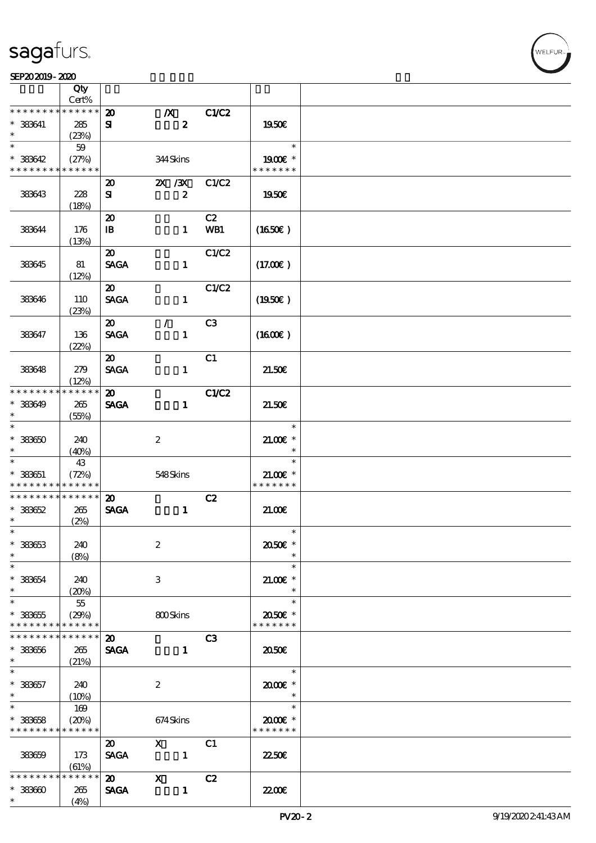### SEP202019-2020

|                                                                    | Qty                            |                                             |                                      |                  |                                       |  |
|--------------------------------------------------------------------|--------------------------------|---------------------------------------------|--------------------------------------|------------------|---------------------------------------|--|
|                                                                    | Cert%<br>$******$              |                                             |                                      |                  |                                       |  |
| * * * * * * * *<br>$*$ 383641<br>$\ast$                            | 285<br>(23%)                   | $\boldsymbol{\mathfrak{D}}$<br>${\bf s}$    | $\boldsymbol{X}$<br>$\boldsymbol{z}$ | C1/C2            | 1950€                                 |  |
| $\ast$                                                             | 59                             |                                             |                                      |                  | $\ast$                                |  |
| $* 383642$<br>* * * * * * * * * * * * * *                          | (27%)                          |                                             | 344 Skins                            |                  | 1900E *<br>* * * * * * *              |  |
|                                                                    |                                | $\boldsymbol{\mathfrak{D}}$                 | $X \, X$                             | C1/C2            |                                       |  |
| 383643                                                             | 228<br>(18%)                   | ${\bf s}$                                   | $\boldsymbol{z}$                     |                  | 1950€                                 |  |
| 383644                                                             | 176<br>(13%)                   | $\boldsymbol{\mathfrak{D}}$<br>$\mathbf{B}$ | $\mathbf{1}$                         | C2<br><b>WB1</b> | (1650)                                |  |
| 383645                                                             | 81<br>(12%)                    | $\boldsymbol{\mathfrak{D}}$<br><b>SAGA</b>  | $\mathbf{1}$                         | C1/C2            | (17.00)                               |  |
| 383646                                                             | 110<br>(23%)                   | $\boldsymbol{\mathfrak{D}}$<br><b>SAGA</b>  | $\mathbf{1}$                         | C1/C2            | $(1950\epsilon)$                      |  |
| 383647                                                             | 136<br>(22%)                   | $\boldsymbol{\mathfrak{D}}$<br><b>SAGA</b>  | $\mathcal{L}$<br>$\mathbf{1}$        | C <sub>3</sub>   | (1600)                                |  |
|                                                                    |                                | $\boldsymbol{\mathfrak{D}}$                 |                                      | C1               |                                       |  |
| 383648                                                             | 279<br>(12%)                   | <b>SAGA</b>                                 | $\mathbf{1}$                         |                  | 21.50E                                |  |
| * * * * * * * *                                                    | * * * * * *                    | $\boldsymbol{\mathfrak{D}}$                 |                                      | C1/C2            |                                       |  |
| $* 333649$<br>$\ast$                                               | 265<br>(55%)                   | <b>SAGA</b>                                 | $\mathbf{1}$                         |                  | 21.50E                                |  |
| $\ast$<br>$^\ast$ 383650<br>$\ast$                                 | 240<br>(40%)                   |                                             | $\boldsymbol{2}$                     |                  | $\ast$<br>$21.005*$<br>$\ast$         |  |
| $\ast$<br>$* 333651$<br>* * * * * * * * <mark>* * * * * *</mark> * | 43<br>(72%)                    |                                             | 548Skins                             |                  | $\ast$<br>$21.00E$ *<br>* * * * * * * |  |
| * * * * * * * * * * * * * *                                        |                                | $\boldsymbol{\mathfrak{D}}$                 |                                      | C2               |                                       |  |
| $* 333652$<br>$\ast$                                               | 265<br>(2%)                    | <b>SAGA</b>                                 | $\mathbf{1}$                         |                  | 21.00                                 |  |
| $*$<br>$* 333653$<br>$\ast$<br>$\ast$                              | 240<br>(8%)                    |                                             | $\boldsymbol{2}$                     |                  | $\ast$<br>2050E *<br>$\ast$           |  |
| $^\ast$ 383654<br>$\ast$                                           | 240<br>(20%)                   |                                             | 3                                    |                  | $\ast$<br>$21.005*$<br>$\ast$         |  |
| $\ast$<br>$* 333655$<br>* * * * * * * *                            | $55\,$<br>(29%)<br>* * * * * * |                                             | 800Skins                             |                  | $\ast$<br>2050E *<br>* * * * * * *    |  |
| * * * * * * * *                                                    | * * * * * *                    | $\boldsymbol{\mathfrak{D}}$                 |                                      | C <sub>3</sub>   |                                       |  |
| $* 333656$<br>$\ast$                                               | 265<br>(21%)                   | <b>SAGA</b>                                 | $\mathbf{1}$                         |                  | 2050E                                 |  |
| $\ast$<br>$* 333657$<br>$*$                                        | 240<br>(10%)                   |                                             | $\boldsymbol{2}$                     |                  | $\ast$<br>2000E*<br>$\ast$            |  |
| $\overline{\ast}$<br>$*$ 383658<br>* * * * * * * *                 | 169<br>(20%)<br>* * * * * *    |                                             | 674Skins                             |                  | $\ast$<br>2000E*<br>* * * * * * *     |  |
| 383659                                                             | 173<br>(61%)                   | $\boldsymbol{\mathfrak{D}}$<br><b>SAGA</b>  | $\mathbf{x}$<br>$\overline{1}$       | C1               | 2250E                                 |  |
| * * * * * * * *<br>$* 33360$<br>$\ast$                             | * * * * * *<br>265<br>(4%)     | $\boldsymbol{\mathsf{20}}$<br><b>SAGA</b>   | $\mathbf{x}$<br>$\mathbf{1}$         | C2               | 2200                                  |  |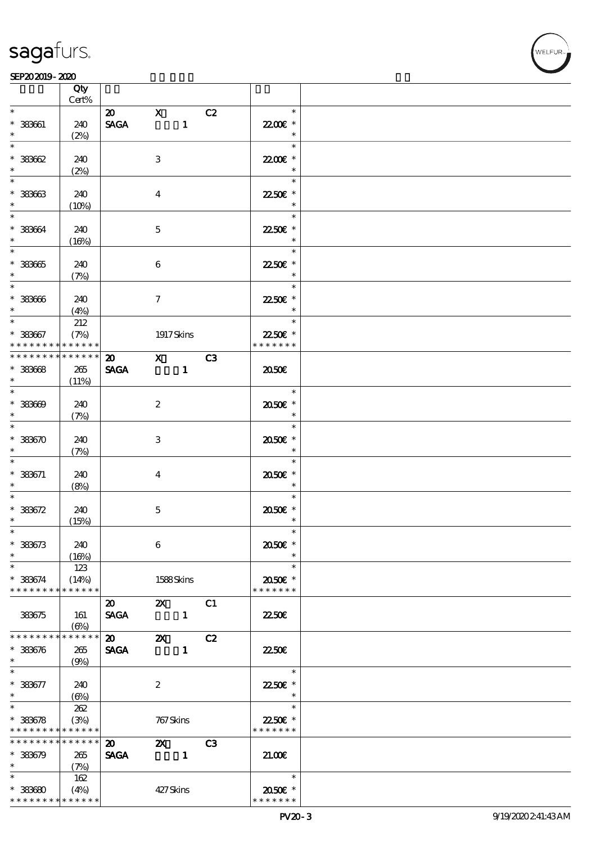┯

### $S$ EP202019-2020  $\sim$  2020

|                                            | Qty<br>Cert%    |                            |                  |                |    |                   |  |
|--------------------------------------------|-----------------|----------------------------|------------------|----------------|----|-------------------|--|
| $\ast$                                     |                 |                            |                  |                |    | $\ast$            |  |
|                                            |                 | $\boldsymbol{\mathsf{20}}$ | $\mathbf{X}$     |                | C2 |                   |  |
| $* 333661$                                 | 240             | <b>SAGA</b>                |                  | $\mathbf{1}$   |    | 22.00€ *          |  |
|                                            | (2%)            |                            |                  |                |    | $\ast$            |  |
| $\overline{\ast}$                          |                 |                            |                  |                |    | $\ast$            |  |
| $*33362$                                   | 240             |                            | 3                |                |    | 22.00€ *          |  |
|                                            | (2%)            |                            |                  |                |    | $\ast$            |  |
|                                            |                 |                            |                  |                |    | $\ast$            |  |
|                                            |                 |                            |                  |                |    |                   |  |
| $*333633$<br>$\ast$                        | 240             |                            | $\overline{4}$   |                |    | 2250E *<br>$\ast$ |  |
|                                            | (10%)           |                            |                  |                |    |                   |  |
| $\ast$                                     |                 |                            |                  |                |    | $\ast$            |  |
| * 383664                                   | 240             |                            | $\mathbf{5}$     |                |    | 2250€ *           |  |
| $\ast$                                     | (16%)           |                            |                  |                |    | $\ast$            |  |
|                                            |                 |                            |                  |                |    | $\ast$            |  |
| $* 33365$                                  | 240             |                            | $\boldsymbol{6}$ |                |    | 2250€ *           |  |
| $\ast$                                     | (7%)            |                            |                  |                |    | $\ast$            |  |
|                                            |                 |                            |                  |                |    | $\ast$            |  |
| $* 333666$                                 | 240             |                            | $\tau$           |                |    | 2250€ *           |  |
| $\ast$                                     |                 |                            |                  |                |    | $\ast$            |  |
| $\ast$                                     | (4%)            |                            |                  |                |    | $\ast$            |  |
|                                            | 212             |                            |                  |                |    |                   |  |
| $* 383667$                                 | (7%)            |                            | 1917 Skins       |                |    | 22.50€ *          |  |
| * * * * * * * *                            | $******$        |                            |                  |                |    | * * * * * * *     |  |
| * * * * * * * * <mark>* * * * * *</mark> * |                 | $\overline{20}$ X C3       |                  |                |    |                   |  |
| $* 33668$                                  | 265             | <b>SAGA</b>                |                  | $\blacksquare$ |    | 2050E             |  |
| $\ast$                                     | (11%)           |                            |                  |                |    |                   |  |
| $*$                                        |                 |                            |                  |                |    | $\ast$            |  |
| $* 33300$                                  | 240             |                            | $\boldsymbol{2}$ |                |    | 2050E *           |  |
| $\ast$                                     | (7%)            |                            |                  |                |    | $\ast$            |  |
| $\overline{\phantom{0}}$                   |                 |                            |                  |                |    | $\ast$            |  |
| $* 33370$                                  | 240             |                            | 3                |                |    | 2050E *           |  |
| $\ast$                                     |                 |                            |                  |                |    | $\ast$            |  |
| $\ast$                                     | (7%)            |                            |                  |                |    | $\ast$            |  |
|                                            |                 |                            |                  |                |    |                   |  |
| $* 383671$                                 | 240             |                            | $\boldsymbol{4}$ |                |    | 2050E *           |  |
| $\ast$                                     | (8%)            |                            |                  |                |    | $\ast$            |  |
| $\ast$                                     |                 |                            |                  |                |    | $\ast$            |  |
| $* 333572$                                 | 240             |                            | $\mathbf 5$      |                |    | 2050E *           |  |
| $\ast$                                     | (15%)           |                            |                  |                |    | $\ast$            |  |
| $\ast$                                     |                 |                            |                  |                |    | $\ast$            |  |
| $* 33373$                                  | 240             |                            | $\boldsymbol{6}$ |                |    | 2050E *           |  |
| $\ast$                                     | (16%)           |                            |                  |                |    |                   |  |
| $\ast$                                     | 123             |                            |                  |                |    | $\ast$            |  |
| $* 383674$                                 | (14%)           |                            | 1588Skins        |                |    | 2050€ *           |  |
| * * * * * * * *                            | ******          |                            |                  |                |    | * * * * * * *     |  |
|                                            |                 |                            |                  |                |    |                   |  |
|                                            |                 | $\boldsymbol{\mathsf{20}}$ |                  | $\mathbf{z}$   | C1 |                   |  |
| 383675                                     | 161             | <b>SAGA</b>                |                  | $\blacksquare$ |    | 2250E             |  |
|                                            | $(\Theta)$      |                            |                  |                |    |                   |  |
| * * * * * * * *                            | * * * * * *     | $\boldsymbol{\mathsf{20}}$ | $\mathbf{x}$     |                | C2 |                   |  |
| $* 383676$                                 | 265             | <b>SAGA</b>                |                  | $\mathbf{1}$   |    | 22.50E            |  |
| $\ast$                                     | (9%)            |                            |                  |                |    |                   |  |
| $\ast$                                     |                 |                            |                  |                |    | $\ast$            |  |
| $* 383677$                                 | 240             |                            | $\boldsymbol{z}$ |                |    | 22.50€ *          |  |
| $\ast$                                     | (6%)            |                            |                  |                |    | $\ast$            |  |
| $\overline{\ast}$                          | 262             |                            |                  |                |    | $\ast$            |  |
| $* 33678$                                  | (3%)            |                            | 767 Skins        |                |    | 22.50€ *          |  |
| * * * * * * * * <mark>* * * * * *</mark>   |                 |                            |                  |                |    | * * * * * * *     |  |
| * * * * * * * *                            | $* * * * * * *$ | $\boldsymbol{\mathsf{20}}$ |                  |                | C3 |                   |  |
|                                            |                 |                            | $\mathbf{x}$     |                |    |                   |  |
| $* 33379$                                  | 265             | <b>SAGA</b>                |                  |                |    | 21.00             |  |
| $\ast$                                     | (7%)            |                            |                  |                |    |                   |  |
| $\ast$                                     | 162             |                            |                  |                |    | $\ast$            |  |
| $* 33680$                                  | (4%)            |                            | 427Skins         |                |    | 2050E *           |  |
| * * * * * * * *                            | * * * * * *     |                            |                  |                |    | * * * * * * *     |  |

 $\overline{\mathbf{r}}$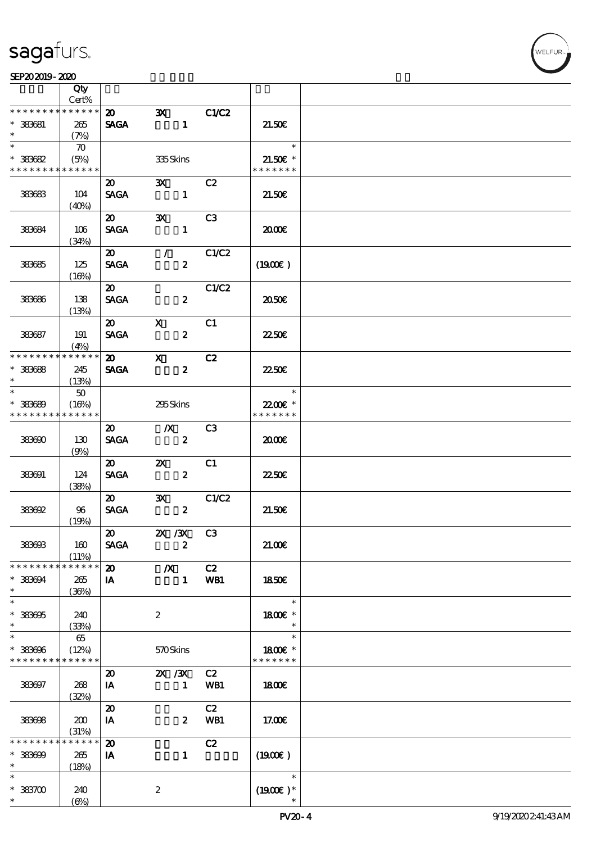

|                                         | Qty                         |                                            |                                                   |                |                                                       |  |
|-----------------------------------------|-----------------------------|--------------------------------------------|---------------------------------------------------|----------------|-------------------------------------------------------|--|
|                                         | Cert%<br>* * * * * *        |                                            |                                                   |                |                                                       |  |
| * * * * * * * *<br>$*$ 383681<br>$\ast$ | 265<br>(7%)                 | $\boldsymbol{\mathsf{20}}$<br><b>SAGA</b>  | $\mathbf{x}$<br>$\sim$ 1                          | <b>C1/C2</b>   | 21.50E                                                |  |
| $\overline{\ast}$<br>$* 333682$         | $\infty$<br>(5%)            |                                            | 335Skins                                          |                | $\ast$<br>$21.50E$ *                                  |  |
| * * * * * * * *                         | * * * * * *                 |                                            |                                                   |                | * * * * * * *                                         |  |
| 383683                                  | 104<br>(40%)                | $\boldsymbol{\mathfrak{D}}$<br><b>SAGA</b> | $\mathbf{X}$<br>$\mathbf{1}$                      | C <sub>2</sub> | 21.50E                                                |  |
| 383684                                  | 106<br>(34%)                | $\boldsymbol{\mathfrak{D}}$<br><b>SAGA</b> | $\mathbf{x}$<br>$\mathbf{1}$                      | C3             | 2000                                                  |  |
| 383685                                  | 125<br>(16%)                | $\boldsymbol{\omega}$<br><b>SAGA</b>       | $\mathcal{L} \subset \mathcal{L}$<br>$\mathbf{z}$ | C1/C2          | (1900E)                                               |  |
| 383686                                  | 138<br>(13%)                | $\boldsymbol{\mathfrak{D}}$<br><b>SAGA</b> | $\boldsymbol{z}$                                  | C1/C2          | 2050E                                                 |  |
| 383687                                  | 191<br>(4%)                 | $\boldsymbol{\mathsf{20}}$<br><b>SAGA</b>  | $\mathbf{X}$<br>$\boldsymbol{z}$                  | C1             | <b>2250€</b>                                          |  |
| * * * * * * * *                         | * * * * * *                 | $\boldsymbol{\mathsf{20}}$                 | $\mathbf{x}$                                      | C2             |                                                       |  |
| $* 33668$<br>$\ast$<br>$\ast$           | 245<br>(13%)                | <b>SAGA</b>                                | $\boldsymbol{z}$                                  |                | 2250E                                                 |  |
| $* 333689$<br>* * * * * * * *           | 50<br>(16%)<br>* * * * * *  |                                            | 295Skins                                          |                | $\overline{\phantom{a}}$<br>22.00€ *<br>* * * * * * * |  |
| 383690                                  | 130<br>(9%)                 | $\boldsymbol{\mathfrak{D}}$<br><b>SAGA</b> | $\mathbb{X}$<br>$\boldsymbol{z}$                  | C3             | 2000                                                  |  |
| 383691                                  | 124<br>(38%)                | $\boldsymbol{\mathfrak{D}}$<br><b>SAGA</b> | $\mathbf{X}$<br>$\boldsymbol{2}$                  | C1             | 2250E                                                 |  |
| 383692                                  | 96<br>(19%)                 | $\boldsymbol{\mathfrak{D}}$<br><b>SAGA</b> | $\mathbf{x}$<br>$\boldsymbol{z}$                  | C1/C2          | 21.50E                                                |  |
| 383603                                  | 160<br>(11%)                | $\boldsymbol{\omega}$<br><b>SAGA</b>       | <b>2X /3X C3</b><br>$\boldsymbol{z}$              |                | 21.006                                                |  |
| * * * * * * *                           | * * * * * *                 | $\boldsymbol{\mathbf{z}}$                  | $\boldsymbol{X}$                                  | C2             |                                                       |  |
| $* 33304$<br>$\ast$                     | 265<br>(36%)                | IA                                         | $\mathbf{1}$                                      | WB1            | 1850E                                                 |  |
| $\ast$<br>$* 333005$<br>$\ast$          | 240<br>(33%)                |                                            | $\boldsymbol{2}$                                  |                | $\ast$<br>1800E *<br>$\ast$                           |  |
| $\ast$<br>$* 333006$<br>* * * * * * * * | 65<br>(12%)<br>* * * * * *  |                                            | 570Skins                                          |                | $\ast$<br>1800€ *<br>* * * * * * *                    |  |
| 383697                                  | 268<br>(32%)                | $\boldsymbol{\mathfrak{D}}$<br>IA          | $\chi$ / $\chi$<br>$\mathbf{1}$                   | C2<br>WB1      | 1800E                                                 |  |
| 383698                                  | 200<br>(31%)                | $\boldsymbol{\mathbf{z}}$<br>IA            | $\boldsymbol{z}$                                  | C2<br>WB1      | 17.00E                                                |  |
| * * * * * * *<br>$* 333009$<br>$\ast$   | * * * * * *<br>265<br>(18%) | $\boldsymbol{\mathbf{z}}$<br>IA            | $\mathbf{1}$                                      | C2             | (1900E)                                               |  |
| $\ast$<br>$* 383700$<br>$\ast$          | 240<br>$(\Theta)$           |                                            | $\boldsymbol{2}$                                  |                | $\ast$<br>$(1900E)*$                                  |  |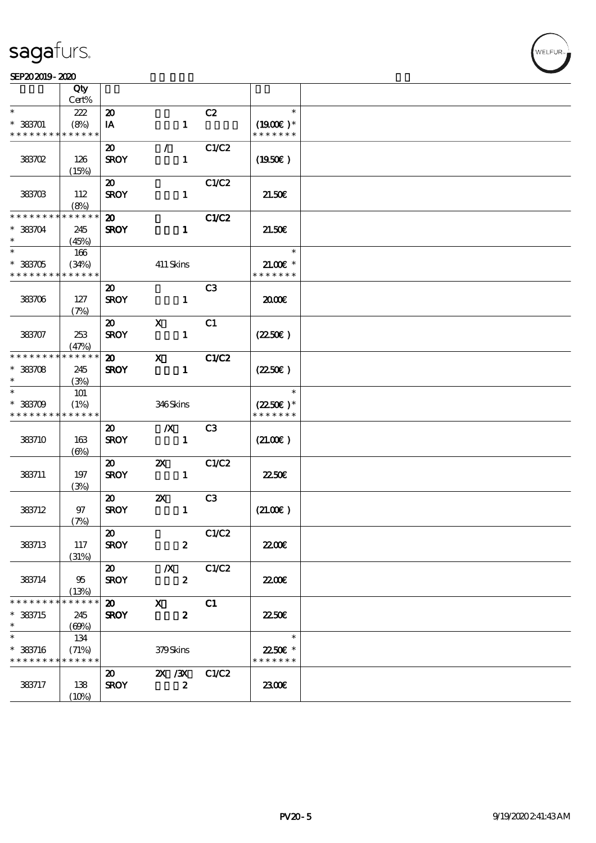### SEP202019-2020

|                   | Qty<br>Cert% |                             |                           |                |                       |  |
|-------------------|--------------|-----------------------------|---------------------------|----------------|-----------------------|--|
| $\ast$            |              |                             |                           |                | $\ast$                |  |
|                   | 222          | $\boldsymbol{\mathsf{20}}$  |                           | C2             |                       |  |
| $* 33301$         | (8%)         | IA                          | $\mathbf{1}$              |                | $(1900E)*$            |  |
| * * * * * * * *   | * * * * * *  |                             |                           |                | * * * * * * *         |  |
|                   |              | $\boldsymbol{\mathfrak{D}}$ | $\mathcal{L}$             | C1/C2          |                       |  |
| 383702            | 126          | <b>SROY</b>                 | $\mathbf{1}$              |                | $(1950\epsilon)$      |  |
|                   | (15%)        |                             |                           |                |                       |  |
|                   |              | $\boldsymbol{\mathfrak{D}}$ |                           | C1/C2          |                       |  |
| 383703            | 112          | <b>SROY</b>                 | $\mathbf{1}$              |                | 21.50E                |  |
|                   |              |                             |                           |                |                       |  |
| * * * * * * * *   | (8%)         |                             |                           |                |                       |  |
|                   | * * * * * *  | $\boldsymbol{\omega}$       |                           | C1/C2          |                       |  |
| $* 383704$        | 245          | <b>SROY</b>                 | $\mathbf{1}$              |                | 21.50E                |  |
| $\ast$            | (45%)        |                             |                           |                |                       |  |
| $\overline{\ast}$ | 166          |                             |                           |                | $\ast$                |  |
| $*383705$         | (34%)        |                             | 411 Skins                 |                | $21.00E*$             |  |
| * * * * * * * *   | * * * * * *  |                             |                           |                | * * * * * * *         |  |
|                   |              | $\boldsymbol{\mathfrak{D}}$ |                           | C <sub>3</sub> |                       |  |
|                   |              |                             |                           |                |                       |  |
| 383706            | 127          | <b>SROY</b>                 | $\mathbf{1}$              |                | 2000                  |  |
|                   | (7%)         |                             |                           |                |                       |  |
|                   |              | $\boldsymbol{\mathfrak{D}}$ | $\mathbf x$               | C1             |                       |  |
| 383707            | 253          | <b>SROY</b>                 | $\mathbf{1}$              |                | $(2250\varepsilon)$   |  |
|                   | (47%)        |                             |                           |                |                       |  |
| * * * * * * * *   | * * * * * *  | $\boldsymbol{\mathsf{20}}$  | $\mathbf{x}$              | <b>C1/C2</b>   |                       |  |
| $* 383708$        | 245          | <b>SROY</b>                 | $\mathbf{1}$              |                | $(2250\varepsilon)$   |  |
| $\ast$            |              |                             |                           |                |                       |  |
|                   | (3%)         |                             |                           |                |                       |  |
| $\ast$            | 101          |                             |                           |                | $\ast$                |  |
| $* 383709$        | (1%)         |                             | 346Skins                  |                | $(2250\varepsilon)^*$ |  |
| * * * * * * * *   | * * * * * *  |                             |                           |                | * * * * * * *         |  |
|                   |              | $\boldsymbol{\mathfrak{D}}$ | $\boldsymbol{X}$          | C3             |                       |  |
| 383710            | 163          | <b>SROY</b>                 | $\mathbf{1}$              |                | (21.00)               |  |
|                   | $(\Theta)$   |                             |                           |                |                       |  |
|                   |              | $\boldsymbol{\mathfrak{D}}$ | $\boldsymbol{\mathsf{z}}$ | C1/C2          |                       |  |
|                   |              | <b>SROY</b>                 | $\mathbf{1}$              |                | 2250E                 |  |
| 383711            | 197          |                             |                           |                |                       |  |
|                   | (3%)         |                             |                           |                |                       |  |
|                   |              | $\boldsymbol{\mathfrak{D}}$ | $\boldsymbol{\mathsf{Z}}$ | C3             |                       |  |
| 383712            | 97           | <b>SROY</b>                 | $\mathbf{1}$              |                | (21.00)               |  |
|                   | (7%)         |                             |                           |                |                       |  |
|                   |              | $\boldsymbol{\mathfrak{D}}$ |                           | C1/C2          |                       |  |
| 383713            | 117          | <b>SROY</b>                 | $\boldsymbol{z}$          |                | 22.00E                |  |
|                   | (31%)        |                             |                           |                |                       |  |
|                   |              | $\boldsymbol{\omega}$       | $\boldsymbol{X}$          | C1/C2          |                       |  |
|                   |              |                             |                           |                |                       |  |
| 383714            | 95           | <b>SROY</b>                 | $\boldsymbol{z}$          |                | 22.00E                |  |
|                   | (13%)        |                             |                           |                |                       |  |
| * * * * * * * *   | * * * * * *  | $\boldsymbol{\mathsf{20}}$  | $\mathbf{x}$              | C1             |                       |  |
| $*$ 383715        | 245          | <b>SROY</b>                 | $\boldsymbol{z}$          |                | 2250E                 |  |
| $\ast$            | (69%)        |                             |                           |                |                       |  |
| $\ast$            | 134          |                             |                           |                | $\ast$                |  |
| * 383716          | (71%)        |                             | 379Skins                  |                | 2250€ *               |  |
| * * * * * * * *   | * * * * * *  |                             |                           |                | * * * * * * *         |  |
|                   |              |                             |                           |                |                       |  |
|                   |              | $\boldsymbol{\mathfrak{D}}$ | $\chi$ / $\chi$           | C1/C2          |                       |  |
| 383717            | 138          | <b>SROY</b>                 | $\boldsymbol{z}$          |                | 2300E                 |  |
|                   | (10%)        |                             |                           |                |                       |  |
|                   |              |                             |                           |                |                       |  |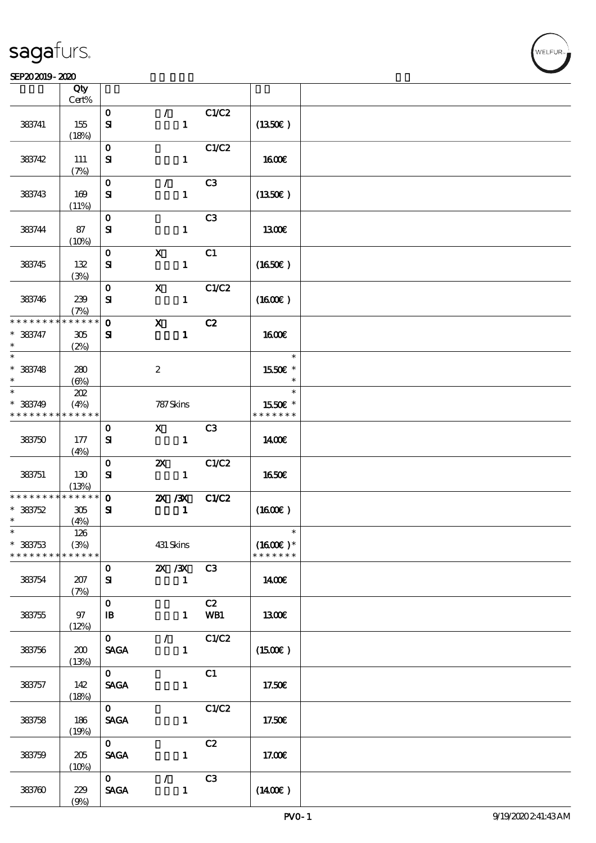### $S$ EP202019-2020  $\sim$  2020

|                               | Qty<br>$Cert\%$     |                           |                           |              |                |                             |  |
|-------------------------------|---------------------|---------------------------|---------------------------|--------------|----------------|-----------------------------|--|
|                               |                     | $\mathbf{O}$              | $\mathcal{L}$             |              | C1/C2          |                             |  |
| 383741                        | 155<br>(18%)        | $\mathbf{S}$              |                           | $\mathbf{1}$ |                | (1350E)                     |  |
|                               |                     | $\mathbf{O}$              |                           |              | C1/C2          |                             |  |
| 383742                        | 111<br>(7%)         | ${\bf s}$                 |                           | $\mathbf{1}$ |                | <b>1600€</b>                |  |
|                               |                     | $\mathbf O$               | $\mathcal{L}$             |              | C <sub>3</sub> |                             |  |
| 383743                        | 169<br>(11%)        | ${\bf s}$                 |                           | $\mathbf{1}$ |                | $(1350\epsilon)$            |  |
|                               |                     | $\mathbf O$               |                           |              | C <sub>3</sub> |                             |  |
| 383744                        | 87<br>(10%)         | ${\bf s}$                 |                           | $\mathbf{1}$ |                | <b>1300€</b>                |  |
|                               |                     | $\mathbf 0$               | $\boldsymbol{\mathrm{X}}$ |              | C1             |                             |  |
| 383745                        | 132<br>(3%)         | ${\bf s}$                 |                           | $\mathbf{1}$ |                | (1650)                      |  |
|                               |                     | $\mathbf{o}$              | $\boldsymbol{\mathrm{X}}$ |              | C1/C2          |                             |  |
| 383746                        | 239<br>(7%)         | $\mathbf{S}$              |                           | $\mathbf{1}$ |                | $(1600\varepsilon)$         |  |
| * * * * * * * *               | * * * * * *         | $\mathbf{o}$              | $\mathbf{x}$              |              | C2             |                             |  |
| $* 383747$<br>$\ast$          | 305<br>(2%)         | ${\bf s}$                 |                           | $\mathbf{1}$ |                | <b>1600€</b>                |  |
| $\ast$                        |                     |                           |                           |              |                | $\ast$                      |  |
| $* 383748$<br>$\ast$          | 280<br>(6%)         |                           | $\boldsymbol{2}$          |              |                | 1550€ *<br>$\ast$           |  |
| $\ast$                        | 202                 |                           |                           |              |                | $\ast$                      |  |
| $* 383749$                    | (4%)                |                           | 787 Skins                 |              |                | 1550€ *                     |  |
| * * * * * * * *               | * * * * * *         |                           |                           |              |                | * * * * * * *               |  |
| 383750                        | 177                 | $\mathbf{o}$<br>${\bf s}$ | $\mathbf{X}$              | $\mathbf{1}$ | C <sub>3</sub> | 1400€                       |  |
|                               | (4%)                |                           |                           |              |                |                             |  |
|                               |                     | $\mathbf O$               | $\boldsymbol{\mathsf{X}}$ |              | C1/C2          |                             |  |
| 383751                        | 130                 | ${\bf s}$                 |                           | $\mathbf{1}$ |                | 1650€                       |  |
|                               | (13%)               |                           |                           |              |                |                             |  |
| * * * * * * * *               | $******$            | $\mathbf{o}$              | $X \, X$                  |              | C1/C2          |                             |  |
| $* 383752$                    | 305                 | ${\bf s}$                 |                           | $\mathbf{1}$ |                | (1600E)                     |  |
| $\ast$                        | (4%)                |                           |                           |              |                |                             |  |
| $\ast$                        | 126                 |                           |                           |              |                | $\ast$                      |  |
| $* 383753$<br>* * * * * * * * | (3%)<br>* * * * * * |                           | 431 Skins                 |              |                | $(1600)$ *<br>* * * * * * * |  |
|                               |                     | $\mathbf{O}$              |                           | 2X / 3X      | C3             |                             |  |
| 383754                        | 207                 | ${\bf s}$                 |                           | $\mathbf{1}$ |                | 1400E                       |  |
|                               | (7%)                |                           |                           |              |                |                             |  |
|                               |                     | $\mathbf{o}$              |                           |              | C2             |                             |  |
| 383755                        | 97                  | $\mathbf{B}$              |                           | $\mathbf{1}$ | WB1            | 1300€                       |  |
|                               | (12%)               |                           |                           |              |                |                             |  |
|                               |                     | $\mathbf{O}$              | $\mathcal{F}$             |              | C1/C2          |                             |  |
| 383756                        | 200<br>(13%)        | <b>SAGA</b>               |                           | $\mathbf{1}$ |                | (1500E)                     |  |
|                               |                     | $\mathbf{O}$              |                           |              | C1             |                             |  |
| 383757                        | 142                 | <b>SAGA</b>               |                           | $\mathbf{1}$ |                | 17.50€                      |  |
|                               | (18%)               |                           |                           |              |                |                             |  |
|                               |                     | $\mathbf{O}$              |                           |              | C1/C2          |                             |  |
| 383758                        | 186                 | <b>SAGA</b>               |                           | $\mathbf{1}$ |                | 17.50€                      |  |
|                               | (19%)               |                           |                           |              |                |                             |  |
|                               |                     | $\mathbf{O}$              |                           |              | C2             |                             |  |
| 383759                        | 205                 | <b>SAGA</b>               |                           | $\mathbf{1}$ |                | 17.00€                      |  |
|                               | (10%)               |                           |                           |              |                |                             |  |
|                               |                     | $\mathbf{O}$              | $\mathcal{L}$             |              | C <sub>3</sub> |                             |  |
| 383760                        | 229                 | <b>SAGA</b>               |                           | $\mathbf{1}$ |                | $(1400\varepsilon)$         |  |
|                               | (9%)                |                           |                           |              |                |                             |  |

**NELFUR**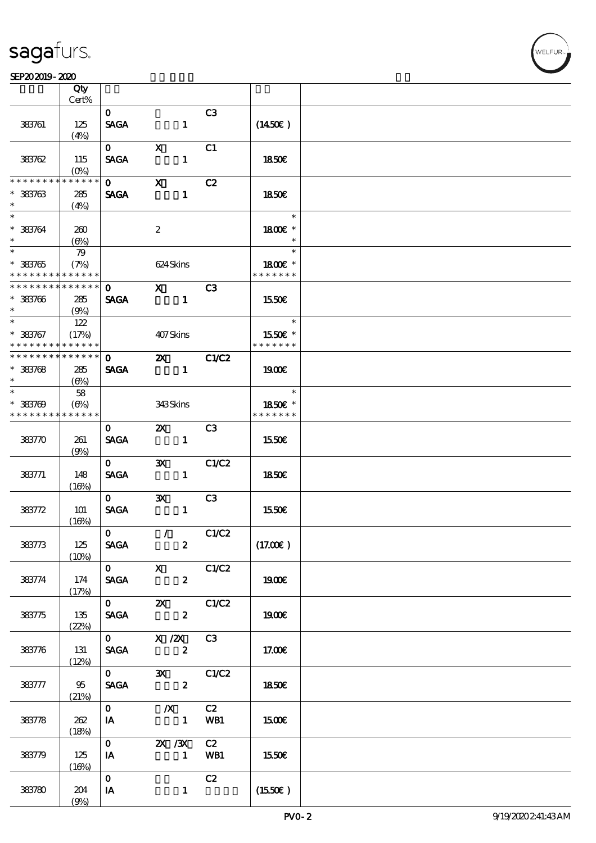ℸ

#### SEP202019-2020  $\overline{\phantom{a}}$

|                                            | Qty          |                             |                                       |                         |                |                     |  |
|--------------------------------------------|--------------|-----------------------------|---------------------------------------|-------------------------|----------------|---------------------|--|
|                                            | Cert%        |                             |                                       |                         |                |                     |  |
| 383761                                     | 125          | $\mathbf{O}$<br><b>SAGA</b> |                                       | $\mathbf{1}$            | C <sub>3</sub> | $(1450\varepsilon)$ |  |
|                                            | (4%)         |                             |                                       |                         |                |                     |  |
|                                            |              | $\mathbf{O}$                | $\mathbf x$                           |                         | C1             |                     |  |
| 383762                                     | 115          | <b>SAGA</b>                 |                                       | $\mathbf{1}$            |                | 1850E               |  |
|                                            | $(O\%)$      |                             |                                       |                         |                |                     |  |
| * * * * * * * *                            | * * * * * *  | $\mathbf{O}$                | $\mathbf{X}$                          |                         | C2             |                     |  |
| $* 383763$<br>$\ast$                       | 285          | <b>SAGA</b>                 |                                       | $\mathbf{1}$            |                | 1850E               |  |
| $\ast$                                     | (4%)         |                             |                                       |                         |                | $\ast$              |  |
| $* 33764$                                  | 260          |                             | $\boldsymbol{2}$                      |                         |                | 1800€ *             |  |
| $\ast$                                     | $(\Theta)$   |                             |                                       |                         |                | $\ast$              |  |
|                                            | 79           |                             |                                       |                         |                | $\ast$              |  |
| $* 33765$                                  | (7%)         |                             | 624 Skins                             |                         |                | 1800€ *             |  |
| * * * * * * * * <mark>* * * * * * *</mark> |              |                             |                                       |                         |                | * * * * * * *       |  |
| * * * * * * * *                            | ******       | $\mathbf{O}$                | $\mathbf{X}$                          |                         | C3             |                     |  |
| $* 33706$<br>$\ast$                        | 285<br>(9%)  | <b>SAGA</b>                 |                                       | $\mathbf{1}$            |                | 1550€               |  |
| $\ast$                                     | 122          |                             |                                       |                         |                | $\ast$              |  |
| $* 383767$                                 | (17%)        |                             | 407Skins                              |                         |                | 1550€ *             |  |
| * * * * * * * * * * * * * *                |              |                             |                                       |                         |                | * * * * * * *       |  |
| * * * * * * * * * * * * * * *              |              | $\Omega$                    | $\mathbf{X}$                          |                         | <b>C1/C2</b>   |                     |  |
| $* 33768$                                  | 285          | <b>SAGA</b>                 |                                       | $\mathbf{1}$            |                | 1900                |  |
| $\ast$<br>$*$                              | (6%)         |                             |                                       |                         |                | $\ast$              |  |
| $* 383709$                                 | 58<br>(6%)   |                             | 343Skins                              |                         |                | 1850€ *             |  |
| * * * * * * * * * * * * * *                |              |                             |                                       |                         |                | * * * * * * *       |  |
|                                            |              | $\mathbf{O}$                | $Z\!X$                                |                         | C3             |                     |  |
| 383770                                     | 261          | <b>SAGA</b>                 |                                       | $\mathbf{1}$            |                | 1550€               |  |
|                                            | (9%)         |                             |                                       |                         |                |                     |  |
|                                            |              | $\mathbf{O}$                | $\mathbf{x}$                          |                         | C1/C2          |                     |  |
| 383771                                     | 148          | <b>SAGA</b>                 |                                       | $\mathbf{1}$            |                | 1850E               |  |
|                                            | (16%)        | $\mathbf{O}$                | $\mathbf{x}$                          |                         | C3             |                     |  |
| 383772                                     | 101          | <b>SAGA</b>                 |                                       | $\mathbf{1}$            |                | 1550E               |  |
|                                            | (16%)        |                             |                                       |                         |                |                     |  |
|                                            |              | $\mathbf{O}$                |                                       |                         | $\sqrt{C1/C2}$ |                     |  |
| 383773                                     | 125          | <b>SAGA</b>                 |                                       | $\overline{\mathbf{z}}$ |                | (17.00)             |  |
|                                            | (10%)        |                             | $\overline{0}$ x $C1/C2$              |                         |                |                     |  |
| 383774                                     | 174          |                             | <b>SAGA</b>                           | $\mathbf{2}$            |                | 1900E               |  |
|                                            | (17%)        |                             |                                       |                         |                |                     |  |
|                                            |              |                             | $\overline{0}$ 2X $C1/C2$             |                         |                |                     |  |
| 383775                                     | 135          | <b>SAGA</b>                 |                                       | $\mathbf{z}$            |                | 1900E               |  |
|                                            | (22%)        |                             |                                       |                         |                |                     |  |
|                                            |              |                             | $0 \qquad X \, \mathsf{Z} \mathsf{X}$ |                         | C3             |                     |  |
| 383776                                     | 131<br>(12%) |                             | SAGA 2                                |                         |                | 17.00E              |  |
|                                            |              | $\mathbf{0}$                |                                       |                         | 3X C1/C2       |                     |  |
| 383777                                     | 95           | <b>SAGA</b>                 | $\overline{\mathbf{2}}$               |                         |                | 1850E               |  |
|                                            | (21%)        |                             |                                       |                         |                |                     |  |
|                                            |              | $\mathbf{O}$                | $\mathbf{X}$                          |                         | C2             |                     |  |
| 383778                                     | 262<br>(18%) | IA                          | $\blacksquare$                        |                         | WB1            | 1500€               |  |
|                                            |              | $\mathbf{O}$                | <b>2X</b> / 3X                        |                         | C2             |                     |  |
| 383779                                     | 125          | IA                          |                                       |                         | 1 WB1          | 1550E               |  |
|                                            | (16%)        |                             |                                       |                         |                |                     |  |
|                                            |              | $\mathbf{O}$                |                                       |                         | C2             |                     |  |
| 383780                                     | 204          | IA                          |                                       | $\mathbf{1}$            |                | (1550E)             |  |
|                                            | (9%)         |                             |                                       |                         |                |                     |  |

т

VELEUR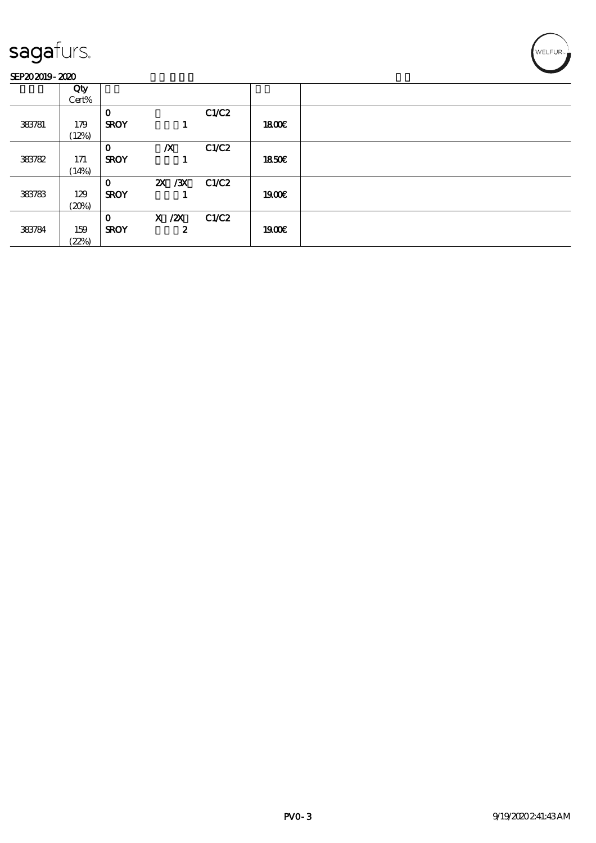### SEP202019-2020

| _______ |       |             |                  |       |       |  |
|---------|-------|-------------|------------------|-------|-------|--|
|         | Qty   |             |                  |       |       |  |
|         | Cert% |             |                  |       |       |  |
|         |       | $\mathbf 0$ |                  | C1/C2 |       |  |
| 383781  | 179   | <b>SROY</b> |                  |       | 1800E |  |
|         | (12%) |             |                  |       |       |  |
|         |       | $\mathbf 0$ | $\boldsymbol{X}$ | C1/C2 |       |  |
| 383782  | 171   | <b>SROY</b> |                  |       | 1850E |  |
|         | (14%) |             |                  |       |       |  |
|         |       | $\mathbf 0$ | 2X / 3X          | C1/C2 |       |  |
| 383783  | 129   | <b>SROY</b> |                  |       | 1900  |  |
|         | (20%) |             |                  |       |       |  |
|         |       | $\Omega$    | $X$ / $ZX$       | C1/C2 |       |  |
| 383784  | 159   | <b>SROY</b> | 2                |       | 1900E |  |
|         | (22%) |             |                  |       |       |  |

WELFUR<sub>2</sub>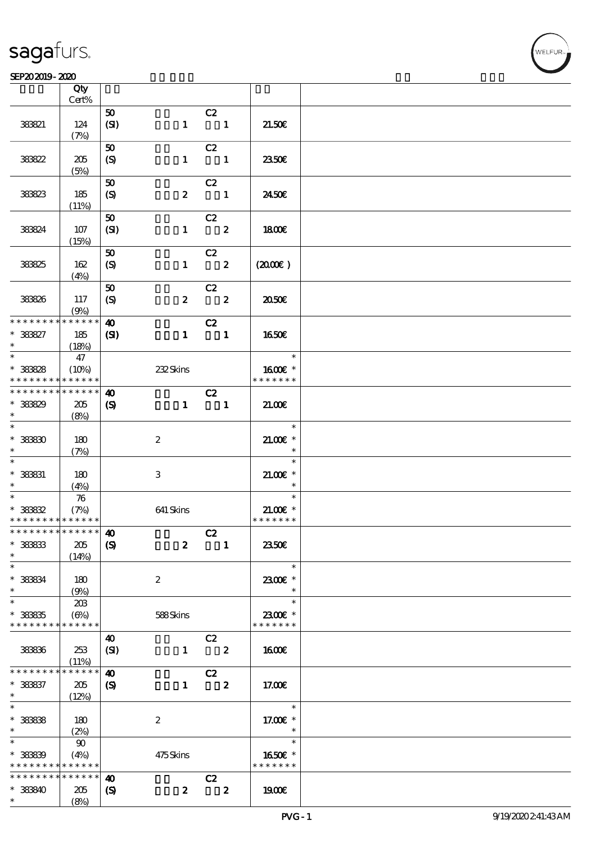### $SEP202019 - 2020$   $SEP202019 - 2020$

|                                            | Qty             |                             |                  |                          |                  |                          |  |
|--------------------------------------------|-----------------|-----------------------------|------------------|--------------------------|------------------|--------------------------|--|
|                                            | Cert%           |                             |                  |                          |                  |                          |  |
|                                            |                 | ${\bf 50}$                  |                  | C2                       |                  |                          |  |
| 383821                                     | 124             | (SI)                        | $\mathbf{1}$     | $\blacksquare$           |                  | 21.50E                   |  |
|                                            | (7%)            |                             |                  |                          |                  |                          |  |
|                                            |                 | 50                          |                  | C2                       |                  |                          |  |
| 38822                                      | 205             | (S)                         | $\mathbf{1}$     | $\blacksquare$           |                  | 2350E                    |  |
|                                            | (5%)            |                             |                  |                          |                  |                          |  |
|                                            |                 | $\pmb{\infty}$              |                  | C2                       |                  |                          |  |
| 38823                                      | 185             | $\boldsymbol{S}$            |                  | $2 \qquad \qquad 1$      |                  | 2450E                    |  |
|                                            | (11%)           |                             |                  |                          |                  |                          |  |
|                                            |                 | 50                          |                  |                          |                  |                          |  |
|                                            | 107             |                             |                  | C2                       |                  |                          |  |
| 38824                                      |                 | (SI)                        |                  | $1 \t 2$                 |                  | 1800E                    |  |
|                                            | (15%)           |                             |                  |                          |                  |                          |  |
|                                            |                 | 50                          |                  | C2                       |                  |                          |  |
| 38825                                      | 162             | (S)                         |                  | $1 \t 2$                 |                  | $(2000\varepsilon)$      |  |
|                                            | (4%)            |                             |                  |                          |                  |                          |  |
|                                            |                 | 50                          |                  | C2                       |                  |                          |  |
| 383826                                     | 117             | $\boldsymbol{S}$            | $\boldsymbol{z}$ | $\overline{\mathbf{z}}$  |                  | 2050E                    |  |
|                                            | (9%)            |                             |                  |                          |                  |                          |  |
| * * * * * * * *                            | * * * * * *     | $\boldsymbol{\omega}$       |                  | C2                       |                  |                          |  |
| * 383827                                   | 185             | (S)                         | $\mathbf{1}$     | $\overline{\phantom{a}}$ |                  | 1650E                    |  |
| $\ast$                                     | (18%)           |                             |                  |                          |                  |                          |  |
|                                            | 47              |                             |                  |                          |                  | $\overline{\phantom{a}}$ |  |
| * 38828                                    | (10%)           |                             | 232Skins         |                          |                  | 1600 £*                  |  |
| * * * * * * * *                            | $******$        |                             |                  |                          |                  | * * * * * * *            |  |
| * * * * * * * *                            | $* * * * * * *$ |                             |                  | C2                       |                  |                          |  |
|                                            |                 | $\boldsymbol{\omega}$       |                  |                          |                  |                          |  |
| * 38829                                    | 205             | $\boldsymbol{\mathrm{(S)}}$ |                  | $1 \quad 1$              |                  | 21.00                    |  |
| $\ast$<br>$\overline{\phantom{0}}$         | (8%)            |                             |                  |                          |                  |                          |  |
|                                            |                 |                             |                  |                          |                  | $\ast$                   |  |
| $* 3880$                                   | 180             |                             | $\boldsymbol{2}$ |                          |                  | $21.00$ $*$              |  |
| $\ast$                                     | (7%)            |                             |                  |                          |                  | $\ast$                   |  |
| $\ast$                                     |                 |                             |                  |                          |                  | $\ast$                   |  |
| $*$ 383831                                 | 180             |                             | 3                |                          |                  | $21.00E$ *               |  |
| $\ast$                                     | (4%)            |                             |                  |                          |                  | $\ast$                   |  |
| $\ast$                                     | 76              |                             |                  |                          |                  | $\mathbb{R}^n$<br>$\ast$ |  |
| $* 3882$                                   | (7%)            |                             | 641 Skins        |                          |                  | $21.00E$ *               |  |
| * * * * * * * *                            | * * * * * *     |                             |                  |                          |                  | * * * * * * *            |  |
| * * * * * * * * <mark>* * * * * *</mark> * |                 | $\boldsymbol{\omega}$       |                  | C2                       |                  |                          |  |
| $*$ 38833                                  | 205             | $\boldsymbol{\mathrm{(S)}}$ | $\boldsymbol{2}$ |                          | $\mathbf{1}$     | 2350E                    |  |
| $\ast$                                     |                 |                             |                  |                          |                  |                          |  |
| $\ast$                                     | (14%)           |                             |                  |                          |                  | $\ast$                   |  |
|                                            |                 |                             |                  |                          |                  |                          |  |
| * 38834<br>$\ast$                          | 180             |                             | $\boldsymbol{2}$ |                          |                  | 2300€ *                  |  |
|                                            | (9%)            |                             |                  |                          |                  | $\ast$                   |  |
| $\ast$                                     | 20B             |                             |                  |                          |                  | $\ast$                   |  |
| $* 38835$                                  | (6%)            |                             | 588Skins         |                          |                  | 2300E *                  |  |
| * * * * * * * *                            | * * * * * *     |                             |                  |                          |                  | * * * * * * *            |  |
|                                            |                 | 40                          |                  | C2                       |                  |                          |  |
| 383836                                     | 253             | (SI)                        | $\mathbf{1}$     |                          | $\boldsymbol{z}$ | <b>160€</b>              |  |
|                                            | (11%)           |                             |                  |                          |                  |                          |  |
| * * * * * * * *                            | ******          | 40                          |                  | C2                       |                  |                          |  |
| * 383837                                   | 205             | $\boldsymbol{\mathrm{(S)}}$ | $\mathbf{1}$     |                          | $\boldsymbol{z}$ | 17.00E                   |  |
| $\ast$                                     | (12%)           |                             |                  |                          |                  |                          |  |
| $\ast$                                     |                 |                             |                  |                          |                  | $\ast$                   |  |
| $*$ 38838                                  |                 |                             | $\boldsymbol{2}$ |                          |                  | 17.00 $\varepsilon$ *    |  |
| $\ast$                                     | 180             |                             |                  |                          |                  | $\ast$                   |  |
| $\ast$                                     | (2%)            |                             |                  |                          |                  | $\ast$                   |  |
|                                            | 90              |                             |                  |                          |                  |                          |  |
| * 38839                                    | (4%)            |                             | 475Skins         |                          |                  | 1650E *                  |  |
| * * * * * * * *                            | * * * * * *     |                             |                  |                          |                  | * * * * * * *            |  |
| * * * * * * * *                            | * * * * * *     | 40                          |                  | C2                       |                  |                          |  |
| * 383840                                   | 205             | $\boldsymbol{\mathrm{(S)}}$ | $\boldsymbol{z}$ | $\overline{\mathbf{2}}$  |                  | <b>1900€</b>             |  |
| $\ast$                                     | (8%)            |                             |                  |                          |                  |                          |  |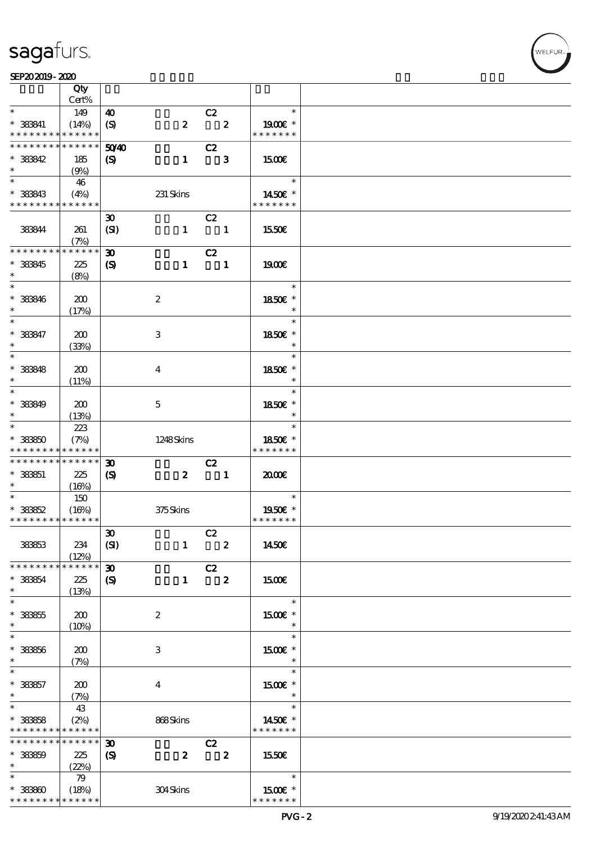$\top$ 

### $SEP202019 - 2020$   $SEP202019 - 2020$

|                                    | Qty                  |                             |                           |                               |                         |                                       |  |
|------------------------------------|----------------------|-----------------------------|---------------------------|-------------------------------|-------------------------|---------------------------------------|--|
| $\ast$                             | Cert%                |                             |                           |                               |                         | $\ast$                                |  |
|                                    | 149                  | 40                          |                           | C2<br>$\overline{\mathbf{2}}$ |                         |                                       |  |
| $*$ 383841<br>* * * * * * * *      | (14%)<br>* * * * * * | (S)                         | $\boldsymbol{z}$          |                               |                         | 1900 $\varepsilon$ *<br>* * * * * * * |  |
| * * * * * * * *                    | * * * * * *          | 50 <sup>/4</sup> 0          |                           | C2                            |                         |                                       |  |
| * 383842                           | 185                  | $\boldsymbol{\mathcal{S}}$  | $\mathbf{1}$              | $\overline{\phantom{a}}$ 3    |                         | 1500                                  |  |
| $\ast$                             | (9%)                 |                             |                           |                               |                         |                                       |  |
|                                    | 46                   |                             |                           |                               |                         | $\ast$                                |  |
| $* 38843$                          | (4%)                 |                             | 231 Skins                 |                               |                         | 1450€ *                               |  |
| * * * * * * * * * * * * * *        |                      |                             |                           |                               |                         | * * * * * * *                         |  |
|                                    |                      | $\boldsymbol{\mathfrak{D}}$ |                           | C2                            |                         |                                       |  |
| 383844                             | 261<br>(7%)          | (SI)                        |                           | $1 \quad 1$                   |                         | 1550€                                 |  |
| * * * * * * * *                    | ******               | $\boldsymbol{\mathfrak{D}}$ |                           | C2                            |                         |                                       |  |
| * 383845                           | 225                  | $\boldsymbol{S}$            |                           | $1 \quad 1$                   |                         | 1900                                  |  |
| $\ast$                             | (8%)                 |                             |                           |                               |                         |                                       |  |
| $\ast$                             |                      |                             |                           |                               |                         | $\ast$                                |  |
| $* 38846$                          | 200                  |                             | $\boldsymbol{z}$          |                               |                         | 1850E *                               |  |
| $\ast$                             | (17%)                |                             |                           |                               |                         | $\ast$                                |  |
| $\ast$                             |                      |                             |                           |                               |                         | $\ast$                                |  |
| $* 383847$<br>$\ast$               | 200                  |                             | $\ensuremath{\mathbf{3}}$ |                               |                         | 1850€ *<br>$\ast$                     |  |
| $\ast$                             | (33%)                |                             |                           |                               |                         | $\ast$                                |  |
| $*$ 38848                          | 200                  |                             | $\boldsymbol{4}$          |                               |                         | 1850E *                               |  |
| $\ast$                             | (11%)                |                             |                           |                               |                         | $\ast$                                |  |
| $\ast$                             |                      |                             |                           |                               |                         | $\ast$                                |  |
| $* 38849$                          | 200                  |                             | $\mathbf{5}$              |                               |                         | 1850E *                               |  |
| $\ast$                             | (13%)                |                             |                           |                               |                         | $\ast$                                |  |
| $\ast$                             | 223                  |                             |                           |                               |                         | $\ast$                                |  |
| $* 33350$<br>* * * * * * * *       | (7%)<br>* * * * * *  |                             | 1248Skins                 |                               |                         | 1850€ *<br>* * * * * * *              |  |
| * * * * * * * *                    | * * * * * *          | $\boldsymbol{\mathfrak{D}}$ |                           | C2                            |                         |                                       |  |
| $* 33351$                          | 225                  | $\boldsymbol{S}$            | $\boldsymbol{z}$          | $\overline{\phantom{a}}$ 1    |                         | 2000                                  |  |
| $*$                                | (16%)                |                             |                           |                               |                         |                                       |  |
| $*$                                | 150                  |                             |                           |                               |                         | $\sim$<br>$\ast$                      |  |
| $* 38852$                          | (16%)                |                             | 375Skins                  |                               |                         | 1950E *                               |  |
| * * * * * * * * * * * * * *        |                      |                             |                           |                               |                         | * * * * * * *                         |  |
|                                    |                      | $\pmb{\mathfrak{D}}$        |                           | C2                            |                         |                                       |  |
| 38363                              | 234<br>(12%)         | (SI)                        | $\mathbf{1}$              | $\overline{\mathbf{2}}$       |                         | 1450€                                 |  |
| * * * * * * * *                    | * * * * * *          | $\boldsymbol{\mathfrak{D}}$ |                           | C2                            |                         |                                       |  |
| * 38364                            | 225                  | $\boldsymbol{\mathcal{S}}$  | $\mathbf{1}$              | $\overline{\phantom{a}}$ 2    |                         | <b>1500€</b>                          |  |
| $\ast$                             | (13%)                |                             |                           |                               |                         |                                       |  |
| $\ast$                             |                      |                             |                           |                               |                         | $\ast$                                |  |
| $* 33355$                          | 200                  |                             | $\boldsymbol{z}$          |                               |                         | 1500E *                               |  |
| $\ast$<br>$\ast$                   | (10%)                |                             |                           |                               |                         | $\ast$<br>$\ast$                      |  |
| $^\ast$ 38856                      | 200                  |                             | 3                         |                               |                         | $1500E$ *                             |  |
| $\ast$                             | (7%)                 |                             |                           |                               |                         | $\ast$                                |  |
| $\ast$                             |                      |                             |                           |                               |                         | $\ast$                                |  |
| $* 33357$                          | 200                  |                             | $\boldsymbol{4}$          |                               |                         | 1500 £*                               |  |
| $\ast$                             | (7%)                 |                             |                           |                               |                         | $\ast$                                |  |
| $\ast$                             | 43                   |                             |                           |                               |                         | $\ast$                                |  |
| $*$ 38858                          | (2%)<br>* * * * * *  |                             | 868Skins                  |                               |                         | 1450€ *<br>* * * * * * *              |  |
| * * * * * * * *<br>* * * * * * * * | * * * * * *          | $\boldsymbol{\mathfrak{D}}$ |                           |                               |                         |                                       |  |
| $* 33359$                          | 225                  | $\boldsymbol{S}$            | $\boldsymbol{z}$          | C2                            | $\overline{\mathbf{2}}$ | 1550€                                 |  |
| $\ast$                             | (22%)                |                             |                           |                               |                         |                                       |  |
| $\ast$                             | 79                   |                             |                           |                               |                         | $\ast$                                |  |
| $* 33360$                          | (18%)                |                             | 304Skins                  |                               |                         | 1500E *                               |  |
| * * * * * * * *                    | * * * * * *          |                             |                           |                               |                         | * * * * * * *                         |  |

WELFUR<sub>1</sub>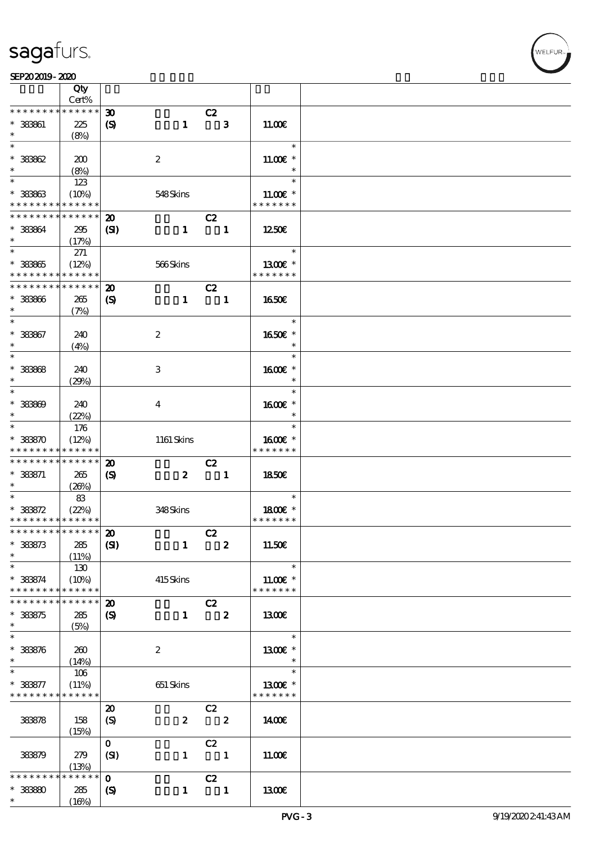### $SEP202019 - 2020$   $SEP202019 - 2020$

|                                            | Qty<br>Cert%    |                             |                  |                          |                         |               |  |
|--------------------------------------------|-----------------|-----------------------------|------------------|--------------------------|-------------------------|---------------|--|
| * * * * * * * *                            | * * * * * *     | $\boldsymbol{\mathfrak{D}}$ |                  |                          |                         |               |  |
|                                            |                 |                             |                  | C2                       |                         |               |  |
| * 383861                                   | 225             | $\boldsymbol{\mathrm{(S)}}$ | $\mathbf{1}$     |                          | $\mathbf{3}$            | 11.00E        |  |
|                                            | (8%)            |                             |                  |                          |                         |               |  |
| $\ast$                                     |                 |                             |                  |                          |                         | $\ast$        |  |
| $*38862$                                   | 200             |                             | $\boldsymbol{2}$ |                          |                         | $11.00E$ *    |  |
|                                            |                 |                             |                  |                          |                         |               |  |
| $\ast$                                     | (8%)            |                             |                  |                          |                         | $\ast$        |  |
|                                            | 123             |                             |                  |                          |                         | $\ast$        |  |
| $* 38863$                                  | (10%)           |                             | 548Skins         |                          |                         | $11.00E$ *    |  |
| * * * * * * * *                            | * * * * * *     |                             |                  |                          |                         | * * * * * * * |  |
|                                            |                 |                             |                  |                          |                         |               |  |
| * * * * * * * *                            | * * * * * *     | $\boldsymbol{\mathfrak{D}}$ |                  | C2                       |                         |               |  |
| * 38364                                    | 295             | (S)                         | $\mathbf{1}$     | $\blacksquare$           |                         | 1250E         |  |
| $\ast$                                     | (17%)           |                             |                  |                          |                         |               |  |
| $*$                                        |                 |                             |                  |                          |                         | $\ast$        |  |
|                                            | 271             |                             |                  |                          |                         |               |  |
| $* 33365$                                  | (12%)           |                             | 566Skins         |                          |                         | 1300E *       |  |
| * * * * * * * *                            | $* * * * * * *$ |                             |                  |                          |                         | * * * * * * * |  |
| * * * * * * * *                            | * * * * * *     | $\boldsymbol{\mathfrak{D}}$ |                  | C2                       |                         |               |  |
|                                            |                 |                             |                  |                          |                         |               |  |
| $* 38866$                                  | 265             | $\boldsymbol{\mathrm{(S)}}$ | $\mathbf{1}$     |                          | $\blacksquare$          | 1650€         |  |
| $\ast$                                     | (7%)            |                             |                  |                          |                         |               |  |
| $\ast$                                     |                 |                             |                  |                          |                         | $\ast$        |  |
| * 383867                                   | 240             |                             | $\boldsymbol{2}$ |                          |                         | 1650€ *       |  |
|                                            |                 |                             |                  |                          |                         |               |  |
| $\ast$                                     | (4%)            |                             |                  |                          |                         | $\ast$        |  |
| $\overline{\ast}$                          |                 |                             |                  |                          |                         | $\ast$        |  |
| $* 33368$                                  | 240             |                             | 3                |                          |                         | $1600E$ *     |  |
| $\ast$                                     |                 |                             |                  |                          |                         | $\ast$        |  |
| $\ast$                                     | (29%)           |                             |                  |                          |                         |               |  |
|                                            |                 |                             |                  |                          |                         | $\ast$        |  |
| $* 33360$                                  | 240             |                             | $\bf{4}$         |                          |                         | 1600E *       |  |
| $\ast$                                     | (22%)           |                             |                  |                          |                         | $\ast$        |  |
| $\overline{\phantom{0}}$                   |                 |                             |                  |                          |                         | $\ast$        |  |
|                                            | 176             |                             |                  |                          |                         |               |  |
| $* 38870$                                  | (12%)           |                             | 1161 Skins       |                          |                         | 1600€ *       |  |
| * * * * * * * *                            | * * * * * *     |                             |                  |                          |                         | * * * * * * * |  |
| * * * * * * * *                            | * * * * * *     | $\boldsymbol{\mathsf{20}}$  |                  | C2                       |                         |               |  |
| $* 38871$                                  |                 |                             |                  |                          |                         |               |  |
|                                            | 265             | $\boldsymbol{\mathrm{(S)}}$ | $\boldsymbol{z}$ | $\blacksquare$           |                         | 1850E         |  |
| $\ast$                                     | (20%)           |                             |                  |                          |                         |               |  |
| $\overline{\phantom{0}}$                   | 83              |                             |                  |                          |                         | $\ast$        |  |
| $* 38872$                                  | (22%)           |                             | 348Skins         |                          |                         | 1800E *       |  |
| * * * * * * * * <mark>* * * * * * *</mark> |                 |                             |                  |                          |                         | * * * * * * * |  |
| *************** 20                         |                 |                             |                  |                          |                         |               |  |
|                                            |                 |                             |                  | C2                       |                         |               |  |
| $* 38873$                                  | 285             | (S)                         | $\mathbf{1}$     |                          | $\overline{\mathbf{2}}$ | 11.50€        |  |
| $\ast$                                     | (11%)           |                             |                  |                          |                         |               |  |
| $\ast$                                     | 130             |                             |                  |                          |                         | $\ast$        |  |
|                                            |                 |                             |                  |                          |                         |               |  |
| $* 38874$                                  | (10%)           |                             | 415Skins         |                          |                         | 11.00 £*      |  |
| * * * * * * * *                            | * * * * * *     |                             |                  |                          |                         | * * * * * * * |  |
| * * * * * * *                              | * * * * * *     | $\boldsymbol{\mathfrak{D}}$ |                  | C2                       |                         |               |  |
| * 383875                                   | 285             | $\boldsymbol{\mathrm{(S)}}$ | $\mathbf{1}$     | $\overline{\mathbf{z}}$  |                         | 1300€         |  |
|                                            |                 |                             |                  |                          |                         |               |  |
| $\ast$                                     | (5%)            |                             |                  |                          |                         |               |  |
| $\ast$                                     |                 |                             |                  |                          |                         | $\ast$        |  |
| $* 38876$                                  | 260             |                             | $\boldsymbol{2}$ |                          |                         | 1300€ *       |  |
| $\ast$                                     | (14%)           |                             |                  |                          |                         | $\ast$        |  |
| $\ast$                                     |                 |                             |                  |                          |                         | $\ast$        |  |
|                                            | 106             |                             |                  |                          |                         |               |  |
| * 383877                                   | (11%)           |                             | 651 Skins        |                          |                         | 1300E *       |  |
| * * * * * * * *                            | * * * * * *     |                             |                  |                          |                         | * * * * * * * |  |
|                                            |                 | $\boldsymbol{\mathbf{z}}$   |                  | C2                       |                         |               |  |
|                                            |                 |                             |                  |                          | $\overline{\mathbf{2}}$ |               |  |
| 38378                                      | 158             | (S)                         | $\pmb{2}$        |                          |                         | 1400E         |  |
|                                            | (15%)           |                             |                  |                          |                         |               |  |
|                                            |                 | $\mathbf{O}$                |                  | C2                       |                         |               |  |
| 383879                                     | 279             | (SI)                        | $\mathbf{1}$     | $\overline{\phantom{a}}$ |                         | 11.00E        |  |
|                                            |                 |                             |                  |                          |                         |               |  |
|                                            | (13%)           |                             |                  |                          |                         |               |  |
| * * * * *                                  | * * * * *       | $\mathbf{o}$                |                  | C2                       |                         |               |  |
| $* 38880$                                  | 285             | $\boldsymbol{\mathrm{(S)}}$ | $\mathbf{1}$     | $\blacksquare$           |                         | <b>1300€</b>  |  |
| $\ast$                                     | (16%)           |                             |                  |                          |                         |               |  |
|                                            |                 |                             |                  |                          |                         |               |  |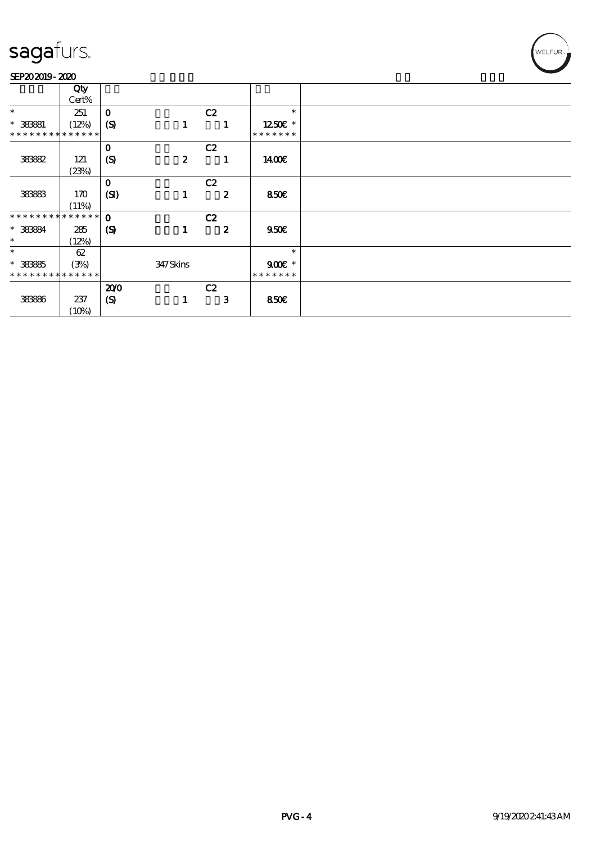### SEP202019-2020

|                               | Qty   |                             |                  |                  |               |
|-------------------------------|-------|-----------------------------|------------------|------------------|---------------|
|                               | Cert% |                             |                  |                  |               |
| $\ast$                        |       | $\mathbf{o}$                |                  | C2               | $\ast$        |
|                               | 251   |                             |                  |                  |               |
| $*$ 383881                    | (12%) | (S)                         | 1                | 1                | 1250E *       |
| * * * * * * * * * * * * * *   |       |                             |                  |                  | * * * * * * * |
|                               |       | $\mathbf 0$                 |                  | C2               |               |
| 38882                         | 121   | (S)                         | $\boldsymbol{z}$ | 1                | 1400€         |
|                               | (23%) |                             |                  |                  |               |
|                               |       | $\mathbf 0$                 |                  | C2               |               |
| 38883                         | 170   | (SI)                        | 1                | $\boldsymbol{z}$ | 850€          |
|                               |       |                             |                  |                  |               |
|                               | (11%) |                             |                  |                  |               |
| * * * * * * * * * * * * * * * |       | $\mathbf 0$                 |                  | C2               |               |
| * 38384                       | 285   | $\boldsymbol{\mathrm{(S)}}$ | 1                | $\boldsymbol{z}$ | 950E          |
| $\ast$                        | (12%) |                             |                  |                  |               |
| $\ast$                        | 62    |                             |                  |                  | $\ast$        |
| $* 38885$                     | (3%)  |                             | 347Skins         |                  | $900E$ *      |
| * * * * * * * * * * * * * *   |       |                             |                  |                  | * * * * * * * |
|                               |       | 200                         |                  | C2               |               |
|                               |       |                             |                  |                  |               |
| 38886                         | 237   | $\boldsymbol{S}$            | 1                | $\mathbf{3}$     | <b>850€</b>   |
|                               | (10%) |                             |                  |                  |               |

WELFUR<sub>T</sub>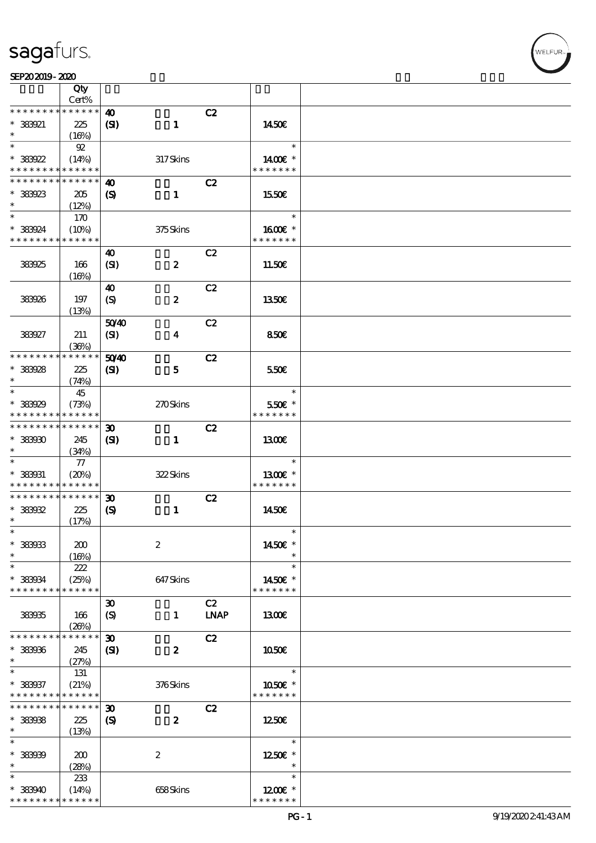Т

|                                    | Qty<br>Cert%         |                                   |                         |             |                            |  |
|------------------------------------|----------------------|-----------------------------------|-------------------------|-------------|----------------------------|--|
| * * * * * * * *                    | * * * * * *          | $\boldsymbol{\omega}$             |                         | C2          |                            |  |
| $*38921$<br>$\ast$                 | 225                  | (S)                               | $\mathbf{1}$            |             | 1450E                      |  |
|                                    | (16%)                |                                   |                         |             |                            |  |
| $\ast$<br>$*38922$                 | $92\,$<br>(14%)      |                                   | 317Skins                |             | $\ast$<br>1400€ *          |  |
| * * * * * * * *                    | * * * * * *          |                                   |                         |             | * * * * * * *              |  |
| * * * * * * * *                    | * * * * * *          | 40                                |                         | C2          |                            |  |
| $*38923$<br>$\ast$                 | 205<br>(12%)         | $\boldsymbol{\mathrm{(S)}}$       | $\mathbf{1}$            |             | 1550E                      |  |
| $\ast$                             | 170                  |                                   |                         |             | $\ast$                     |  |
| * 383924<br>* * * * * * * *        | (10%)<br>* * * * * * |                                   | 375Skins                |             | $1600E$ *<br>* * * * * * * |  |
|                                    |                      | 40                                |                         | C2          |                            |  |
| 383925                             | 166<br>(16%)         | (SI)                              | $\boldsymbol{z}$        |             | 11.50€                     |  |
|                                    |                      |                                   |                         |             |                            |  |
| 383926                             | 197                  | 40<br>$\boldsymbol{\mathrm{(S)}}$ | $\boldsymbol{2}$        | C2          | 1350E                      |  |
|                                    | (13%)                |                                   |                         |             |                            |  |
| 383927                             | 211                  | 5040<br>(SI)                      | $\overline{\mathbf{4}}$ | C2          | 850€                       |  |
|                                    | (36%)                |                                   |                         |             |                            |  |
| * * * * * * * *                    | * * * * * *          | 5040                              |                         | C2          |                            |  |
| * 383928                           | 225                  | (S)                               | $\mathbf{5}$            |             | 550€                       |  |
| $\ast$                             | (74%)                |                                   |                         |             |                            |  |
| $\ast$                             | 45                   |                                   |                         |             | $\ast$                     |  |
| * 383929                           | (73%)                |                                   | 270Skins                |             | 550€ *                     |  |
| * * * * * * * *                    | * * * * * *          |                                   |                         |             | * * * * * * *              |  |
| * * * * * * * *                    | $* * * * * * *$      | $\boldsymbol{\mathfrak{D}}$       |                         | C2          |                            |  |
| $*38900$                           | 245                  | (S)                               | $\mathbf{1}$            |             | <b>1300€</b>               |  |
| $\ast$                             |                      |                                   |                         |             |                            |  |
| $\ast$                             | (34%)                |                                   |                         |             | $\ast$                     |  |
|                                    | $77\,$               |                                   |                         |             |                            |  |
| $*$ 383931                         | (20%)                |                                   | 322Skins                |             | 1300€ *                    |  |
| * * * * * * * *<br>* * * * * * * * | * * * * * *          |                                   |                         |             | * * * * * * *              |  |
|                                    | $* * * * * * *$      | $\boldsymbol{\mathfrak{D}}$       |                         | C2          |                            |  |
| $*38992$                           | 225                  | $\boldsymbol{\mathrm{(S)}}$       | $\mathbf{1}$            |             | 1450E                      |  |
| $\ast$                             | (17%)                |                                   |                         |             |                            |  |
| $\ast$                             |                      |                                   |                         |             | $\ast$                     |  |
| $*$ 383933                         | 200                  |                                   | $\boldsymbol{2}$        |             | 1450€ *                    |  |
| $\ast$                             | (16%)                |                                   |                         |             |                            |  |
| $\ast$                             | 222                  |                                   |                         |             | $\ast$                     |  |
| * 383934                           | (25%)                |                                   | 647Skins                |             | 1450€ *                    |  |
| * * * * * * * *                    | * * * * * *          |                                   |                         |             | * * * * * * *              |  |
|                                    |                      | $\boldsymbol{\mathfrak{D}}$       |                         | C2          |                            |  |
| 383935                             | 166                  | $\boldsymbol{\mathrm{(S)}}$       | $\mathbf{1}$            | <b>LNAP</b> | 1300E                      |  |
|                                    | (20%)                |                                   |                         |             |                            |  |
| * * * * * * * *                    | * * * * * *          | $\boldsymbol{\mathfrak{D}}$       |                         | C2          |                            |  |
| * 383936                           | 245                  | $\mathbf{S}$                      | $\boldsymbol{z}$        |             | 1050€                      |  |
| $\ast$                             | (27%)                |                                   |                         |             |                            |  |
| $\ast$                             | 131                  |                                   |                         |             | $\ast$                     |  |
| * 383937                           |                      |                                   |                         |             | 1050€ *                    |  |
| * * * * * * * *                    | (21%)<br>* * * * * * |                                   | 376Skins                |             | * * * * * * *              |  |
| * * * * * * * *                    | * * * * * *          |                                   |                         |             |                            |  |
|                                    |                      | $\boldsymbol{\mathfrak{D}}$       |                         | C2          |                            |  |
| $*$ 383938                         | 225                  | $\boldsymbol{\mathrm{(S)}}$       | $\boldsymbol{z}$        |             | 1250E                      |  |
| $\ast$                             | (13%)                |                                   |                         |             |                            |  |
| $\ast$                             |                      |                                   |                         |             | $\ast$                     |  |
| * 383939                           | 200                  |                                   | $\boldsymbol{2}$        |             | 1250E *                    |  |
| $\ast$                             | (28%)                |                                   |                         |             | $\ast$                     |  |
| $\ast$                             | 233                  |                                   |                         |             | $\ast$                     |  |
| * 383940                           | (14%)                |                                   | 658Skins                |             | $1200E$ *                  |  |
| * * * * * * * *                    | * * * * * *          |                                   |                         |             | * * * * * * *              |  |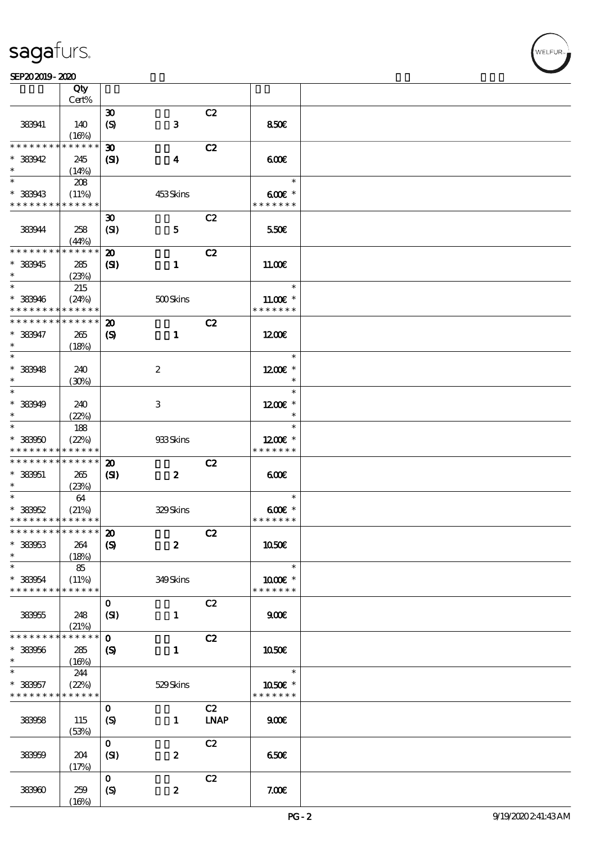### SEP202019-2020 WEBSTER SEPENDENT RESERVED TO A SEPENDENT CONTROL SEPENDENT CONTROL SOCIAL SEPENDENT CONTROL SOCIAL SEPENDENT CONTROL SOCIAL SEPENDENT CONTROL SOCIAL SEPENDENT CONTROL SOCIAL SEPENDENT CONTROL SOCIAL SEPENDE

|                               | Qty         |                             |                  |             |               |  |
|-------------------------------|-------------|-----------------------------|------------------|-------------|---------------|--|
|                               | Cert%       |                             |                  |             |               |  |
|                               |             | $\boldsymbol{\mathfrak{D}}$ |                  | C2          |               |  |
| 383941                        | 140         | $\boldsymbol{S}$            | ${\bf 3}$        |             | 850E          |  |
|                               | (16%)       |                             |                  |             |               |  |
| * * * * * * * *               | * * * * * * | $\boldsymbol{\mathfrak{D}}$ |                  | C2          |               |  |
| * 383942                      | 245         | (S)                         | $\boldsymbol{4}$ |             | 600           |  |
| $\ast$                        | (14%)       |                             |                  |             |               |  |
| $*$                           | 208         |                             |                  |             | $\ast$        |  |
| * 383943                      | (11%)       |                             | 453Skins         |             | $600E$ *      |  |
| * * * * * * * *               | * * * * * * |                             |                  |             | * * * * * * * |  |
|                               |             |                             |                  |             |               |  |
|                               |             | $\boldsymbol{\mathfrak{D}}$ |                  | C2          |               |  |
| 383944                        | 258         | (SI)                        | $\mathbf{5}$     |             | 550€          |  |
|                               | (44%)       |                             |                  |             |               |  |
| * * * * * * * *               | * * * * * * | $\boldsymbol{\mathbf{z}}$   |                  | C2          |               |  |
| * 383945                      | 285         | $\mathbf{C}$                | $\mathbf{1}$     |             | 11.00E        |  |
| $\ast$                        | (23%)       |                             |                  |             |               |  |
| $\ast$                        | 215         |                             |                  |             | $\ast$        |  |
| * 383946                      | (24%)       |                             | 500Skins         |             | $11.00E$ *    |  |
| * * * * * * * *               | * * * * * * |                             |                  |             | * * * * * * * |  |
| * * * * * * * *               | * * * * * * | $\boldsymbol{\mathfrak{D}}$ |                  | C2          |               |  |
|                               |             |                             |                  |             |               |  |
| $* 383947$                    | 265         | $\boldsymbol{\mathrm{(S)}}$ | $\mathbf{1}$     |             | 1200E         |  |
| $\ast$                        | (18%)       |                             |                  |             |               |  |
| $\ast$                        |             |                             |                  |             | $\ast$        |  |
| $*$ 383948                    | 240         |                             | $\boldsymbol{z}$ |             | 1200€ *       |  |
| $\ast$                        | (30%)       |                             |                  |             | $\ast$        |  |
| $\overline{\phantom{0}}$      |             |                             |                  |             | $\ast$        |  |
| * 383949                      | 240         |                             | 3                |             | $1200E$ *     |  |
| $\ast$                        | (22%)       |                             |                  |             | $\ast$        |  |
| $\ast$                        | 188         |                             |                  |             | $\ast$        |  |
| $* 33950$                     | (22%)       |                             | 933Skins         |             | $1200E$ *     |  |
| * * * * * * * *               | * * * * * * |                             |                  |             | * * * * * * * |  |
| * * * * * * * *               | * * * * * * |                             |                  |             |               |  |
|                               |             | $\boldsymbol{\mathbf{z}}$   |                  | C2          |               |  |
| $* 333051$                    | 265         | $\mathbf{C}$                | $\boldsymbol{z}$ |             | 600           |  |
| $\ast$                        | (23%)       |                             |                  |             |               |  |
| $\ast$                        | 64          |                             |                  |             | $\ast$        |  |
| $*38952$                      | (21%)       |                             | 329Skins         |             | $600E$ *      |  |
| * * * * * * * * * * * * * *   |             |                             |                  |             | * * * * * * * |  |
| * * * * * * * * * * * * * * * |             | $\boldsymbol{\mathbf{z}}$   |                  | C2          |               |  |
| $* 33953$                     | 264         | $\boldsymbol{S}$            | $\boldsymbol{z}$ |             | 1050€         |  |
| $\ast$                        | (18%)       |                             |                  |             |               |  |
| $\ast$                        | 85          |                             |                  |             | $\ast$        |  |
| * 383954                      | (11%)       |                             | 349Skins         |             | $1000E$ *     |  |
| * * * * * * * *               | * * * * * * |                             |                  |             | * * * * * * * |  |
|                               |             | $\mathbf{O}$                |                  | C2          |               |  |
|                               |             |                             |                  |             |               |  |
| 383955                        | 248         | (SI)                        | $\mathbf{1}$     |             | 900           |  |
|                               | (21%)       |                             |                  |             |               |  |
| * * * * * * * *               | * * * * * * | $\mathbf 0$                 |                  | C2          |               |  |
| $* 383056$                    | 285         | $\boldsymbol{\mathcal{S}}$  | $\mathbf{1}$     |             | 1050€         |  |
| $\ast$                        | (16%)       |                             |                  |             |               |  |
| $\ast$                        | 244         |                             |                  |             | $\ast$        |  |
| * 383957                      | (22%)       |                             | 529Skins         |             | 1050€ *       |  |
| * * * * * * * *               | * * * * * * |                             |                  |             | * * * * * * * |  |
|                               |             | $\mathbf{O}$                |                  | C2          |               |  |
| 383958                        | 115         |                             | $\mathbf{1}$     | <b>LNAP</b> | 900           |  |
|                               |             | $\boldsymbol{S}$            |                  |             |               |  |
|                               | (53%)       |                             |                  |             |               |  |
|                               |             | $\mathbf{O}$                |                  | C2          |               |  |
| 383959                        | 204         | (SI)                        | $\boldsymbol{2}$ |             | 650€          |  |
|                               | (17%)       |                             |                  |             |               |  |
|                               |             | $\mathbf{O}$                |                  | C2          |               |  |
| 383960                        | 259         | $\boldsymbol{S}$            | $\boldsymbol{z}$ |             | 7.00E         |  |
|                               | (16%)       |                             |                  |             |               |  |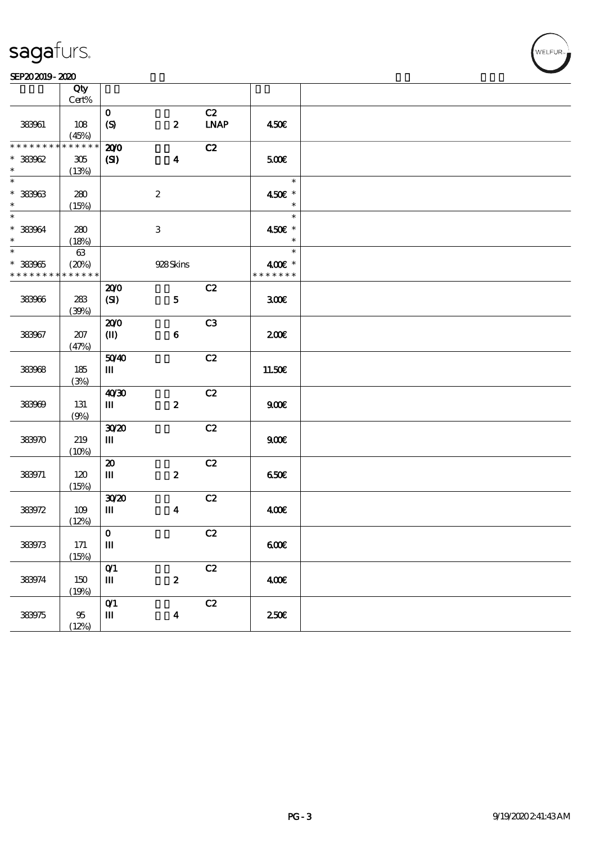### SEP202019-2020 WEBSTER SEPENDENT RESERVED TO A SEPENDENT CONTROL SEPENDENT CONTROL SOCIAL SEPENDENT CONTROL SOCIAL SEPENDENT CONTROL SOCIAL SEPENDENT CONTROL SOCIAL SEPENDENT CONTROL SOCIAL SEPENDENT CONTROL SOCIAL SEPENDE  $\frac{\text{SEP202019-2020}}{\text{Otv}}$

|                          | Qty                        |                               |                  |               |               |  |
|--------------------------|----------------------------|-------------------------------|------------------|---------------|---------------|--|
|                          | $Cert\%$                   |                               |                  |               |               |  |
|                          |                            | $\mathbf{O}$                  |                  | C2            |               |  |
| 383961                   | 108                        | $\boldsymbol{S}$              | $\boldsymbol{z}$ | <b>LNAP</b>   | 450€          |  |
| * * * * * * * *          | (45%)<br>* * * * * *       | 200                           |                  | C2            |               |  |
| $* 38962$                | $305\,$                    | (S)                           | $\boldsymbol{4}$ |               | 500€          |  |
| $\ast$                   | (13%)                      |                               |                  |               |               |  |
| $\overline{\phantom{0}}$ |                            |                               |                  |               | $\ast$        |  |
| $* 33963$                | 280                        |                               | $\boldsymbol{2}$ |               | 450€ *        |  |
| $\ast$                   | (15%)                      |                               |                  |               | $\ast$        |  |
| $\overline{\phantom{0}}$ |                            |                               |                  |               | $\ast$        |  |
| $* 38964$                | 280                        |                               | $\,3$            |               | 450€ *        |  |
| $\ast$                   | (18%)                      |                               |                  |               | $\ast$        |  |
| $\overline{\ast}$        | $63\,$                     |                               |                  |               | $\ast$        |  |
| $* 33905$                | (20%)                      |                               | 928Skins         |               | 400€ *        |  |
| * * * * * * * *          | $\ast\ast\ast\ast\ast\ast$ |                               |                  |               | * * * * * * * |  |
|                          |                            | 200                           |                  | C2            |               |  |
| 383966                   | 283                        | (SI)                          | ${\bf 5}$        |               | 300           |  |
|                          | (39%)                      |                               |                  |               |               |  |
|                          |                            | 200                           |                  | C3            |               |  |
| 383967                   | 207                        | $\mathbf{I}$                  | $\bf 6$          |               | 200E          |  |
|                          | (47%)                      |                               |                  |               |               |  |
|                          |                            | 5040                          |                  | C2            |               |  |
| 383968                   | 185                        | Ш                             |                  |               | 11.50€        |  |
|                          | (3%)                       |                               |                  |               |               |  |
|                          |                            | 4030                          |                  | C2            |               |  |
| 383969                   | 131                        | Ш                             | $\pmb{2}$        |               | 900E          |  |
|                          | (9%)                       | 3020                          |                  | C2            |               |  |
| 383970                   | 219                        | Ш                             |                  |               | 900E          |  |
|                          | (10%)                      |                               |                  |               |               |  |
|                          |                            | $\boldsymbol{\mathfrak{D}}$   |                  | C2            |               |  |
| 383971                   | 120                        | Ш                             | $\pmb{2}$        |               | 650€          |  |
|                          | (15%)                      |                               |                  |               |               |  |
|                          |                            | 3020                          |                  | C2            |               |  |
| 383972                   | 109                        | Ш                             | $\boldsymbol{4}$ |               | 400           |  |
|                          | (12%)                      |                               |                  |               |               |  |
|                          |                            | $\mathbf{O}$                  |                  | C2            |               |  |
| 383973                   | 171                        | $\mathbf m$                   |                  |               | 600E          |  |
|                          | (15%)                      |                               |                  |               |               |  |
|                          |                            | $O$ <sup><math>1</math></sup> |                  | C2            |               |  |
| 383974                   | 150                        | $\mathbf{m}$                  | $\boldsymbol{2}$ |               | 400           |  |
|                          | (19%)                      |                               |                  |               |               |  |
|                          |                            | O(1)                          |                  | $\mathbf{C2}$ |               |  |
| 383975                   | $95\,$                     | $\mathbf{m}$                  | $\boldsymbol{4}$ |               | 250E          |  |
|                          | (12%)                      |                               |                  |               |               |  |

.<br>WELFUR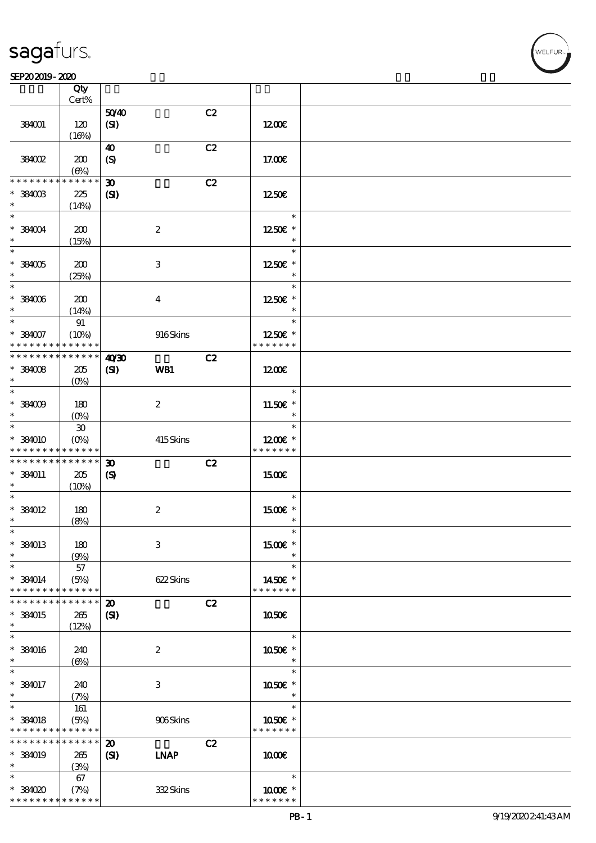### SEP202019-2020

|                                            | Qty                         |                             |                  |    |                                 |  |
|--------------------------------------------|-----------------------------|-----------------------------|------------------|----|---------------------------------|--|
|                                            | Cert%                       |                             |                  |    |                                 |  |
| 384001                                     | 120                         | 5040<br>(SI)                |                  | C2 | 1200E                           |  |
|                                            | (16%)                       |                             |                  |    |                                 |  |
|                                            |                             | 40                          |                  | C2 |                                 |  |
| 384002                                     | 200                         | (S)                         |                  |    | 17.00E                          |  |
|                                            | $(\Theta_0)$                |                             |                  |    |                                 |  |
| * * * * * * * *                            | * * * * * *                 | $\boldsymbol{\mathfrak{D}}$ |                  | C2 |                                 |  |
| $^*$ 384003 $\,$                           | 225                         | $\mathbf{C}$                |                  |    | 1250E                           |  |
| $\ast$<br>$\ast$                           | (14%)                       |                             |                  |    | $\ast$                          |  |
| $*384004$                                  | 200                         |                             | $\boldsymbol{2}$ |    | 1250E *                         |  |
| $\ast$                                     | (15%)                       |                             |                  |    | $\ast$                          |  |
| $\ast$                                     |                             |                             |                  |    | $\ast$                          |  |
| $*384005$                                  | 200                         |                             | $\,3\,$          |    | 1250E *                         |  |
| $\ast$                                     | (25%)                       |                             |                  |    | $\ast$                          |  |
| $\ast$                                     |                             |                             |                  |    | $\ast$                          |  |
| $*384006$<br>$\ast$                        | 200                         |                             | $\bf{4}$         |    | 1250E *<br>$\ast$               |  |
| $\ast$                                     | (14%)<br>91                 |                             |                  |    | $\ast$                          |  |
| $*384007$                                  | (10%)                       |                             | 916Skins         |    | $1250$ £ *                      |  |
| * * * * * * * * * * * * * *                |                             |                             |                  |    | * * * * * * *                   |  |
| * * * * * * * *                            | $* * * * * * *$             | 40'30                       |                  | C2 |                                 |  |
| $*384008$                                  | 205                         | $\mathbf{Z}$                | WB1              |    | 1200E                           |  |
| $\ast$                                     | $(O\%)$                     |                             |                  |    |                                 |  |
| $\ast$                                     |                             |                             |                  |    | $\ast$                          |  |
| $*33009$<br>$\ast$                         | 180<br>$(O\%)$              |                             | $\boldsymbol{z}$ |    | 11.50 $\varepsilon$ *<br>$\ast$ |  |
| $\ast$                                     | $\boldsymbol{\mathfrak{D}}$ |                             |                  |    | $\ast$                          |  |
| * 384010                                   | $(O\%)$                     |                             | 415Skins         |    | $1200E$ *                       |  |
| * * * * * * * * * * * * * *                |                             |                             |                  |    | * * * * * * *                   |  |
| * * * * * * * * * * * * * *                |                             | $\boldsymbol{\mathfrak{D}}$ |                  | C2 |                                 |  |
| * 384011                                   | 205                         | $\boldsymbol{\mathcal{S}}$  |                  |    | 1500E                           |  |
| $\ast$<br>$\ast$                           | (10%)                       |                             |                  |    | $\ast$                          |  |
| $*$ 384012                                 | 180                         |                             | $\boldsymbol{2}$ |    | 1500E *                         |  |
| $\ast$                                     | (8%)                        |                             |                  |    | $\ast$                          |  |
| $\ast$                                     |                             |                             |                  |    |                                 |  |
| * 384013                                   | 180                         |                             | 3                |    | $1500E$ *                       |  |
| $\ast$                                     | (9%)                        |                             |                  |    | $\ast$                          |  |
| $\ast$                                     | 57                          |                             |                  |    | $\ast$                          |  |
| $*$ 384014<br>* * * * * * * *              | (5%)<br>* * * * * *         |                             | 622Skins         |    | 1450€ *<br>* * * * * * *        |  |
| * * * * * * * *                            | * * * * * *                 | $\boldsymbol{\mathfrak{D}}$ |                  | C2 |                                 |  |
| * 384015                                   | 265                         | $\mathbf{C}$                |                  |    | 1050E                           |  |
| $\ast$                                     | (12%)                       |                             |                  |    |                                 |  |
| $\ast$                                     |                             |                             |                  |    | $\ast$                          |  |
| $*$ 384016                                 | 240                         |                             | $\boldsymbol{2}$ |    | 1050€ *                         |  |
| $\ast$                                     | $(\Theta)$                  |                             |                  |    | $\ast$                          |  |
| $\ast$<br>* 384017                         |                             |                             |                  |    | $\ast$                          |  |
| $\ast$                                     | 240<br>(7%)                 |                             | 3                |    | 1050E *<br>$\ast$               |  |
| $\ast$                                     | 161                         |                             |                  |    | $\ast$                          |  |
| $*$ 384018                                 | (5%)                        |                             | 906Skins         |    | 1050€ *                         |  |
| * * * * * * * * <mark>* * * * * *</mark> * |                             |                             |                  |    | * * * * * * *                   |  |
| * * * * * * * *                            | * * * * * *                 | $\boldsymbol{\mathbf{z}}$   |                  | C2 |                                 |  |
| * 384019                                   | 265                         | (S)                         | <b>INAP</b>      |    | 1000E                           |  |
| $\ast$<br>$\ast$                           | (3%)                        |                             |                  |    | $\ast$                          |  |
| $*38000$                                   | 67<br>(7%)                  |                             | 332Skins         |    | 1000 ±*                         |  |
| * * * * * * * * <mark>* * * * * *</mark> * |                             |                             |                  |    | * * * * * * *                   |  |

VELFUR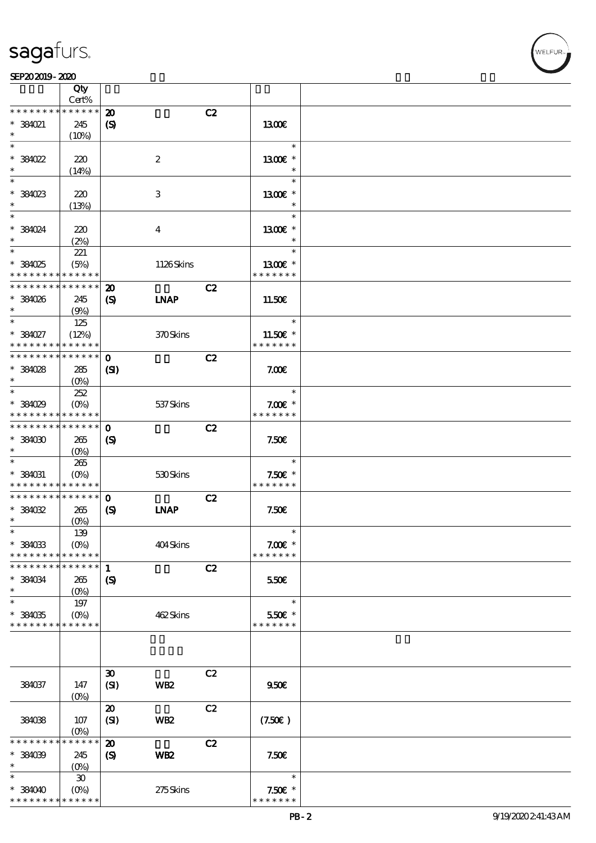|                                            | Qty                                    |                             |                           |                          |  |
|--------------------------------------------|----------------------------------------|-----------------------------|---------------------------|--------------------------|--|
|                                            | Cert%                                  |                             |                           |                          |  |
| * * * * * * * *                            | * * * * * *                            | $\boldsymbol{\mathsf{20}}$  | C2                        |                          |  |
| * 384021                                   | 245                                    | $\boldsymbol{\mathrm{(S)}}$ |                           | 1300E                    |  |
| $\ast$<br>$\ast$                           | (10%)                                  |                             |                           | $\ast$                   |  |
|                                            |                                        |                             |                           |                          |  |
| $*381022$                                  | 220                                    |                             | $\boldsymbol{2}$          | 1300€ *                  |  |
| $\ast$<br>$\ast$                           | (14%)                                  |                             |                           | $\ast$<br>$\ast$         |  |
|                                            |                                        |                             |                           |                          |  |
| * 384023                                   | 220                                    |                             | $\ensuremath{\mathbf{3}}$ | 1300€ *<br>$\ast$        |  |
| $\ast$                                     | (13%)                                  |                             |                           | $\ast$                   |  |
|                                            |                                        |                             |                           |                          |  |
| * 384024<br>$\ast$                         | 220                                    |                             | $\bf{4}$                  | 1300€ *<br>$\ast$        |  |
| $\ast$                                     | (2%)                                   |                             |                           | $\ast$                   |  |
|                                            | 221                                    |                             |                           |                          |  |
| * 384025<br>* * * * * * * *                | (5%)<br>* * * * * *                    |                             | 1126Skins                 | 1300E *<br>* * * * * * * |  |
| * * * * * * * *                            | * * * * * *                            | $\boldsymbol{\mathfrak{D}}$ | C2                        |                          |  |
| * 384026                                   | 245                                    |                             | <b>INAP</b>               | 11.50E                   |  |
| $\ast$                                     | (9%)                                   | $\boldsymbol{\mathrm{(S)}}$ |                           |                          |  |
| $\overline{\phantom{0}}$                   | 125                                    |                             |                           | $\ast$                   |  |
| * 384027                                   | (12%)                                  |                             | 370Skins                  | $11.50E$ *               |  |
| * * * * * * * *                            | * * * * * *                            |                             |                           | * * * * * * *            |  |
| * * * * * * * *                            | $* * * * * * *$                        | $\mathbf{o}$                | C2                        |                          |  |
| * 384028                                   | 285                                    | (S)                         |                           | 7.00E                    |  |
| $\ast$                                     | $(O\%)$                                |                             |                           |                          |  |
| $\ast$                                     | 252                                    |                             |                           | $\ast$                   |  |
| * 384029                                   | $(O\%)$                                |                             | 537 Skins                 | $7.00E$ *                |  |
| * * * * * * * *                            | * * * * * *                            |                             |                           | * * * * * * *            |  |
| * * * * * * * *                            | * * * * * *                            | $\mathbf 0$                 | C2                        |                          |  |
| $*38000$                                   | 265                                    | $\boldsymbol{\mathrm{(S)}}$ |                           | 7.50E                    |  |
| $\ast$                                     | $(O\%)$                                |                             |                           |                          |  |
| $\ast$                                     | 265                                    |                             |                           | $\ast$                   |  |
| * 384031                                   | $(O\%)$                                |                             | 530Skins                  | $7.50E$ *                |  |
| * * * * * * * *                            | * * * * * *                            |                             |                           | * * * * * * *            |  |
| * * * * * * * *                            | * * * * * *                            | $\mathbf{o}$                | C2                        |                          |  |
| $*38002$                                   | 265                                    | $\boldsymbol{\mathrm{(S)}}$ | <b>INAP</b>               | 7.50E                    |  |
| $\ast$                                     | (O <sub>0</sub> )                      |                             |                           |                          |  |
| $\ast$                                     | 139                                    |                             |                           |                          |  |
| $* 384033$                                 | $(O\%)$                                |                             | 404Skins                  | $7.00E$ *                |  |
| * * * * * * * *                            | * * * * * *                            |                             |                           | * * * * * * *            |  |
| * * * * * * * * <mark>* * * * * * *</mark> |                                        | 1                           | C2                        |                          |  |
| * 384034                                   | 265                                    | $\boldsymbol{\mathcal{S}}$  |                           | 550€                     |  |
| $\ast$                                     | $(O\%)$                                |                             |                           |                          |  |
| $\ast$                                     | 197                                    |                             |                           | $\ast$                   |  |
| $*384035$                                  | $(O\%)$                                |                             | 462Skins                  | 550€ *                   |  |
| * * * * * * * *                            | * * * * * *                            |                             |                           | * * * * * * *            |  |
|                                            |                                        |                             |                           |                          |  |
|                                            |                                        |                             |                           |                          |  |
|                                            |                                        |                             |                           |                          |  |
|                                            |                                        | $\boldsymbol{\mathfrak{D}}$ | C2                        |                          |  |
| 384037                                     | 147                                    | (SI)                        | WB <sub>2</sub>           | 950E                     |  |
|                                            | $(0\%)$                                |                             |                           |                          |  |
|                                            |                                        | $\boldsymbol{\mathbf{z}}$   | C2                        |                          |  |
| 384038                                     | 107                                    | (SI)                        | WB <sub>2</sub>           | (7.50)                   |  |
| * * * * * * * *                            | $(O\% )$<br>* * * * * *                |                             |                           |                          |  |
| $*384039$                                  |                                        | $\boldsymbol{\mathbf{z}}$   | C2                        |                          |  |
| $\ast$                                     | 245                                    | $\boldsymbol{\mathrm{(S)}}$ | WB <sub>2</sub>           | 7.50E                    |  |
| $\ast$                                     | $(0\%)$<br>$\boldsymbol{\mathfrak{D}}$ |                             |                           | $\ast$                   |  |
| * 384040                                   | $(O_0)$                                |                             | 275Skins                  | $7.50E$ *                |  |
| * * * * * * * * <mark>* * * * * *</mark>   |                                        |                             |                           | * * * * * * *            |  |
|                                            |                                        |                             |                           |                          |  |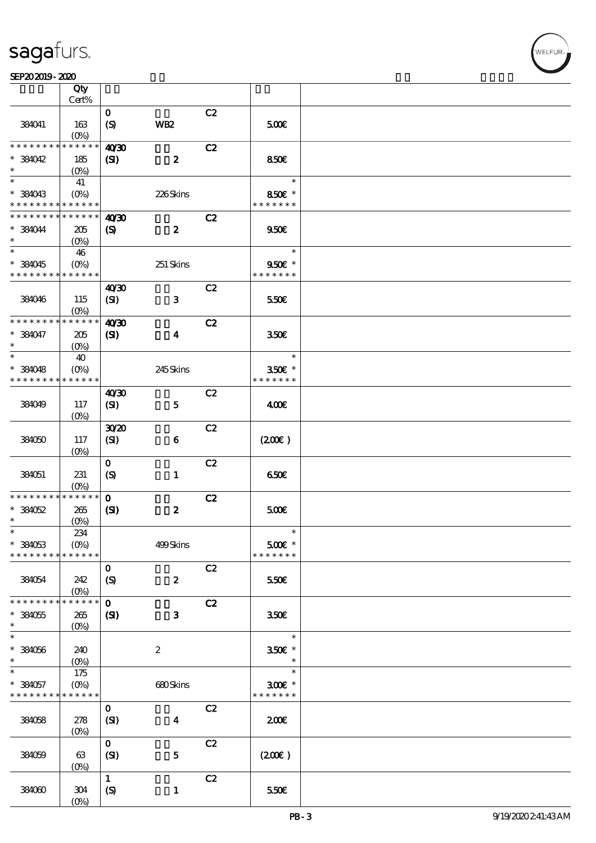### SEP202019-2020

|                                            | Qty<br>Cert%           |                                  |                         |    |                                     |  |
|--------------------------------------------|------------------------|----------------------------------|-------------------------|----|-------------------------------------|--|
|                                            |                        |                                  |                         |    |                                     |  |
| 384041                                     | 163<br>$(0\%)$         | $\mathbf{o}$<br>$\boldsymbol{S}$ | WB <sub>2</sub>         | C2 | 5000                                |  |
| * * * * * * * *                            | * * * * * *            | 40'30                            |                         | C2 |                                     |  |
| $*$ 384042                                 | 185                    | (S)                              | $\boldsymbol{z}$        |    | 850E                                |  |
| $\ast$                                     | $(O\%)$                |                                  |                         |    |                                     |  |
| $\ast$                                     | 41                     |                                  |                         |    | $\ast$                              |  |
| $* 384043$                                 |                        |                                  | 226Skins                |    | 850€ *                              |  |
| * * * * * * * * <mark>* * * * * *</mark> * |                        |                                  |                         |    | * * * * * * *                       |  |
| * * * * * * * *                            | * * * * * *            | 40'30                            |                         | C2 |                                     |  |
| * 384044                                   | 205                    |                                  | $\boldsymbol{z}$        |    | 950E                                |  |
| $\ast$                                     |                        | $\boldsymbol{\mathrm{(S)}}$      |                         |    |                                     |  |
| $\ast$                                     |                        |                                  |                         |    | $\ast$                              |  |
|                                            | 46                     |                                  |                         |    |                                     |  |
| * 384045                                   |                        |                                  | 251 Skins               |    | 950€ *<br>* * * * * * *             |  |
| * * * * * * * * <mark>* * * * * *</mark>   |                        |                                  |                         |    |                                     |  |
|                                            |                        | 40'30                            |                         | C2 |                                     |  |
| 384046                                     | 115                    | (SI)                             | $\mathbf{3}$            |    | 550€                                |  |
|                                            | $(O\%)$                |                                  |                         |    |                                     |  |
| * * * * * * * *                            | * * * * * *            | 40 <sup>20</sup>                 |                         | C2 |                                     |  |
| * 384047                                   | 205                    | $\mathbf{S}$                     | $\boldsymbol{4}$        |    | 350 <sup>2</sup>                    |  |
| $\ast$                                     | $(O\%)$                |                                  |                         |    |                                     |  |
| $\ast$                                     | 40                     |                                  |                         |    | $\ast$                              |  |
| $*384048$                                  | $(0\%)$                |                                  | 245Skins                |    | 350€ *                              |  |
| * * * * * * * *                            | * * * * * *            |                                  |                         |    | * * * * * * *                       |  |
|                                            |                        | 40'30                            |                         | C2 |                                     |  |
| 384049                                     | 117                    | (SI)                             | ${\bf 5}$               |    | 400                                 |  |
|                                            | $(O\%)$                |                                  |                         |    |                                     |  |
|                                            |                        | 3020                             |                         | C2 |                                     |  |
| 384050                                     | 117                    | (SI)                             | $\boldsymbol{6}$        |    | (200)                               |  |
|                                            | $(O\%)$                |                                  |                         |    |                                     |  |
|                                            |                        | $\mathbf 0$                      |                         | C2 |                                     |  |
| 384051                                     | 231                    | (S)                              | $\mathbf{1}$            |    | 650E                                |  |
|                                            | $(0\%)$                |                                  |                         |    |                                     |  |
| * * * * * * * *                            | * * * * * *            | $\mathbf{o}$                     |                         | C2 |                                     |  |
| $*38052$                                   | 265                    | $\mathbf{S}$                     | $\boldsymbol{z}$        |    | 500                                 |  |
| $\ast$                                     | $(0\%)$                |                                  |                         |    |                                     |  |
| $\ast$                                     | 234                    |                                  |                         |    |                                     |  |
| $*$ 384053                                 | $(O\%)$                |                                  | 499Skins                |    | $500$ $\varepsilon$ *               |  |
| * * * * * * * *                            | * * * * * *            |                                  |                         |    | * * * * * * *                       |  |
|                                            |                        | $\mathbf 0$                      |                         | C2 |                                     |  |
| 384054                                     | 242                    | $\boldsymbol{S}$                 | $\boldsymbol{z}$        |    | 550E                                |  |
|                                            | $(0\%)$                |                                  |                         |    |                                     |  |
| * * * * * * * *                            | * * * * * *            | $\mathbf{o}$                     |                         | C2 |                                     |  |
| $*$ 384055                                 | 265                    | (SI)                             | $\mathbf{3}$            |    | 350 <sup>2</sup>                    |  |
| $\ast$                                     | $(O\!/\!\delta)$       |                                  |                         |    |                                     |  |
| $\ast$                                     |                        |                                  |                         |    | $\ast$                              |  |
|                                            |                        |                                  |                         |    |                                     |  |
| $* 384056$<br>$\ast$                       | 240                    |                                  | $\boldsymbol{2}$        |    | 350€ *<br>$\ast$                    |  |
| $\ast$                                     | $(O\%)$                |                                  |                         |    | $\ast$                              |  |
|                                            | 175                    |                                  |                         |    |                                     |  |
| $* 384057$                                 | $(0\%)$<br>* * * * * * |                                  | 680Skins                |    | $300$ $\epsilon$ *<br>* * * * * * * |  |
| * * * * * * * *                            |                        |                                  |                         |    |                                     |  |
|                                            |                        | $\mathbf{o}$                     |                         | C2 |                                     |  |
| 384058                                     | 278                    | (SI)                             | $\overline{\mathbf{4}}$ |    | 200                                 |  |
|                                            | $(O\!/\!\delta)$       |                                  |                         |    |                                     |  |
|                                            |                        | $\mathbf{o}$                     |                         | C2 |                                     |  |
| 384059                                     | 63                     | (SI)                             | $\bf 5$                 |    | (200)                               |  |
|                                            | $(O\%)$                |                                  |                         |    |                                     |  |
|                                            |                        | $\mathbf{1}$                     |                         | C2 |                                     |  |
| 384060                                     | $304\,$                | (S)                              | $\mathbf{1}$            |    | 550€                                |  |
|                                            | $(0\%)$                |                                  |                         |    |                                     |  |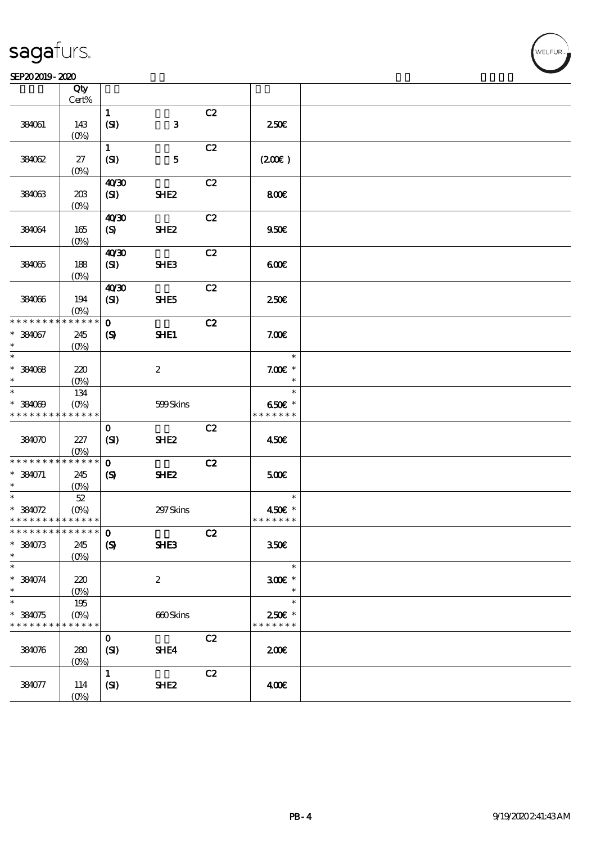$\top$ 

### SEP202019-2020 WEBSTER SEPERTE THE SEPERTE SEPERTE STATES OF SALES SEPERTE STATES OF SALES SEPERTE STATES OF S

|                             | Qty<br>Cert%               |                            |                  |    |                    |  |
|-----------------------------|----------------------------|----------------------------|------------------|----|--------------------|--|
|                             |                            | $\mathbf{1}$               |                  | C2 |                    |  |
| 384061                      | 143                        | (SI)                       | $\mathbf{3}$     |    | 250E               |  |
|                             | (O <sub>0</sub> )          |                            |                  |    |                    |  |
|                             |                            | $\mathbf{1}$               |                  | C2 |                    |  |
| 384062                      | 27                         | (SI)                       | $\mathbf{5}$     |    | (200E)             |  |
|                             | $(O\%)$                    |                            |                  |    |                    |  |
|                             |                            | 40'30                      |                  | C2 |                    |  |
| 384063                      | 20B                        | (SI)                       | SHE <sub>2</sub> |    | 800E               |  |
|                             | $(O\%)$                    |                            |                  |    |                    |  |
|                             |                            | 40 <sup>30</sup>           |                  | C2 |                    |  |
| 384064                      | 165                        | (S)                        | SHE <sub>2</sub> |    | 950E               |  |
|                             | (O <sub>0</sub> )          |                            |                  |    |                    |  |
|                             |                            | 40'30                      |                  | C2 |                    |  |
| 384065                      | 188                        | (SI)                       | <b>SHE3</b>      |    | 600                |  |
|                             | $(0\%)$                    |                            |                  |    |                    |  |
|                             |                            | 40'30                      |                  | C2 |                    |  |
| 384036                      | 194                        | (SI)                       | SHE5             |    | 250 <sup>2</sup>   |  |
|                             | $(O\%)$                    |                            |                  |    |                    |  |
| * * * * * * * *             | * * * * * *                | $\mathbf{o}$               |                  | C2 |                    |  |
| $* 384067$                  | 245                        | $\boldsymbol{S}$           | SHE1             |    | 7.00E              |  |
| $\ast$                      | (O <sub>0</sub> )          |                            |                  |    |                    |  |
| $\ast$                      |                            |                            |                  |    | $\ast$             |  |
| $*384068$                   | 220                        |                            | $\boldsymbol{z}$ |    | $7.00E$ *          |  |
| $\ast$                      | $(O\%)$                    |                            |                  |    | $\ast$             |  |
| $\ast$                      | 134                        |                            |                  |    | $\ast$             |  |
| $* 384009$                  | $(O\%)$                    |                            | 599Skins         |    | 650€ *             |  |
| * * * * * * * * * * * * * * |                            |                            |                  |    | * * * * * * *      |  |
|                             |                            | $\mathbf 0$                |                  | C2 |                    |  |
| 384070                      | 227                        | (SI)                       | SHE <sub>2</sub> |    | 450€               |  |
|                             | $(O\%)$                    |                            |                  |    |                    |  |
| * * * * * * * *             | * * * * * *                | $\mathbf 0$                |                  | C2 |                    |  |
| $* 384071$                  | 245                        | $\boldsymbol{S}$           | SHE <sub>2</sub> |    | 500                |  |
| $\ast$                      | (0%)                       |                            |                  |    |                    |  |
| $\ast$                      | $5\!2$                     |                            |                  |    | $\ast$             |  |
| $* 384072$                  | $(O\% )$                   |                            | 297 Skins        |    | 450€ *             |  |
| * * * * * * * * * * * * * * |                            |                            |                  |    | * * * * * * *      |  |
| *************** 0           |                            |                            |                  | C2 |                    |  |
| $* 384073$                  | 245                        | $\boldsymbol{\mathcal{S}}$ | <b>SHE3</b>      |    | 350€               |  |
| $\ast$                      | $(0\%)$                    |                            |                  |    |                    |  |
| $\ast$                      |                            |                            |                  |    | $\ast$             |  |
| $* 384074$                  | 220                        |                            | $\boldsymbol{2}$ |    | $300$ $\epsilon$ * |  |
| $\ast$                      | $(0\%)$                    |                            |                  |    | $\ast$             |  |
| $\ast$                      | 195                        |                            |                  |    | $\ast$             |  |
| $* 384075$                  | $(O\!/\!o)$<br>* * * * * * |                            | 660Skins         |    | 250€ *             |  |
| * * * * * * * *             |                            |                            |                  |    | * * * * * * *      |  |
|                             |                            | $\mathbf 0$                |                  | C2 |                    |  |
| 384076                      | 280                        | (SI)                       | SHE4             |    | 200E               |  |
|                             | $(0\%)$                    |                            |                  |    |                    |  |
|                             |                            | $\mathbf{1}$               |                  | C2 |                    |  |
| 384077                      | 114                        | (SI)                       | SHE <sub>2</sub> |    | 400€               |  |
|                             | $(0\%)$                    |                            |                  |    |                    |  |

 $\overline{\mathbf{r}}$ 

**VELFUR**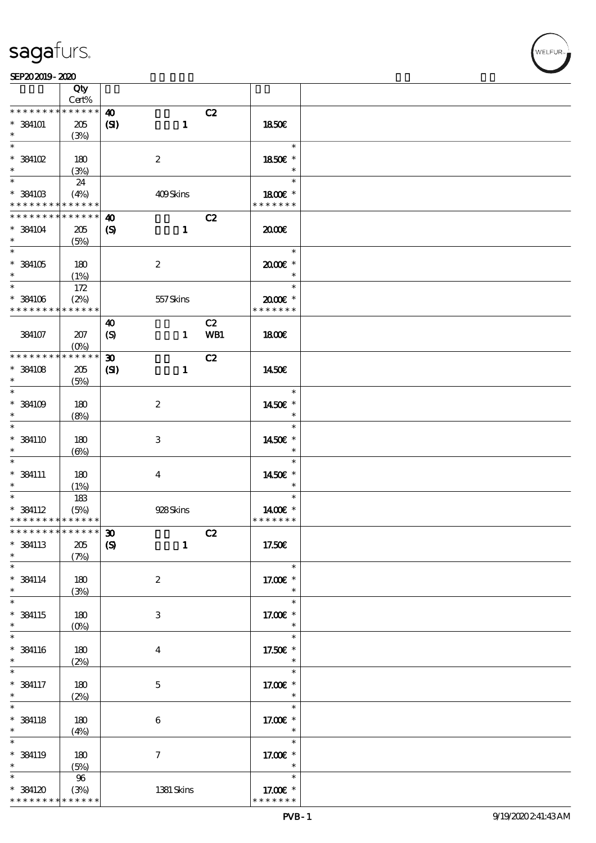### SEP202019-2020

|                                            | Qty                             |                             |                  |     |                             |  |
|--------------------------------------------|---------------------------------|-----------------------------|------------------|-----|-----------------------------|--|
|                                            | Cert%                           |                             |                  |     |                             |  |
| * * * * * * * *                            | * * * * * *                     | $\boldsymbol{\omega}$       |                  | C2  |                             |  |
| $*$ 384101                                 | 205                             | (S)                         | $\mathbf{1}$     |     | <b>1850€</b>                |  |
| $\ast$                                     | (3%)                            |                             |                  |     |                             |  |
| $\ast$                                     |                                 |                             |                  |     | $\ast$                      |  |
| $^*$ 384102 $\,$                           | 180                             |                             | $\boldsymbol{2}$ |     | 1850€ *                     |  |
| $\ast$                                     | (3%)                            |                             |                  |     | $\ast$                      |  |
| $\overline{\ast}$                          | 24                              |                             |                  |     | $\ast$                      |  |
| $*$ 384103                                 | (4%)                            |                             | 409Skins         |     | 1800 £*                     |  |
| * * * * * * * * <mark>* * * * * *</mark>   |                                 |                             |                  |     | * * * * * * *               |  |
| * * * * * * * *                            | * * * * * *                     | $\boldsymbol{\omega}$       |                  | C2  |                             |  |
| $*$ 384104                                 | 205                             | $\boldsymbol{\mathrm{(S)}}$ | $\mathbf{1}$     |     | æœ                          |  |
| $\ast$                                     | (5%)                            |                             |                  |     |                             |  |
| $\overline{\ast}$                          |                                 |                             |                  |     | $\ast$                      |  |
| $^*$ 384105 $\,$                           | 180                             |                             | $\boldsymbol{2}$ |     | 2000E*                      |  |
| $\ast$                                     | (1%)                            |                             |                  |     | $\ast$                      |  |
| $\ast$                                     |                                 |                             |                  |     | $\ast$                      |  |
|                                            | 172                             |                             |                  |     |                             |  |
| $^*$ 384106 $\,$<br>* * * * * * * *        | (2%)<br>* * * * * *             |                             | 557Skins         |     | $2000$ $*$<br>* * * * * * * |  |
|                                            |                                 |                             |                  |     |                             |  |
|                                            |                                 | $\boldsymbol{\omega}$       |                  | C2  |                             |  |
| 384107                                     | 207                             | (S)                         | $\mathbf{1}$     | WB1 | <b>1800€</b>                |  |
|                                            | (O <sub>0</sub> )               |                             |                  |     |                             |  |
|                                            |                                 | $\boldsymbol{\mathfrak{D}}$ |                  | C2  |                             |  |
| $*$ 384108                                 | 205                             | $\mathbf{C}$                | $\mathbf{1}$     |     | 1450E                       |  |
| $\ast$                                     | (5%)                            |                             |                  |     |                             |  |
| $\ast$                                     |                                 |                             |                  |     | $\ast$                      |  |
| $*$ 384109                                 | 180                             |                             | $\boldsymbol{2}$ |     | 1450€ *                     |  |
| $\ast$                                     | (8%)                            |                             |                  |     | $\ast$                      |  |
| $\ast$                                     |                                 |                             |                  |     | $\ast$                      |  |
| $*$ 384110                                 | 180                             |                             | $\,3$            |     | 1450€ *                     |  |
| $\ast$                                     | $(\Theta)$                      |                             |                  |     | $\ast$                      |  |
| $\ast$                                     |                                 |                             |                  |     | $\ast$                      |  |
| $*$ 384111                                 | 180                             |                             | $\boldsymbol{4}$ |     | 1450€ *                     |  |
| $\ast$                                     | (1%)                            |                             |                  |     | $\ast$                      |  |
| $\ast$                                     | 183                             |                             |                  |     | $\ast$                      |  |
| $*$ 384112                                 | (5%)                            |                             | 928Skins         |     | 1400€ *                     |  |
| * * * * * * * * <mark>* * * * * *</mark> * |                                 |                             |                  |     | * * * * * * *               |  |
| *************** 30                         |                                 |                             |                  | C2  |                             |  |
| $*$ 384113                                 | $205\,$                         | $\boldsymbol{S}$            | $\mathbf{1}$     |     | 17.50E                      |  |
| $\ast$                                     | (7%)                            |                             |                  |     |                             |  |
| $\ast$                                     |                                 |                             |                  |     | $\ast$                      |  |
| $*$ 384114                                 | 180                             |                             |                  |     | 17.00 £*                    |  |
| $\ast$                                     |                                 |                             | $\boldsymbol{2}$ |     | $\ast$                      |  |
| $\overline{\ast}$                          | (3%)                            |                             |                  |     | $\ast$                      |  |
|                                            |                                 |                             |                  |     |                             |  |
| $*$ 384115<br>$\ast$                       | 180                             |                             | $\,3$            |     | 17.00€ *                    |  |
| $\ast$                                     | $(O\!\!\!\!\!\!\backslash\rho)$ |                             |                  |     | $\ast$                      |  |
|                                            |                                 |                             |                  |     | $\ast$                      |  |
| $*$ 384116                                 | 180                             |                             | $\boldsymbol{4}$ |     | 17.50€ *                    |  |
| $\ast$                                     | (2%)                            |                             |                  |     | $\ast$                      |  |
| $\ast$                                     |                                 |                             |                  |     | $\ast$                      |  |
| $*$ 384117                                 | 180                             |                             | $\mathbf 5$      |     | 17.00€ *                    |  |
| $\ast$                                     | (2%)                            |                             |                  |     | $\ast$                      |  |
| $\overline{\ast}$                          |                                 |                             |                  |     | $\ast$                      |  |
| $*$ 384118                                 | 180                             |                             | $\,6\,$          |     | 17.00 £*                    |  |
| $\ast$                                     | (4%)                            |                             |                  |     | $\ast$                      |  |
| $\ast$                                     |                                 |                             |                  |     | $\ast$                      |  |
| $*$ 384119                                 | 180                             |                             | $\boldsymbol{7}$ |     | 17.00 £*                    |  |
| $\ast$                                     | (5%)                            |                             |                  |     | $\ast$                      |  |
| $\ast$                                     | $9\!6$                          |                             |                  |     | $\ast$                      |  |
| $^*$ 384120 $\,$                           | (3%)                            |                             | 1381 Skins       |     | 17.00 £*                    |  |
| * * * * * * * *                            | * * * * * *                     |                             |                  |     | * * * * * * *               |  |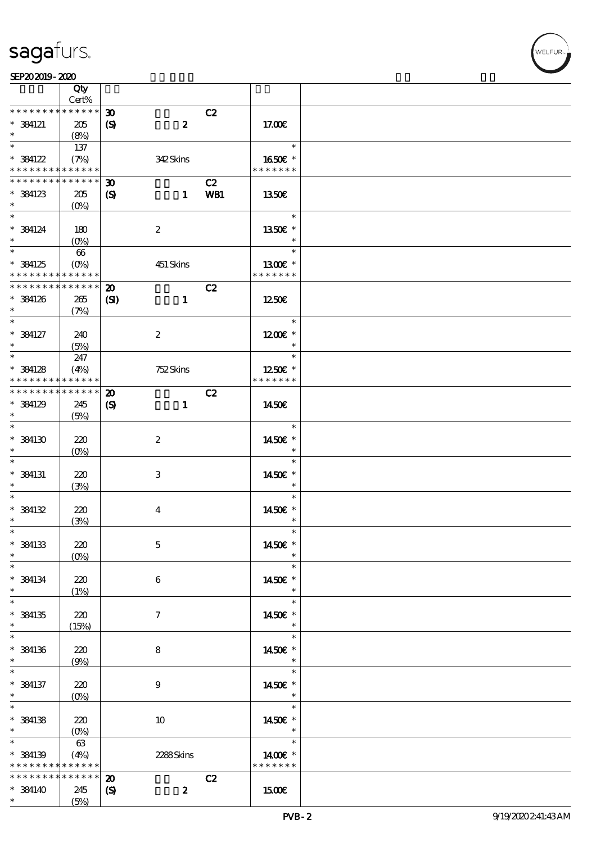|                                                        | Qty<br>Cert%                                |                                                 |                  |     |                                    |  |
|--------------------------------------------------------|---------------------------------------------|-------------------------------------------------|------------------|-----|------------------------------------|--|
| * * * * * * * *                                        | $******$                                    |                                                 |                  |     |                                    |  |
| $*$ 384121<br>$\ast$                                   | 205<br>(8%)                                 | $\boldsymbol{\mathfrak{D}}$<br>$\boldsymbol{S}$ | $\boldsymbol{z}$ | C2  | 17.00E                             |  |
|                                                        |                                             |                                                 |                  |     | $\ast$                             |  |
| $* 384122$<br>* * * * * * * * <mark>* * * * * *</mark> | 137<br>(7%)                                 |                                                 | 342Skins         |     | 1650E *<br>* * * * * * *           |  |
| * * * * * * * *                                        | ******                                      | $\boldsymbol{\mathfrak{D}}$                     |                  | C2  |                                    |  |
| $*$ 384123<br>$\ast$                                   | 205<br>$(0\%)$                              | $\boldsymbol{\mathrm{(S)}}$                     | $\blacksquare$   | WB1 | 1350E                              |  |
| $\ast$<br>$*$ 384124<br>$\ast$                         | 180<br>$(O\%)$                              | $\boldsymbol{2}$                                |                  |     | $\ast$<br>1350€ *<br>$\ast$        |  |
| * 384125<br>* * * * * * * * <mark>*</mark>             | 66<br>$(O_0)$<br>$\ast\ast\ast\ast\ast\ast$ |                                                 | 451 Skins        |     | $\ast$<br>1300E *<br>* * * * * * * |  |
|                                                        |                                             |                                                 |                  |     |                                    |  |
| * * * * * * * *<br>$*$ 384126<br>$\ast$                | $* * * * * * *$<br>265<br>(7%)              | $\boldsymbol{\mathbf{z}}$<br>$\mathbf{C}$       | $\mathbf{1}$     | C2  | 1250€                              |  |
| $\ast$<br>$*$ 384127<br>$\ast$                         | 240<br>(5%)                                 | $\boldsymbol{2}$                                |                  |     | $\ast$<br>$1200E$ *<br>$\ast$      |  |
| $\overline{\ast}$                                      |                                             |                                                 |                  |     | $\ast$                             |  |
| $*$ 384128<br>* * * * * * * *                          | 247<br>(4%)<br>$* * * * * * *$              |                                                 | 752Skins         |     | 1250E *<br>* * * * * * *           |  |
| * * * * * * * *                                        | $* * * * * * *$                             | $\boldsymbol{\mathfrak{D}}$                     |                  | C2  |                                    |  |
| * 384129<br>$\ast$                                     | 245<br>(5%)                                 | $\boldsymbol{\mathrm{(S)}}$                     | $\mathbf{1}$     |     | 1450E                              |  |
| $\ast$<br>$*$ 384130<br>$\ast$                         | 220<br>$(O\%)$                              | $\boldsymbol{2}$                                |                  |     | $\ast$<br>1450€ *<br>$\ast$        |  |
| $\ast$<br>$*$ 384131<br>$\ast$                         | 220<br>(3%)                                 | 3                                               |                  |     | $\ast$<br>1450€ *<br>$\ast$        |  |
| $\ast$<br>$* 384132$<br>$\ast$                         | 220                                         | $\bf{4}$                                        |                  |     | $\ast$<br>1450€ *<br>$\ast$        |  |
|                                                        | (3%)                                        |                                                 |                  |     |                                    |  |
| $\ast$<br>* 384133<br>$\ast$                           | 220<br>$(0\%)$                              | $\mathbf 5$                                     |                  |     | $\ast$<br>1450€ *<br>$\ast$        |  |
| $\ast$<br>$*$ 384134<br>$\ast$                         | 220<br>(1%)                                 | 6                                               |                  |     | $\ast$<br>1450E *<br>$\ast$        |  |
| $\ast$<br>$*$ 384135<br>$\ast$                         | 220<br>(15%)                                | $\tau$                                          |                  |     | $\ast$<br>1450E *<br>$\ast$        |  |
| $\ast$<br>$*$ 384136<br>$\ast$                         | 220<br>(9%)                                 | 8                                               |                  |     | $\ast$<br>1450€ *<br>$\ast$        |  |
| $\ast$<br>* 384137<br>$\ast$                           | 220                                         | $\boldsymbol{9}$                                |                  |     | $\ast$<br>1450E *<br>$\ast$        |  |
| $\ast$<br>$*$ 384138<br>$\ast$                         | $(0\%)$<br>220<br>$(0\%)$                   | 10                                              |                  |     | $\ast$<br>1450€ *<br>$\ast$        |  |
| $\ast$                                                 | 63                                          |                                                 |                  |     | $\ast$                             |  |
| $*$ 384139<br>* * * * * * * *                          | (4%)<br>$* * * * * * *$                     |                                                 | 2288Skins        |     | 1400€ *<br>* * * * * * *           |  |
| * * * * * * * *                                        | * * * * * *                                 | $\boldsymbol{\mathfrak{D}}$                     |                  | C2  |                                    |  |
| $*$ 384140<br>$\ast$                                   | 245<br>(5%)                                 | $\boldsymbol{\mathrm{(S)}}$                     | $\boldsymbol{z}$ |     | 1500€                              |  |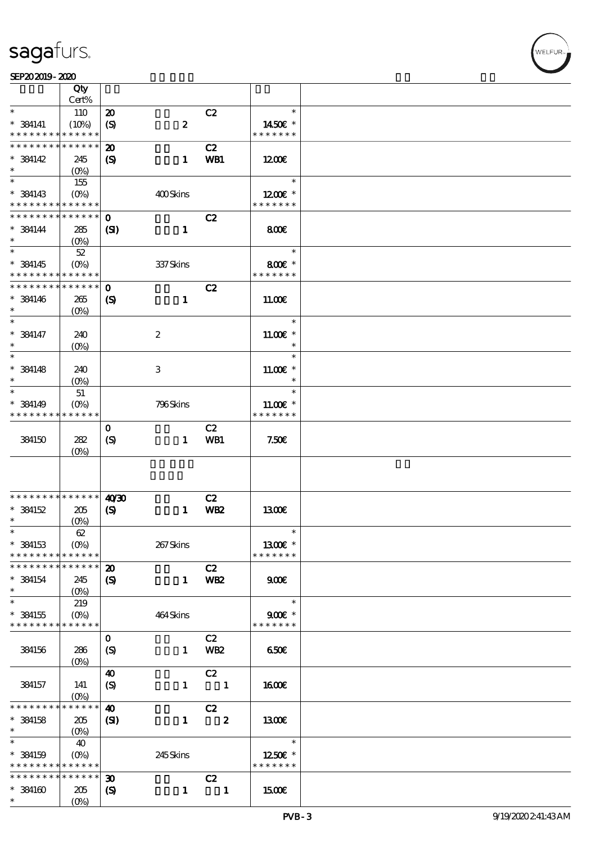### SEP202019-2020

|                               | Qty                        |                             |                  |                         |                         |  |
|-------------------------------|----------------------------|-----------------------------|------------------|-------------------------|-------------------------|--|
|                               | Cert%                      |                             |                  |                         |                         |  |
| $\ast$                        | 110                        | $\boldsymbol{\mathbf{z}}$   |                  | C2                      | $\ast$                  |  |
| $*$ 384141                    | (10%)                      | $\boldsymbol{\mathrm{(S)}}$ | $\pmb{2}$        |                         | 1450€ *                 |  |
| * * * * * * * *               | * * * * * *                |                             |                  |                         | * * * * * * *           |  |
| * * * * * * * *               | * * * * * *                | $\boldsymbol{\mathfrak{D}}$ |                  | C2                      |                         |  |
| $*$ 384142                    | 245                        | $\boldsymbol{\mathrm{(S)}}$ | $\mathbf{1}$     | WB1                     | 1200E                   |  |
| $\ast$                        | $(0\%)$                    |                             |                  |                         |                         |  |
|                               | 155                        |                             |                  |                         | $\ast$                  |  |
| $*$ 384143                    | $(O\%)$                    |                             | 400Skins         |                         | $1200E$ *               |  |
| * * * * * * * *               | * * * * * *                |                             |                  |                         | * * * * * * *           |  |
| * * * * * * * *               | * * * * * *                | $\mathbf 0$                 |                  | C2                      |                         |  |
| $*$ 384144                    | 285                        | $\mathbf{S}$                | $\mathbf{1}$     |                         | 800                     |  |
| $\ast$                        | $(O\%)$                    |                             |                  |                         |                         |  |
| $\overline{\ast}$             | $52\,$                     |                             |                  |                         | $\ast$                  |  |
|                               |                            |                             |                  |                         |                         |  |
| $*$ 384145<br>* * * * * * * * | $(O\%)$<br>* * * * * *     |                             | 337Skins         |                         | 800€ *<br>* * * * * * * |  |
| * * * * * * * *               |                            |                             |                  |                         |                         |  |
|                               | * * * * * *                | $\mathbf 0$                 |                  | C2                      |                         |  |
| $*$ 384146                    | 265                        | $\boldsymbol{\mathcal{S}}$  | $\mathbf{1}$     |                         | 11.00E                  |  |
| $\ast$                        | $(O\%)$                    |                             |                  |                         |                         |  |
| $\ast$                        |                            |                             |                  |                         | $\ast$                  |  |
| $* 384147$                    | 240                        |                             | $\boldsymbol{2}$ |                         | $11.00E*$               |  |
| $\ast$                        | (O <sub>0</sub> )          |                             |                  |                         | $\ast$                  |  |
| $\ast$                        |                            |                             |                  |                         | $\ast$                  |  |
| $*$ 384148                    | 240                        |                             | 3                |                         | $11.00E$ *              |  |
| $\ast$                        | $(0\%)$                    |                             |                  |                         | $\ast$                  |  |
| $\ast$                        | 51                         |                             |                  |                         | $\ast$                  |  |
| $*$ 384149                    | $(O\%)$                    |                             | 796Skins         |                         | $11.00E$ *              |  |
| * * * * * * * *               | * * * * * *                |                             |                  |                         | * * * * * * *           |  |
|                               |                            | $\mathbf 0$                 |                  | C2                      |                         |  |
| 384150                        | 282                        | (S)                         | $\mathbf{1}$     | WB1                     | 7.50E                   |  |
|                               | $(0\%)$                    |                             |                  |                         |                         |  |
|                               |                            |                             |                  |                         |                         |  |
|                               |                            |                             |                  |                         |                         |  |
|                               |                            |                             |                  |                         |                         |  |
| * * * * * * * *               | $\ast\ast\ast\ast\ast\ast$ | 40'30                       |                  | C2                      |                         |  |
| $*$ 384152                    | 205                        |                             | $\mathbf{1}$     | WB <sub>2</sub>         | 1300E                   |  |
| $\ast$                        |                            | $\boldsymbol{\mathrm{(S)}}$ |                  |                         |                         |  |
| $\ast$                        | $(O\%)$                    |                             |                  |                         | $\ast$                  |  |
|                               | $62\,$                     |                             |                  |                         |                         |  |
| $*$ 384153                    | $(O\%)$                    |                             | 267Skins         |                         | 1300€ *                 |  |
| * * * * * * * *               | * * * * * *                |                             |                  |                         | * * * * * * *           |  |
| * * * * * * * *               | * * * * * *                | $\boldsymbol{\mathbf{z}}$   |                  | C2                      |                         |  |
| $*$ 384154                    | 245                        | $\boldsymbol{\mathcal{S}}$  | $\mathbf{1}$     | WB <sub>2</sub>         | 900                     |  |
| $\ast$                        |                            |                             |                  |                         |                         |  |
| $\ast$                        | 219                        |                             |                  |                         | $\ast$                  |  |
| $* 384155$                    | $(O\!\!\!\!\!\!\!/\,\!o)$  |                             | 464Skins         |                         | $900E$ *                |  |
| * * * * * * * *               | * * * * * *                |                             |                  |                         | * * * * * * *           |  |
|                               |                            | $\mathbf 0$                 |                  | C2                      |                         |  |
| 384156                        | 286                        | $\boldsymbol{S}$            | $\mathbf{1}$     | WB <sub>2</sub>         | 650E                    |  |
|                               | $(O\%)$                    |                             |                  |                         |                         |  |
|                               |                            | $\boldsymbol{\omega}$       |                  | C2                      |                         |  |
| 384157                        | 141                        | $\boldsymbol{\mathcal{S}}$  | $\mathbf{1}$     | $\blacksquare$          | 1600E                   |  |
|                               | $(O\!/\!\delta)$           |                             |                  |                         |                         |  |
| * * * * * *                   | $* * * * * *$              | $\boldsymbol{\omega}$       |                  | C2                      |                         |  |
| $*$ 384158                    | 205                        | $\mathbf{S}$                | $\mathbf{1}$     | $\overline{\mathbf{2}}$ | 1300E                   |  |
| $\ast$                        | $(O\%)$                    |                             |                  |                         |                         |  |
| $\ast$                        | 40                         |                             |                  |                         | $\ast$                  |  |
| $* 384159$                    | $(O\%)$                    |                             | 245Skins         |                         | 1250E *                 |  |
| * * * * * * * *               | * * * * * *                |                             |                  |                         | * * * * * * *           |  |
| * * * * * * * *               | $* * * * * * *$            |                             |                  |                         |                         |  |
| $* 384160$                    |                            | $\boldsymbol{\mathfrak{D}}$ |                  | C2<br>$\blacksquare$    | 1500E                   |  |
|                               |                            |                             |                  |                         |                         |  |
| $\ast$                        | 205<br>$(O\%)$             | $\boldsymbol{\mathcal{S}}$  | $\mathbf{1}$     |                         |                         |  |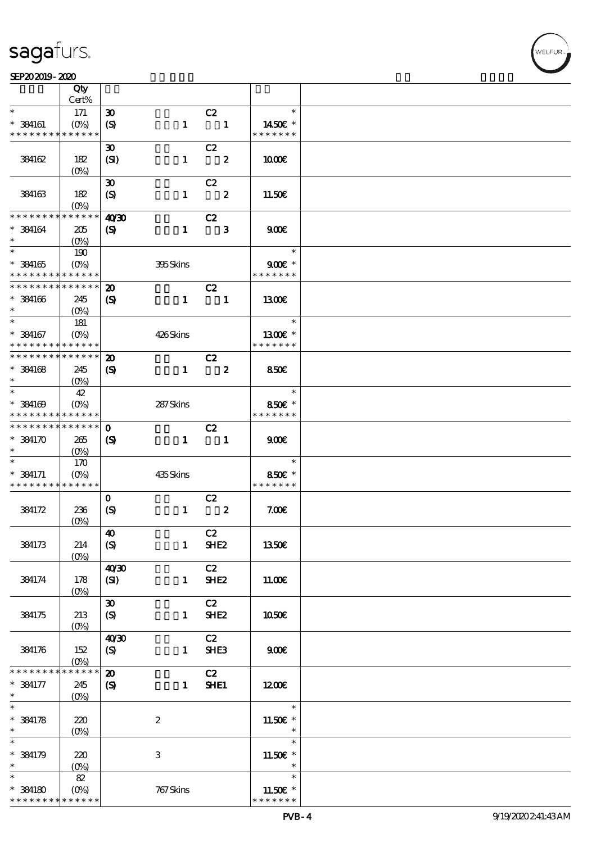### SEP202019-2020 WEBSTER SEPENDENT WAS SEPENDENT UP TO A SEPENDENT WAS SERVED ON A SEPENDENT WAS SERVED ON A SER

|                                            | Qty<br>Cert%  |                             |                  |                            |               |        |  |
|--------------------------------------------|---------------|-----------------------------|------------------|----------------------------|---------------|--------|--|
| $\ast$                                     |               |                             |                  |                            |               | $\ast$ |  |
|                                            | 171           | $\boldsymbol{\mathfrak{D}}$ |                  | C2                         |               |        |  |
| $*$ 384161                                 | $(O\%)$       | $\boldsymbol{\mathrm{(S)}}$ | $\mathbf{1}$     | $\blacksquare$             | 1450E *       |        |  |
| * * * * * * * *                            | * * * * * *   |                             |                  |                            | * * * * * * * |        |  |
|                                            |               | $\boldsymbol{\mathfrak{D}}$ |                  | C2                         |               |        |  |
| 384162                                     | 182           | (SI)                        | $\mathbf{1}$     | $\overline{\phantom{a}}$   | 1000E         |        |  |
|                                            | $(0\%)$       |                             |                  |                            |               |        |  |
|                                            |               | $\boldsymbol{\mathfrak{D}}$ |                  | C2                         |               |        |  |
|                                            |               |                             |                  | $\overline{\mathbf{2}}$    |               |        |  |
| 384163                                     | 182           | $\boldsymbol{S}$            | $\mathbf{1}$     |                            | 11.50E        |        |  |
|                                            | $(O\% )$      |                             |                  |                            |               |        |  |
| * * * * * * * *                            | * * * * * *   | 40'30                       |                  | C2                         |               |        |  |
| $*$ 384164                                 | 205           | $\boldsymbol{\mathrm{(S)}}$ | $\mathbf{1}$     | $\overline{\phantom{a}}$ 3 | 900           |        |  |
| $\ast$                                     | $(O\%)$       |                             |                  |                            |               |        |  |
|                                            | 190           |                             |                  |                            |               | $\ast$ |  |
| $*$ 384165                                 | $(O\%)$       |                             | 395Skins         |                            | $900E$ *      |        |  |
| * * * * * * * *                            | * * * * * *   |                             |                  |                            | * * * * * * * |        |  |
| ********                                   | ******        | $\boldsymbol{\mathfrak{D}}$ |                  | C2                         |               |        |  |
|                                            |               |                             |                  |                            |               |        |  |
| $*$ 384166                                 | 245           | $\boldsymbol{\mathrm{(S)}}$ | $\mathbf{1}$     | $\overline{\phantom{a}}$   | 1300E         |        |  |
| $\ast$                                     | $(O\% )$      |                             |                  |                            |               |        |  |
| $\ast$                                     | 181           |                             |                  |                            |               | $\ast$ |  |
| $*$ 384167                                 | $(O\%)$       |                             | 426Skins         |                            | $1300E$ *     |        |  |
| * * * * * * * *                            | * * * * * *   |                             |                  |                            | * * * * * * * |        |  |
| * * * * * * * * <mark>* * * * * *</mark>   |               | $\boldsymbol{\mathbf{z}}$   |                  | C2                         |               |        |  |
| $* 384168$                                 | 245           | $\boldsymbol{\mathrm{(S)}}$ | $\mathbf{1}$     | $\overline{\mathbf{z}}$    | <b>850€</b>   |        |  |
| $\ast$                                     |               |                             |                  |                            |               |        |  |
| $*$                                        |               |                             |                  |                            |               | $\ast$ |  |
|                                            | 42            |                             |                  |                            |               |        |  |
| $*$ 384169                                 | $(O\% )$      |                             | 287Skins         |                            | 850€ *        |        |  |
| * * * * * * * * <mark>* * * * * * *</mark> |               |                             |                  |                            | * * * * * * * |        |  |
| * * * * * * * * <mark>* * * * * * *</mark> |               | $\mathbf{o}$                |                  | C2                         |               |        |  |
| $*384170$                                  | 265           | $\boldsymbol{\mathrm{(S)}}$ | $\mathbf{1}$     | $\overline{\phantom{0}}$ 1 | 900E          |        |  |
| $\ast$                                     | $(O\%)$       |                             |                  |                            |               |        |  |
| $\ast$                                     | 170           |                             |                  |                            |               | $\ast$ |  |
| $* 384171$                                 | $(O\%)$       |                             | 435Skins         |                            | 850€ *        |        |  |
| * * * * * * * * * * * * * *                |               |                             |                  |                            | * * * * * * * |        |  |
|                                            |               | $\mathbf{O}$                |                  | C2                         |               |        |  |
|                                            |               |                             |                  | $\boldsymbol{z}$           |               |        |  |
| 384172                                     | 236           | $\boldsymbol{\mathrm{(S)}}$ | $\mathbf{1}$     |                            | 7.006         |        |  |
|                                            | $(O\%)$       |                             |                  |                            |               |        |  |
|                                            |               | $\boldsymbol{40}$           |                  | C2                         |               |        |  |
| 384173                                     | 214           | (S)                         | $\mathbf{1}$     | SHE <sub>2</sub>           | 1350€         |        |  |
|                                            | $(O\%)$       |                             |                  |                            |               |        |  |
|                                            |               | 40'30                       |                  | C2                         |               |        |  |
| 384174                                     | 178           | (SI)                        | $\mathbf{1}$     | SHE <sub>2</sub>           | 11.00E        |        |  |
|                                            | $(0\%)$       |                             |                  |                            |               |        |  |
|                                            |               | $\boldsymbol{\mathfrak{D}}$ |                  | C2                         |               |        |  |
| 384175                                     | 213           | (S)                         | $\mathbf{1}$     | SHE <sub>2</sub>           | 1050€         |        |  |
|                                            |               |                             |                  |                            |               |        |  |
|                                            | $(O\%)$       |                             |                  |                            |               |        |  |
|                                            |               | 40'30                       |                  | C2                         |               |        |  |
| 384176                                     | 152           | (S)                         | $\mathbf{1}$     | SHE <sub>3</sub>           | 900E          |        |  |
|                                            | $(0\%)$       |                             |                  |                            |               |        |  |
| * * * * * * * *                            | $* * * * * *$ | $\boldsymbol{\mathbf{z}}$   |                  | C2                         |               |        |  |
| $* 384177$                                 | 245           | $\boldsymbol{\mathrm{(S)}}$ | $\mathbf{1}$     | SHE1                       | 1200          |        |  |
| $\ast$                                     | $(O\!/\!o)$   |                             |                  |                            |               |        |  |
| $\ast$                                     |               |                             |                  |                            |               | $\ast$ |  |
| $* 384178$                                 | 220           |                             | $\boldsymbol{2}$ |                            | 11.50€ *      |        |  |
| $\ast$                                     |               |                             |                  |                            |               | $\ast$ |  |
| $\ast$                                     | $(O\%)$       |                             |                  |                            |               | $\ast$ |  |
|                                            |               |                             |                  |                            |               |        |  |
| * 384179                                   | 220           |                             | 3                |                            | 11.50€ *      |        |  |
| $\ast$                                     | $(0\%)$       |                             |                  |                            |               | $\ast$ |  |
| $\ast$                                     | 82            |                             |                  |                            |               | $\ast$ |  |
| $*$ 384180                                 | $(O\%)$       |                             | 767 Skins        |                            | 11.50€ *      |        |  |
| * * * * * * * *                            | * * * * * *   |                             |                  |                            | * * * * * * * |        |  |

.<br>WELFUR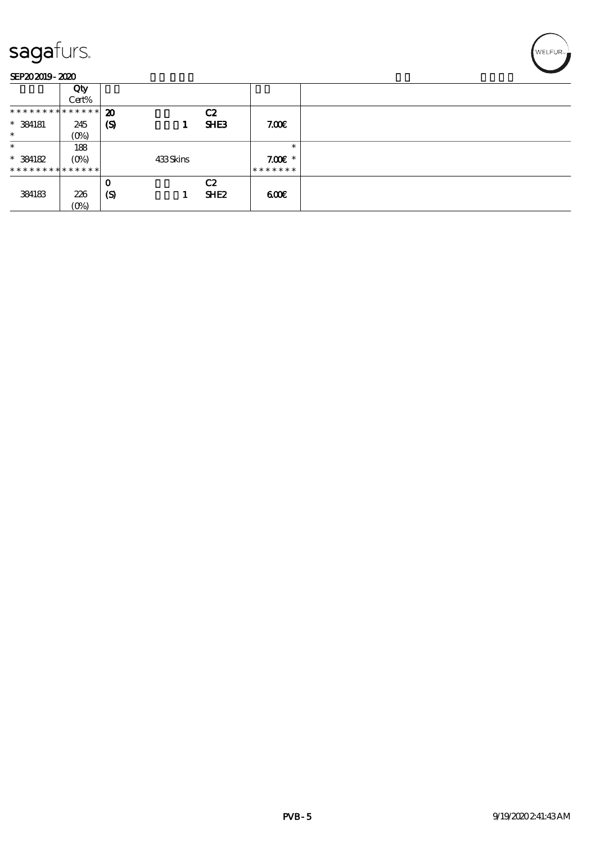### SEP202019-2020

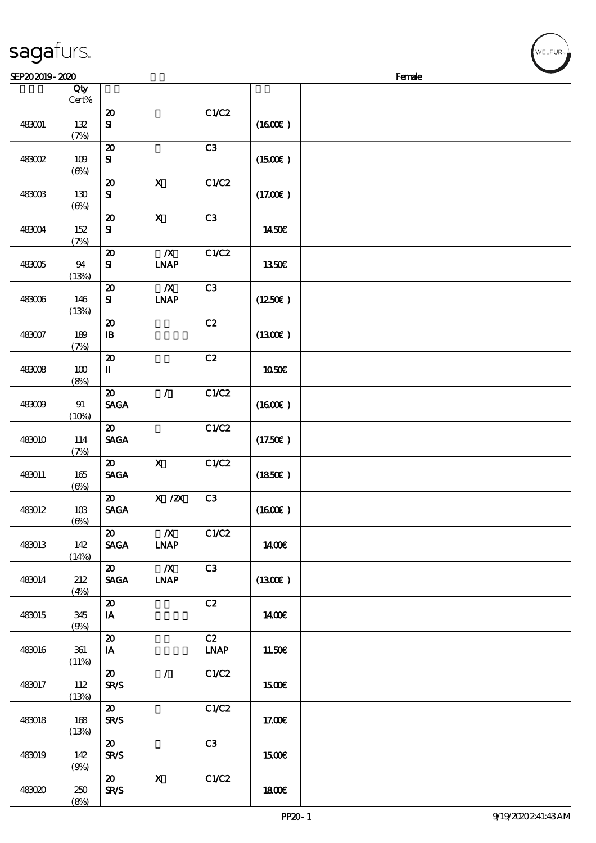| SEP202019-2020 |                        |                                            |                                       |                   |         | <b>Contract Contract Contract Contract</b><br>Female |
|----------------|------------------------|--------------------------------------------|---------------------------------------|-------------------|---------|------------------------------------------------------|
|                | Qty<br>$\mbox{Cert\%}$ |                                            |                                       |                   |         |                                                      |
| 483001         | 132<br>(7%)            | $\boldsymbol{\mathbf{z}}$<br>$\mathbf{S}$  |                                       | C1/C2             | (1600E) |                                                      |
| <b>483002</b>  | 109<br>$(\Theta)$      | $\boldsymbol{\mathfrak{D}}$<br>${\bf s}$   |                                       | C3                | (1500)  |                                                      |
| 483003         | 130<br>$(\Theta)$      | $\boldsymbol{\mathsf{20}}$<br>${\bf s}$    | $\boldsymbol{\mathsf{X}}$             | C1/C2             | (17.00) |                                                      |
| 483004         | 152<br>(7%)            | $\boldsymbol{\mathbf{z}}$<br>${\bf S}$     | $\mathbf X$                           | C3                | 1450€   |                                                      |
| 483005         | 94<br>(13%)            | $\boldsymbol{\mathfrak{D}}$<br>${\bf s}$   | $\boldsymbol{X}$<br><b>INAP</b>       | C1/C2             | 1350€   |                                                      |
| 483006         | 146<br>(13%)           | $\boldsymbol{\mathbf{z}}$<br>${\bf s}$     | $\boldsymbol{X}$<br><b>INAP</b>       | C3                | (1250E) |                                                      |
| 483007         | 189<br>(7%)            | $\boldsymbol{\mathsf{20}}$<br>$\mathbf{B}$ |                                       | C2                | (1300)  |                                                      |
| 483008         | $100$<br>(8%)          | $\boldsymbol{\mathfrak{D}}$<br>П           |                                       | C2                | 1050E   |                                                      |
| 483009         | $9\!1$<br>(10%)        | $\boldsymbol{\mathbf{z}}$<br><b>SAGA</b>   | $\mathcal{L}$                         | C1/C2             | (1600)  |                                                      |
| 483010         | 114<br>(7%)            | $\boldsymbol{\mathfrak{D}}$<br><b>SAGA</b> |                                       | C1/C2             | (17.50) |                                                      |
| 483011         | 165<br>$(\Theta)$      | $\boldsymbol{\mathfrak{D}}$<br><b>SAGA</b> | $\boldsymbol{\mathsf{X}}$             | C1/C2             | (1850)  |                                                      |
| 483012         | 10B<br>$(\Theta)$      | $\boldsymbol{\mathfrak{D}}$<br><b>SAGA</b> | $\boldsymbol{\mathrm{X}}$ / <b>2X</b> | C3                | (1600E) |                                                      |
| 483013         | 142<br>(14%)           | $\boldsymbol{\mathfrak{D}}$<br><b>SAGA</b> | $\boldsymbol{X}$<br><b>INAP</b>       | C1/C2             | 1400€   |                                                      |
| 483014         | 212<br>(4%)            | $\boldsymbol{\omega}$<br><b>SAGA</b>       | $\boldsymbol{X}$<br><b>INAP</b>       | C3                | (1300E) |                                                      |
| 483015         | 345<br>(9%)            | $\boldsymbol{\mathfrak{D}}$<br>IA          |                                       | C2                | 1400E   |                                                      |
| 483016         | 361<br>(11%)           | $\boldsymbol{\mathfrak{D}}$<br>IA          |                                       | C2<br><b>LNAP</b> | 11.50€  |                                                      |
| 483017         | 112<br>(13%)           | $\boldsymbol{\mathfrak{D}}$<br><b>SR/S</b> | $\mathcal{L}$                         | C1/C2             | 1500E   |                                                      |
| 483018         | 168<br>(13%)           | $\boldsymbol{\mathfrak{D}}$<br><b>SR/S</b> |                                       | C1/C2             | 17.00€  |                                                      |
| 483019         | 142<br>(9%)            | $\boldsymbol{\mathfrak{D}}$<br><b>SR/S</b> |                                       | C3                | 1500€   |                                                      |
| 483020         | 250<br>(8%)            | $\boldsymbol{\mathfrak{D}}$<br><b>SR/S</b> | $\mathbf x$                           | C1/C2             | 1800E   |                                                      |

ELFUR<sub>i</sub>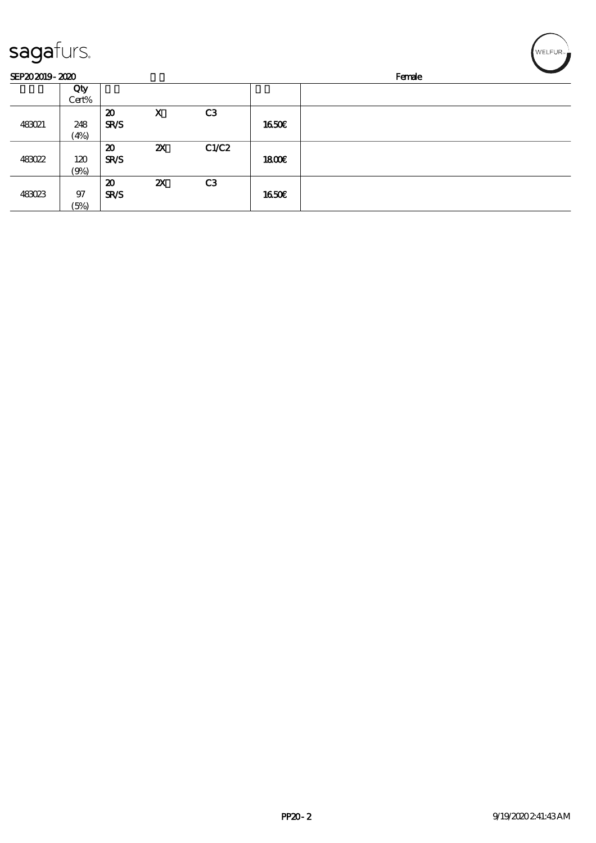| sagafurs.      |       |                             |                           |                |       | WELFUR <sub>™</sub> |
|----------------|-------|-----------------------------|---------------------------|----------------|-------|---------------------|
| SEP202019-2020 |       |                             |                           |                |       | Female              |
|                | Qty   |                             |                           |                |       |                     |
|                | Cert% |                             |                           |                |       |                     |
|                |       | $\boldsymbol{\mathfrak{D}}$ | $\mathbf x$               | C <sub>3</sub> |       |                     |
| <b>483021</b>  | 248   | <b>SR/S</b>                 |                           |                | 1650E |                     |
|                | (4%)  |                             |                           |                |       |                     |
|                |       | $\boldsymbol{\mathfrak{D}}$ | $\boldsymbol{\mathsf{Z}}$ | C1/C2          |       |                     |
| 483022         | 120   | <b>SR/S</b>                 |                           |                | 1800E |                     |
|                | (9%)  |                             |                           |                |       |                     |
|                |       | $\boldsymbol{\mathfrak{D}}$ | $\boldsymbol{\mathsf{z}}$ | C3             |       |                     |
| 483023         | 97    | <b>SR/S</b>                 |                           |                | 1650E |                     |
|                | (5%)  |                             |                           |                |       |                     |

╭  $\overline{\phantom{0}}$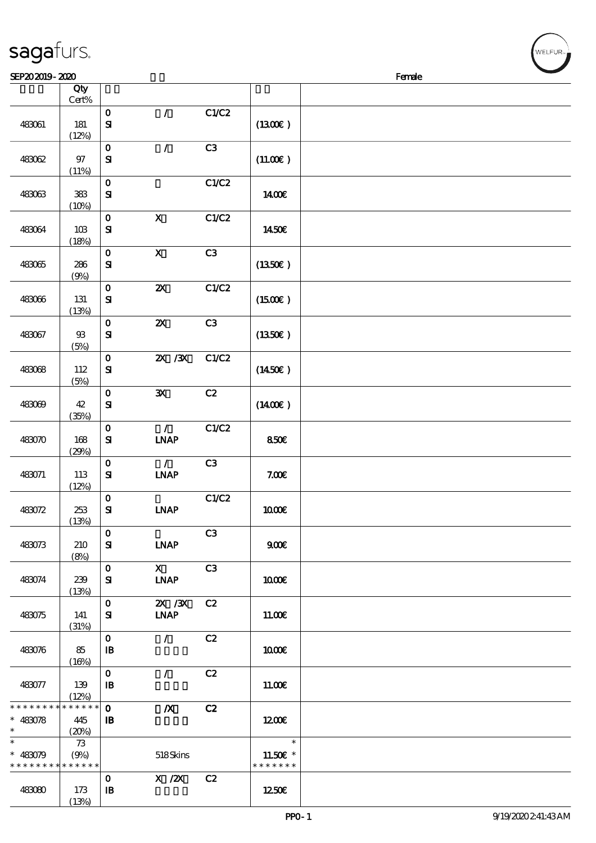| Qty<br>$Cert\%$<br>C1/C2<br>$\mathcal{L}$<br>$\mathbf O$<br>$\mathbf{S}$<br>$181$<br>(1300)<br>483061<br>(12%)<br>$\mathcal{L}$<br>C <sub>3</sub><br>$\mathbf{o}$<br>$97\,$<br>$\mathbf{S}$<br>(11.00)<br>483062<br>(11%)<br>C1/C2<br>$\mathbf O$<br>${\bf S\!I}$<br>${\bf 3\!B}$<br>1400€<br>483063<br>(10%)<br>$\mathbf X$<br>C1/C2<br>$\mathbf{o}$<br>$\mathbf{S}$<br>483064<br>10B<br>1450E<br>(18%)<br>$\boldsymbol{\mathrm{X}}$<br>C3<br>$\mathbf{o}$<br>483065<br>286<br>${\bf s}$<br>(1350E)<br>(9%)<br>$\mathbf O$<br>$\boldsymbol{\mathsf{z}}$<br>C1/C2<br>483066<br>131<br>${\bf S\!I}$<br>$(1500\varepsilon)$<br>(13%)<br>C3<br>$\boldsymbol{\mathsf{z}}$<br>$\mathbf O$<br>483067<br>$93\,$<br>${\bf s}$<br>(1350)<br>(5%)<br>$Z\!\!X$ / $Z\!\!X$<br>C1/C2<br>$\mathbf O$<br>(1450E)<br>112<br>${\bf s}$<br>483068<br>(5%)<br>$\mathbf O$<br>C2<br>$\mathbf{x}$<br>${\bf S\!I}$<br>42<br>$(1400\varepsilon)$<br>483069<br>(35%)<br>C1/C2<br>$\mathbf O$<br>$\mathcal{L}$<br>$\mathbf{S}$<br><b>INAP</b><br>483070<br>168<br>850€<br>(29%)<br>$\mathcal{L}$<br>C3<br>$\mathbf O$<br>483071<br>113<br>${\bf s}$<br><b>INAP</b><br>7.00E<br>(12%)<br>C1/C2<br>$\mathbf O$<br>$\mathbf{S}$<br><b>INAP</b><br>483072<br>253<br>1000E<br>(13%)<br>$\mathbf 0$<br>C <sub>3</sub><br>483073<br>210<br>${\bf s}$<br><b>INAP</b><br>900E<br>(8%)<br>$\mathbf{x}$<br>C <sub>3</sub><br>$\mathbf{o}$<br>${\bf s}$<br><b>INAP</b><br>483074<br>239<br>1000E<br>(13%)<br>$ZX$ $/3X$<br>$\mathbf O$<br>C2<br><b>INAP</b><br>${\bf s}$<br>483075<br>141<br>11.00E<br>(31%)<br>$\mathbf 0$<br>C2<br>$\mathcal{L}$<br>$\mathbf{B}$<br>483076<br>85<br>1000E<br>(16%)<br>$\mathbf{o}$<br>C2<br>$\mathcal{L}$<br>483077<br>139<br>$\mathbf{B}$<br>11.00E<br>(12%)<br>* * * * * *<br>$\mathbf{o}$<br>$\boldsymbol{X}$<br>C2<br>445<br>$\mathbf{B}$<br>1200E<br>(20%)<br>$\ast$<br>73<br>518Skins<br>11.50 $\varepsilon$ *<br>(9%)<br>* * * * * * *<br>* * * * * * * * * * * * * *<br>$X \, /ZX$<br>C2<br>$\mathbf 0$<br>$\mathbf{B}$<br>483080<br>173<br>1250E<br>(13%) |                      |  |  |  |
|-----------------------------------------------------------------------------------------------------------------------------------------------------------------------------------------------------------------------------------------------------------------------------------------------------------------------------------------------------------------------------------------------------------------------------------------------------------------------------------------------------------------------------------------------------------------------------------------------------------------------------------------------------------------------------------------------------------------------------------------------------------------------------------------------------------------------------------------------------------------------------------------------------------------------------------------------------------------------------------------------------------------------------------------------------------------------------------------------------------------------------------------------------------------------------------------------------------------------------------------------------------------------------------------------------------------------------------------------------------------------------------------------------------------------------------------------------------------------------------------------------------------------------------------------------------------------------------------------------------------------------------------------------------------------------------------------------------------------------------------------------------------------------------------------------------------------------------------------------------------------------------------------------------------------------------------------------------------------------------------------------------------------------------------------------------------|----------------------|--|--|--|
|                                                                                                                                                                                                                                                                                                                                                                                                                                                                                                                                                                                                                                                                                                                                                                                                                                                                                                                                                                                                                                                                                                                                                                                                                                                                                                                                                                                                                                                                                                                                                                                                                                                                                                                                                                                                                                                                                                                                                                                                                                                                 |                      |  |  |  |
|                                                                                                                                                                                                                                                                                                                                                                                                                                                                                                                                                                                                                                                                                                                                                                                                                                                                                                                                                                                                                                                                                                                                                                                                                                                                                                                                                                                                                                                                                                                                                                                                                                                                                                                                                                                                                                                                                                                                                                                                                                                                 |                      |  |  |  |
|                                                                                                                                                                                                                                                                                                                                                                                                                                                                                                                                                                                                                                                                                                                                                                                                                                                                                                                                                                                                                                                                                                                                                                                                                                                                                                                                                                                                                                                                                                                                                                                                                                                                                                                                                                                                                                                                                                                                                                                                                                                                 |                      |  |  |  |
|                                                                                                                                                                                                                                                                                                                                                                                                                                                                                                                                                                                                                                                                                                                                                                                                                                                                                                                                                                                                                                                                                                                                                                                                                                                                                                                                                                                                                                                                                                                                                                                                                                                                                                                                                                                                                                                                                                                                                                                                                                                                 |                      |  |  |  |
|                                                                                                                                                                                                                                                                                                                                                                                                                                                                                                                                                                                                                                                                                                                                                                                                                                                                                                                                                                                                                                                                                                                                                                                                                                                                                                                                                                                                                                                                                                                                                                                                                                                                                                                                                                                                                                                                                                                                                                                                                                                                 |                      |  |  |  |
|                                                                                                                                                                                                                                                                                                                                                                                                                                                                                                                                                                                                                                                                                                                                                                                                                                                                                                                                                                                                                                                                                                                                                                                                                                                                                                                                                                                                                                                                                                                                                                                                                                                                                                                                                                                                                                                                                                                                                                                                                                                                 |                      |  |  |  |
|                                                                                                                                                                                                                                                                                                                                                                                                                                                                                                                                                                                                                                                                                                                                                                                                                                                                                                                                                                                                                                                                                                                                                                                                                                                                                                                                                                                                                                                                                                                                                                                                                                                                                                                                                                                                                                                                                                                                                                                                                                                                 |                      |  |  |  |
|                                                                                                                                                                                                                                                                                                                                                                                                                                                                                                                                                                                                                                                                                                                                                                                                                                                                                                                                                                                                                                                                                                                                                                                                                                                                                                                                                                                                                                                                                                                                                                                                                                                                                                                                                                                                                                                                                                                                                                                                                                                                 |                      |  |  |  |
|                                                                                                                                                                                                                                                                                                                                                                                                                                                                                                                                                                                                                                                                                                                                                                                                                                                                                                                                                                                                                                                                                                                                                                                                                                                                                                                                                                                                                                                                                                                                                                                                                                                                                                                                                                                                                                                                                                                                                                                                                                                                 |                      |  |  |  |
|                                                                                                                                                                                                                                                                                                                                                                                                                                                                                                                                                                                                                                                                                                                                                                                                                                                                                                                                                                                                                                                                                                                                                                                                                                                                                                                                                                                                                                                                                                                                                                                                                                                                                                                                                                                                                                                                                                                                                                                                                                                                 |                      |  |  |  |
|                                                                                                                                                                                                                                                                                                                                                                                                                                                                                                                                                                                                                                                                                                                                                                                                                                                                                                                                                                                                                                                                                                                                                                                                                                                                                                                                                                                                                                                                                                                                                                                                                                                                                                                                                                                                                                                                                                                                                                                                                                                                 |                      |  |  |  |
|                                                                                                                                                                                                                                                                                                                                                                                                                                                                                                                                                                                                                                                                                                                                                                                                                                                                                                                                                                                                                                                                                                                                                                                                                                                                                                                                                                                                                                                                                                                                                                                                                                                                                                                                                                                                                                                                                                                                                                                                                                                                 |                      |  |  |  |
|                                                                                                                                                                                                                                                                                                                                                                                                                                                                                                                                                                                                                                                                                                                                                                                                                                                                                                                                                                                                                                                                                                                                                                                                                                                                                                                                                                                                                                                                                                                                                                                                                                                                                                                                                                                                                                                                                                                                                                                                                                                                 |                      |  |  |  |
|                                                                                                                                                                                                                                                                                                                                                                                                                                                                                                                                                                                                                                                                                                                                                                                                                                                                                                                                                                                                                                                                                                                                                                                                                                                                                                                                                                                                                                                                                                                                                                                                                                                                                                                                                                                                                                                                                                                                                                                                                                                                 |                      |  |  |  |
|                                                                                                                                                                                                                                                                                                                                                                                                                                                                                                                                                                                                                                                                                                                                                                                                                                                                                                                                                                                                                                                                                                                                                                                                                                                                                                                                                                                                                                                                                                                                                                                                                                                                                                                                                                                                                                                                                                                                                                                                                                                                 |                      |  |  |  |
|                                                                                                                                                                                                                                                                                                                                                                                                                                                                                                                                                                                                                                                                                                                                                                                                                                                                                                                                                                                                                                                                                                                                                                                                                                                                                                                                                                                                                                                                                                                                                                                                                                                                                                                                                                                                                                                                                                                                                                                                                                                                 |                      |  |  |  |
|                                                                                                                                                                                                                                                                                                                                                                                                                                                                                                                                                                                                                                                                                                                                                                                                                                                                                                                                                                                                                                                                                                                                                                                                                                                                                                                                                                                                                                                                                                                                                                                                                                                                                                                                                                                                                                                                                                                                                                                                                                                                 |                      |  |  |  |
|                                                                                                                                                                                                                                                                                                                                                                                                                                                                                                                                                                                                                                                                                                                                                                                                                                                                                                                                                                                                                                                                                                                                                                                                                                                                                                                                                                                                                                                                                                                                                                                                                                                                                                                                                                                                                                                                                                                                                                                                                                                                 |                      |  |  |  |
|                                                                                                                                                                                                                                                                                                                                                                                                                                                                                                                                                                                                                                                                                                                                                                                                                                                                                                                                                                                                                                                                                                                                                                                                                                                                                                                                                                                                                                                                                                                                                                                                                                                                                                                                                                                                                                                                                                                                                                                                                                                                 |                      |  |  |  |
|                                                                                                                                                                                                                                                                                                                                                                                                                                                                                                                                                                                                                                                                                                                                                                                                                                                                                                                                                                                                                                                                                                                                                                                                                                                                                                                                                                                                                                                                                                                                                                                                                                                                                                                                                                                                                                                                                                                                                                                                                                                                 |                      |  |  |  |
|                                                                                                                                                                                                                                                                                                                                                                                                                                                                                                                                                                                                                                                                                                                                                                                                                                                                                                                                                                                                                                                                                                                                                                                                                                                                                                                                                                                                                                                                                                                                                                                                                                                                                                                                                                                                                                                                                                                                                                                                                                                                 |                      |  |  |  |
|                                                                                                                                                                                                                                                                                                                                                                                                                                                                                                                                                                                                                                                                                                                                                                                                                                                                                                                                                                                                                                                                                                                                                                                                                                                                                                                                                                                                                                                                                                                                                                                                                                                                                                                                                                                                                                                                                                                                                                                                                                                                 |                      |  |  |  |
|                                                                                                                                                                                                                                                                                                                                                                                                                                                                                                                                                                                                                                                                                                                                                                                                                                                                                                                                                                                                                                                                                                                                                                                                                                                                                                                                                                                                                                                                                                                                                                                                                                                                                                                                                                                                                                                                                                                                                                                                                                                                 |                      |  |  |  |
|                                                                                                                                                                                                                                                                                                                                                                                                                                                                                                                                                                                                                                                                                                                                                                                                                                                                                                                                                                                                                                                                                                                                                                                                                                                                                                                                                                                                                                                                                                                                                                                                                                                                                                                                                                                                                                                                                                                                                                                                                                                                 |                      |  |  |  |
|                                                                                                                                                                                                                                                                                                                                                                                                                                                                                                                                                                                                                                                                                                                                                                                                                                                                                                                                                                                                                                                                                                                                                                                                                                                                                                                                                                                                                                                                                                                                                                                                                                                                                                                                                                                                                                                                                                                                                                                                                                                                 |                      |  |  |  |
|                                                                                                                                                                                                                                                                                                                                                                                                                                                                                                                                                                                                                                                                                                                                                                                                                                                                                                                                                                                                                                                                                                                                                                                                                                                                                                                                                                                                                                                                                                                                                                                                                                                                                                                                                                                                                                                                                                                                                                                                                                                                 |                      |  |  |  |
|                                                                                                                                                                                                                                                                                                                                                                                                                                                                                                                                                                                                                                                                                                                                                                                                                                                                                                                                                                                                                                                                                                                                                                                                                                                                                                                                                                                                                                                                                                                                                                                                                                                                                                                                                                                                                                                                                                                                                                                                                                                                 |                      |  |  |  |
|                                                                                                                                                                                                                                                                                                                                                                                                                                                                                                                                                                                                                                                                                                                                                                                                                                                                                                                                                                                                                                                                                                                                                                                                                                                                                                                                                                                                                                                                                                                                                                                                                                                                                                                                                                                                                                                                                                                                                                                                                                                                 |                      |  |  |  |
|                                                                                                                                                                                                                                                                                                                                                                                                                                                                                                                                                                                                                                                                                                                                                                                                                                                                                                                                                                                                                                                                                                                                                                                                                                                                                                                                                                                                                                                                                                                                                                                                                                                                                                                                                                                                                                                                                                                                                                                                                                                                 |                      |  |  |  |
|                                                                                                                                                                                                                                                                                                                                                                                                                                                                                                                                                                                                                                                                                                                                                                                                                                                                                                                                                                                                                                                                                                                                                                                                                                                                                                                                                                                                                                                                                                                                                                                                                                                                                                                                                                                                                                                                                                                                                                                                                                                                 |                      |  |  |  |
|                                                                                                                                                                                                                                                                                                                                                                                                                                                                                                                                                                                                                                                                                                                                                                                                                                                                                                                                                                                                                                                                                                                                                                                                                                                                                                                                                                                                                                                                                                                                                                                                                                                                                                                                                                                                                                                                                                                                                                                                                                                                 |                      |  |  |  |
|                                                                                                                                                                                                                                                                                                                                                                                                                                                                                                                                                                                                                                                                                                                                                                                                                                                                                                                                                                                                                                                                                                                                                                                                                                                                                                                                                                                                                                                                                                                                                                                                                                                                                                                                                                                                                                                                                                                                                                                                                                                                 |                      |  |  |  |
|                                                                                                                                                                                                                                                                                                                                                                                                                                                                                                                                                                                                                                                                                                                                                                                                                                                                                                                                                                                                                                                                                                                                                                                                                                                                                                                                                                                                                                                                                                                                                                                                                                                                                                                                                                                                                                                                                                                                                                                                                                                                 |                      |  |  |  |
|                                                                                                                                                                                                                                                                                                                                                                                                                                                                                                                                                                                                                                                                                                                                                                                                                                                                                                                                                                                                                                                                                                                                                                                                                                                                                                                                                                                                                                                                                                                                                                                                                                                                                                                                                                                                                                                                                                                                                                                                                                                                 |                      |  |  |  |
|                                                                                                                                                                                                                                                                                                                                                                                                                                                                                                                                                                                                                                                                                                                                                                                                                                                                                                                                                                                                                                                                                                                                                                                                                                                                                                                                                                                                                                                                                                                                                                                                                                                                                                                                                                                                                                                                                                                                                                                                                                                                 | * * * * * * * *      |  |  |  |
|                                                                                                                                                                                                                                                                                                                                                                                                                                                                                                                                                                                                                                                                                                                                                                                                                                                                                                                                                                                                                                                                                                                                                                                                                                                                                                                                                                                                                                                                                                                                                                                                                                                                                                                                                                                                                                                                                                                                                                                                                                                                 | $* 483078$<br>$\ast$ |  |  |  |
|                                                                                                                                                                                                                                                                                                                                                                                                                                                                                                                                                                                                                                                                                                                                                                                                                                                                                                                                                                                                                                                                                                                                                                                                                                                                                                                                                                                                                                                                                                                                                                                                                                                                                                                                                                                                                                                                                                                                                                                                                                                                 | $\ast$               |  |  |  |
|                                                                                                                                                                                                                                                                                                                                                                                                                                                                                                                                                                                                                                                                                                                                                                                                                                                                                                                                                                                                                                                                                                                                                                                                                                                                                                                                                                                                                                                                                                                                                                                                                                                                                                                                                                                                                                                                                                                                                                                                                                                                 | $* 483079$           |  |  |  |
|                                                                                                                                                                                                                                                                                                                                                                                                                                                                                                                                                                                                                                                                                                                                                                                                                                                                                                                                                                                                                                                                                                                                                                                                                                                                                                                                                                                                                                                                                                                                                                                                                                                                                                                                                                                                                                                                                                                                                                                                                                                                 |                      |  |  |  |
|                                                                                                                                                                                                                                                                                                                                                                                                                                                                                                                                                                                                                                                                                                                                                                                                                                                                                                                                                                                                                                                                                                                                                                                                                                                                                                                                                                                                                                                                                                                                                                                                                                                                                                                                                                                                                                                                                                                                                                                                                                                                 |                      |  |  |  |

 $SEP202019 - 2020$ 

#### sagafurs.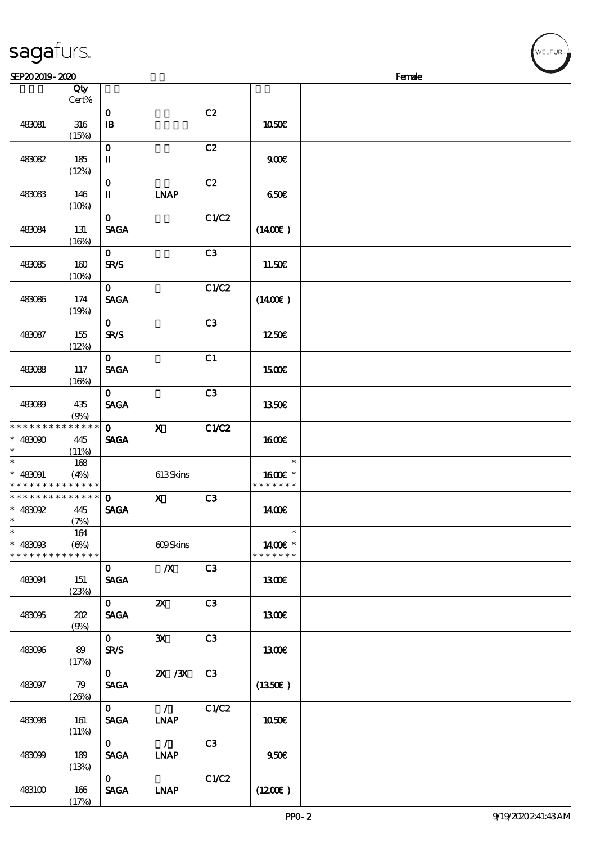| SEP202019-2020                                          |                     |                                       |                              |       |                                    | Female |
|---------------------------------------------------------|---------------------|---------------------------------------|------------------------------|-------|------------------------------------|--------|
|                                                         | Qty<br>Cert%        |                                       |                              |       |                                    |        |
| 483081                                                  | 316<br>(15%)        | $\mathbf 0$<br>$\mathbf{B}$           |                              | C2    | 1050E                              |        |
| 483082                                                  | 185<br>(12%)        | $\mathbf 0$<br>$\rm I\hspace{-.1em}I$ |                              | C2    | 900E                               |        |
| 483083                                                  | 146<br>(10%)        | $\mathbf 0$<br>$\mathbf I$            | <b>INAP</b>                  | C2    | 650E                               |        |
| 483084                                                  | 131<br>(16%)        | $\mathbf{o}$<br><b>SAGA</b>           |                              | C1/C2 | (1400E)                            |        |
| 483085                                                  | 160<br>(10%)        | $\mathbf 0$<br><b>SR/S</b>            |                              | C3    | 11.50€                             |        |
| 483086                                                  | 174<br>(19%)        | $\mathbf{O}$<br><b>SAGA</b>           |                              | C1/C2 | $(1400\epsilon)$                   |        |
| 483087                                                  | 155<br>(12%)        | $\mathbf 0$<br><b>SR/S</b>            |                              | C3    | 1250€                              |        |
| 483088                                                  | 117<br>(16%)        | $\mathbf 0$<br><b>SAGA</b>            |                              | C1    | 1500E                              |        |
| 483089                                                  | 435<br>(9%)         | $\mathbf{o}$<br><b>SAGA</b>           |                              | C3    | 1350€                              |        |
| * * * * * * * * * * * * * *<br>$* 483000$<br>$\ast$     | 445<br>(11%)        | $\mathbf{O}$<br><b>SAGA</b>           | $\mathbf X$                  | C1/C2 | <b>1600€</b>                       |        |
| $\ast$<br>$* 483091$<br>* * * * * * * * * * * * * *     | 168<br>(4%)         |                                       | 613Skins                     |       | $\ast$<br>1600€ *<br>* * * * * * * |        |
| * * * * * * * * * * * * * *<br>$*$ 483092<br>$\ast$     | 445<br>(7%)         | $\mathbf 0$<br><b>SAGA</b>            | $\mathbf{x}$                 | C3    | 1400E                              |        |
| $_{*}^{-}$<br>$* 483093$<br>* * * * * * * * * * * * * * | 164<br>$(\Theta_0)$ |                                       | 609Skins                     |       | $\ast$<br>1400€ *<br>* * * * * * * |        |
| 483094                                                  | 151<br>(23%)        | $\mathbf{O}$<br><b>SAGA</b>           | $\boldsymbol{X}$             | C3    | 1300E                              |        |
| 483095                                                  | 202<br>(9%)         | $\mathbf{0}$<br><b>SAGA</b>           | $\boldsymbol{\mathsf{Z}}$    | C3    | 1300€                              |        |
| 483096                                                  | 89<br>(17%)         | $\mathbf{O}$<br><b>SR/S</b>           | $\mathbf{x}$                 | C3    | <b>1300€</b>                       |        |
| 483097                                                  | 79<br>(20%)         | $\mathbf{O}$<br><b>SAGA</b>           | $\chi$ / $\chi$              | C3    | $(1350\epsilon)$                   |        |
| 483098                                                  | 161<br>(11%)        | $\mathbf{O}$<br><b>SACA</b>           | $\mathcal{L}$<br><b>LNAP</b> | C1/C2 | 1050€                              |        |
| 483099                                                  | 189<br>(13%)        | $\mathbf{O}$<br><b>SAGA</b>           | $\mathcal{L}$<br><b>INAP</b> | C3    | 950E                               |        |
| 483100                                                  | 166<br>(17%)        | $\mathbf{O}$<br><b>SAGA</b>           | <b>LNAP</b>                  | C1/C2 | (1200E)                            |        |

WELFUR<sub>"</sub>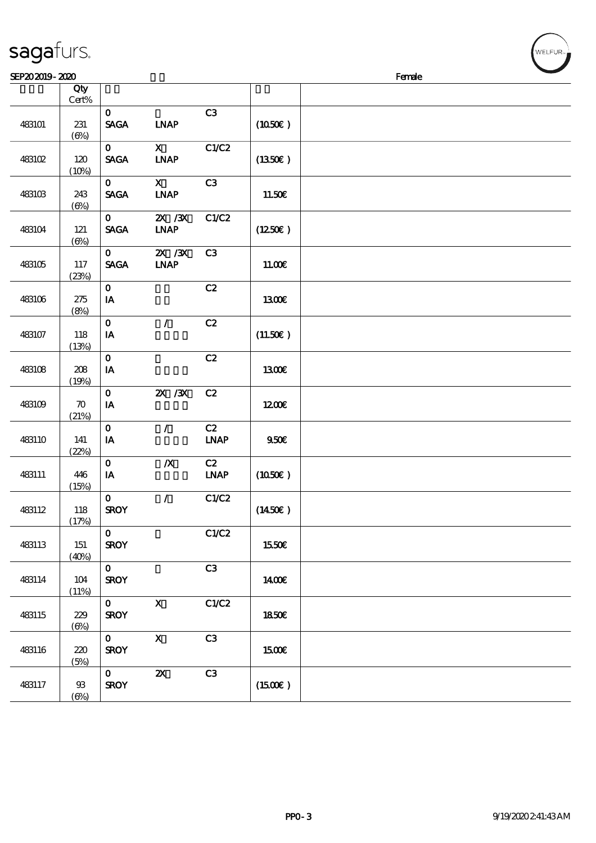| sagaturs. |  |
|-----------|--|
|           |  |

| SEP202019-2020 |                             |                                                |                                |                                    |                     | Female |
|----------------|-----------------------------|------------------------------------------------|--------------------------------|------------------------------------|---------------------|--------|
|                | Qty<br>$\mbox{Cert}\%$      |                                                |                                |                                    |                     |        |
| 483101         | 231<br>$(\Theta)$           | $\mathbf{o}$<br><b>SAGA</b>                    | <b>INAP</b>                    | C3                                 | (1050)              |        |
| 483102         | 120<br>(10%)                | $\mathbf{O}$<br><b>SAGA</b>                    | $\mathbf{X}$<br><b>INAP</b>    | C1/C2                              | (1350)              |        |
| 483103         | 243<br>$(\Theta\%)$         | $\mathbf{o}$<br>$\operatorname{\mathsf{SAGA}}$ | $\mathbf{x}$<br><b>LNAP</b>    | C3                                 | 11.50€              |        |
| 483104         | 121<br>$(\Theta)$           | $\mathbf{O}$<br><b>SAGA</b>                    | $X \, X$<br><b>INAP</b>        | C1/C2                              | (1250E)             |        |
| 483105         | 117<br>(23%)                | $\mathbf{O}$<br><b>SAGA</b>                    | $Z\!X$ / $Z\!X$<br><b>INAP</b> | C3                                 | 11.00E              |        |
| 483106         | 275<br>(8%)                 | $\mathbf{o}$<br>IA                             |                                | C2                                 | 1300E               |        |
| 483107         | 118<br>(13%)                | $\mathbf{o}$<br>IA                             | $\mathcal{L}$                  | C2                                 | (11.50)             |        |
| 483108         | 208<br>(19%)                | $\mathbf O$<br>IA                              |                                | C2                                 | 1300E               |        |
| 483109         | $\boldsymbol{\pi}$<br>(21%) | $\mathbf O$<br>$\mathbf{I} \mathbf{A}$         | $X \, X$                       | C2                                 | 1200E               |        |
| 483110         | 141<br>(22%)                | $\mathbf{o}$<br>${\bf I} {\bf A}$              | $\mathcal{L}$                  | C2<br>$\ensuremath{\mathbf{INAP}}$ | 950E                |        |
| 483111         | 446<br>(15%)                | $\mathbf{o}$<br>IA                             | $\boldsymbol{X}$               | C2<br><b>LNAP</b>                  | (1050)              |        |
| 483112         | 118<br>(17%)                | $\mathbf{o}$<br><b>SROY</b>                    | $\prime$                       | C1/C2                              | (1450E)             |        |
| 483113         | 151<br>(40%)                | $\mathbf{o}$<br><b>SROY</b>                    |                                | C1/C2                              | 1550€               |        |
| 483114         | 104<br>(11%)                | $\mathbf{O}$<br><b>SROY</b>                    |                                | C3                                 | 1400E               |        |
| 483115         | 229<br>$(\Theta)$           | $\mathbf{O}$<br><b>SROY</b>                    | $\mathbf X$                    | C1/C2                              | 1850E               |        |
| 483116         | 220<br>(5%)                 | $\mathbf{O}$<br><b>SROY</b>                    | $\boldsymbol{\mathrm{X}}$      | C3                                 | <b>1500€</b>        |        |
| 483117         | 93<br>$(\Theta)$            | $\mathbf{O}$<br><b>SROY</b>                    | $\boldsymbol{\mathsf{z}}$      | C3                                 | $(1500\varepsilon)$ |        |

WELFUR<sub>"</sub>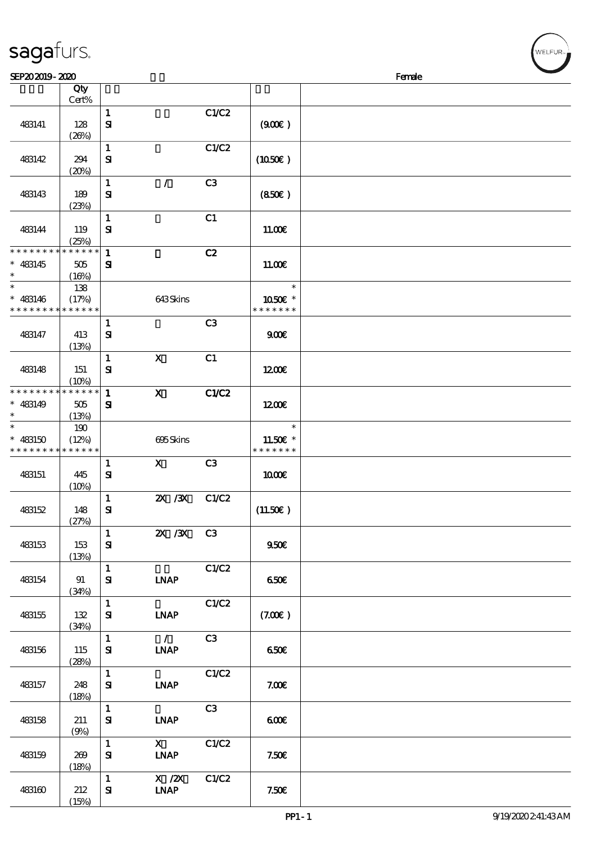| SEP202019-2020                                                     |                             |                              |                              |       |                                     | Female |
|--------------------------------------------------------------------|-----------------------------|------------------------------|------------------------------|-------|-------------------------------------|--------|
|                                                                    | Qty<br>Cert%                |                              |                              |       |                                     |        |
| 483141                                                             | 128<br>(20%)                | $\mathbf{1}$<br>$\mathbf{S}$ |                              | C1/C2 | (900)                               |        |
| 483142                                                             | 294<br>(20%)                | $\mathbf{1}$<br>${\bf s}$    |                              | C1/C2 | (1050)                              |        |
| 483143                                                             | 189<br>(23%)                | $\mathbf{1}$<br>${\bf s}$    | $\mathcal{L}$                | C3    | (850)                               |        |
| 483144                                                             | 119<br>(25%)                | $\mathbf{1}$<br>$\mathbf{S}$ |                              | C1    | 11.00E                              |        |
| * * * * * * * *<br>$* 483145$<br>$\ast$                            | * * * * * *<br>505<br>(16%) | $\mathbf{1}$<br>${\bf s}$    |                              | C2    | 11.00E                              |        |
| $\ast$<br>$* 483146$<br>* * * * * * * * * * * * * *                | 138<br>(17%)                |                              | 643Skins                     |       | $\ast$<br>1050E *<br>* * * * * * *  |        |
| 483147                                                             | 413<br>(13%)                | $\mathbf{1}$<br>${\bf s}$    |                              | C3    | 900E                                |        |
| 483148                                                             | 151<br>(10%)                | $\mathbf{1}$<br>${\bf s}$    | $\mathbf{X}$                 | C1    | 1200E                               |        |
| * * * * * * * * <mark>* * * * * * *</mark><br>$* 483149$<br>$\ast$ | $505\,$<br>(13%)            | $\mathbf{1}$<br>${\bf s}$    | $\mathbf x$                  | C1/C2 | 1200E                               |        |
| $\ast$<br>$* 483150$<br>* * * * * * * * * * * * * *                | 190<br>(12%)                |                              | 695Skins                     |       | $\ast$<br>11.50€ *<br>* * * * * * * |        |
| 483151                                                             | 445<br>(10%)                | $\mathbf{1}$<br>${\bf s}$    | $\mathbf{X}$                 | C3    | 1000E                               |        |
| 483152                                                             | 148<br>(27%)                | $\mathbf{1}$<br>$\mathbf{S}$ | $X \, X$                     | C1/C2 | (11.50)                             |        |
| 483153                                                             | 153<br>(13%)                | $\mathbf{1}$<br>${\bf S}$    | $X \, X$                     | C3    | 950E                                |        |
| 483154                                                             | 91<br>(34%)                 | $\mathbf 1$<br>${\bf S}$     | <b>INAP</b>                  | C1/C2 | 650E                                |        |
| 483155                                                             | 132<br>(34%)                | $\mathbf{1}$<br>$\bf S\!I$   | <b>INAP</b>                  | C1/C2 | (7.00)                              |        |
| 483156                                                             | 115<br>(28%)                | $\mathbf{1}$<br>${\bf s}$    | $\mathcal{L}$<br><b>INAP</b> | C3    | 650€                                |        |
| 483157                                                             | 248<br>(18%)                | $\mathbf 1$<br>$\mathbf{S}$  | <b>LNAP</b>                  | C1/C2 | 7.00E                               |        |
| 483158                                                             | 211<br>(9%)                 | $\mathbf{1}$<br>${\bf s}$    | <b>INAP</b>                  | C3    | 600                                 |        |
| 483159                                                             | 269<br>(18%)                | $\mathbf{1}$<br>${\bf s}$    | $\mathbf{X}$<br><b>INAP</b>  | C1/C2 | 7.50E                               |        |
| 483160                                                             | 212<br>(15%)                | $\mathbf{1}$<br>$\mathbf{S}$ | $X$ / $ZX$<br><b>INAP</b>    | C1/C2 | 7.50E                               |        |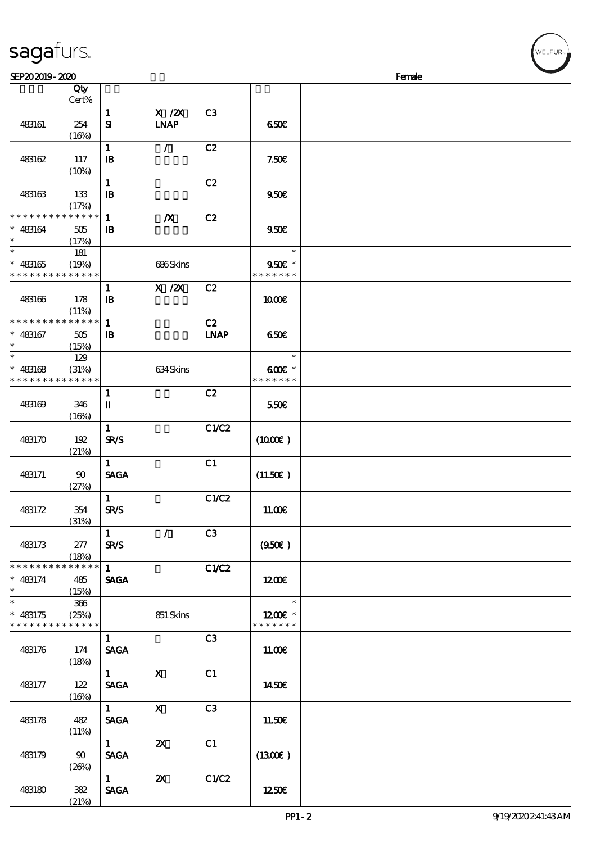|                                                          | Cert%        |                                       |                           |                |                            |  |
|----------------------------------------------------------|--------------|---------------------------------------|---------------------------|----------------|----------------------------|--|
|                                                          |              | $\mathbf{1}$                          | $X$ / $ZX$                | C <sub>3</sub> |                            |  |
| 483161                                                   | 254          | ${\bf s}$                             | <b>INAP</b>               |                | 650E                       |  |
|                                                          | (16%)        |                                       |                           |                |                            |  |
| 483162                                                   | 117          | $\mathbf{1}$<br>$\mathbf{B}$          | $\mathcal{L}$             | C2             | 7.50E                      |  |
|                                                          | (10%)        |                                       |                           |                |                            |  |
|                                                          |              | $\mathbf{1}$                          |                           | C2             |                            |  |
| 483163                                                   | 133          | $\mathbf{I}$                          |                           |                | 950E                       |  |
|                                                          | (17%)        |                                       |                           |                |                            |  |
| * * * * * * * *                                          | * * * * * *  | $\mathbf{1}$                          | $\boldsymbol{X}$          | C2             |                            |  |
| $* 483164$<br>$\ast$                                     | 505<br>(17%) | $\mathbf{B}$                          |                           |                | 9506                       |  |
| $\overline{\ast}$                                        | 181          |                                       |                           |                | $\ast$                     |  |
| $* 483165$                                               | (19%)        |                                       | 686Skins                  |                | $950E *$                   |  |
| * * * * * * * * * * * * * *                              |              |                                       |                           |                | * * * * * * *              |  |
|                                                          |              | $\mathbf{1}$                          | $X$ / $ZX$                | C2             |                            |  |
| 483166                                                   | 178          | $\mathbf{B}$                          |                           |                | 1000E                      |  |
| * * * * * * * * <mark>* * * * * * *</mark>               | (11%)        | $\mathbf{1}$                          |                           | C2             |                            |  |
| $* 483167$                                               | 505          | $\mathbf{B}$                          |                           | <b>LNAP</b>    | 650E                       |  |
| $\ast$                                                   | (15%)        |                                       |                           |                |                            |  |
| $\ast$                                                   | 129          |                                       |                           |                | $\ast$                     |  |
| $* 483168$                                               | (31%)        |                                       | 634Skins                  |                | $600E$ *                   |  |
| * * * * * * * * * * * * * *                              |              |                                       |                           |                | * * * * * * *              |  |
| 483169                                                   | 346          | $\mathbf{1}$<br>П                     |                           | C2             | 550€                       |  |
|                                                          | (16%)        |                                       |                           |                |                            |  |
|                                                          |              | $\mathbf{1}$                          |                           | C1/C2          |                            |  |
| 483170                                                   | 192          | <b>SR/S</b>                           |                           |                | $(1000\varepsilon)$        |  |
|                                                          | (21%)        |                                       |                           |                |                            |  |
|                                                          |              | $\mathbf{1}$                          |                           | C1             |                            |  |
| 483171                                                   | 90<br>(27%)  | <b>SAGA</b>                           |                           |                | (11.50)                    |  |
|                                                          |              | $\mathbf{1}$                          |                           | C1/C2          |                            |  |
| 483172                                                   | 354          | <b>SR/S</b>                           |                           |                | 11.00E                     |  |
|                                                          | (31%)        |                                       |                           |                |                            |  |
|                                                          |              | $\mathbf{1}$                          | $\mathcal{L}$             | C3             |                            |  |
| 483173                                                   | 277<br>(18%) | <b>SR/S</b>                           |                           |                | (950)                      |  |
| * * * * * * * *                                          | * * * * * *  | $\mathbf{1}$                          |                           | C1/C2          |                            |  |
| $* 483174$                                               | 485          | <b>SAGA</b>                           |                           |                | 1200                       |  |
| $\ast$                                                   | (15%)        |                                       |                           |                |                            |  |
| $\overline{\phantom{0}}$                                 | 366          |                                       |                           |                | $\ast$                     |  |
| $* 483175$<br>* * * * * * * * <mark>* * * * * * *</mark> | (25%)        |                                       | 851 Skins                 |                | $1200E$ *<br>* * * * * * * |  |
|                                                          |              | $\mathbf{1}$                          |                           | C3             |                            |  |
| 483176                                                   | 174          | <b>SAGA</b>                           |                           |                | 11.00E                     |  |
|                                                          | (18%)        |                                       |                           |                |                            |  |
|                                                          |              | $1 \quad \blacksquare$                | $\mathbf{X}$              | C1             |                            |  |
| 483177                                                   | 122          | <b>SAGA</b>                           |                           |                | 1450E                      |  |
|                                                          | (16%)        | 1                                     | $\mathbf{x}$              | C3             |                            |  |
| 483178                                                   | 482          | <b>SAGA</b>                           |                           |                | 11.50E                     |  |
|                                                          | (11%)        |                                       |                           |                |                            |  |
|                                                          |              | $1 -$                                 | $\boldsymbol{\mathsf{X}}$ | C1             |                            |  |
| 483179                                                   | $90^{\circ}$ | <b>SAGA</b>                           |                           |                | (1300E)                    |  |
|                                                          | (20%)        |                                       |                           |                |                            |  |
| 483180                                                   | 382          | $1 \quad \blacksquare$<br><b>SAGA</b> | $\boldsymbol{\mathsf{Z}}$ | C1/C2          | 1250E                      |  |
|                                                          | (21%)        |                                       |                           |                |                            |  |
|                                                          |              |                                       |                           |                |                            |  |

 $\overline{\phantom{a}}$ 

 $SEP202019 - 2020$ 

说明 价格

顺序号 Qty

sagafurs.

.<br>FI FUR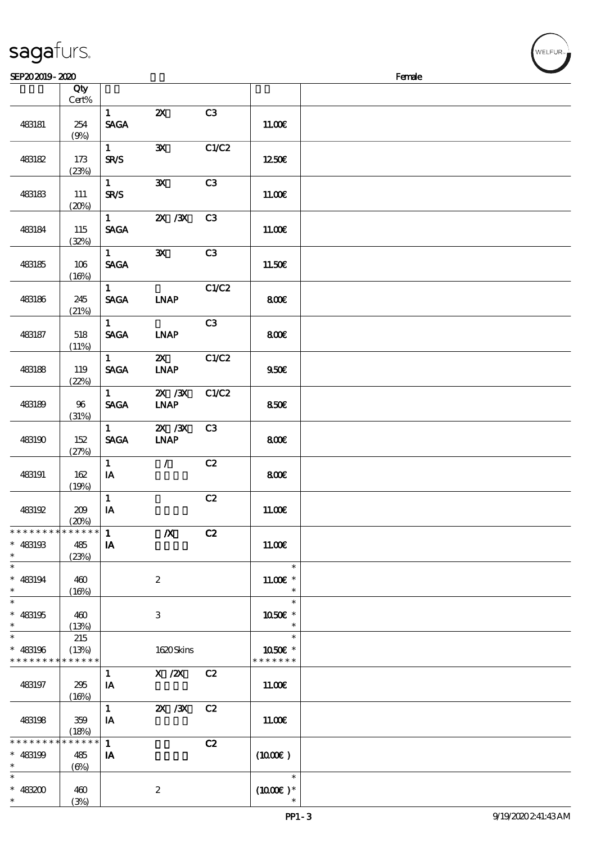| SEP202019-2020                                      |                                  |                               |                                |                |                                    | Female |
|-----------------------------------------------------|----------------------------------|-------------------------------|--------------------------------|----------------|------------------------------------|--------|
|                                                     | Qty                              |                               |                                |                |                                    |        |
| 483181                                              | Cert%<br>254                     | $\mathbf{1}$<br><b>SAGA</b>   | $\boldsymbol{\mathsf{Z}}$      | C3             | 11.00E                             |        |
| 483182                                              | (9%)<br>173                      | $\mathbf{1}$<br><b>SR/S</b>   | $\mathbf{x}$                   | C1/C2          | 1250E                              |        |
| 483183                                              | (23%)<br>111<br>(20%)            | $\mathbf{1}$<br><b>SR/S</b>   | $\mathbf{x}$                   | C3             | 11.00E                             |        |
| 483184                                              | 115<br>(32%)                     | $\mathbf{1}$<br><b>SAGA</b>   | $X \, X$                       | C <sub>3</sub> | 11.00E                             |        |
| 483185                                              | 106<br>(16%)                     | $\mathbf{1}$<br><b>SAGA</b>   | $\mathbf{x}$                   | C3             | 11.50€                             |        |
| 483186                                              | 245<br>(21%)                     | $\mathbf{1}$<br><b>SAGA</b>   | <b>INAP</b>                    | C1/C2          | 800E                               |        |
| 483187                                              | 518<br>(11%)                     | $\mathbf{1}$<br><b>SAGA</b>   | <b>INAP</b>                    | C3             | 800€                               |        |
| 483188                                              | 119<br>(22%)                     | 1<br><b>SAGA</b>              | ZX<br><b>INAP</b>              | C1/C2          | 950E                               |        |
| 483189                                              | 96<br>(31%)                      | $\mathbf{1}$<br><b>SAGA</b>   | $\chi$ / $\chi$<br><b>INAP</b> | C1/C2          | 850E                               |        |
| 483190                                              | 152<br>(27%)                     | $\mathbf{1}$<br><b>SAGA</b>   | $X \, X$<br><b>LNAP</b>        | C3             | 800E                               |        |
| 483191                                              | 162<br>(19%)                     | $\mathbf{1}$<br>IA            | $\mathcal{L}$                  | C2             | 800€                               |        |
| 483192                                              | 209<br>(20%)                     | $\mathbf{1}$<br>$\mathbf{IA}$ |                                | C2             | 11.00E                             |        |
| * * * * * * * * * * * * * *<br>$* 483193$<br>$\ast$ | 485<br>(23%)                     | $\mathbf{1}$<br>IA            | $\boldsymbol{X}$               | C2             | 11.00E                             |        |
| $\ast$<br>$* 483194$<br>$\ast$                      | 460<br>(16%)                     |                               | $\boldsymbol{2}$               |                | $\ast$<br>$11.00E$ *<br>$\ast$     |        |
| $\ast$<br>$* 483195$<br>$\ast$                      | 460<br>(13%)                     |                               | 3                              |                | $\ast$<br>1050E *<br>$\ast$        |        |
| $\ast$<br>$* 483196$<br>* * * * * * * * * * * * * * | 215<br>(13%)                     |                               | 1620Skins                      |                | $\ast$<br>1050€ *<br>* * * * * * * |        |
| 483197                                              | 295<br>(16%)                     | $\mathbf{1}$<br>IA            | X /2X C2                       |                | 11.00E                             |        |
| 483198                                              | 359<br>(18%)                     | $\mathbf{1}$<br>IA            | 2X / 3X                        | C2             | 11.00E                             |        |
| * * * * * * * *<br>$* 483199$<br>$\ast$             | * * * * * *<br>485<br>$(\Theta)$ | $\mathbf{1}$<br>IA            |                                | C2             | $(1000\varepsilon)$                |        |
| $\ast$<br>$* 483200$<br>$\ast$                      | 460<br>(3%)                      |                               | $\boldsymbol{2}$               |                | $\ast$<br>$(1000\varepsilon)*$     |        |

**NELFUR**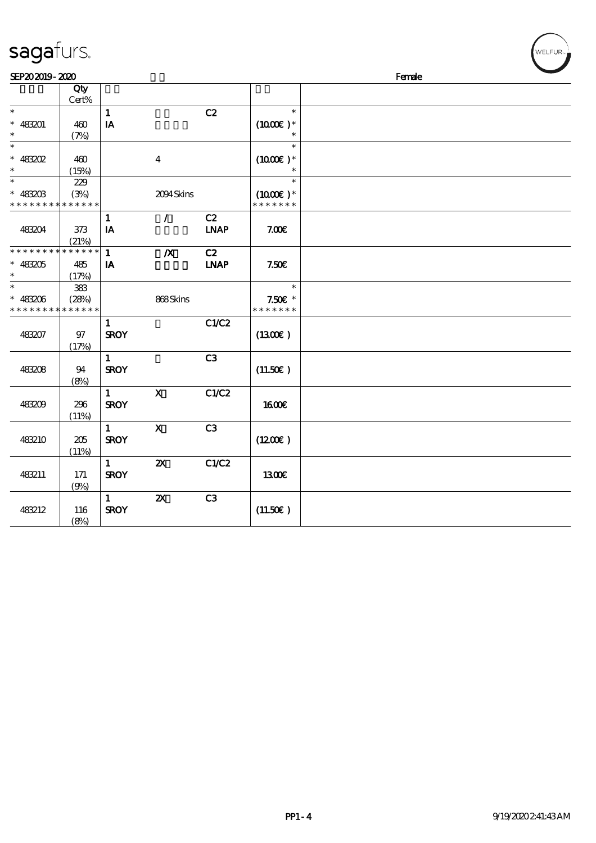| sagafurs.                    |             |                         |                           |                |               |        | WELFUR <sub>74</sub> |
|------------------------------|-------------|-------------------------|---------------------------|----------------|---------------|--------|----------------------|
| SEP202019-2020               |             |                         |                           |                |               | Female |                      |
|                              | Qty         |                         |                           |                |               |        |                      |
|                              | Cert%       |                         |                           |                |               |        |                      |
| $\ast$                       |             | $\mathbf{1}$            |                           | C2             | $\ast$        |        |                      |
| $* 483201$                   | 460         | $\mathbf{I}\mathbf{A}$  |                           |                | $(1000E)*$    |        |                      |
| $\ast$                       | (7%)        |                         |                           |                |               |        |                      |
| $\ast$                       |             |                         |                           |                | $\ast$        |        |                      |
| $* 48302$                    | 460         |                         | $\boldsymbol{4}$          |                | $(1000E)^*$   |        |                      |
| $\ast$                       | (15%)       |                         |                           |                | $\ast$        |        |                      |
|                              | 229<br>(3%) |                         | 2094Skins                 |                | $(1000E)*$    |        |                      |
| $* 4830B$<br>* * * * * * * * | * * * * * * |                         |                           |                | * * * * * * * |        |                      |
|                              |             | $\mathbf{1}$            | $\mathcal{L}$             | C2             |               |        |                      |
| 483204                       | 373         | ${\bf IA}$              |                           | <b>LNAP</b>    | 7.00E         |        |                      |
|                              | (21%)       |                         |                           |                |               |        |                      |
| * * * * * * *                | * * * * * * | $\mathbf{1}$            | $\boldsymbol{X}$          | C2             |               |        |                      |
| $* 483205$                   | 485         | $\mathbf{I} \mathbf{A}$ |                           | <b>LNAP</b>    | 7.50E         |        |                      |
|                              | (17%)       |                         |                           |                |               |        |                      |
| $\ast$                       | 383         |                         |                           |                | $\ast$        |        |                      |
| $* 483206$                   | (28%)       |                         | 868Skins                  |                | $7.50E$ *     |        |                      |
| * * * *                      | * * * * * * |                         |                           |                | * * * * * * * |        |                      |
|                              |             | $\mathbf{1}$            |                           | C1/C2          |               |        |                      |
| 483207                       | 97          | <b>SROY</b>             |                           |                | (1300)        |        |                      |
|                              | (17%)       |                         |                           |                |               |        |                      |
|                              |             | $\mathbf{1}$            |                           | C <sub>3</sub> |               |        |                      |
| 48308                        | 94          | <b>SROY</b>             |                           |                | (11.50)       |        |                      |
|                              | (8%)        | $\mathbf{1}$            | $\mathbf X$               | C1/C2          |               |        |                      |
| 483209                       | 296         | <b>SROY</b>             |                           |                | <b>1600€</b>  |        |                      |
|                              | (11%)       |                         |                           |                |               |        |                      |
|                              |             | $\mathbf{1}$            | $\mathbf x$               | C <sub>3</sub> |               |        |                      |
| 483210                       | 205         | <b>SROY</b>             |                           |                | (1200E)       |        |                      |
|                              | (11%)       |                         |                           |                |               |        |                      |
|                              |             | $\mathbf{1}$            | ${\bf z}$                 | C1/C2          |               |        |                      |
| 483211                       | 171         | <b>SROY</b>             |                           |                | 1300E         |        |                      |
|                              | (9%)        |                         |                           |                |               |        |                      |
|                              |             | $\mathbf{1}$            | $\boldsymbol{\mathsf{z}}$ | C3             |               |        |                      |
| 483212                       | 116         | <b>SROY</b>             |                           |                | (11.50)       |        |                      |
|                              | (8%)        |                         |                           |                |               |        |                      |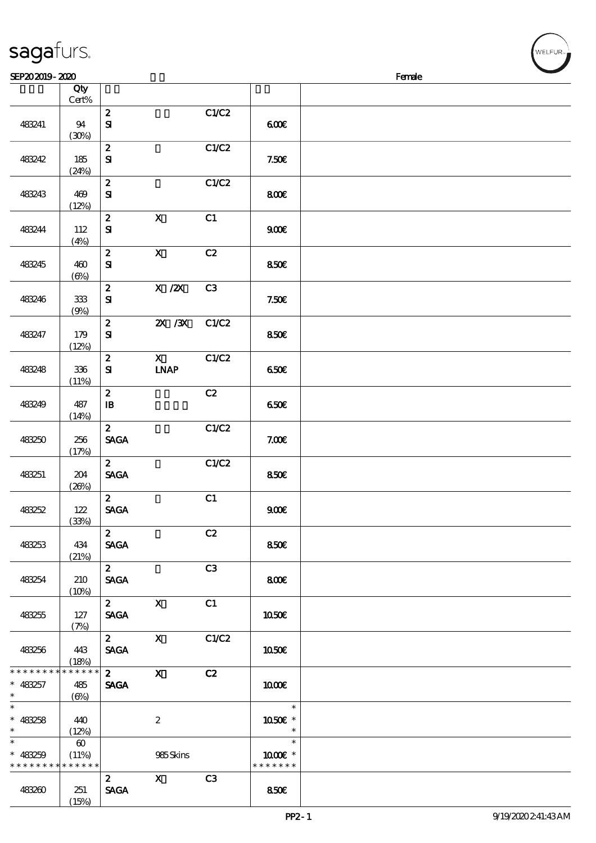|                                                    | Qty<br>Cert%                                  |                                                |                             |       |                                   |  |
|----------------------------------------------------|-----------------------------------------------|------------------------------------------------|-----------------------------|-------|-----------------------------------|--|
| 483241                                             | 94<br>(30%)                                   | $\boldsymbol{z}$<br>${\bf S}$                  |                             | C1/C2 | 600                               |  |
| 483242                                             | 185<br>(24%)                                  | $\boldsymbol{z}$<br>${\bf S}$                  |                             | C1/C2 | 7.50E                             |  |
| 483243                                             | 469<br>(12%)                                  | $\boldsymbol{z}$<br>${\bf S\!I}$               |                             | C1/C2 | 800                               |  |
| 483244                                             | 112<br>(4%)                                   | $\boldsymbol{z}$<br>$\mathbf{S}$               | $\mathbf X$                 | C1    | 900                               |  |
| 483245                                             | 460<br>$(\Theta)$                             | $\boldsymbol{z}$<br>${\bf s}$                  | $\mathbf{X}$                | C2    | 850E                              |  |
| 483246                                             | $33\!\!3$<br>(9%)                             | $\boldsymbol{2}$<br>${\bf S\hspace{-.075ex}I}$ | $X \, /ZX$                  | C3    | 7.50E                             |  |
| 483247                                             | 179<br>(12%)                                  | $\boldsymbol{z}$<br>$\mathbf{S}$               | 2X / 3X                     | C1/C2 | 850E                              |  |
| 483248                                             | $336\,$<br>(11%)                              | $\boldsymbol{z}$<br>${\bf S}$                  | $\mathbf{X}$<br><b>LNAP</b> | C1/C2 | 650E                              |  |
| 483249                                             | 487<br>(14%)                                  | $\boldsymbol{z}$<br>${\bf I\!B}$               |                             | C2    | 650€                              |  |
| 483250                                             | 256<br>(17%)                                  | $\boldsymbol{z}$<br><b>SAGA</b>                |                             | C1/C2 | 7.00E                             |  |
| 483251                                             | 204<br>(20%)                                  | $2^{\circ}$<br><b>SAGA</b>                     |                             | C1/C2 | 850€                              |  |
| 483252                                             | 122<br>(33%)                                  | $2^{\circ}$<br>$\ensuremath{\mathsf{SAGA}}$    |                             | C1    | 900E                              |  |
| 483253                                             | 434<br>(21%)                                  | $\mathbf{z}$<br><b>SAGA</b>                    |                             | C2    | 850€                              |  |
| 483254                                             | 210<br>(10%)                                  | $\mathbf{2}$<br><b>SAGA</b>                    |                             | C3    | 800€                              |  |
| 483255                                             | 127<br>(7%)                                   | $\mathbf{2}$<br><b>SAGA</b>                    | $\mathbf{X}$                | C1    | 1050E                             |  |
| 483256                                             | 443<br>(18%)                                  | $\mathbf{2}$<br><b>SAGA</b>                    | $\mathbf{x}$                | C1/C2 | 1050€                             |  |
| * * * * * * * *<br>$* 483257$<br>$*$ and $*$       | $******$<br>485<br>$(\Theta)$                 | $\mathbf{2}$<br><b>SAGA</b>                    | $\mathbf{x}$                | C2    | 1000E                             |  |
| $\overline{\phantom{0}}$<br>$* 483258$<br>$\ast$   | 440<br>(12%)                                  |                                                | $\boldsymbol{2}$            |       | $\ast$<br>1050€ *<br>$\ast$       |  |
| $\overline{\ast}$<br>$* 483259$<br>* * * * * * * * | $\boldsymbol{\omega}$<br>(11%)<br>* * * * * * |                                                | 985Skins                    |       | $\ast$<br>1000 *<br>* * * * * * * |  |
| 483260                                             | 251<br>(15%)                                  | $\mathbf{2}$<br><b>SAGA</b>                    | $\mathbf{X}$                | C3    | <b>850€</b>                       |  |

 $SFP202019 - 2020$ 

sagafurs.

ELFUR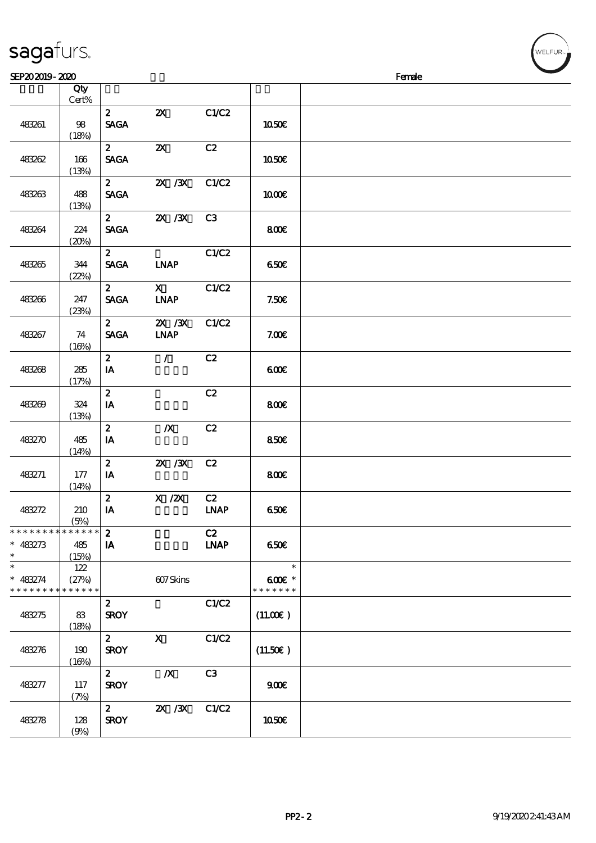| sagafurs. |  |
|-----------|--|
|           |  |

| SEP202019-2020                                        |              |                               |                                                                  |                   |                                     | Female |
|-------------------------------------------------------|--------------|-------------------------------|------------------------------------------------------------------|-------------------|-------------------------------------|--------|
|                                                       | Qty<br>Cert% |                               |                                                                  |                   |                                     |        |
| 483261                                                | 98<br>(18%)  | $\mathbf{2}$<br><b>SAGA</b>   | $\boldsymbol{\mathsf{Z}}$                                        | C1/C2             | 1050€                               |        |
| 483262                                                | 166<br>(13%) | $\mathbf{z}$<br><b>SAGA</b>   | $\boldsymbol{\mathsf{X}}$                                        | C2                | 1050€                               |        |
| 483263                                                | 488<br>(13%) | $\mathbf{2}$<br><b>SAGA</b>   | 2X / 3X                                                          | C1/C2             | 1000E                               |        |
| 483264                                                | 224<br>(20%) | $\mathbf{2}$<br><b>SAGA</b>   | $X \, X$                                                         | C3                | 800€                                |        |
| 483265                                                | 344<br>(22%) | $\mathbf{z}$<br><b>SAGA</b>   | <b>INAP</b>                                                      | C1/C2             | 650E                                |        |
| 483266                                                | 247<br>(23%) | 2 <sup>7</sup><br><b>SAGA</b> | $\mathbf x$<br><b>INAP</b>                                       | C1/C2             | 7.50E                               |        |
| 483267                                                | 74<br>(16%)  | $\mathbf{z}$<br><b>SAGA</b>   | $\overline{\mathbf{X}}$ / $\overline{\mathbf{X}}$<br><b>INAP</b> | C1/C2             | 7.00E                               |        |
| 483268                                                | 285<br>(17%) | $\mathbf{2}$<br>IA            | $\mathcal{L}$                                                    | C2                | 600                                 |        |
| 483269                                                | 324<br>(13%) | $\boldsymbol{z}$<br>IA        |                                                                  | C2                | 800E                                |        |
| 483270                                                | 485<br>(14%) | $\boldsymbol{z}$<br>IA        | $\boldsymbol{X}$                                                 | C2                | 850E                                |        |
| 483271                                                | 177<br>(14%) | $\boldsymbol{z}$<br>IA        | $X \, X$                                                         | C2                | 800€                                |        |
| 483272                                                | 210<br>(5%)  | $\boldsymbol{z}$<br>IA        | $X$ / $ZX$                                                       | C2<br><b>LNAP</b> | 650E                                |        |
| * * * * * * * * * * * * * * *<br>$* 483273$<br>$\ast$ | 485<br>(15%) | $\boldsymbol{z}$<br>IA        |                                                                  | C2<br><b>LNAP</b> | 650€                                |        |
| $\ast$<br>$* 483274$<br>* * * * * * * * * * * * * *   | 122<br>(27%) |                               | 607Skins                                                         |                   | $\ast$<br>$600E$ *<br>* * * * * * * |        |
| 483275                                                | 83<br>(18%)  | $\mathbf{z}$<br><b>SROY</b>   |                                                                  | C1/C2             | (11.00)                             |        |
| 483276                                                | 190<br>(16%) | $\mathbf{2}$<br><b>SROY</b>   | $\mathbf{x}$                                                     | C1/C2             | (11.50)                             |        |
| 483277                                                | 117<br>(7%)  | $\mathbf{2}$<br><b>SROY</b>   | $\boldsymbol{X}$                                                 | C3                | 900                                 |        |
| 483278                                                | 128<br>(9%)  | $\mathbf{2}$<br><b>SROY</b>   | <b>2X</b> / 3X                                                   | C1/C2             | <b>1050€</b>                        |        |

WELFUR<sub>"</sub>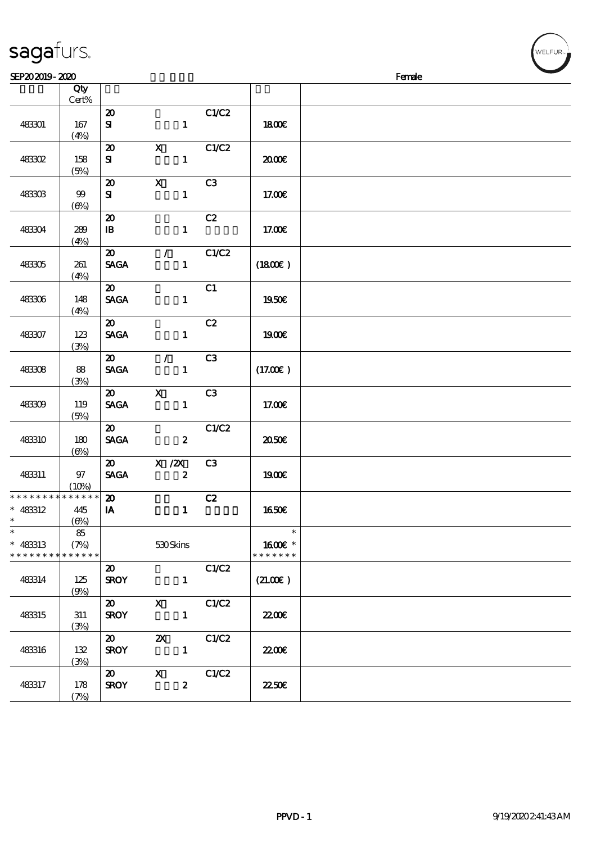|                                                       | Cert%             |                                            |                                  |                |                                    |  |
|-------------------------------------------------------|-------------------|--------------------------------------------|----------------------------------|----------------|------------------------------------|--|
| 483301                                                | 167<br>(4%)       | $\boldsymbol{\mathsf{20}}$<br>${\bf s}$    | $\mathbf{1}$                     | C1/C2          | <b>1800€</b>                       |  |
| 48302                                                 | 158<br>(5%)       | $\boldsymbol{\mathfrak{D}}$<br>${\bf s}$   | $\mathbf x$<br>$\mathbf{1}$      | C1/C2          | æœ                                 |  |
| 483303                                                | 99<br>$(\Theta)$  | $\boldsymbol{\mathbf{z}}$<br>${\bf s}$     | $\mathbf{X}$<br>$\mathbf{1}$     | C <sub>3</sub> | 17.00E                             |  |
| 483304                                                | 289<br>(4%)       | $\boldsymbol{\mathsf{20}}$<br>$\mathbf{B}$ | $\mathbf{1}$                     | C2             | 17.00E                             |  |
| 483305                                                | 261<br>(4%)       | $\boldsymbol{\mathfrak{D}}$<br><b>SAGA</b> | $\mathcal{L}$<br>$\mathbf{1}$    | C1/C2          | $(1800\varepsilon)$                |  |
| 483306                                                | 148<br>(4%)       | $\boldsymbol{\mathfrak{D}}$<br><b>SAGA</b> | $\mathbf{1}$                     | C1             | 1950E                              |  |
| 483307                                                | 123<br>(3%)       | $\boldsymbol{\mathfrak{D}}$<br><b>SAGA</b> | $\mathbf{1}$                     | C2             | <b>1900€</b>                       |  |
| 483308                                                | 88<br>(3%)        | $\boldsymbol{\mathfrak{D}}$<br><b>SAGA</b> | $\mathcal{L}$<br>$\mathbf{1}$    | C <sub>3</sub> | (17.00)                            |  |
| 483309                                                | 119<br>(5%)       | $\boldsymbol{\mathfrak{D}}$<br><b>SAGA</b> | $\mathbf x$<br>$\mathbf{1}$      | C <sub>3</sub> | 17.00E                             |  |
| 483310                                                | 180<br>$(\Theta)$ | $\boldsymbol{\mathfrak{D}}$<br><b>SAGA</b> | $\boldsymbol{z}$                 | C1/C2          | ææ                                 |  |
| 483311                                                | 97<br>(10%)       | $\boldsymbol{\mathfrak{D}}$<br><b>SAGA</b> | $X$ / $ZX$<br>$\boldsymbol{z}$   | C3             | 1900E                              |  |
| * * * * * * * * * * * * * *<br>$* 483312$<br>$\ast$   | 445<br>$(\Theta)$ | $\boldsymbol{\mathfrak{D}}$<br>IA          | $\mathbf{1}$                     | C2             | 1650€                              |  |
| $\ast$<br>$* 483313$<br>* * * * * * * * * * * * * * * | 85<br>(7%)        |                                            | 530Skins                         |                | $\ast$<br>1600€ *<br>* * * * * * * |  |
| 483314                                                | 125<br>(9%)       | $\boldsymbol{\mathfrak{D}}$<br><b>SROY</b> | $\mathbf{1}$                     | C1/C2          | (21.00)                            |  |
| 483315                                                | 311<br>(3%)       | $\boldsymbol{\mathfrak{D}}$<br><b>SROY</b> | $\mathbf{X}$<br>$\mathbf{1}$     | C1/C2          | 2200                               |  |
| 483316                                                | 132<br>(3%)       | $\boldsymbol{\mathfrak{D}}$<br><b>SROY</b> | $\mathbf{x}$<br>$\mathbf{1}$     | C1/C2          | 2200                               |  |
| 483317                                                | 178               | $\boldsymbol{\omega}$<br><b>SROY</b>       | $\mathbf{x}$<br>$\boldsymbol{z}$ | C1/C2          | <b>22.50E</b>                      |  |

 $\overline{\phantom{a}}$ 

 $SEP202019 - 2020$ 

说明 价格

## sagafurs.

(7%)

 $\sqrt{Qty}$ 

r<br>WELFUR<sub>™</sub>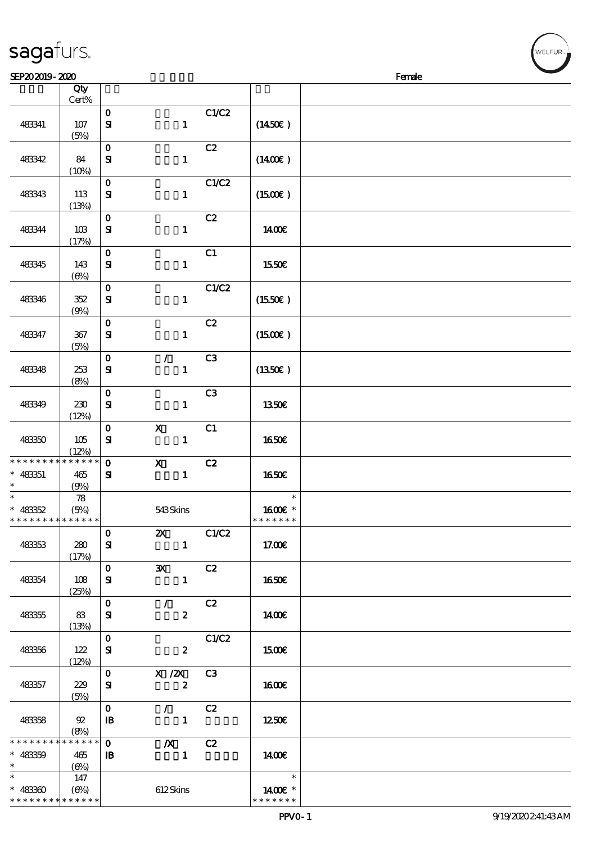| SEP202019-2020                                       |                            |                              |                                                 |       |                                    | <b>Contract on the Contract of Street</b><br>Female |
|------------------------------------------------------|----------------------------|------------------------------|-------------------------------------------------|-------|------------------------------------|-----------------------------------------------------|
|                                                      | Qty<br>$Cert\%$            |                              |                                                 |       |                                    |                                                     |
| 483341                                               | 107<br>(5%)                | $\mathbf{o}$<br>$\mathbf{S}$ | $\mathbf{1}$                                    | C1/C2 | (1450E)                            |                                                     |
| 483342                                               | 84<br>(10%)                | $\mathbf O$<br>${\bf s}$     | $\mathbf{1}$                                    | C2    | (1400E)                            |                                                     |
| 483343                                               | 113<br>(13%)               | $\mathbf{o}$<br>$\mathbf{S}$ | $\mathbf{1}$                                    | C1/C2 | $(1500\varepsilon)$                |                                                     |
| 483344                                               | 10B<br>(17%)               | $\mathbf 0$<br>$\mathbf{S}$  | $\mathbf{1}$                                    | C2    | 1400E                              |                                                     |
| 483345                                               | 143<br>(6%)                | $\mathbf{o}$<br>${\bf s}$    | $\mathbf{1}$                                    | C1    | 1550€                              |                                                     |
| 483346                                               | 352<br>(9%)                | $\mathbf{o}$<br>$\mathbf{S}$ | $\mathbf{1}$                                    | C1/C2 | $(1550\varepsilon)$                |                                                     |
| 483347                                               | 367<br>(5%)                | $\mathbf{o}$<br>${\bf s}$    | $\mathbf{1}$                                    | C2    | (1500E)                            |                                                     |
| 483348                                               | 253<br>(8%)                | $\mathbf{o}$<br>${\bf s}$    | $\mathcal{L}$<br>$\mathbf{1}$                   | C3    | $(1350\epsilon)$                   |                                                     |
| 483349                                               | 230<br>(12%)               | $\mathbf O$<br>$\mathbf{S}$  | $\mathbf{1}$                                    | C3    | 1350E                              |                                                     |
| 483350                                               | 105<br>(12%)               | $\mathbf O$<br>$\mathbf{S}$  | $\mathbf X$<br>$\mathbf{1}$                     | C1    | 1650€                              |                                                     |
| * * * * * * * *<br>$* 48351$<br>$\ast$               | * * * * * *<br>465<br>(9%) | $\mathbf{o}$<br>${\bf s}$    | $\boldsymbol{\mathsf{X}}$<br>$\mathbf{1}$       | C2    | 1650€                              |                                                     |
| $\ast$<br>$* 48352$<br>* * * * * * * * * * * * * * * | 78<br>(5%)                 |                              | 543Skins                                        |       | $\ast$<br>1600 £*<br>* * * * * * * |                                                     |
| 483353                                               | 280<br>(17%)               | $\mathbf{O}$<br>${\bf s}$    | $\boldsymbol{\mathsf{Z}}$<br>$\mathbf{1}$       | C1/C2 | 17.00€                             |                                                     |
| 483354                                               | 108<br>(25%)               | $\mathbf{O}$<br>${\bf s}$    | $\mathbf{x}$<br>$\mathbf{1}$                    | C2    | 1650E                              |                                                     |
| 483355                                               | 83<br>(13%)                | $\mathbf{O}$<br>${\bf s}$    | $\mathcal{L}$<br>$\boldsymbol{z}$               | C2    | 1400E                              |                                                     |
| 483356                                               | 122<br>(12%)               | $\mathbf{O}$<br>${\bf s}$    | $\boldsymbol{z}$                                | C1/C2 | 1500€                              |                                                     |
| 483357                                               | 229<br>(5%)                | $\mathbf{O}$<br>${\bf s}$    | $X \, /ZX$<br>$\boldsymbol{z}$                  | C3    | <b>1600€</b>                       |                                                     |
| 48358                                                | $\mathfrak{D}$<br>(8%)     | $\mathbf 0$<br>$\mathbf{B}$  | $\mathcal{L}$ and $\mathcal{L}$<br>$\mathbf{1}$ | C2    | 1250                               |                                                     |
| * * * * * * * * * * * * * *<br>$* 483359$<br>$\ast$  | 465<br>(6%)                | $\mathbf 0$<br>$\mathbf{B}$  | $\boldsymbol{X}$<br>$\blacksquare$              | C2    | 1400€                              |                                                     |
| $\ast$<br>$* 48330$<br>* * * * * * * * * * * * * *   | 147<br>(6%)                |                              | 612Skins                                        |       | $\ast$<br>1400€ *<br>* * * * * * * |                                                     |

WELFUR<sub>T</sub>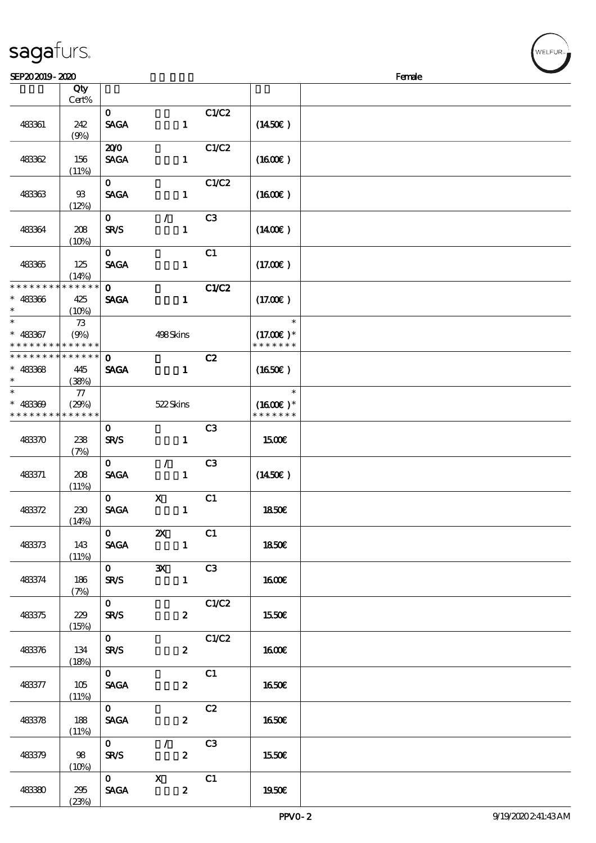| 483361                                  | 242<br>(9%)                 | $\mathbf{O}$<br><b>SAGA</b> | $\mathbf{1}$                              | C1/C2             | $(1450\varepsilon)$                    |  |
|-----------------------------------------|-----------------------------|-----------------------------|-------------------------------------------|-------------------|----------------------------------------|--|
| 48362                                   | 156<br>(11%)                | 200<br><b>SAGA</b>          | $\mathbf{1}$                              | C1/C2             | (1600)                                 |  |
| 483363                                  | 98<br>(12%)                 | $\mathbf 0$<br><b>SAGA</b>  | $\mathbf{1}$                              | C1/C2             | (1600)                                 |  |
| 483364                                  | 208<br>(10%)                | $\mathbf{O}$<br><b>SR/S</b> | $\mathcal{L}$<br>$\mathbf{1}$             | C <sub>3</sub>    | (1400E)                                |  |
| 483365                                  | 125<br>(14%)                | $\mathbf{O}$<br><b>SAGA</b> | $\mathbf{1}$                              | C1                | (17.00)                                |  |
| * * * * * * * *<br>$* 483366$<br>$\ast$ | * * * * * *<br>425<br>(10%) | $\mathbf{O}$<br><b>SAGA</b> | $\mathbf{1}$                              | <b>C1/C2</b>      | (17.00)                                |  |
| $\ast$<br>$* 483367$<br>* * * * * * * * | 73<br>(9%)<br>* * * * * *   |                             | 498Skins                                  |                   | $\ast$<br>$(17.00)$ *<br>* * * * * * * |  |
| * * * * * * * *<br>$* 483368$<br>$\ast$ | * * * * * *<br>445<br>(38%) | $\mathbf 0$<br><b>SAGA</b>  | $\mathbf{1}$                              | C2                | (1650)                                 |  |
| $\ast$<br>$* 483309$<br>* * * * * * * * | 77<br>(29%)<br>* * * * * *  |                             | 522Skins                                  |                   | $\ast$<br>$(1600E)*$<br>* * * * * * *  |  |
| 483370                                  | 238<br>(7%)                 | $\mathbf{O}$<br><b>SR/S</b> | $\mathbf{1}$                              | C <sub>3</sub>    | <b>1500€</b>                           |  |
| 483371                                  | 208<br>(11%)                | $\mathbf{O}$<br><b>SAGA</b> | $\mathcal{L}$<br>$\mathbf{1}$             | C <sub>3</sub>    | (1450E)                                |  |
| 483372                                  | 230<br>(14%)                | $\mathbf{O}$<br><b>SAGA</b> | $\mathbf X$<br>$\mathbf{1}$               | C1                | <b>1850€</b>                           |  |
| 483373                                  | 143<br>(11%)                | $\mathbf{O}$<br><b>SAGA</b> | $\boldsymbol{\mathsf{z}}$<br>$\mathbf{1}$ | C1                | <b>1850€</b>                           |  |
| 483374                                  | 186<br>(7%)                 | $\mathbf 0$<br><b>SR/S</b>  | $\mathbf{x}$<br>$\mathbf{1}$              | C3                | <b>160€</b>                            |  |
| 483375                                  | 229<br>(15%)                | $\mathbf{O}$<br><b>SR/S</b> | $\mathbf{z}$                              | C1/C2             | 1550€                                  |  |
| 483376                                  | 134<br>(18%)                | $\mathbf{0}$<br>SR/S        | $\mathbf{z}$                              | $\overline{C1}C2$ | <b>160€</b>                            |  |
| 483377                                  | 105<br>(11%)                | $\mathbf{O}$<br><b>SAGA</b> | $\boldsymbol{z}$                          | C1                | 1650€                                  |  |
| 483378                                  | 188<br>(11%)                | $\mathbf{O}$<br><b>SAGA</b> | $\boldsymbol{z}$                          | C2                | <b>1650€</b>                           |  |
| 483379                                  | 98<br>(10%)                 | $\mathbf{0}$<br><b>SR/S</b> | $\mathcal{L}$<br>$\boldsymbol{z}$         | C <sub>3</sub>    | 1550€                                  |  |

 $SEP202019 - 2020$ 

说明 价格

#### sagafurs.

顺序号 Qty

483380 295

 $(23%)$ 

 $\overline{0}$  X  $\overline{C_1}$ 

 $SAGA$  2 | 1950 $\varepsilon$ 

Cert%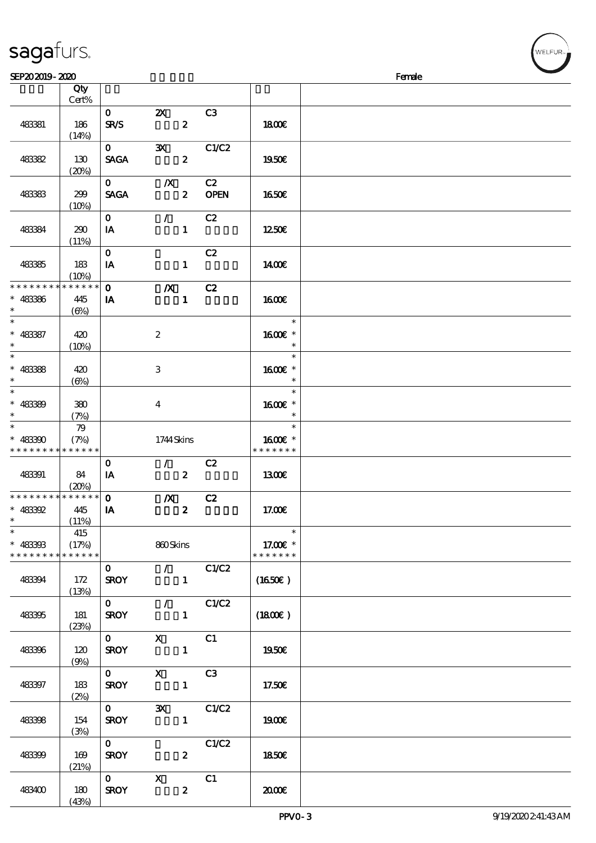(43%)

| SEP202019-2020              |             |              |                           |                  |                |                     | Female |
|-----------------------------|-------------|--------------|---------------------------|------------------|----------------|---------------------|--------|
|                             | Qty         |              |                           |                  |                |                     |        |
|                             | Cert%       |              |                           |                  |                |                     |        |
|                             |             | $\mathbf{O}$ | $\mathbf{X}$              |                  | C3             |                     |        |
| 48381                       | 186         | <b>SR/S</b>  |                           | $\boldsymbol{z}$ |                | 1800                |        |
|                             | (14%)       |              |                           |                  |                |                     |        |
|                             |             | $\mathbf{O}$ | $\mathbf{x}$              |                  | C1/C2          |                     |        |
|                             |             | <b>SAGA</b>  |                           | $\boldsymbol{z}$ |                |                     |        |
| 48382                       | 130         |              |                           |                  |                | 1950E               |        |
|                             | (20%)       |              |                           |                  |                |                     |        |
|                             |             | $\mathbf{0}$ | $\mathbb{X}$              |                  | C2             |                     |        |
| 48383                       | 299         | <b>SAGA</b>  |                           | $\boldsymbol{z}$ | <b>OPEN</b>    | 1650E               |        |
|                             | (10%)       |              |                           |                  |                |                     |        |
|                             |             | $\mathbf{O}$ | $\mathcal{L}$             |                  | C2             |                     |        |
| 48384                       | 290         | IA           |                           | $\mathbf{1}$     |                | 1250E               |        |
|                             | (11%)       |              |                           |                  |                |                     |        |
|                             |             | $\mathbf{O}$ |                           |                  | C2             |                     |        |
| 48385                       | 183         | IA           |                           | $\mathbf{1}$     |                | 1400E               |        |
|                             | (10%)       |              |                           |                  |                |                     |        |
| * * * * * * * *             | * * * * * * | $\mathbf{O}$ |                           |                  |                |                     |        |
|                             |             |              | $\boldsymbol{X}$          |                  | C2             |                     |        |
| $* 483366$                  | 445         | IA           |                           | $\mathbf{1}$     |                | 1600E               |        |
| $\ast$                      | $(\Theta)$  |              |                           |                  |                |                     |        |
| $\ast$                      |             |              |                           |                  |                | $\ast$              |        |
| $* 48387$                   | 420         |              | $\boldsymbol{2}$          |                  |                | 1600E *             |        |
| $\ast$                      | (10%)       |              |                           |                  |                | $\ast$              |        |
| $\overline{\ast}$           |             |              |                           |                  |                | $\ast$              |        |
| $* 48388$                   | 420         |              | 3                         |                  |                | 1600 *              |        |
| $\ast$                      | $(\Theta)$  |              |                           |                  |                | $\ast$              |        |
| $\overline{\phantom{0}}$    |             |              |                           |                  |                | $\ast$              |        |
| $* 48339$                   | 380         |              |                           |                  |                | 1600€ *             |        |
| $\ast$                      |             |              | $\bf{4}$                  |                  |                | $\ast$              |        |
| $\ast$                      | (7%)        |              |                           |                  |                | $\ast$              |        |
|                             | 79          |              |                           |                  |                |                     |        |
| $* 483300$                  | (7%)        |              | 1744Skins                 |                  |                | 1600E *             |        |
| * * * * * * * *             | * * * * * * |              |                           |                  |                | * * * * * * *       |        |
|                             |             | $\mathbf{o}$ | $\mathcal{T}=\mathcal{I}$ |                  | C2             |                     |        |
| 48391                       | 84          | IA           | $\overline{\mathbf{z}}$   |                  |                | 1300E               |        |
|                             | (20%)       |              |                           |                  |                |                     |        |
| * * * * * * * * * * * * * * |             | $\mathbf{o}$ | $\boldsymbol{X}$          |                  | C2             |                     |        |
| $* 483392$                  | 445         | IA           |                           | $\boldsymbol{z}$ |                | 17.00E              |        |
| $*$                         | (11%)       |              |                           |                  |                |                     |        |
| $\ast$                      | 415         |              |                           |                  |                | $\ast$              |        |
| $* 483303$                  | (17%)       |              | 860Skins                  |                  |                | 17.00€ *            |        |
| * * * * * * * *             | * * * * * * |              |                           |                  |                | * * * * * * *       |        |
|                             |             | $\mathbf{0}$ |                           |                  | $\sqrt{C1/C2}$ |                     |        |
|                             |             |              |                           |                  |                |                     |        |
| 48394                       | 172         | <b>SROY</b>  |                           | $\mathbf{1}$     |                | (1650)              |        |
|                             | (13%)       |              |                           |                  |                |                     |        |
|                             |             | $\mathbf{O}$ |                           |                  | $\sqrt{C1/C2}$ |                     |        |
| 483395                      | 181         | <b>SROY</b>  |                           | $\mathbf{1}$     |                | $(1800\varepsilon)$ |        |
|                             | (23%)       |              |                           |                  |                |                     |        |
|                             |             | $\mathbf{0}$ | $X$ C1                    |                  |                |                     |        |
| 483396                      | 120         | <b>SROY</b>  |                           | $\blacksquare$   |                | 1950€               |        |
|                             | (9%)        |              |                           |                  |                |                     |        |
|                             |             | $\mathbf{0}$ | $\mathbf{x}$              |                  | C3             |                     |        |
| 48397                       | 183         | <b>SROY</b>  |                           | $\mathbf{1}$     |                | 17.50€              |        |
|                             | (2%)        |              |                           |                  |                |                     |        |
|                             |             | $\mathbf{0}$ | $\mathbf{x}$              |                  | C1/C2          |                     |        |
|                             |             |              |                           |                  |                |                     |        |
| 483398                      | 154         | <b>SROY</b>  |                           | $\mathbf{1}$     |                | 1900E               |        |
|                             | (3%)        |              |                           |                  |                |                     |        |
|                             |             | $\mathbf{O}$ |                           |                  | C1/C2          |                     |        |
| 483399                      | 169         | <b>SROY</b>  |                           | $\boldsymbol{z}$ |                | 1850€               |        |
|                             | (21%)       |              |                           |                  |                |                     |        |
|                             |             |              | 0 X C1                    |                  |                |                     |        |
| 483400                      | 180         | <b>SROY</b>  | $\overline{\mathbf{2}}$   |                  |                | 2000                |        |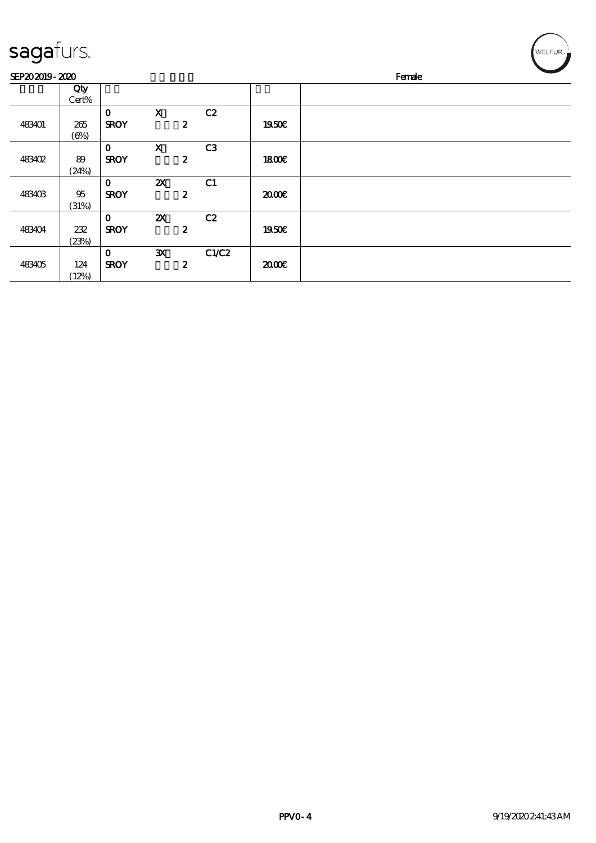| SEP202019-2020 |            |              |                           |                  |                | Female |  |  |
|----------------|------------|--------------|---------------------------|------------------|----------------|--------|--|--|
|                | Qty        |              |                           |                  |                |        |  |  |
|                | Cert%      |              |                           |                  |                |        |  |  |
|                |            | $\mathbf{o}$ | $\mathbf X$               |                  | C2             |        |  |  |
| 483401         | 265        | <b>SROY</b>  |                           | $\boldsymbol{z}$ |                | 1950E  |  |  |
|                | $(\Theta)$ |              |                           |                  |                |        |  |  |
|                |            | $\mathbf 0$  | $\mathbf X$               |                  | C3             |        |  |  |
| <b>483402</b>  | 89         | <b>SROY</b>  |                           | $\boldsymbol{z}$ |                | 1800E  |  |  |
|                | (24%)      |              |                           |                  |                |        |  |  |
|                |            | $\mathbf 0$  | $\boldsymbol{\mathsf{z}}$ |                  | C <sub>1</sub> |        |  |  |
| 483403         | 95         | <b>SROY</b>  |                           | $\boldsymbol{z}$ |                | 2000E  |  |  |
|                | (31%)      |              |                           |                  |                |        |  |  |
|                |            | $\mathbf 0$  | ZX                        |                  | C2             |        |  |  |
| 483404         | 232        | <b>SROY</b>  |                           | $\boldsymbol{z}$ |                | 1950E  |  |  |
|                | (23%)      |              |                           |                  |                |        |  |  |
|                |            | $\bf{0}$     | ${\bf x}$                 |                  | C1/C2          |        |  |  |
| 483405         | 124        | <b>SROY</b>  |                           | $\boldsymbol{z}$ |                | æœ     |  |  |
|                | (12%)      |              |                           |                  |                |        |  |  |

 $\left(\begin{matrix} \begin{matrix} 1 & 0 \\ 0 & 1 \end{matrix} \\ \begin{matrix} 0 & 1 \end{matrix} \\ \begin{matrix} 0 & 1 \end{matrix} \\ \begin{matrix} 0 & 1 \end{matrix} \\ \begin{matrix} 0 & 1 \end{matrix} \\ \begin{matrix} 0 & 1 \end{matrix} \\ \begin{matrix} 0 & 1 \end{matrix} \end{matrix} \end{matrix} \right)$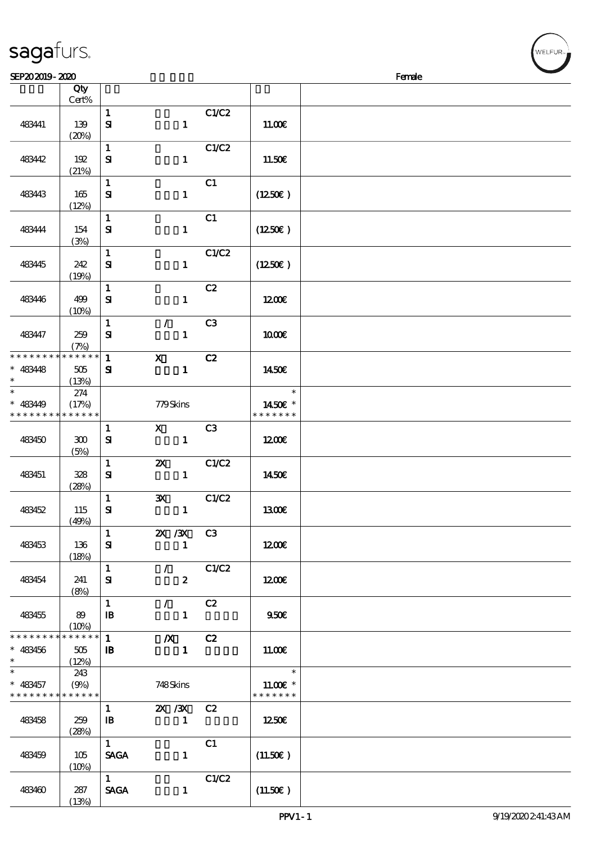|                                            | Qty                  |              |                           |                |                  |  |
|--------------------------------------------|----------------------|--------------|---------------------------|----------------|------------------|--|
|                                            | $Cert\%$             |              |                           |                |                  |  |
|                                            |                      | $\mathbf 1$  |                           | C1/C2          |                  |  |
| 483441                                     | 139                  | $\mathbf{S}$ | $\mathbf{1}$              |                | 11.00E           |  |
|                                            | (20%)                |              |                           |                |                  |  |
|                                            |                      | $\mathbf{1}$ |                           | C1/C2          |                  |  |
| 483442                                     | 192                  | $\mathbf{S}$ | $\mathbf{1}$              |                | 11.50€           |  |
|                                            | (21%)                |              |                           |                |                  |  |
|                                            |                      | $\mathbf{1}$ |                           | C1             |                  |  |
| 483443                                     | 165                  | ${\bf S}$    | $\mathbf{1}$              |                | $(1250\epsilon)$ |  |
|                                            | (12%)                |              |                           |                |                  |  |
|                                            |                      | $\mathbf{1}$ |                           | C1             |                  |  |
| 483444                                     | 154                  | $\mathbf{S}$ | $\mathbf{1}$              |                | (1250E)          |  |
|                                            | (3%)                 |              |                           |                |                  |  |
|                                            |                      | $\mathbf{1}$ |                           | C1/C2          |                  |  |
| 483445                                     | 242                  | ${\bf S}$    | $\mathbf{1}$              |                | $(1250\epsilon)$ |  |
|                                            | (19%)                | $\mathbf{1}$ |                           | C2             |                  |  |
| 483446                                     | 499                  | ${\bf s}$    | $\mathbf{1}$              |                | 1200             |  |
|                                            | (10%)                |              |                           |                |                  |  |
|                                            |                      | $\mathbf{1}$ | $\mathcal{L}$             | C3             |                  |  |
| 483447                                     | 259                  | ${\bf s}$    | $\mathbf{1}$              |                | 1000E            |  |
|                                            | (7%)                 |              |                           |                |                  |  |
| * * * * * * * * <mark>* * * * * * *</mark> |                      | $\mathbf{1}$ | $\mathbf{x}$              | C2             |                  |  |
| $* 483448$                                 | $505\,$              | ${\bf s}$    | $\mathbf{1}$              |                | 1450€            |  |
| $\ast$                                     | (13%)                |              |                           |                |                  |  |
| $\overline{\ast}$                          | 274                  |              |                           |                | $\ast$           |  |
| $* 483449$                                 | (17%)                |              | 779Skins                  |                | 1450€ *          |  |
| * * * * * * * *                            | * * * * * *          |              |                           |                | * * * * * * *    |  |
|                                            |                      | $\mathbf{1}$ | $\mathbf{X}$              | C <sub>3</sub> |                  |  |
| 483450                                     | 300                  | ${\bf s}$    | $\mathbf{1}$              |                | 1200E            |  |
|                                            | (5%)                 |              |                           |                |                  |  |
|                                            |                      | $\mathbf{1}$ | $\boldsymbol{\mathsf{X}}$ | C1/C2          |                  |  |
| 483451                                     | 328                  | ${\bf s}$    | $\mathbf{1}$              |                | 1450€            |  |
|                                            | (28%)                |              |                           |                |                  |  |
|                                            |                      | $\mathbf{1}$ | $\mathbf{x}$              | C1/C2          |                  |  |
| 483452                                     | 115                  | $\mathbf{S}$ | $\mathbf{1}$              |                | 1300€            |  |
|                                            | (49%)                |              |                           |                |                  |  |
|                                            |                      | $\mathbf{1}$ | 2X / 3X C3                |                |                  |  |
| 483453                                     | 136                  | ${\bf s}$    | $\mathbf{1}$              |                | 1200E            |  |
|                                            | (18%)                |              |                           |                |                  |  |
|                                            |                      | $\mathbf{1}$ | $\mathcal{L}$             | C1/C2          |                  |  |
| 483454                                     | 241                  | ${\bf s}$    | $\boldsymbol{z}$          |                | 1200E            |  |
|                                            | (8%)                 |              |                           |                |                  |  |
|                                            |                      | $\mathbf{1}$ | $\mathcal{L}$             | C2             |                  |  |
| 483455                                     | 89                   | $\mathbf{B}$ | $\mathbf{1}$              |                | 950E             |  |
| * * * * * * * *                            | (10%)<br>* * * * * * | $\mathbf{1}$ |                           |                |                  |  |
|                                            |                      |              | $\boldsymbol{X}$          | C2             |                  |  |
| $* 483456$<br>$\ast$                       | 505                  | $\mathbf{B}$ | $\mathbf{1}$              |                | 11.00E           |  |
| $\ast$                                     | (12%)                |              |                           |                | $\ast$           |  |
| $* 483457$                                 | 243<br>(9%)          |              | 748Skins                  |                | $11.00E$ *       |  |
| * * * * * * * * * * * * * *                |                      |              |                           |                | * * * * * * *    |  |
|                                            |                      | $\mathbf{1}$ | 2X / 3X C 2               |                |                  |  |
| 483458                                     | 259                  | $\mathbf{B}$ | $\mathbf{1}$              |                | 1250             |  |
|                                            | (28%)                |              |                           |                |                  |  |
|                                            |                      | $\mathbf{1}$ |                           | C1             |                  |  |
| 483459                                     | 105                  | <b>SAGA</b>  | $\mathbf{1}$              |                | (11.50)          |  |
|                                            | (10%)                |              |                           |                |                  |  |
|                                            |                      | $\mathbf{1}$ |                           | C1/C2          |                  |  |
| 483460                                     | 287                  | <b>SAGA</b>  | $\mathbf{1}$              |                | (11.50)          |  |
|                                            | (13%)                |              |                           |                |                  |  |
|                                            |                      |              |                           |                |                  |  |

 $SEP202019 - 2020$ 

#### sagafurs.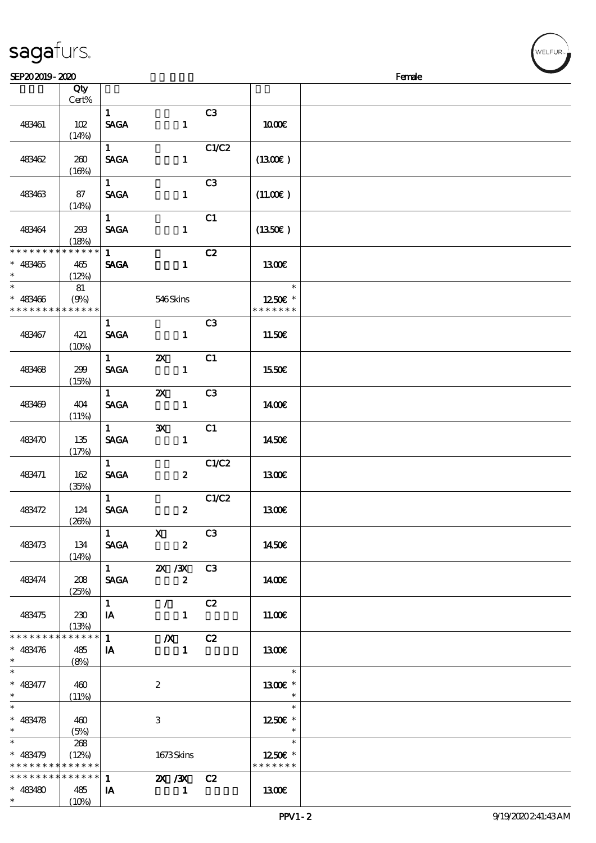| 483461                                                             | 102<br>(14%)                   | $\mathbf{1}$<br><b>SAGA</b>           | $\mathbf{1}$                              | C3    | 1000E                              |  |
|--------------------------------------------------------------------|--------------------------------|---------------------------------------|-------------------------------------------|-------|------------------------------------|--|
| 483462                                                             | 260<br>(16%)                   | $\mathbf{1}$<br><b>SAGA</b>           | $\mathbf{1}$                              | C1/C2 | $(1300\varepsilon)$                |  |
| 483463                                                             | 87<br>(14%)                    | 1<br><b>SAGA</b>                      | $\mathbf{1}$                              | C3    | (11.00)                            |  |
| 483464                                                             | 293<br>(18%)                   | $1 \quad$<br><b>SAGA</b>              | $\mathbf{1}$                              | C1    | (1350E)                            |  |
| * * * * * * * *<br>$* 483465$<br>$\ast$                            | $******$<br>465<br>(12%)       | $1 \quad \blacksquare$<br><b>SAGA</b> | $\mathbf{1}$                              | C2    | 1300                               |  |
| $\overline{\phantom{0}}$<br>$* 483466$<br>* * * * * * * *          | 81<br>(9%)<br>* * * * * *      |                                       | 546Skins                                  |       | $\ast$<br>1250E *<br>* * * * * * * |  |
| 483467                                                             | 421<br>(10%)                   | $\mathbf{1}$<br><b>SAGA</b>           | $\mathbf{1}$                              | C3    | 11.50E                             |  |
| 483468                                                             | 299<br>(15%)                   | $1 \quad \blacksquare$<br><b>SAGA</b> | $\boldsymbol{\mathsf{Z}}$<br>$\mathbf{1}$ | C1    | 1550€                              |  |
| 483469                                                             | 404<br>(11%)                   | $1 \quad$<br><b>SAGA</b>              | $\boldsymbol{\alpha}$<br>$\mathbf{1}$     | C3    | 1400E                              |  |
| 483470                                                             | 135<br>(17%)                   | $1 \qquad \qquad$<br><b>SAGA</b>      | $\mathbf{x}$<br>$\mathbf{1}$              | C1    | 1450E                              |  |
| 483471                                                             | 162<br>(35%)                   | $1 \quad$<br><b>SAGA</b>              | $\boldsymbol{z}$                          | C1/C2 | 1300E                              |  |
| 483472                                                             | 124<br>(20%)                   | $\mathbf{1}$<br><b>SAGA</b>           | $\boldsymbol{2}$                          | C1/C2 | <b>1300€</b>                       |  |
| 483473                                                             | 134<br>(14%)                   | $\overline{1}$ X<br><b>SAGA</b>       | $\boldsymbol{z}$                          | C3    | 1450€                              |  |
| 483474                                                             | 208<br>(25%)                   | $\mathbf{1}$<br>SAGA                  | <b>2X /3X</b><br>$\boldsymbol{2}$         | C3    | 1400E                              |  |
| 483475                                                             | 230<br>(13%)                   | $\mathbf{1}$<br>IA                    | $\mathcal{L}$<br>$\mathbf{1}$             | C2    | 11.00E                             |  |
| * * * * * * * *<br>$* 483476$<br>$\ast$                            | $* * * * * * *$<br>485<br>(8%) | $\mathbf{1}$<br>IA                    | $\boldsymbol{X}$<br>$\mathbf{1}$          | C2    | 1300                               |  |
| $\ast$<br>$* 483477$<br>$\ast$                                     | 460<br>(11%)                   |                                       | $\boldsymbol{2}$                          |       | $\ast$<br>1300E *<br>$\ast$        |  |
| $\overline{\ast}$<br>$* 483478$<br>$\ast$                          | 460<br>(5%)                    |                                       | 3                                         |       | $\ast$<br>1250E *                  |  |
| $\ast$<br>$* 483479$<br>* * * * * * * * <mark>* * * * * * *</mark> | 268<br>(12%)                   |                                       | 1673Skins                                 |       | $\ast$<br>1250E *<br>* * * * * * * |  |
| * * * * * * * *<br>$* 483480$<br>$\ast$                            | * * * * * *<br>485<br>(10%)    | $\mathbf{1}$<br>IA                    | 2X / 3X C 2<br>$\mathbf{1}$               |       | 1300                               |  |

 $SEP202019 - 2020$ 

说明 价格

#### sagafurs.

顺序号 Qty

Cert%

**NELFUR**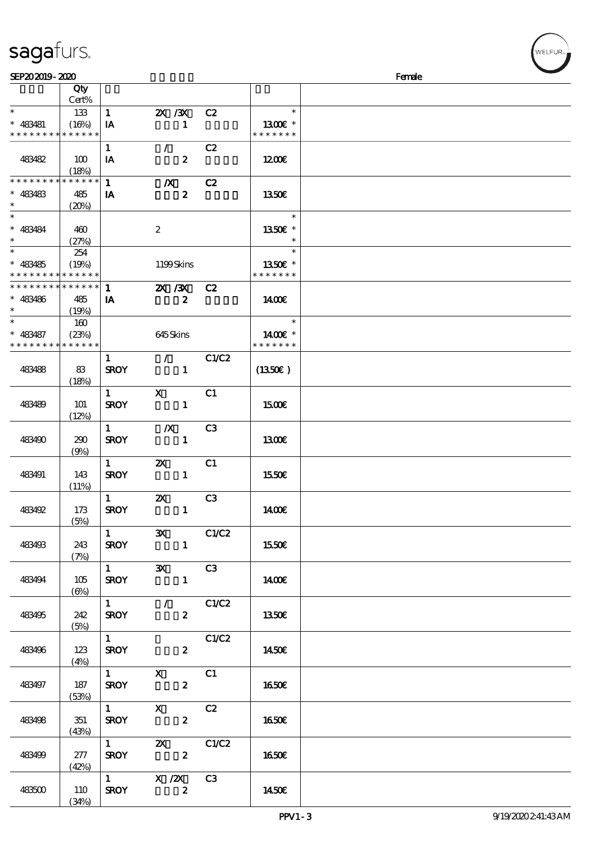| sagafurs. |  |
|-----------|--|
|           |  |

| SEP202019-2020                                         |                   |                               |                                                             |                |                          | Female |
|--------------------------------------------------------|-------------------|-------------------------------|-------------------------------------------------------------|----------------|--------------------------|--------|
|                                                        | Qty<br>Cert%      |                               |                                                             |                |                          |        |
| $\ast$                                                 | 133               | $\mathbf{1}$                  | $\chi$ / $\chi$                                             | C2             | $\ast$                   |        |
| $* 483481$<br>* * * * * * * * <mark>* * * * * *</mark> | (16%)             | IA                            | $\mathbf{1}$                                                |                | 1300E *<br>* * * * * * * |        |
|                                                        |                   | $\mathbf{1}$                  | $\mathcal{L}$                                               | C2             |                          |        |
| 483482                                                 | 100<br>(18%)      | IA                            | $\boldsymbol{z}$                                            |                | 1200                     |        |
| * * * * * * * *                                        | * * * * * *       | $\mathbf{1}$                  | $\boldsymbol{X}$                                            | C2             |                          |        |
| $* 483483$<br>$\ast$                                   | 485<br>(20%)      | IA                            | $\boldsymbol{z}$                                            |                | 1350E                    |        |
| $\ast$                                                 |                   |                               |                                                             |                | $\ast$                   |        |
| $* 483484$<br>$\ast$                                   | 460<br>(27%)      |                               | $\boldsymbol{z}$                                            |                | 1350E *                  |        |
| $\ast$                                                 | 254               |                               |                                                             |                | $\ast$                   |        |
| $* 483485$<br>* * * * * * * * <mark>* * * * * *</mark> | (19%)             |                               | 1199Skins                                                   |                | 1350E *<br>* * * * * * * |        |
| * * * * * * * *                                        | * * * * * *       | $\mathbf{1}$                  | 2X / 3X                                                     | C2             |                          |        |
| $* 483486$<br>$\ast$                                   | 485<br>(19%)      | IA                            | $\boldsymbol{z}$                                            |                | 1400E                    |        |
| $\ast$                                                 | 160               |                               |                                                             |                | $\ast$                   |        |
| $* 483487$                                             | (23%)             |                               | $645$ Skins                                                 |                | 1400€ *                  |        |
| * * * * * * * *                                        | * * * * * *       |                               |                                                             |                | * * * * * * *            |        |
|                                                        |                   | $\mathbf{1}$                  | $\mathcal{L}$                                               | C1/C2          |                          |        |
| 483488                                                 | 83<br>(18%)       | <b>SROY</b>                   | $\mathbf{1}$                                                |                | $(1350\epsilon)$         |        |
|                                                        |                   | $\mathbf{1}$                  | $\mathbf{x}$                                                | C1             |                          |        |
| 483489                                                 | 101<br>(12%)      | <b>SROY</b>                   | $\mathbf{1}$                                                |                | 1500E                    |        |
|                                                        |                   | $\mathbf{1}$                  | $\boldsymbol{X}$                                            | C3             |                          |        |
| 483490                                                 | 290<br>(9%)       | <b>SROY</b>                   | $\mathbf{1}$                                                |                | 1300                     |        |
|                                                        |                   | $\mathbf{1}$                  | $\boldsymbol{\alpha}$                                       | C1             |                          |        |
| 483491                                                 | 143<br>(11%)      | <b>SROY</b>                   | $\mathbf{1}$                                                |                | 1550€                    |        |
|                                                        |                   | $\mathbf{1}$                  | $\boldsymbol{\mathsf{X}}$                                   | C <sub>3</sub> |                          |        |
| 483492                                                 | 173<br>(5%)       | <b>SROY</b>                   | $\mathbf{1}$                                                |                | 1400E                    |        |
|                                                        |                   | $\mathbf{1}$ and $\mathbf{1}$ | $\mathbf{x}$                                                | C1/C2          |                          |        |
| 483493                                                 | 243<br>(7%)       | <b>SROY</b>                   |                                                             | $\mathbf{1}$   | 1550E                    |        |
|                                                        |                   | $1 \qquad \qquad$             | 3X C3                                                       |                |                          |        |
| 483494                                                 | 105<br>$(\Theta)$ | <b>SROY</b>                   | $\mathbf{1}$                                                |                | 1400E                    |        |
|                                                        |                   | $\overline{1}$ $\overline{1}$ | $\overline{\phantom{a}}$ / $\overline{\phantom{a}}$ $C1/C2$ |                |                          |        |
| 483495                                                 | 242<br>(5%)       | <b>SROY</b>                   | $\mathbf{z}$                                                |                | 1350E                    |        |
|                                                        |                   | $1 \quad \blacksquare$        |                                                             | C1/C2          |                          |        |
| 483496                                                 | 123<br>(4%)       | <b>SROY</b>                   | $\mathbf{2}$                                                |                | 1450E                    |        |
|                                                        |                   |                               | 1 X C1                                                      |                |                          |        |
| 483497                                                 | 187<br>(53%)      |                               | $SROY$ 2                                                    |                | 1650€                    |        |
|                                                        |                   |                               | $1$ X C2                                                    |                |                          |        |
| 483498                                                 | 351<br>(43%)      |                               | $\mathbf{2}$<br><b>SROY</b>                                 |                | <b>1650€</b>             |        |
|                                                        |                   |                               | 1 $\alpha$ $\alpha$ $\alpha$                                |                |                          |        |
| 483499                                                 | 277<br>(42%)      | <b>SROY</b>                   | $\overline{\mathbf{r}}$                                     |                | 1650                     |        |
|                                                        |                   |                               | $\frac{1}{2}$ X $\frac{1}{2}$ C3                            |                |                          |        |
| 483500                                                 | 110<br>(34%)      | <b>SROY</b>                   | $\overline{\mathbf{z}}$                                     |                | 1450E                    |        |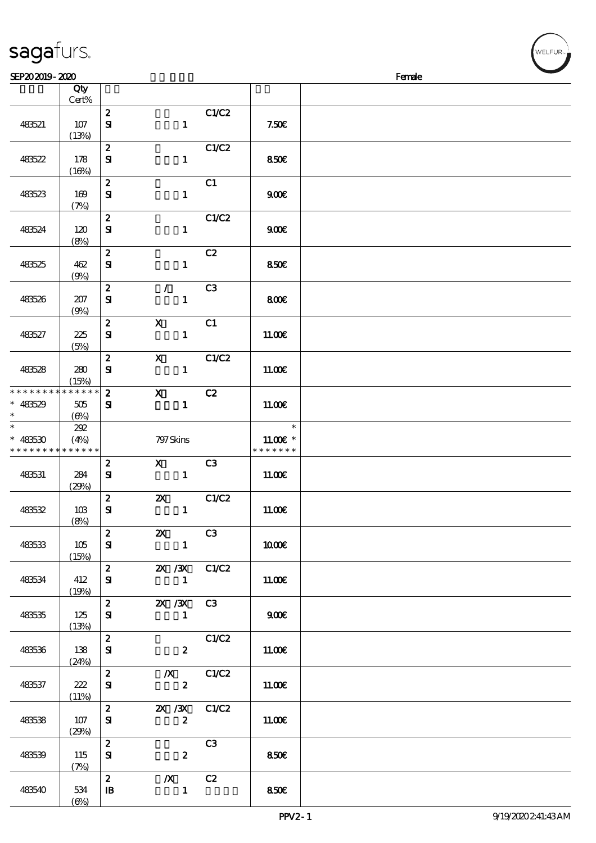|                 | Qty<br>Cert%         |                                  |                                                                                                                     |                |               |  |
|-----------------|----------------------|----------------------------------|---------------------------------------------------------------------------------------------------------------------|----------------|---------------|--|
|                 |                      | $\boldsymbol{z}$                 |                                                                                                                     | C1/C2          |               |  |
| 483521          | 107<br>(13%)         | $\mathbf{S}$                     | $\mathbf{1}$                                                                                                        |                | 7.50E         |  |
|                 |                      | $\boldsymbol{z}$                 |                                                                                                                     | C1/C2          |               |  |
| 48522           | 178<br>(16%)         | ${\bf S}$                        | $\mathbf{1}$                                                                                                        |                | 850€          |  |
|                 |                      | $\boldsymbol{z}$                 |                                                                                                                     | C1             |               |  |
| 483523          | 169<br>(7%)          | ${\bf S\!I}$                     | $\mathbf{1}$                                                                                                        |                | 900           |  |
|                 |                      | $\boldsymbol{z}$                 |                                                                                                                     | C1/C2          |               |  |
| 483524          | 120<br>(8%)          | ${\bf s}$                        | $\mathbf{1}$                                                                                                        |                | 900E          |  |
|                 |                      | $\boldsymbol{z}$                 |                                                                                                                     | C2             |               |  |
| 483525          | 462<br>(9%)          | ${\bf s}$                        | $\mathbf{1}$                                                                                                        |                | <b>850€</b>   |  |
|                 |                      | $\boldsymbol{z}$                 | $\mathcal{F}$                                                                                                       | C <sub>3</sub> |               |  |
| 483526          | 207<br>(9%)          | ${\bf s}$                        | $\mathbf{1}$                                                                                                        |                | 800€          |  |
|                 |                      | $\boldsymbol{z}$                 | $\mathbf X$                                                                                                         | C1             |               |  |
| 483527          | 225<br>(5%)          | ${\bf s}$                        | $\mathbf{1}$                                                                                                        |                | 11.00E        |  |
|                 |                      | $\boldsymbol{z}$                 | $\boldsymbol{\mathsf{X}}$                                                                                           | C1/C2          |               |  |
| 483528          | 280                  | ${\bf s}$                        | $\mathbf{1}$                                                                                                        |                | 11.00E        |  |
| * * * * * * * * | (15%)<br>* * * * * * | $\mathbf{z}$                     | $\boldsymbol{\mathrm{X}}$                                                                                           | C2             |               |  |
| $* 483529$      | $505\,$              | $\mathbf{S}$                     | $\mathbf{1}$                                                                                                        |                | 11.00E        |  |
| $\ast$          | $(\Theta)$           |                                  |                                                                                                                     |                |               |  |
| $\ast$          | 202                  |                                  |                                                                                                                     |                | $\ast$        |  |
| $* 483530$      | (4%)                 |                                  | 797 Skins                                                                                                           |                | $11.00E$ *    |  |
| * * * * * * * * | * * * * * *          |                                  |                                                                                                                     |                | * * * * * * * |  |
|                 |                      | $\boldsymbol{z}$                 | $\boldsymbol{\mathrm{X}}$ and $\boldsymbol{\mathrm{X}}$ and $\boldsymbol{\mathrm{X}}$ and $\boldsymbol{\mathrm{X}}$ | C3             |               |  |
| 483531          | 284                  | ${\bf s}$                        | $\mathbf{1}$                                                                                                        |                | 11.00E        |  |
|                 | (29%)                |                                  |                                                                                                                     |                |               |  |
|                 |                      | $\boldsymbol{z}$                 | <b>2X</b> C1/C2                                                                                                     |                |               |  |
| 483532          | 10B                  | ${\bf s}$                        | $\mathbf{1}$                                                                                                        |                | 11.00E        |  |
|                 | (8%)                 |                                  |                                                                                                                     |                |               |  |
|                 |                      | $\begin{array}{c} \n\end{array}$ | <b>2X</b> C3                                                                                                        |                |               |  |
| 483533          | 105                  | ${\bf s}$                        | $\mathbf{1}$                                                                                                        |                | 1000E         |  |
|                 | (15%)                |                                  |                                                                                                                     |                |               |  |
| 483534          | 412                  | $2^{\circ}$<br>${\bf s}$         | 2X / 3X C1/C2<br>$\mathbf{1}$                                                                                       |                | 11.00E        |  |
|                 | (19%)                |                                  |                                                                                                                     |                |               |  |
|                 |                      | $\mathbf{2}$                     | <b>2X /3X C3</b>                                                                                                    |                |               |  |
| 483535          | 125                  | ${\bf s}$                        | $\mathbf{1}$                                                                                                        |                | 900E          |  |
|                 | (13%)                |                                  |                                                                                                                     |                |               |  |
|                 |                      | $\mathbf{z}$                     |                                                                                                                     | C1/C2          |               |  |
| 483536          | 138                  | ${\bf s}$                        | $\mathbf{2}$                                                                                                        |                | 11.00E        |  |
|                 | (24%)                |                                  |                                                                                                                     |                |               |  |
|                 |                      | $\mathbf{z}$                     | $\chi$ C1/C2                                                                                                        |                |               |  |
| 483537          | 222                  | ${\bf s}$                        | $\mathbf{2}$                                                                                                        |                | 11.00E        |  |
|                 | (11%)                |                                  |                                                                                                                     |                |               |  |
|                 |                      | $\mathbf{2}$                     | 2X / 3X C1/C2                                                                                                       |                |               |  |
| 483538          | 107                  | ${\bf s}$                        | $\boldsymbol{z}$                                                                                                    |                | 11.00E        |  |
|                 | (29%)                | $\mathbf{2}$                     |                                                                                                                     | C3             |               |  |
| 483539          | 115                  | ${\bf s}$                        | $\mathbf{2}$                                                                                                        |                | 850€          |  |
|                 | (7%)                 |                                  |                                                                                                                     |                |               |  |
|                 |                      | $\mathbf{2}$                     | $X$ C <sub>2</sub>                                                                                                  |                |               |  |
| 483540          | 534                  | $\mathbf{B}$                     | $\mathbf{1}$                                                                                                        |                | 850€          |  |
|                 |                      |                                  |                                                                                                                     |                |               |  |
|                 | $(\Theta\%)$         |                                  |                                                                                                                     |                |               |  |

 $SEP202019 - 2020$ 

sagafurs.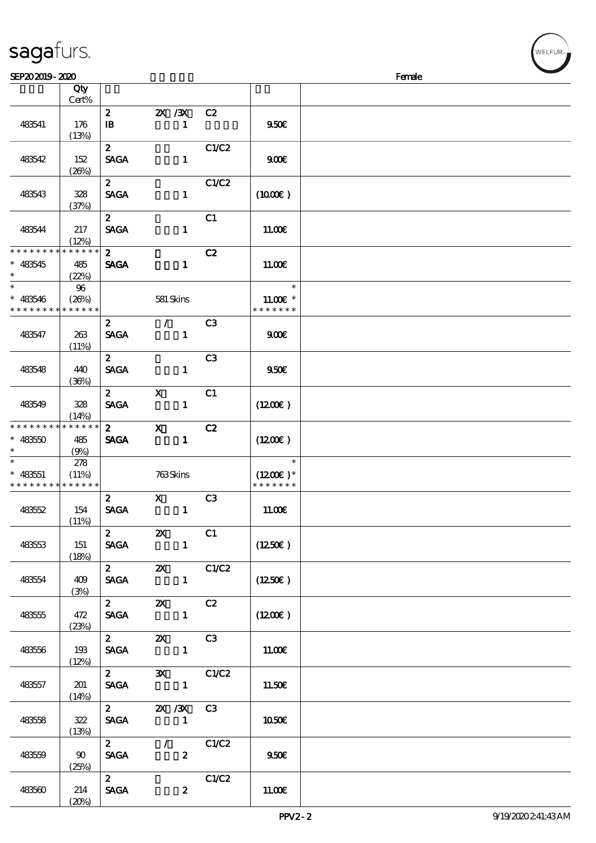|                                                     | (13%)                       |                                                |                                             |                |                                       |  |
|-----------------------------------------------------|-----------------------------|------------------------------------------------|---------------------------------------------|----------------|---------------------------------------|--|
| 483542                                              | 152<br>(20%)                | $\mathbf{2}$<br><b>SAGA</b>                    | $\mathbf{1}$                                | C1/C2          | 900E                                  |  |
| 483543                                              | 328<br>(37%)                | $\mathbf{z}$<br><b>SAGA</b>                    | $\mathbf{1}$                                | C1/C2          | (1000E)                               |  |
| 483544                                              | 217<br>(12%)                | $\mathbf{z}$<br><b>SAGA</b>                    | $\mathbf{I}$                                | C1             | 11.00E                                |  |
| * * * * * * * *<br>$* 483545$<br>$\ast$             | * * * * * *<br>485<br>(22%) | $\mathbf{2}$<br><b>SAGA</b>                    | $\mathbf{1}$                                | C2             | 11.00E                                |  |
| $\ast$<br>$* 483546$<br>* * * * * * * * * * * * * * | 96<br>(26%)                 |                                                | 581 Skins                                   |                | $\ast$<br>$11.00E*$<br>* * * * * * *  |  |
| 483547                                              | 263<br>(11%)                | $\boldsymbol{2}$<br><b>SAGA</b>                | $\mathcal{L}$<br>$\mathbf{1}$               | C <sub>3</sub> | 900                                   |  |
| 483548                                              | 440<br>(36%)                | $2^{\circ}$<br><b>SAGA</b>                     | $\mathbf{1}$                                | C <sub>3</sub> | 950E                                  |  |
| 483549                                              | 328<br>(14%)                | $\mathbf{2}$<br><b>SAGA</b>                    | $\mathbf X$<br>$\mathbf{1}$                 | C1             | (1200E)                               |  |
| * * * * * * * *<br>$* 48350$<br>$\ast$              | * * * * * *<br>485<br>(9%)  | $\mathbf{z}$<br><b>SAGA</b>                    | $\mathbf{X}$<br>$\mathbf{1}$                | C2             | $(1200\varepsilon)$                   |  |
| $\ast$<br>$* 483551$<br>* * * * * * * * * * * * * * | 278<br>(11%)                |                                                | 763Skins                                    |                | $\ast$<br>$(1200E)*$<br>* * * * * * * |  |
| 483552                                              | 154<br>(11%)                | $\mathbf{z}$<br><b>SAGA</b>                    | $\mathbf{X}$<br>$\mathbf{1}$                | C <sub>3</sub> | 11.00E                                |  |
| 483553                                              | 151<br>(18%)                | $\mathbf{2}$<br><b>SAGA</b>                    | $\mathbf{X}$<br>$\mathbf{1}$                | C1             | $(1250\epsilon)$                      |  |
| 483554                                              | 409<br>(3%)                 | $\mathbf{2}$<br>$\operatorname{\mathsf{SAGA}}$ | $\boldsymbol{\mathsf{X}}$<br>$\blacksquare$ | C1/C2          | $(1250\varepsilon)$                   |  |
| 483555                                              | 472<br>(23%)                | $\mathbf{2}$<br><b>SAGA</b>                    | $\boldsymbol{\mathsf{Z}}$<br>$\mathbf{1}$   | C2             | (1200)                                |  |
| 483556                                              | 193<br>(12%)                | $\mathbf{2}$<br><b>SAGA</b>                    | $\boldsymbol{\mathsf{Z}}$<br>$\mathbf{1}$   | C3             | 11.00E                                |  |
| 483557                                              | 201<br>(14%)                | $\mathbf{2}$<br><b>SAGA</b>                    | $\mathbf{x}$<br>$\blacksquare$              | C1/C2          | 11.50E                                |  |
| 483558                                              | 322<br>(13%)                | $\mathbf{2}$<br><b>SAGA</b>                    | 2X / 3X<br>$\mathbf{1}$                     | C3             | 1050E                                 |  |

483541 176

 $483559$  90

483560 214

(25%)

 $(20%)$ 

 $\begin{array}{c|c}\n2 & / & \text{CLC2} \\
\hline\n\text{SAGA} & 2\n\end{array}$ 

 $\overline{2}$  C1/C2

 $SAGA$  2 11.00€

 $2 \qquad \qquad \qquad$  950€

Cert%

说明 价格

 $\overline{1}$  1  $\overline{9}$  9.50€

 $\overline{\text{2}}$   $\overline{\text{2}X}/\overline{\text{3}X}$  C<sub>2</sub>

**NELFUR**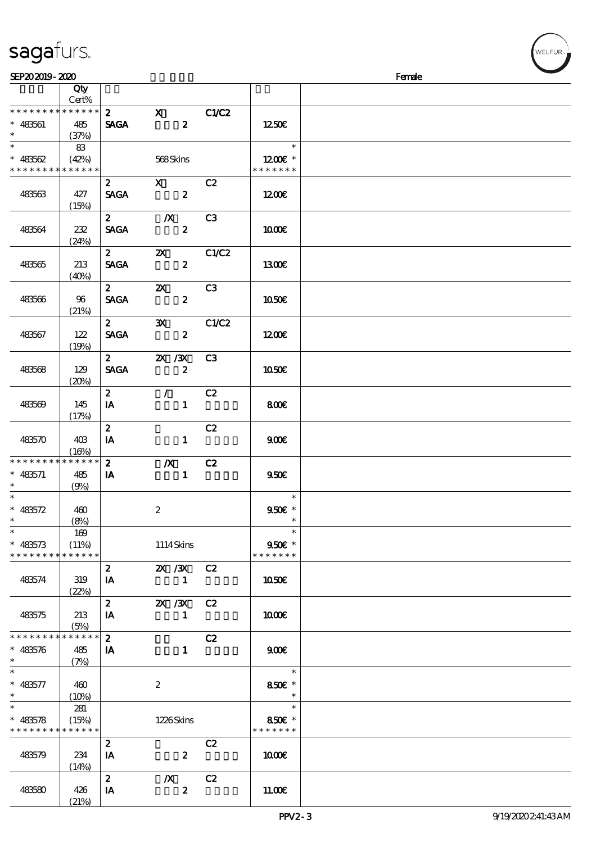| sagafurs. |
|-----------|
|           |

| SEP202019-2020                                        |                 |                             |                                               |                |                                                 | Female |
|-------------------------------------------------------|-----------------|-----------------------------|-----------------------------------------------|----------------|-------------------------------------------------|--------|
|                                                       | Qty<br>Cert%    |                             |                                               |                |                                                 |        |
| * * * * * * * * * * * * * * *<br>$* 483561$<br>$\ast$ | 485<br>(37%)    | $\mathbf{2}$<br><b>SAGA</b> | $\overline{\mathbf{x}}$<br>$\boldsymbol{z}$   | C1/C2          | 1250E                                           |        |
| $\ast$<br>$* 483562$<br>* * * * * * * * * * * * * *   | 83<br>(42%)     |                             | 568Skins                                      |                | $\ast$<br>1200 $\varepsilon$ *<br>* * * * * * * |        |
| 483563                                                | 427<br>(15%)    | $\mathbf{2}$<br><b>SAGA</b> | $\mathbf X$<br>$\overline{\mathbf{2}}$        | C2             | 1200                                            |        |
| 483564                                                | 232<br>(24%)    | $\mathbf{z}$<br><b>SAGA</b> | $\mathbb{X}$<br>$\boldsymbol{z}$              | C3             | 1000E                                           |        |
| 483565                                                | 213<br>(40%)    | $\mathbf{2}$<br><b>SAGA</b> | $\boldsymbol{\mathsf{X}}$<br>$\boldsymbol{z}$ | C1/C2          | 1300E                                           |        |
| 483566                                                | 96<br>(21%)     | $\mathbf{2}$<br><b>SAGA</b> | $\mathbf{x}$<br>$\boldsymbol{z}$              | C3             | 1050E                                           |        |
| 483567                                                | 122<br>(19%)    | $\mathbf{2}$<br><b>SAGA</b> | $\mathbf{x}$<br>$\boldsymbol{z}$              | C1/C2          | 1200                                            |        |
| 483568                                                | 129<br>(20%)    | $\mathbf{2}$<br><b>SAGA</b> | 2X / 3X<br>$\boldsymbol{z}$                   | C <sub>3</sub> | 1050E                                           |        |
| 483569                                                | 145<br>(17%)    | $\mathbf{2}$<br>IA          | $\mathcal{F}$<br>$\mathbf{1}$                 | C2             | 800E                                            |        |
| 483570                                                | 403<br>(16%)    | $\boldsymbol{z}$<br>IA      | $\mathbf{1}$                                  | C2             | 900E                                            |        |
| * * * * * * * * * * * * * *<br>$* 483571$<br>$\ast$   | 485<br>(9%)     | $\boldsymbol{z}$<br>IA      | $\boldsymbol{X}$<br>$\mathbf{1}$              | C2             | 950E                                            |        |
| $\ast$<br>$* 483572$                                  | 460<br>(8%)     |                             | $\boldsymbol{z}$                              |                | $\ast$<br>$950E *$                              |        |
| $\ast$<br>$* 483573$<br>* * * * * * * * * * * * * *   | 169<br>(11%)    |                             | 1114Skins                                     |                | $\ast$<br>$950E$ *<br>* * * * * * *             |        |
| 483574                                                | 319<br>(22%)    | $\mathbf{2}$<br>IA          | 2X / 3X C2<br>$\blacksquare$                  |                | 1050E                                           |        |
| 483575                                                | 213<br>(5%)     | $2^{\circ}$<br>IA           | 2X / 3X<br>$\mathbf{1}$                       | C2             | 1000E                                           |        |
| * * * * * * * * * * * * * *<br>$* 48576$<br>$\ast$    | 485<br>(7%)     | $\mathbf{2}$<br>IA          | $\mathbf 1$                                   | C2             | 900E                                            |        |
| $\ast$<br>$* 483577$<br>$\ast$                        | 460<br>$(10\%)$ |                             | $\boldsymbol{2}$                              |                | $\ast$<br>850€ *                                |        |
| $\ast$<br>$* 483578$<br>* * * * * * * * * * * * * *   | 281<br>(15%)    |                             | 1226Skins                                     |                | $\ast$<br>850€ *<br>* * * * * * *               |        |
| 483579                                                | 234<br>(14%)    | $\boldsymbol{2}$<br>IA      | $\boldsymbol{z}$                              | C2             | 1000E                                           |        |
| 483580                                                | 426<br>(21%)    | $2^{\circ}$<br>IA           | $\boldsymbol{X}$<br>$\boldsymbol{z}$          | C2             | 11.00E                                          |        |

ELFUR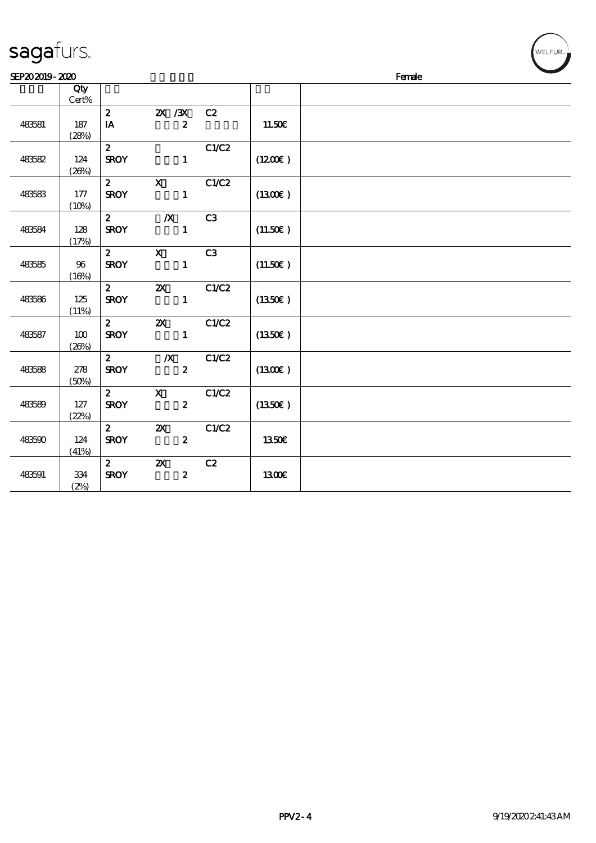| SEP202019-2020 |              |              |                           |       |         | Female | $\sim$ |
|----------------|--------------|--------------|---------------------------|-------|---------|--------|--------|
|                | Qty<br>Cert% |              |                           |       |         |        |        |
|                |              | $\mathbf{z}$ | $X \, X$                  | C2    |         |        |        |
| 483581         | 187          | IA           | $\boldsymbol{z}$          |       | 11.50E  |        |        |
|                | (28%)        |              |                           |       |         |        |        |
|                |              | $\mathbf{2}$ |                           | C1/C2 |         |        |        |
| 483582         | 124          | <b>SROY</b>  | $\mathbf{1}$              |       | (1200E) |        |        |
|                | (20%)        |              |                           |       |         |        |        |
|                |              | $\mathbf{2}$ | $\mathbf{X}$              | C1/C2 |         |        |        |
| 483583         | 177          | <b>SROY</b>  | $\mathbf{1}$              |       | (1300E) |        |        |
|                | (10%)        |              |                           |       |         |        |        |
|                |              | $\mathbf{z}$ | $\boldsymbol{X}$          | C3    |         |        |        |
| 483584         | 128          | <b>SROY</b>  | $\mathbf{1}$              |       | (11.50) |        |        |
|                | (17%)        |              |                           |       |         |        |        |
|                |              | $\mathbf{2}$ | $\mathbf{x}$              | C3    |         |        |        |
| 483585         | $96\,$       | <b>SROY</b>  | $\mathbf{1}$              |       | (11.50) |        |        |
|                | (10%)        | $2^{\circ}$  | $\boldsymbol{\alpha}$     | C1/C2 |         |        |        |
| 483586         | 125          | <b>SROY</b>  | $\mathbf{1}$              |       | (1350E) |        |        |
|                | (11%)        |              |                           |       |         |        |        |
|                |              | $\mathbf{2}$ | $\boldsymbol{\mathsf{Z}}$ | C1/C2 |         |        |        |
| 483587         | 100          | <b>SROY</b>  | $\mathbf{1}$              |       | (1350E) |        |        |
|                | (20%)        |              |                           |       |         |        |        |
|                |              | $2^{\circ}$  | $\boldsymbol{X}$          | C1/C2 |         |        |        |
| 483588         | 278          | <b>SROY</b>  | $\boldsymbol{2}$          |       | (1300)  |        |        |
|                | (50%)        |              |                           |       |         |        |        |
|                |              | $\mathbf{2}$ | $\mathbf{x}$              | C1/C2 |         |        |        |
| 483589         | 127          | <b>SROY</b>  | $\boldsymbol{z}$          |       | (1350E) |        |        |
|                | (22%)        |              |                           |       |         |        |        |
|                |              | $\mathbf{2}$ | $\boldsymbol{\mathsf{Z}}$ | C1/C2 |         |        |        |
| 483590         | 124          | <b>SROY</b>  | $\boldsymbol{z}$          |       | 1350E   |        |        |
|                | (41%)        |              |                           |       |         |        |        |
|                |              | $\mathbf{z}$ | $\boldsymbol{\alpha}$     | C2    |         |        |        |
| 483591         | 334          | <b>SROY</b>  | $\boldsymbol{z}$          |       | 1300E   |        |        |
|                | (2%)         |              |                           |       |         |        |        |

WELFUR<sub>22</sub>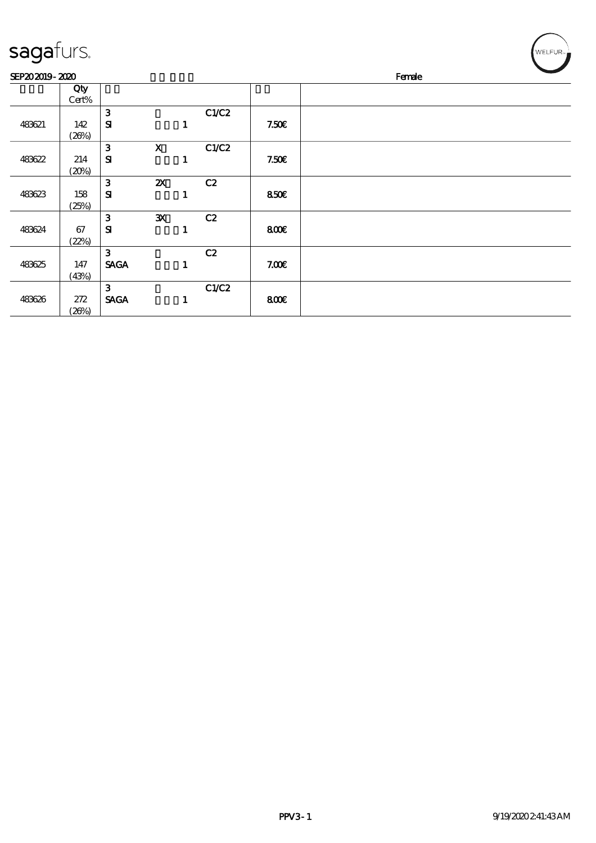| sagafurs. |
|-----------|
|-----------|

| SEP202019-2020 |              |              |                           |   |       |       | $\sim$<br>Female |
|----------------|--------------|--------------|---------------------------|---|-------|-------|------------------|
|                | Qty<br>Cert% |              |                           |   |       |       |                  |
|                |              | $\mathbf{3}$ |                           |   | C1/C2 |       |                  |
| 483621         | 142          | ${\bf s}$    |                           | 1 |       | 7.50E |                  |
|                | (20%)        |              |                           |   |       |       |                  |
|                |              | $\mathbf{3}$ | $\mathbf x$               |   | C1/C2 |       |                  |
| 483622         | 214          | ${\bf s}$    |                           | 1 |       | 7.50E |                  |
|                | (20%)        |              |                           |   |       |       |                  |
|                |              | 3            | $\boldsymbol{\mathsf{X}}$ |   | C2    |       |                  |
| 483623         | 158          | ${\bf s}$    |                           | 1 |       | 850E  |                  |
|                | (25%)        |              |                           |   |       |       |                  |
|                |              | $\mathbf{3}$ | ${\bf X}$                 |   | C2    |       |                  |
| 483624         | 67           | ${\bf s}$    |                           | ı |       | 800E  |                  |
|                | (22%)        |              |                           |   |       |       |                  |
|                |              | 3            |                           |   | C2    |       |                  |
| 483625         | 147          | <b>SAGA</b>  |                           | 1 |       | 7.00E |                  |
|                | (43%)        |              |                           |   |       |       |                  |
|                |              | $\mathbf{3}$ |                           |   | C1/C2 |       |                  |
| 483626         | 272          | <b>SAGA</b>  |                           | 1 |       | 800   |                  |
|                | (20%)        |              |                           |   |       |       |                  |

 $\left(\bigvee_{\text{WELFUR}_m}$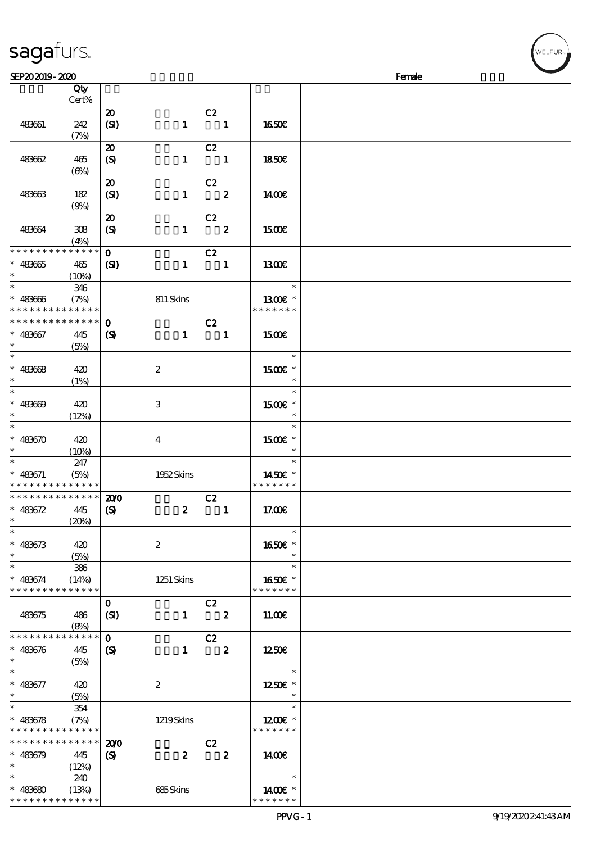| sagaturs. |  |
|-----------|--|
|           |  |

| SEP202019-2020              |             |                             |                  |                         |              |               | Female |
|-----------------------------|-------------|-----------------------------|------------------|-------------------------|--------------|---------------|--------|
|                             | Qty         |                             |                  |                         |              |               |        |
|                             | Cert%       |                             |                  |                         |              |               |        |
|                             |             | $\boldsymbol{\mathfrak{D}}$ |                  | C2                      |              |               |        |
|                             |             |                             |                  |                         |              |               |        |
| 483661                      | 242         | (SI)                        | $\mathbf{1}$     | $\blacksquare$          |              | <b>1650€</b>  |        |
|                             | (7%)        |                             |                  |                         |              |               |        |
|                             |             | $\boldsymbol{\mathfrak{D}}$ |                  | C2                      |              |               |        |
| 483662                      | 465         | (S)                         | $\mathbf{1}$     | $\sim$ 1                |              | 1850E         |        |
|                             |             |                             |                  |                         |              |               |        |
|                             | $(\Theta)$  |                             |                  |                         |              |               |        |
|                             |             | $\boldsymbol{\mathbf{z}}$   |                  | C2                      |              |               |        |
| 483663                      | 182         | (SI)                        | $\mathbf{1}$     | $\overline{\mathbf{2}}$ |              | 1400E         |        |
|                             | (9%)        |                             |                  |                         |              |               |        |
|                             |             | $\boldsymbol{\mathsf{20}}$  |                  | C2                      |              |               |        |
| 483664                      | 308         | $\boldsymbol{S}$            | $\mathbf{1}$     | $\overline{\mathbf{2}}$ |              | 1500€         |        |
|                             |             |                             |                  |                         |              |               |        |
|                             | (4%)        |                             |                  |                         |              |               |        |
| * * * * * * * *             | * * * * * * | $\mathbf{O}$                |                  | C2                      |              |               |        |
| $* 483665$                  | 465         | $\mathbf{S}$                | $\mathbf{1}$     | $\sim$ 1                |              | 1300E         |        |
| $\ast$                      | (10%)       |                             |                  |                         |              |               |        |
| $\overline{\phantom{0}}$    | 346         |                             |                  |                         |              | $\ast$        |        |
| $* 483666$                  | (7%)        |                             | 811 Skins        |                         |              | 1300E *       |        |
| * * * * * * * * * * * * * * |             |                             |                  |                         |              | * * * * * * * |        |
|                             |             |                             |                  |                         |              |               |        |
| * * * * * * * *             | * * * * * * | $\mathbf{o}$                |                  | C2                      |              |               |        |
| $* 483667$                  | 445         | $\boldsymbol{\mathrm{(S)}}$ | $\mathbf{1}$     | $\blacksquare$          |              | 1500€         |        |
| $\ast$                      | (5%)        |                             |                  |                         |              |               |        |
| $\overline{\phantom{0}}$    |             |                             |                  |                         |              | $\ast$        |        |
|                             |             |                             |                  |                         |              |               |        |
| $* 48368$                   | 420         |                             | $\boldsymbol{2}$ |                         |              | 1500€ *       |        |
| $\ast$                      | (1%)        |                             |                  |                         |              | $\ast$        |        |
| $\overline{\ast}$           |             |                             |                  |                         |              | $\ast$        |        |
| $* 483609$                  | 420         |                             | 3                |                         |              | 1500E *       |        |
| $\ast$                      | (12%)       |                             |                  |                         |              | $\ast$        |        |
| $\ast$                      |             |                             |                  |                         |              | $\ast$        |        |
|                             |             |                             |                  |                         |              |               |        |
| $* 483670$                  | 420         |                             | $\bf{4}$         |                         |              | 1500€ *       |        |
| $\ast$                      | (10%)       |                             |                  |                         |              | $\ast$        |        |
| $\ast$                      | 247         |                             |                  |                         |              | $\ast$        |        |
| $* 483671$                  | (5%)        |                             | 1952Skins        |                         |              | 1450€ *       |        |
| * * * * * * * * * * * * * * |             |                             |                  |                         |              | * * * * * * * |        |
| **************              |             | 200                         |                  | C2                      |              |               |        |
| $* 483672$                  |             |                             |                  |                         | $\mathbf{1}$ |               |        |
|                             | 445         | $\boldsymbol{\mathrm{(S)}}$ | $\boldsymbol{z}$ |                         |              | 17.00E        |        |
| $*$ $*$                     | (20%)       |                             |                  |                         |              |               |        |
| $\ast$                      |             |                             |                  |                         |              | $\ast$        |        |
| $* 483673$                  | 420         |                             | $\boldsymbol{2}$ |                         |              | 1650€ *       |        |
| $\ast$                      | (5%)        |                             |                  |                         |              | $\ast$        |        |
| $\ast$                      | 386         |                             |                  |                         |              | $\ast$        |        |
|                             |             |                             |                  |                         |              |               |        |
| $* 483674$                  | (14%)       |                             | 1251 Skins       |                         |              | 1650€ *       |        |
| * * * * * * * *             | * * * * * * |                             |                  |                         |              | * * * * * * * |        |
|                             |             | $\mathbf{O}$                |                  | C2                      |              |               |        |
| 483675                      | 486         | (SI)                        |                  | $1 \t2$                 |              | 11.00E        |        |
|                             | (8%)        |                             |                  |                         |              |               |        |
| * * * * * * * *             | * * * * * * | $\mathbf 0$                 |                  | C2                      |              |               |        |
|                             |             |                             |                  | $1 \t 2$                |              | 1250E         |        |
| $* 483676$                  | 445         | $\boldsymbol{\mathcal{S}}$  |                  |                         |              |               |        |
| $\ast$                      | (5%)        |                             |                  |                         |              |               |        |
| $\ast$                      |             |                             |                  |                         |              | $\ast$        |        |
| $* 483677$                  | 420         |                             | $\boldsymbol{2}$ |                         |              | 1250E *       |        |
| $\ast$                      | (5%)        |                             |                  |                         |              |               |        |
| $\ast$                      | 354         |                             |                  |                         |              | $\ast$        |        |
| $* 483678$                  | (7%)        |                             | 1219Skins        |                         |              | $1200E$ *     |        |
| * * * * * * * * * * * * * * |             |                             |                  |                         |              | * * * * * * * |        |
|                             |             |                             |                  |                         |              |               |        |
| $*********$                 | $******$    | 200                         |                  | C2                      |              |               |        |
| $* 483679$                  | 445         | $\boldsymbol{S}$            | $\boldsymbol{2}$ | $\overline{\mathbf{2}}$ |              | 1400          |        |
| $\ast$                      | (12%)       |                             |                  |                         |              |               |        |
| $\ast$                      | 240         |                             |                  |                         |              | $\ast$        |        |
| $* 483680$                  | (13%)       |                             | 685Skins         |                         |              | 1400€ *       |        |
|                             |             |                             |                  |                         |              |               |        |
| * * * * * * * * * * * * * * |             |                             |                  |                         |              | * * * * * * * |        |

**ELFUR**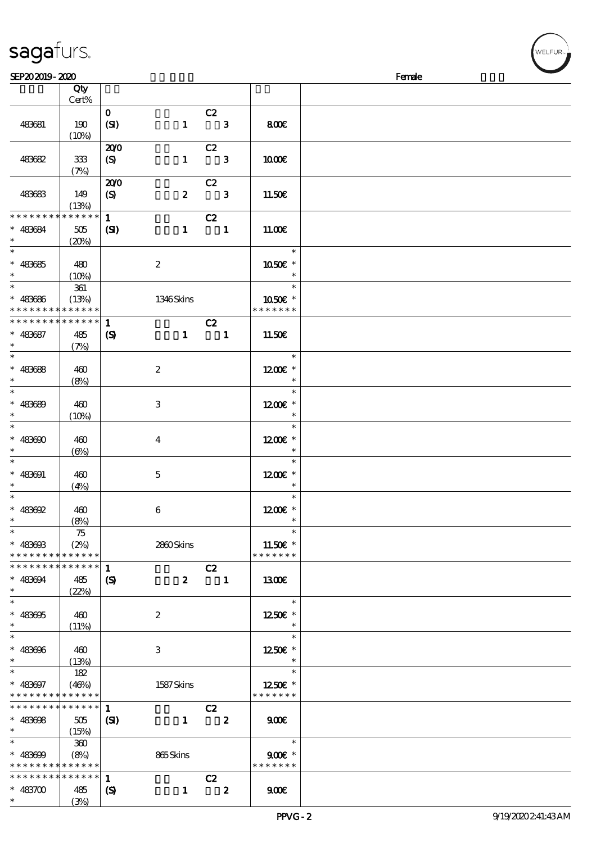| SEP202019-2020                           |             |                             |                  |    |              |               | Female |
|------------------------------------------|-------------|-----------------------------|------------------|----|--------------|---------------|--------|
|                                          | Qty         |                             |                  |    |              |               |        |
|                                          | Cert%       |                             |                  |    |              |               |        |
|                                          |             | $\mathbf{o}$                |                  | C2 |              |               |        |
| 483681                                   | 190         | (SI)                        | $\mathbf{1}$     |    | 3            | 800E          |        |
|                                          | (10%)       |                             |                  |    |              |               |        |
|                                          |             | 200                         |                  | C2 |              |               |        |
| 483682                                   | 333         | (S)                         | $\mathbf{1}$     |    | $\mathbf{3}$ | 1000E         |        |
|                                          | (7%)        |                             |                  |    |              |               |        |
|                                          |             | 200                         |                  | C2 |              |               |        |
| 483683                                   | 149         | $\boldsymbol{S}$            | $\boldsymbol{z}$ |    | 3            | 11.50€        |        |
|                                          | (13%)       |                             |                  |    |              |               |        |
| *******                                  | * * * * * * | $\mathbf{1}$                |                  | C2 |              |               |        |
| 483684<br>$\ast$                         | 505         | (S)                         | $\mathbf{1}$     |    | $\mathbf{1}$ | 11.00E        |        |
| $\ast$                                   | (20%)       |                             |                  |    |              |               |        |
| $\ast$                                   |             |                             |                  |    |              | $\ast$        |        |
| $\ast$<br>483685                         | 480         |                             | $\boldsymbol{2}$ |    |              | 1050E *       |        |
| $\ast$                                   | (10%)       |                             |                  |    |              | $\ast$        |        |
| $\ast$                                   | 361         |                             |                  |    |              | $\ast$        |        |
| 483686<br>$\ast$                         | (13%)       |                             | 1346Skins        |    |              | 1050E *       |        |
| * * * * * * * * <mark>* * * * * *</mark> |             |                             |                  |    |              | * * * * * * * |        |
| * * * * * * * * * * * * * *              |             | $\mathbf{1}$                |                  | C2 |              |               |        |
| $* 483687$                               | 485         | $\boldsymbol{\mathrm{(S)}}$ | $\mathbf{1}$     |    | $\mathbf{1}$ | 11.50E        |        |
| $\ast$                                   | (7%)        |                             |                  |    |              |               |        |
| $\ast$                                   |             |                             |                  |    |              | $\ast$        |        |
| 483688<br>$\ast$                         | 460         |                             | $\boldsymbol{2}$ |    |              | 1200E *       |        |
| $\ast$                                   | (8%)        |                             |                  |    |              | $\ast$        |        |
| $\ast$                                   |             |                             |                  |    |              | $\ast$        |        |
| $\ast$<br>483689                         | 460         |                             | $\,3$            |    |              | 1200E *       |        |
| $\ast$                                   | (10%)       |                             |                  |    |              | $\ast$        |        |

|                                                          | $\sqrt{2}$            |                                             |                           |                                  |                                     |                   |
|----------------------------------------------------------|-----------------------|---------------------------------------------|---------------------------|----------------------------------|-------------------------------------|-------------------|
| 483682                                                   | $333\,$               | 200<br>(S)                                  | $\mathbf{1}$              | C2<br>$\overline{\phantom{a}}$ 3 | 1000E                               |                   |
|                                                          | (7%)                  | 200                                         |                           | C2                               |                                     |                   |
| 483683                                                   | 149<br>(13%)          | $\boldsymbol{\mathsf{(S)}}$                 | $\boldsymbol{2}$          | $\overline{\mathbf{3}}$          | 11.50E                              |                   |
| * * * * * * * *                                          | * * * * * *           | $\mathbf{1}$                                |                           | C2                               |                                     |                   |
| * 483684<br>$\ast$                                       | 505<br>(20%)          | (S)                                         | $\mathbf{1}$              | $\overline{\mathbf{1}}$          | 11.00E                              |                   |
| $\ast$                                                   |                       |                                             |                           |                                  | —<br>*                              |                   |
| $* 483685$<br>$\ast$                                     | 480<br>(10%)          |                                             | $\boldsymbol{2}$          |                                  | 1050E *<br>$\overline{\phantom{a}}$ |                   |
| $\ast$                                                   | 361                   |                                             |                           |                                  |                                     |                   |
| $* 483686$<br>* * * * * * * * <mark>* * * * * * *</mark> | (13%)                 |                                             | 1346Skins                 |                                  | 1050€ *<br>* * * * * * *            |                   |
| * * * * * * * * * * * * * * *                            |                       | $\mathbf{1}$                                |                           | C2                               |                                     |                   |
| $* 483687$                                               | 485                   | $\boldsymbol{\mathrm{(S)}}$                 | $\mathbf{1}$              | $\overline{\phantom{a}}$         | 11.50E                              |                   |
| $\ast$<br>$\overline{\ast}$                              | (7%)                  |                                             |                           |                                  | $\overline{\phantom{a}}$            |                   |
| $* 483688$                                               | 460                   |                                             | $\boldsymbol{z}$          |                                  | 1200€ *                             |                   |
| $\overline{\phantom{0}}$                                 | (8%)                  |                                             |                           |                                  | $\ast$<br>$\overline{\mathbf{r}}$   |                   |
| $* 483689$                                               | 460                   |                                             | 3                         |                                  | $1200E$ *                           |                   |
| $\ast$                                                   | (10%)                 |                                             |                           |                                  | $*$<br>$\overline{\phantom{a}}$     |                   |
| $* 483600$                                               | 460                   |                                             | $\overline{4}$            |                                  | $1200E$ *                           |                   |
| $\ast$<br>$\overline{\phantom{0}}$                       | $(\Theta)$            |                                             |                           |                                  | $\overline{\phantom{a}}$            |                   |
| $* 483091$                                               | 460                   |                                             | $\mathbf{5}$              |                                  | $\ast$<br>$1200E$ *                 |                   |
| $\ast$                                                   | (4%)                  |                                             |                           |                                  | $\overline{\phantom{a}}$            |                   |
| $\ast$<br>$* 483692$                                     | 460                   |                                             | 6                         |                                  | $\ast$<br>$1200E$ *                 |                   |
| $\ast$                                                   | (8%)                  |                                             |                           |                                  | $\overline{\mathbf{r}}$             |                   |
| $\ast$<br>$* 483603$                                     | 75<br>(2%)            |                                             | 2860Skins                 |                                  | $\ast$<br>$11.50E$ *                |                   |
| * * * * * * * * <mark>* * * * * *</mark>                 |                       |                                             |                           |                                  | * * * * * * *                       |                   |
| ******** <mark>*******</mark>                            |                       |                                             |                           | C2                               |                                     |                   |
| $* 483094$                                               | 485<br>(22%)          | $\boldsymbol{\mathrm{(S)}}$                 | $\boldsymbol{z}$          | $\overline{\phantom{a}}$ 1       | 1300                                |                   |
| $\ast$                                                   |                       |                                             |                           |                                  | $\ast$                              |                   |
| $* 483605$<br>*                                          | 460<br>(11%)          |                                             | $\boldsymbol{2}$          |                                  | 1250E *<br>$\ast$                   |                   |
|                                                          |                       |                                             |                           |                                  | $\ast$                              |                   |
| $* 483606$<br>*                                          | 460                   |                                             | $\ensuremath{\mathbf{3}}$ |                                  | 1250€ *<br>$\ast$                   |                   |
| $\ast$                                                   | (13%)<br>182          |                                             |                           |                                  | $\ast$                              |                   |
| $* 483697$                                               | (46%)                 |                                             | 1587Skins                 |                                  | 1250E *                             |                   |
| * * * * * * * *<br>* * * * * * *                         | * * * * * *<br>****** | $\mathbf{1}$                                |                           | C2                               | * * * * * * *                       |                   |
| $* 483608$                                               | 505                   | (S)                                         | $\mathbf{1}$              | $\boldsymbol{2}$                 | 900                                 |                   |
| *<br>$\ast$                                              | (15%)<br>300          |                                             |                           |                                  | $\ast$                              |                   |
| $* 483699$                                               | (8%)                  |                                             | 865Skins                  |                                  | $900E$ *                            |                   |
| * * * * * * * *                                          | * * * * * *           |                                             |                           |                                  | * * * * * * *                       |                   |
| * * * * * * * *<br>$* 483700$                            | * * * * * *<br>485    | $\mathbf{1}$<br>$\boldsymbol{\mathrm{(S)}}$ | $\mathbf{1}$              | C2<br>$\boldsymbol{z}$           | 900E                                |                   |
| $\ast$                                                   | (3%)                  |                                             |                           |                                  |                                     |                   |
|                                                          |                       |                                             |                           |                                  | $PPVG - 2$                          | 9/19/2020241:43AM |

r<br>WELFUR∍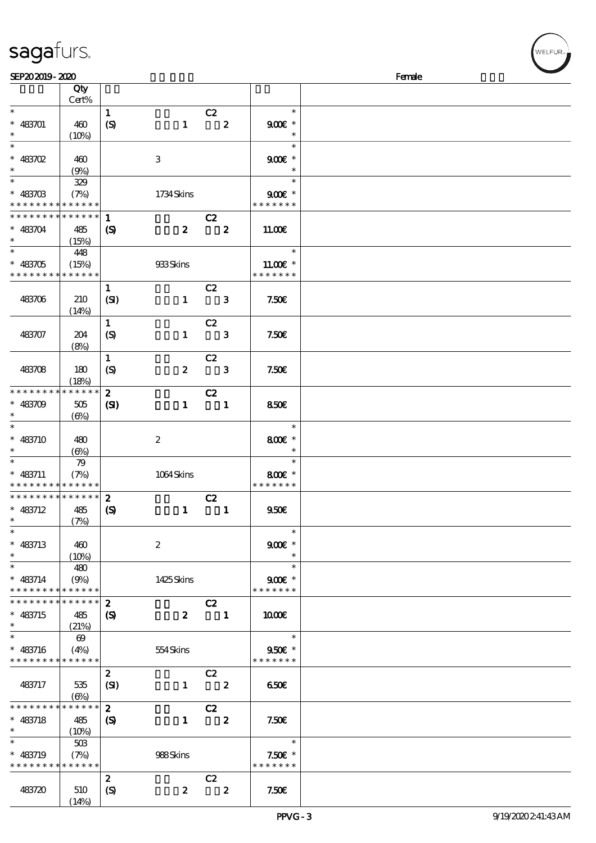|                               | Qty<br>Cert%          |                             |                  |                                  |                         |                            |  |
|-------------------------------|-----------------------|-----------------------------|------------------|----------------------------------|-------------------------|----------------------------|--|
| $\ast$                        |                       | $\mathbf{1}$                |                  | C2                               |                         | $\ast$                     |  |
| $* 483701$<br>$\ast$          | 460<br>(10%)          | $\boldsymbol{S}$            | $\mathbf{1}$     |                                  | $\overline{\mathbf{2}}$ | $900$ $*$<br>$\ast$        |  |
| $\overline{\ast}$             |                       |                             |                  |                                  |                         | $\ast$                     |  |
| $* 483702$                    | 460                   |                             | 3                |                                  |                         | $900E$ *                   |  |
| $\ast$                        | (9%)                  |                             |                  |                                  |                         | $\ast$                     |  |
| $\overline{\ast}$             | 329                   |                             |                  |                                  |                         | $\ast$                     |  |
| $* 483703$<br>* * * * * * * * | (7%)<br>* * * * * *   |                             | 1734Skins        |                                  |                         | $900$ $*$<br>* * * * * * * |  |
| * * * * * * * *               | $* * * * * * *$       | $\mathbf{1}$                |                  | C2                               |                         |                            |  |
| $* 483704$                    | 485                   | $\boldsymbol{\mathrm{(S)}}$ | $\mathbf{2}$     | $\overline{\mathbf{2}}$          |                         | 11.00E                     |  |
| $\ast$                        | (15%)                 |                             |                  |                                  |                         |                            |  |
|                               | 448                   |                             |                  |                                  |                         | $\ast$                     |  |
| $* 483705$                    | (15%)                 |                             | 933Skins         |                                  |                         | $11.00E$ *                 |  |
| * * * * * * * *               | * * * * * *           |                             |                  |                                  |                         | * * * * * * *              |  |
| 483706                        | 210                   | $\mathbf{1}$<br>(SI)        | $\mathbf{1}$     | C2<br>$\overline{\phantom{a}}$ 3 |                         | 7.50E                      |  |
|                               | (14%)                 |                             |                  |                                  |                         |                            |  |
|                               |                       | $\mathbf{1}$                |                  | C2                               |                         |                            |  |
| 483707                        | 204                   | (S)                         | $\mathbf{1}$     | $\overline{\phantom{a}}$ 3       |                         | 7.50E                      |  |
|                               | (8%)                  |                             |                  |                                  |                         |                            |  |
|                               |                       | $\mathbf{1}$                |                  | C2                               |                         |                            |  |
| 483708                        | 180                   | $\boldsymbol{S}$            | $\boldsymbol{z}$ | $\overline{\phantom{a}}$ 3       |                         | 7.50E                      |  |
|                               | (18%)                 |                             |                  |                                  |                         |                            |  |
| * * * * * * * *               | * * * * * *           | $\boldsymbol{z}$            |                  | C2                               |                         |                            |  |
| $* 483709$                    | 505                   | $\mathbf{C}$                | $\mathbf{1}$     | $\blacksquare$                   |                         | 850€                       |  |
| $\ast$                        | $(\Theta)$            |                             |                  |                                  |                         |                            |  |
| $\overline{\ast}$             |                       |                             |                  |                                  |                         | $\ast$                     |  |
| $* 483710$                    | 480                   |                             | $\boldsymbol{2}$ |                                  |                         | 800€ *                     |  |
| $\ast$                        | $(\Theta)$            |                             |                  |                                  |                         | $\ast$                     |  |
| $\ast$                        | 79                    |                             |                  |                                  |                         | $\ast$                     |  |
| $* 483711$                    | (7%)                  |                             | 1064Skins        |                                  |                         | 800€ *                     |  |
| * * * * * * * *               | * * * * * *           |                             |                  |                                  |                         | * * * * * * *              |  |
| * * * * * * * *               | * * * * * *           | $\boldsymbol{z}$            |                  | C2                               |                         |                            |  |
| $* 483712$                    | 485                   | $\boldsymbol{\mathsf{(S)}}$ | $\mathbf{1}$     | $\blacksquare$                   |                         | 950E                       |  |
| $\ast$                        | (7%)                  |                             |                  |                                  |                         |                            |  |
| $\ast$                        |                       |                             |                  |                                  |                         | $\ast$                     |  |
| $* 483713$                    | 460                   |                             | $\boldsymbol{2}$ |                                  |                         | $900$ $\epsilon$ *         |  |
| $\ast$                        | (10%)                 |                             |                  |                                  |                         | $\ast$                     |  |
| $\ast$                        | 480                   |                             |                  |                                  |                         | $\ast$                     |  |
| $* 483714$                    | (9%)                  |                             | 1425Skins        |                                  |                         | $900E$ *                   |  |
| * * * * * * * *               | * * * * * *           |                             |                  |                                  |                         | * * * * * * *              |  |
| * * * * * * * *               | * * * * * *           | $\boldsymbol{z}$            |                  | C2                               |                         |                            |  |
| $* 483715$                    | 485                   | (S)                         | $\boldsymbol{z}$ | $\blacksquare$                   |                         | 1000E                      |  |
| $\ast$                        | (21%)                 |                             |                  |                                  |                         |                            |  |
| $\ast$                        |                       |                             |                  |                                  |                         | $\ast$                     |  |
|                               | $\boldsymbol{\omega}$ |                             |                  |                                  |                         |                            |  |
| $* 483716$<br>* * * * * * * * | (4%)<br>* * * * * *   |                             | 554Skins         |                                  |                         | 950€ *<br>* * * * * * *    |  |
|                               |                       |                             |                  |                                  |                         |                            |  |
|                               |                       | $\mathbf{z}$                |                  | C2                               |                         |                            |  |
| 483717                        | 535                   | (SI)                        | $\mathbf{1}$     | $\overline{\phantom{a}}$ 2       |                         | 650                        |  |
|                               | $(\Theta)$            |                             |                  |                                  |                         |                            |  |
| * * * * * * * *               | * * * * * *           | $\boldsymbol{2}$            |                  | C2                               |                         |                            |  |
| $* 483718$                    | 485                   | $\boldsymbol{S}$            | $\mathbf{1}$     |                                  | $\overline{\mathbf{2}}$ | 7.50E                      |  |
| $\ast$                        | (10%)                 |                             |                  |                                  |                         |                            |  |
| $\ast$                        | 50B                   |                             |                  |                                  |                         | $\ast$                     |  |
| $* 483719$                    | (7%)                  |                             | 988Skins         |                                  |                         | $7.50E$ *                  |  |
| * * * * * * * *               | * * * * * *           |                             |                  |                                  |                         | * * * * * * *              |  |
|                               |                       | $\boldsymbol{z}$            |                  | C2                               |                         |                            |  |
| 483720                        | 510                   | (S)                         | $\boldsymbol{z}$ | $\overline{\mathbf{2}}$          |                         | 7.50E                      |  |

 $SEP202019 - 2020$ 

sagafurs.

 $(14%)$ 

VELFUR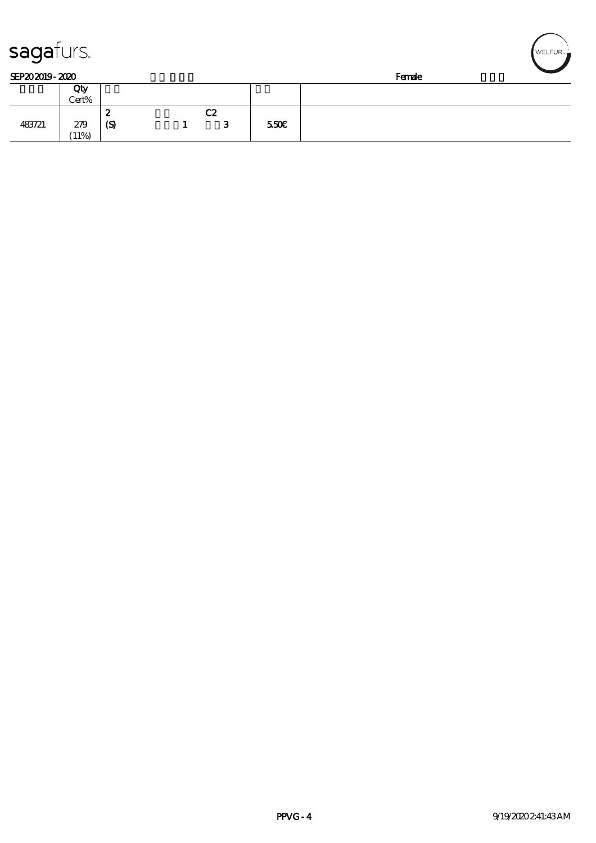| sagaturs.      |        |     |    |                  |        | NELFUR <sub>™</sub> |
|----------------|--------|-----|----|------------------|--------|---------------------|
| SEP202019-2020 |        |     |    |                  | Female |                     |
|                | Qty    |     |    |                  |        |                     |
|                | Cert%  |     |    |                  |        |                     |
|                |        | 2   | C2 |                  |        |                     |
| 483721         | 279    | (S) | З  | 550 <sub>E</sub> |        |                     |
|                | $11\%$ |     |    |                  |        |                     |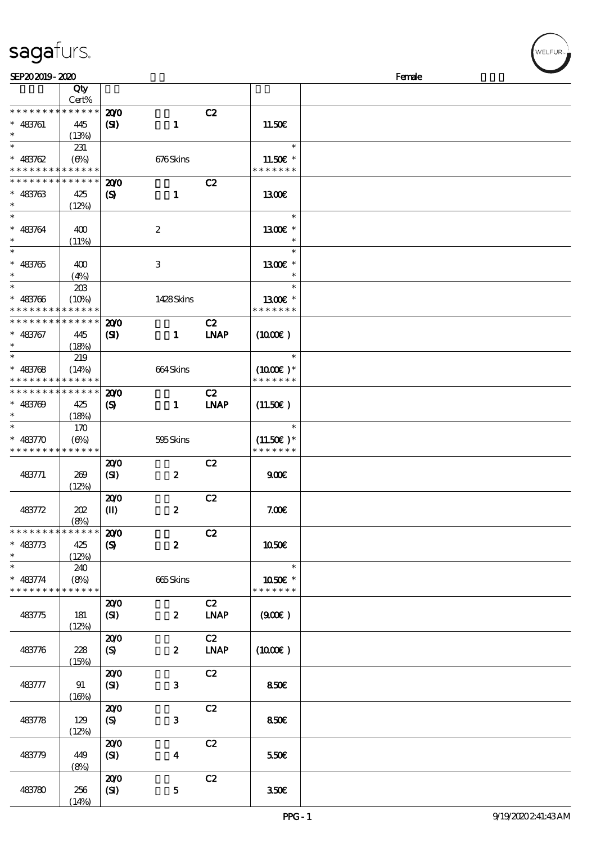| SEP202019-2020                             |             |                             |                           |                              |                     | Female |
|--------------------------------------------|-------------|-----------------------------|---------------------------|------------------------------|---------------------|--------|
|                                            | Qty         |                             |                           |                              |                     |        |
|                                            | Cert%       |                             |                           |                              |                     |        |
| * * * * * * * *                            | * * * * * * | 200                         |                           | C2                           |                     |        |
| $* 483761$                                 | 445         | $\mathbf{Z}$                | $\mathbf{1}$              |                              | 11.50E              |        |
| $\ast$                                     | (13%)       |                             |                           |                              |                     |        |
| $\ast$                                     | 231         |                             |                           |                              | $\ast$              |        |
| $* 483762$                                 | $(\Theta)$  |                             | 676Skins                  |                              | 11.50E *            |        |
| * * * * * * * * <mark>* * * * * *</mark> * |             |                             |                           |                              | * * * * * * *       |        |
| * * * * * * * *                            | * * * * * * | 200                         |                           | C2                           |                     |        |
| $* 483763$                                 | 425         | $\boldsymbol{\mathrm{(S)}}$ | $\mathbf{1}$              |                              | 1300E               |        |
| $\ast$                                     | (12%)       |                             |                           |                              |                     |        |
| $\ast$                                     |             |                             |                           |                              | $\ast$              |        |
| $* 483764$                                 | 400         |                             | $\boldsymbol{2}$          |                              | 1300€ *             |        |
| $\ast$                                     | (11%)       |                             |                           |                              |                     |        |
| $\ast$                                     |             |                             |                           |                              | $\ast$              |        |
| $* 483765$                                 | 400         |                             | $\ensuremath{\mathbf{3}}$ |                              | 1300 £*             |        |
| $\ast$                                     | (4%)        |                             |                           |                              | $\ast$              |        |
| $\ast$                                     | 20B         |                             |                           |                              | $\ast$              |        |
| $* 483706$                                 | (10%)       |                             | 1428Skins                 |                              | 1300 £*             |        |
| * * * * * * * *                            | * * * * * * |                             |                           |                              | * * * * * * *       |        |
| * * * * * * * *                            | * * * * * * | 200                         |                           | C2                           |                     |        |
| $* 483767$                                 | 445         | $\mathbf{C}$                | $\mathbf{1}$              | <b>INAP</b>                  | (1000)              |        |
| $\ast$                                     | (18%)       |                             |                           |                              |                     |        |
| $\ast$                                     | 219         |                             |                           |                              | $\ast$              |        |
| $* 483768$                                 | (14%)       |                             | 664Skins                  |                              | $(1000E)*$          |        |
| * * * * * * * *                            | * * * * * * |                             |                           |                              | * * * * * * *       |        |
| * * * * * * * *                            | * * * * * * | 200                         |                           | C2                           |                     |        |
| $* 483709$                                 | 425         | $\boldsymbol{\mathrm{(S)}}$ | $\mathbf{1}$              | <b>LNAP</b>                  | (11.50)             |        |
| $\ast$                                     | (18%)       |                             |                           |                              |                     |        |
| $\ast$                                     | 170         |                             |                           |                              | $\ast$              |        |
| $* 48370$                                  | $(\Theta)$  |                             | 595Skins                  |                              | $(11.50)$ *         |        |
| * * * * * * * * * * * * * *                |             |                             |                           |                              | * * * * * * *       |        |
|                                            |             | 200                         |                           | C2                           |                     |        |
| 483771                                     | 269         | (SI)                        | $\boldsymbol{z}$          |                              | 900E                |        |
|                                            | (12%)       |                             |                           |                              |                     |        |
|                                            |             | 200                         |                           | C2                           |                     |        |
| 483772                                     | 202         | $\mathbf{I}$                | $\pmb{2}$                 |                              | 7.00E               |        |
|                                            | (8%)        |                             |                           |                              |                     |        |
| * * * * * * * *                            | * * * * * * | 200                         |                           | C2                           |                     |        |
| $* 483773$                                 | 425         | $\boldsymbol{\mathrm{(S)}}$ | $\boldsymbol{2}$          |                              | 1050€               |        |
| $\ast$                                     | (12%)       |                             |                           |                              |                     |        |
| $\ast$                                     | 240         |                             |                           |                              | $\ast$              |        |
| $* 483774$                                 | (8%)        |                             | 665Skins                  |                              | 1050E *             |        |
| * * * * * * * *                            | * * * * * * |                             |                           |                              | * * * * * * *       |        |
|                                            |             | 200                         |                           | C2                           |                     |        |
| 483775                                     | 181         | (SI)                        | $\boldsymbol{z}$          | $\ensuremath{\mathbf{INAP}}$ | (900)               |        |
|                                            | (12%)       |                             |                           |                              |                     |        |
|                                            |             | 200                         |                           | C2                           |                     |        |
| 483776                                     | 228         | (S)                         | $\boldsymbol{z}$          | <b>LNAP</b>                  | $(1000\varepsilon)$ |        |
|                                            | (15%)       |                             |                           |                              |                     |        |
|                                            |             | 200                         |                           | C2                           |                     |        |
| 483777                                     | 91          | (SI)                        | ${\bf 3}$                 |                              | 850E                |        |
|                                            | (16%)       |                             |                           |                              |                     |        |
|                                            |             | 200                         |                           | C2                           |                     |        |
| 483778                                     | 129         | (S)                         | ${\bf 3}$                 |                              | 850E                |        |
|                                            | (12%)       |                             |                           |                              |                     |        |
|                                            |             | 200                         |                           | C2                           |                     |        |
| 483779                                     | 449         | (SI)                        | $\boldsymbol{4}$          |                              | 550E                |        |
|                                            | (8%)        |                             |                           |                              |                     |        |
|                                            |             | 200                         |                           | C2                           |                     |        |
| 483780                                     | 256         | (SI)                        | ${\bf 5}$                 |                              | 350 <sup>2</sup>    |        |
|                                            | (14%)       |                             |                           |                              |                     |        |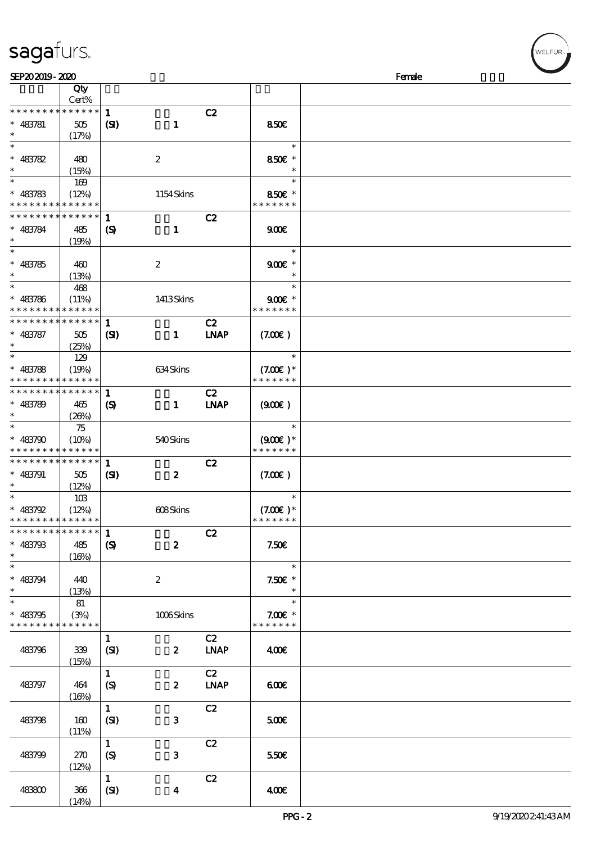| sagafurs. |
|-----------|
|           |

| SEP202019-2020              |             |                             |                  |             |               | Female |
|-----------------------------|-------------|-----------------------------|------------------|-------------|---------------|--------|
|                             | Qty         |                             |                  |             |               |        |
|                             | Cert%       |                             |                  |             |               |        |
| * * * * * * * *             | * * * * * * | $\mathbf{1}$                |                  | C2          |               |        |
|                             |             |                             |                  |             |               |        |
| $* 483781$                  | 505         | (S)                         | $\mathbf{1}$     |             | 850E          |        |
| $\ast$                      | (17%)       |                             |                  |             |               |        |
| $\ast$                      |             |                             |                  |             | $\ast$        |        |
| $* 483782$                  | 480         |                             | $\boldsymbol{z}$ |             | 850€ *        |        |
|                             |             |                             |                  |             |               |        |
| $\ast$                      | (15%)       |                             |                  |             |               |        |
| $\ast$                      | 169         |                             |                  |             | $\ast$        |        |
| $* 483783$                  | (12%)       |                             | 1154Skins        |             | 850€ *        |        |
| * * * * * * * * * * * * * * |             |                             |                  |             | * * * * * * * |        |
| * * * * * * * *             | * * * * * * |                             |                  |             |               |        |
|                             |             | 1                           |                  | C2          |               |        |
| $* 483784$                  | 485         | $\boldsymbol{\mathrm{(S)}}$ | $\mathbf{1}$     |             | 900E          |        |
|                             | (19%)       |                             |                  |             |               |        |
| $\ast$                      |             |                             |                  |             | $\ast$        |        |
| $* 483785$                  |             |                             |                  |             | $900$ $*$     |        |
|                             | 460         |                             | $\boldsymbol{2}$ |             |               |        |
| $\ast$                      | (13%)       |                             |                  |             | $\ast$        |        |
| $\ast$                      | 468         |                             |                  |             | $\ast$        |        |
| $* 483786$                  | (11%)       |                             | 1413Skins        |             | $900E$ *      |        |
| * * * * * * * *             | * * * * * * |                             |                  |             | * * * * * * * |        |
| * * * * * * * *             |             |                             |                  |             |               |        |
|                             | * * * * * * | $\mathbf{1}$                |                  | C2          |               |        |
| $* 483787$                  | 505         | (S)                         | $\mathbf{1}$     | <b>LNAP</b> | (7.00)        |        |
| $\ast$                      | (25%)       |                             |                  |             |               |        |
| $\ast$                      | 129         |                             |                  |             | $\ast$        |        |
|                             |             |                             |                  |             |               |        |
| $* 483788$                  | (19%)       |                             | 634Skins         |             | $(7.00)$ *    |        |
| * * * * * * * *             | * * * * * * |                             |                  |             | * * * * * * * |        |
| * * * * * * * *             | * * * * * * | $\mathbf{1}$                |                  | C2          |               |        |
| $* 483789$                  | 465         | $\boldsymbol{\mathcal{S}}$  | $\mathbf{1}$     | <b>LNAP</b> | (900)         |        |
| $\ast$                      |             |                             |                  |             |               |        |
|                             | (20%)       |                             |                  |             |               |        |
| $\ast$                      | 75          |                             |                  |             | $\ast$        |        |
| $* 483790$                  | (10%)       |                             | 540Skins         |             | $(900)$ *     |        |
| * * * * * * * *             | * * * * * * |                             |                  |             | * * * * * * * |        |
| * * * * * * * *             | * * * * * * |                             |                  |             |               |        |
|                             |             | $\mathbf{1}$                |                  | C2          |               |        |
| $* 483791$                  | 505         | $\mathbf{Z}$                | $\boldsymbol{z}$ |             | (7.00)        |        |
| $\ast$                      | (12%)       |                             |                  |             |               |        |
| $\ast$                      | 10B         |                             |                  |             | $\ast$        |        |
|                             |             |                             |                  |             |               |        |
| $* 483792$                  | (12%)       |                             | 608Skins         |             | $(7.00)$ *    |        |
| * * * * * * * * * * * * * * |             |                             |                  |             | * * * * * * * |        |
| * * * * * * * * * * * * * * |             | $\mathbf{1}$                |                  | C2          |               |        |
| $* 483793$                  | 485         | $\boldsymbol{S}$            | $\boldsymbol{z}$ |             | 7.50E         |        |
| $\ast$                      |             |                             |                  |             |               |        |
| $\overline{\phantom{0}}$    | (16%)       |                             |                  |             |               |        |
|                             |             |                             |                  |             | $\ast$        |        |
| $* 483794$                  | 440         |                             | $\boldsymbol{2}$ |             | $7.50E$ *     |        |
| $\ast$                      | (13%)       |                             |                  |             | $\ast$        |        |
| $\ast$                      | 81          |                             |                  |             | $\ast$        |        |
|                             |             |                             |                  |             |               |        |
| $* 483795$                  | (3%)        |                             | 1006Skins        |             | $7.00E$ *     |        |
| * * * * * * * * * * * * * * |             |                             |                  |             | * * * * * * * |        |
|                             |             | $\mathbf{1}$                |                  | C2          |               |        |
| 483796                      | 339         | (SI)                        | $\boldsymbol{z}$ | <b>LNAP</b> | 400€          |        |
|                             |             |                             |                  |             |               |        |
|                             | (15%)       |                             |                  |             |               |        |
|                             |             | $\mathbf{1}$                |                  | C2          |               |        |
| 483797                      | 464         | $\boldsymbol{\mathrm{(S)}}$ | $\boldsymbol{z}$ | <b>LNAP</b> | 600           |        |
|                             | (16%)       |                             |                  |             |               |        |
|                             |             | $\mathbf{1}$                |                  | C2          |               |        |
|                             |             |                             |                  |             |               |        |
| 483798                      | 160         | (SI)                        | 3                |             | 5000          |        |
|                             | (11%)       |                             |                  |             |               |        |
|                             |             | $\mathbf{1}$                |                  | C2          |               |        |
|                             |             |                             |                  |             |               |        |
| 483799                      | 270         | (S)                         | 3                |             | 550€          |        |
|                             | (12%)       |                             |                  |             |               |        |
|                             |             | $\mathbf{1}$                |                  | C2          |               |        |
| 483800                      | 366         | (SI)                        | $\boldsymbol{4}$ |             | 400€          |        |
|                             |             |                             |                  |             |               |        |
|                             | (14%)       |                             |                  |             |               |        |

ELFUR<sub>1</sub>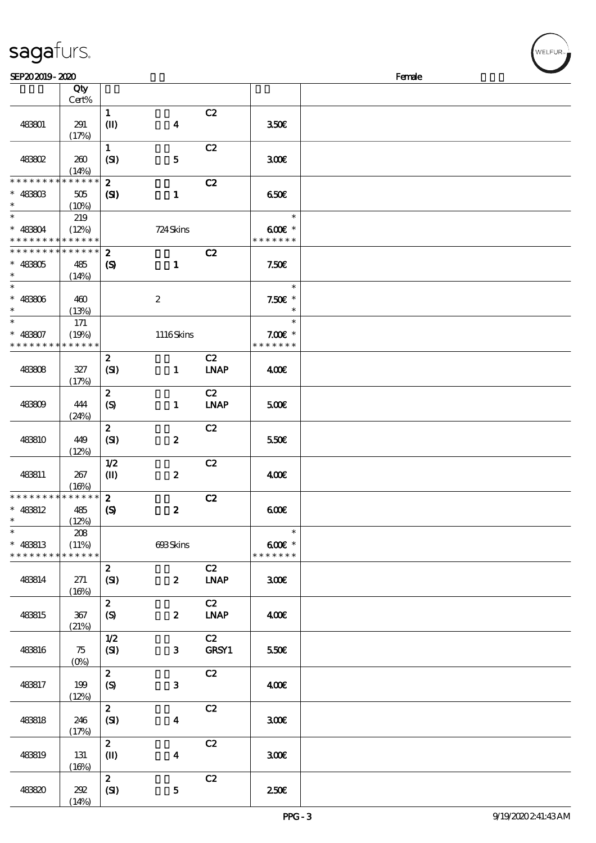| SEP202019-2020                             |                 |                             |                  |                              |                    | Female |
|--------------------------------------------|-----------------|-----------------------------|------------------|------------------------------|--------------------|--------|
|                                            | Qty             |                             |                  |                              |                    |        |
|                                            | $Cert\%$        |                             |                  |                              |                    |        |
|                                            |                 | $\mathbf{1}$                |                  | C2                           |                    |        |
| 483801                                     | 291             |                             |                  |                              | 350€               |        |
|                                            |                 | $\mathbf{I}$                | $\boldsymbol{4}$ |                              |                    |        |
|                                            | (17%)           |                             |                  |                              |                    |        |
|                                            |                 | $\mathbf{1}$                |                  | C2                           |                    |        |
| 483802                                     | 260             | (SI)                        | ${\bf 5}$        |                              | 300E               |        |
|                                            | (14%)           |                             |                  |                              |                    |        |
| * * * * * * * *                            | * * * * * *     | $\boldsymbol{z}$            |                  | C2                           |                    |        |
| $* 4880B$                                  | 505             | $\mathbf{C}$                | $\mathbf{1}$     |                              | 650                |        |
| $\ast$                                     | (10%)           |                             |                  |                              |                    |        |
| $\ast$                                     | 219             |                             |                  |                              | $\ast$             |        |
| * 483804                                   | (12%)           |                             | 724 Skins        |                              | $600E$ *           |        |
| * * * * * * * * <mark>* * * * * * *</mark> |                 |                             |                  |                              | * * * * * * *      |        |
| * * * * * * * * <mark>*</mark>             | $* * * * * * *$ | $\boldsymbol{z}$            |                  | C2                           |                    |        |
|                                            |                 |                             |                  |                              |                    |        |
| $* 48805$                                  | 485             | $\boldsymbol{\mathcal{S}}$  | $\mathbf{1}$     |                              | 7.50E              |        |
| $\ast$                                     | (14%)           |                             |                  |                              |                    |        |
| $\ast$                                     |                 |                             |                  |                              | $\ast$             |        |
| $* 48306$                                  | 460             |                             | $\boldsymbol{2}$ |                              | $7.50E$ *          |        |
| $\ast$                                     | (13%)           |                             |                  |                              | $\ast$             |        |
| $\ast$                                     | 171             |                             |                  |                              | $\ast$             |        |
| $* 48807$                                  | (19%)           |                             | $1116$ Skins     |                              | $7.00E$ *          |        |
| * * * * * * * *                            | * * * * * *     |                             |                  |                              | * * * * * * *      |        |
|                                            |                 | $\boldsymbol{z}$            |                  | C2                           |                    |        |
| 483808                                     | 327             | (SI)                        | $\mathbf{1}$     | <b>LNAP</b>                  | 400                |        |
|                                            | (17%)           |                             |                  |                              |                    |        |
|                                            |                 | $\boldsymbol{z}$            |                  | C2                           |                    |        |
|                                            | 444             |                             |                  | <b>LNAP</b>                  |                    |        |
| 483809                                     |                 | $\boldsymbol{S}$            | $\mathbf{1}$     |                              | 500E               |        |
|                                            | (24%)           |                             |                  |                              |                    |        |
|                                            |                 | $\boldsymbol{z}$            |                  | C2                           |                    |        |
| 483810                                     | 449             | (SI)                        | $\boldsymbol{z}$ |                              | 550€               |        |
|                                            | (12%)           |                             |                  |                              |                    |        |
|                                            |                 | 1/2                         |                  | C2                           |                    |        |
| 483811                                     | 267             | $\mathbf{I}$                | $\boldsymbol{2}$ |                              | 400                |        |
|                                            | (16%)           |                             |                  |                              |                    |        |
| * * * * * * * *                            | * * * * * *     | $\boldsymbol{z}$            |                  | C2                           |                    |        |
| $* 48812$                                  | 485             | $\boldsymbol{\mathrm{(S)}}$ | $\boldsymbol{z}$ |                              | 600                |        |
| $\ast$                                     | (12%)           |                             |                  |                              |                    |        |
| $\ast$                                     | 208             |                             |                  |                              | $\ast$             |        |
| * 483813                                   | (11%)           |                             | 693Skins         |                              | $600$ $\epsilon$ * |        |
| * * * * * * * *                            | * * * * * *     |                             |                  |                              | * * * * * * *      |        |
|                                            |                 | $\mathbf{z}$                |                  | C2                           |                    |        |
| 483814                                     | 271             | (SI)                        | $\boldsymbol{z}$ | <b>LNAP</b>                  | 300 <sup>2</sup>   |        |
|                                            | (16%)           |                             |                  |                              |                    |        |
|                                            |                 | $\mathbf{z}$                |                  | C2                           |                    |        |
| 483815                                     | 367             | (S)                         | $\boldsymbol{z}$ | $\ensuremath{\mathbf{INAP}}$ | 400                |        |
|                                            |                 |                             |                  |                              |                    |        |
|                                            | (21%)           |                             |                  |                              |                    |        |
|                                            |                 | 1/2                         |                  | C2                           |                    |        |
| 483816                                     | 75              | (SI)                        | $\mathbf{3}$     | GRSY1                        | 550E               |        |
|                                            | $(0\%)$         |                             |                  |                              |                    |        |
|                                            |                 | $\mathbf{z}$                |                  | C2                           |                    |        |
| 483817                                     | 199             | $\boldsymbol{S}$            | $\mathbf{3}$     |                              | 400                |        |
|                                            | (12%)           |                             |                  |                              |                    |        |
|                                            |                 | $\mathbf{z}$                |                  | C2                           |                    |        |
| 483818                                     | 246             | (SI)                        | $\boldsymbol{4}$ |                              | 300E               |        |
|                                            | (17%)           |                             |                  |                              |                    |        |
|                                            |                 | $\mathbf{z}$                |                  | C2                           |                    |        |
| 483819                                     | 131             | $\mathbf{I}$                | $\boldsymbol{4}$ |                              | 300E               |        |
|                                            | (16%)           |                             |                  |                              |                    |        |
|                                            |                 | $\mathbf{2}$                |                  | C2                           |                    |        |
| 483820                                     | 292             | (SI)                        | ${\bf 5}$        |                              | 250E               |        |
|                                            | (14%)           |                             |                  |                              |                    |        |
|                                            |                 |                             |                  |                              |                    |        |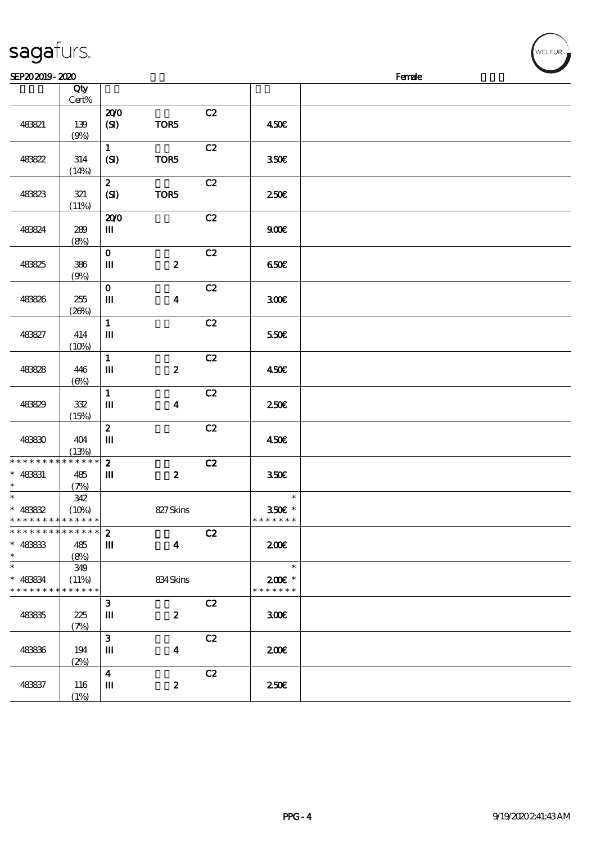| SEP202019-2020                                                    |                             |                                                       |                         |    |                                   | Female |
|-------------------------------------------------------------------|-----------------------------|-------------------------------------------------------|-------------------------|----|-----------------------------------|--------|
|                                                                   | Qty<br>Cert%                |                                                       |                         |    |                                   |        |
| 483821                                                            | 139<br>(9%)                 | 200<br>(SI)                                           | TOR5                    | C2 | 450€                              |        |
| 483822                                                            | 314<br>(14%)                | $\mathbf{1}$<br>(SI)                                  | TOR5                    | C2 | 350E                              |        |
| 48823                                                             | 321<br>(11%)                | $\boldsymbol{z}$<br>(SI)                              | TOR5                    | C2 | 250E                              |        |
| 483824                                                            | 289<br>(8%)                 | 200<br>Ш                                              |                         | C2 | 900E                              |        |
| 483825                                                            | 386<br>(9%)                 | $\mathbf{O}$<br>Ш                                     | $\pmb{2}$               | C2 | 650E                              |        |
| 483826                                                            | 255<br>(20%)                | $\mathbf{o}$<br>$\mathbf m$                           | $\boldsymbol{4}$        | C2 | 300 <sup>2</sup>                  |        |
| 483827                                                            | 414<br>(10%)                | $\mathbf{1}$<br>$\mathbf m$                           |                         | C2 | 550€                              |        |
| 48828                                                             | 446<br>$(\Theta)$           | $\mathbf{1}$<br>$\rm I\hspace{-.1em}I\hspace{-.1em}I$ | $\boldsymbol{z}$        | C2 | 450E                              |        |
| 483829                                                            | 332<br>(15%)                | $\mathbf{1}$<br>$\mathbf m$                           | $\boldsymbol{4}$        | C2 | 250E                              |        |
| 483830                                                            | 404<br>(13%)                | $\boldsymbol{z}$<br>$\mathbf m$                       |                         | C2 | 450€                              |        |
| * * * * * * * *<br>$* 483831$<br>$\ast$                           | ******<br>485<br>(7%)       | $\mathbf{z}$<br>Ш                                     | $\boldsymbol{z}$        | C2 | 350E                              |        |
| $* 48882$<br>* * * * * * * * * * * * * *                          | 342<br>(10%)                |                                                       | 827Skins                |    | $\ast$<br>350€ *<br>* * * * * * * |        |
| * * * * * * * * <mark>* * * * * * *</mark><br>$* 48833$<br>$\ast$ | 485<br>(8%)                 | $\mathbf{z}$<br>Ш                                     | $\overline{\mathbf{4}}$ | C2 | 200E                              |        |
| $\ast$<br>* 483834<br>* * * * * * * *                             | 349<br>(11%)<br>* * * * * * |                                                       | 834Skins                |    | $\ast$<br>2006 *<br>* * * * * * * |        |
| 483835                                                            | 225<br>(7%)                 | $\mathbf{3}$<br>Ш                                     | $\boldsymbol{z}$        | C2 | 300                               |        |
| 483836                                                            | 194<br>(2%)                 | $\mathbf{3}$<br>Ш                                     | $\boldsymbol{4}$        | C2 | 200E                              |        |
| 483837                                                            | 116<br>(1%)                 | $\overline{\mathbf{4}}$<br>Ш                          | $\boldsymbol{z}$        | C2 | 250 <sup>2</sup>                  |        |

WELFUR<sub>"</sub>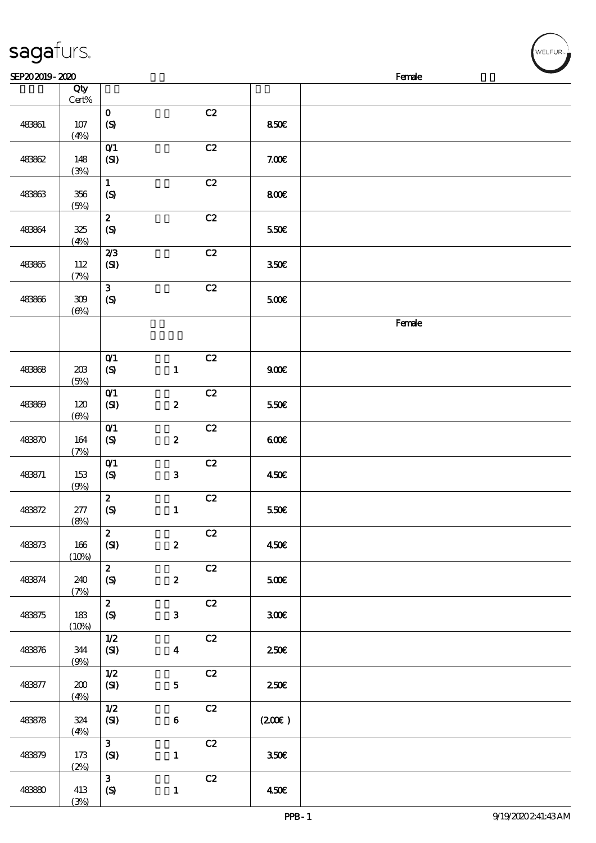| SEP202019-2020 |                        |                                                 |                  |    |       | $\sim$<br>Female |
|----------------|------------------------|-------------------------------------------------|------------------|----|-------|------------------|
|                | Qty<br>$\mbox{Cert}\%$ |                                                 |                  |    |       |                  |
| 483861         | $107$<br>(4%)          | $\mathbf 0$<br>(S)                              |                  | C2 | 850E  |                  |
| 483862         | 148<br>(3%)            | O(1)<br>(SI)                                    |                  | C2 | 7.00E |                  |
| 483863         | $356\,$<br>(5%)        | $\mathbf{1}$<br>$\boldsymbol{S}$                |                  | C2 | 800   |                  |
| 483864         | 325<br>(4%)            | $\boldsymbol{z}$<br>$\pmb{\infty}$              |                  | C2 | 550€  |                  |
| 483865         | 112<br>(7%)            | 2/3<br>(SI)                                     |                  | C2 | 350E  |                  |
| 483866         | $309\,$<br>$(\Theta)$  | $\mathbf{3}$<br>$\pmb{\text{(S)}}$              |                  | C2 | 500€  |                  |
|                |                        |                                                 |                  |    |       | Female           |
| 483868         | $203$<br>(5%)          | $O$ $1$<br>$\boldsymbol{\mathrm{(S)}}$          | $\mathbf{1}$     | C2 | 900E  |                  |
| 483809         | 120<br>$(\Theta_0)$    | $O$ $1$<br>(SI)                                 | $\pmb{2}$        | C2 | 550E  |                  |
| 483870         | 164<br>(7%)            | O(1)<br>$\boldsymbol{\mathrm{(S)}}$             | $\pmb{2}$        | C2 | 600   |                  |
| 483871         | 153<br>(9%)            | $O$ $1$<br>$\boldsymbol{S}$                     | ${\bf 3}$        | C2 | 450E  |                  |
| 483872         | $277\,$<br>(8%)        | $\boldsymbol{2}$<br>$\boldsymbol{\mathrm{(S)}}$ | $\mathbf{1}$     | C2 | 550€  |                  |
| 483873         | 166<br>(10%)           | $\boldsymbol{z}$<br>(SI)                        | $\boldsymbol{2}$ | C2 | 450E  |                  |
| 483874         | 240<br>(7%)            | $\mathbf{2}$<br>$\boldsymbol{S}$                | $\boldsymbol{2}$ | C2 | 500E  |                  |
| 483875         | 183<br>(10%)           | $\boldsymbol{z}$<br>$\pmb{\in}$                 | $\mathbf{3}$     | C2 | 300E  |                  |
| 483876         | 344<br>(9%)            | $1/2$<br>(SI)                                   | $\boldsymbol{4}$ | C2 | 250E  |                  |
| 483877         | 200<br>(4%)            | 1/2<br>(SI)                                     | ${\bf 5}$        | C2 | 250E  |                  |
| 483878         | 324<br>(4%)            | $1/2$<br>(SI)                                   | $\bf 6$          | C2 | (200) |                  |
| 483879         | 173<br>(2%)            | $\mathbf{3}$<br>(SI)                            | $\mathbf{1}$     | C2 | 350E  |                  |
| 48380          | 413<br>(3%)            | $\mathbf{3}$<br>$\boldsymbol{\mathrm{(S)}}$     | $\mathbf{1}$     | C2 | 450E  |                  |

WELFUR<sub>"</sub>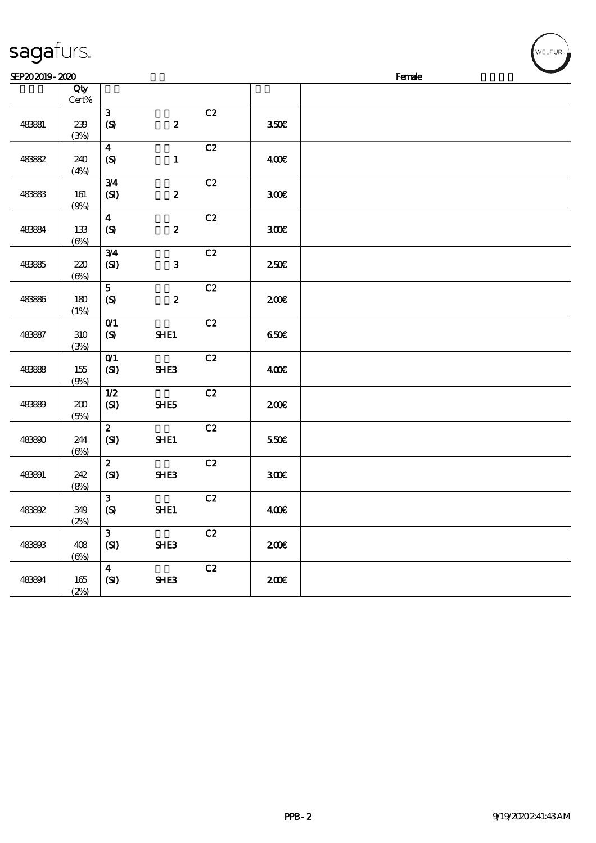| SEP202019-2020 |                      |                                    |                  |    |                  | Female |  |  |  |
|----------------|----------------------|------------------------------------|------------------|----|------------------|--------|--|--|--|
|                | Qty<br>$Cert\%$      |                                    |                  |    |                  |        |  |  |  |
| 483881         | 239<br>(3%)          | $\mathbf{3}$<br>(S)                | $\boldsymbol{z}$ | C2 | 350E             |        |  |  |  |
| 483882         | 240<br>(4%)          | $\boldsymbol{4}$<br>$\mathcal{S}$  | $\mathbf{1}$     | C2 | 400€             |        |  |  |  |
| 483883         | 161<br>(9%)          | 3/4<br>(SI)                        | $\boldsymbol{2}$ | C2 | 300E             |        |  |  |  |
| 483894         | 133<br>$(\Theta\% )$ | $\boldsymbol{4}$<br>(S)            | $\boldsymbol{z}$ | C2 | 300E             |        |  |  |  |
| 483885         | 220<br>(6%)          | 3/4<br>(SI)                        | ${\bf 3}$        | C2 | 250 <sup>2</sup> |        |  |  |  |
| 48386          | 180<br>(1%)          | $\overline{5}$<br>(S)              | $\boldsymbol{2}$ | C2 | 200E             |        |  |  |  |
| 483887         | 310<br>(3%)          | O(1)<br>$\pmb{\infty}$             | SHE1             | C2 | 650E             |        |  |  |  |
| 48388          | 155<br>(9%)          | O(1)<br>(SI)                       | SHE3             | C2 | 400              |        |  |  |  |
| 48389          | 200<br>(5%)          | 1/2<br>(SI)                        | SHE5             | C2 | 200E             |        |  |  |  |
| 483800         | 244<br>$(\Theta)$    | $\boldsymbol{z}$<br>(SI)           | SHE1             | C2 | 550E             |        |  |  |  |
| 483891         | 242<br>(8%)          | $\boldsymbol{z}$<br>(SI)           | SHE3             | C2 | 300E             |        |  |  |  |
| 483992         | 349<br>(2%)          | $\mathbf{3}$<br>$\pmb{\text{(S)}}$ | SHE1             | C2 | 400              |        |  |  |  |
| 483803         | 408<br>$(\Theta)$    | $\mathbf{3}$<br>(SI)               | SHE3             | C2 | 200E             |        |  |  |  |
| 483894         | 165<br>(2%)          | $\overline{\mathbf{4}}$<br>(SI)    | SHE3             | C2 | 200E             |        |  |  |  |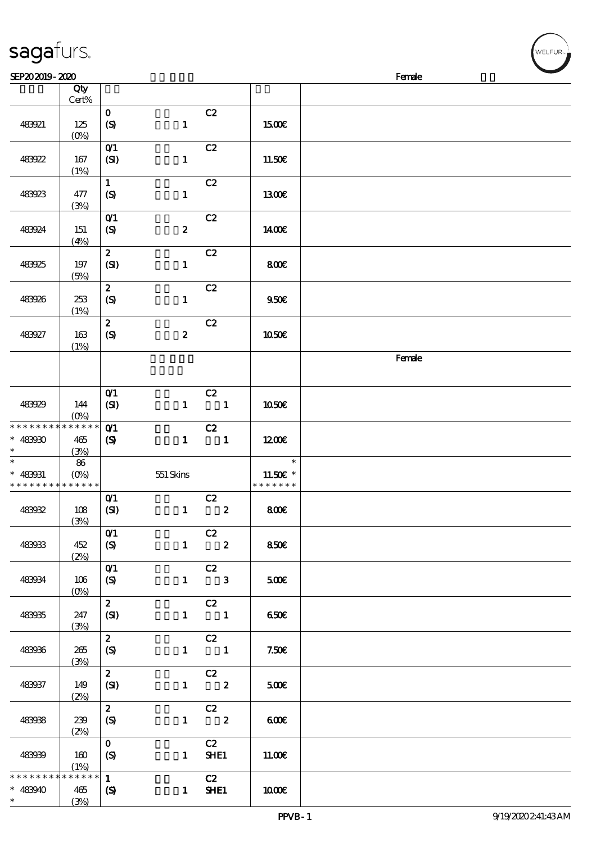| SEP202019-2020              |                                 |                                    |                  |                                               |               | Female |
|-----------------------------|---------------------------------|------------------------------------|------------------|-----------------------------------------------|---------------|--------|
|                             | Qty                             |                                    |                  |                                               |               |        |
|                             | Cert%                           |                                    |                  |                                               |               |        |
|                             |                                 | $\mathbf{o}$                       |                  | C2                                            |               |        |
| 483921                      | 125                             | (S)                                | $\mathbf{1}$     |                                               | 1500€         |        |
|                             | $(O\!/\!\!\delta)$              |                                    |                  |                                               |               |        |
|                             |                                 |                                    |                  |                                               |               |        |
|                             |                                 | $O$ $1$                            |                  | C2                                            |               |        |
| 483922                      | 167                             | (SI)                               | $\mathbf{1}$     |                                               | 11.50€        |        |
|                             | (1%)                            |                                    |                  |                                               |               |        |
|                             |                                 | $\mathbf{1}$                       |                  | C2                                            |               |        |
| 483923                      | 477                             | $\boldsymbol{S}$                   | $\mathbf{1}$     |                                               | 1300E         |        |
|                             | (3%)                            |                                    |                  |                                               |               |        |
|                             |                                 | $O$ $1$                            |                  | C2                                            |               |        |
| 483924                      | 151                             | $\boldsymbol{S}$                   | $\boldsymbol{z}$ |                                               | 1400E         |        |
|                             | (4%)                            |                                    |                  |                                               |               |        |
|                             |                                 | $\boldsymbol{z}$                   |                  | C2                                            |               |        |
| 483925                      | 197                             | (SI)                               | $\mathbf{1}$     |                                               | 800E          |        |
|                             | (5%)                            |                                    |                  |                                               |               |        |
|                             |                                 | $\mathbf{z}$                       |                  | C2                                            |               |        |
| 483926                      | 253                             | (S)                                | $\mathbf{1}$     |                                               | 950E          |        |
|                             | (1%)                            |                                    |                  |                                               |               |        |
|                             |                                 | $\boldsymbol{2}$                   |                  | C2                                            |               |        |
| 483927                      | 163                             | (S)                                | $\boldsymbol{z}$ |                                               | 1050€         |        |
|                             | (1%)                            |                                    |                  |                                               |               |        |
|                             |                                 |                                    |                  |                                               |               | Female |
|                             |                                 |                                    |                  |                                               |               |        |
|                             |                                 |                                    |                  |                                               |               |        |
|                             |                                 |                                    |                  |                                               |               |        |
|                             |                                 | $O$ $1$                            |                  | C2                                            |               |        |
| 483929                      | 144                             | (SI)                               | $\mathbf{1}$     | $\blacksquare$                                | 1050E         |        |
|                             | $(O\!/\!o)$                     |                                    |                  |                                               |               |        |
| * * * * * * * *             | * * * * * *                     | $O$ 1                              |                  | C2                                            |               |        |
| $* 48390$                   | 465                             | $\boldsymbol{\mathrm{(S)}}$        | $\mathbf{1}$     | $\overline{\phantom{a}}$                      | 1200E         |        |
| $\ast$                      | (3%)                            |                                    |                  |                                               |               |        |
| $\overline{\phantom{0}}$    | 86                              |                                    |                  |                                               | $\ast$        |        |
| $* 483031$                  | $(O_0)$                         |                                    | $551$ Skins      |                                               | 11.50€ *      |        |
| * * * * * * * * * * * * * * |                                 |                                    |                  |                                               | * * * * * * * |        |
|                             |                                 | $O$ <sup><math>\prime</math></sup> |                  | C2                                            |               |        |
| 483932                      | 108                             | (SI)                               | $\mathbf{1}$     | $\boldsymbol{2}$                              | 800€          |        |
|                             | (3%)                            |                                    |                  |                                               |               |        |
|                             |                                 | O(1)                               |                  | C2                                            |               |        |
| 483933                      | 452                             | (S)                                |                  | $1 \t 2$                                      | 850€          |        |
|                             | (2%)                            |                                    |                  |                                               |               |        |
|                             |                                 | $O$ <sup><math>\prime</math></sup> |                  | $\overline{C}2$                               |               |        |
| 483934                      | 106                             | (S)                                |                  | $1 \qquad 3$                                  | 500           |        |
|                             | $(O\!\!\!\!\!\!\backslash\rho)$ |                                    |                  |                                               |               |        |
|                             |                                 | $\overline{2}$                     |                  | C2                                            |               |        |
| 483935                      | 247                             | (SI)                               |                  | $1 \quad 1$                                   | 650€          |        |
|                             | (3%)                            |                                    |                  |                                               |               |        |
|                             |                                 | $\mathbf{z}$                       |                  | $-cz$                                         |               |        |
| 483936                      | 265                             | (S)                                |                  | $1 \qquad \qquad 1$                           | 7.50E         |        |
|                             | (3%)                            |                                    |                  |                                               |               |        |
|                             |                                 | $\mathbf{z}$                       |                  | $\overline{c}$                                |               |        |
| 483937                      | 149                             | (SI)                               |                  | $1 \t 2$                                      | 500           |        |
|                             | (2%)                            |                                    |                  |                                               |               |        |
|                             |                                 | $\mathbf{z}$                       |                  |                                               |               |        |
| 483938                      | 239                             | (S)                                |                  | $\begin{array}{cc} & c2 \\ 1 & 2 \end{array}$ | 600           |        |
|                             |                                 |                                    |                  |                                               |               |        |
|                             | (2%)                            | $\mathbf{O}$                       |                  | C2                                            |               |        |
|                             |                                 |                                    |                  |                                               |               |        |
| 483939                      | 160                             | (S)                                |                  | 1 <b>SHE1</b>                                 | 11.00E        |        |
| * * * * * * *               | (1%)<br>$******$                |                                    |                  |                                               |               |        |
|                             |                                 | $\mathbf{1}$                       |                  | C2                                            |               |        |
| $* 483940$                  | 465                             | $\boldsymbol{\mathcal{S}}$         | $\mathbf{1}$     | SHE1                                          | 1000          |        |
| $\ast$                      | (3%)                            |                                    |                  |                                               |               |        |